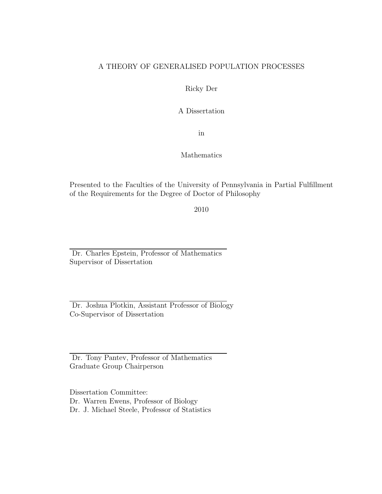## A THEORY OF GENERALISED POPULATION PROCESSES

Ricky Der

A Dissertation

in

Mathematics

Presented to the Faculties of the University of Pennsylvania in Partial Fulfillment of the Requirements for the Degree of Doctor of Philosophy

2010

Dr. Charles Epstein, Professor of Mathematics Supervisor of Dissertation

Dr. Joshua Plotkin, Assistant Professor of Biology Co-Supervisor of Dissertation

Dr. Tony Pantev, Professor of Mathematics Graduate Group Chairperson

Dissertation Committee: Dr. Warren Ewens, Professor of Biology Dr. J. Michael Steele, Professor of Statistics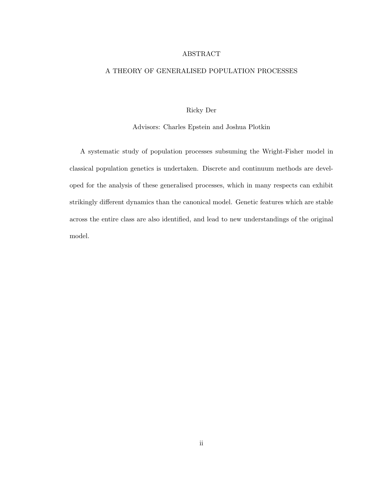#### ABSTRACT

#### A THEORY OF GENERALISED POPULATION PROCESSES

#### Ricky Der

#### Advisors: Charles Epstein and Joshua Plotkin

A systematic study of population processes subsuming the Wright-Fisher model in classical population genetics is undertaken. Discrete and continuum methods are developed for the analysis of these generalised processes, which in many respects can exhibit strikingly different dynamics than the canonical model. Genetic features which are stable across the entire class are also identified, and lead to new understandings of the original model.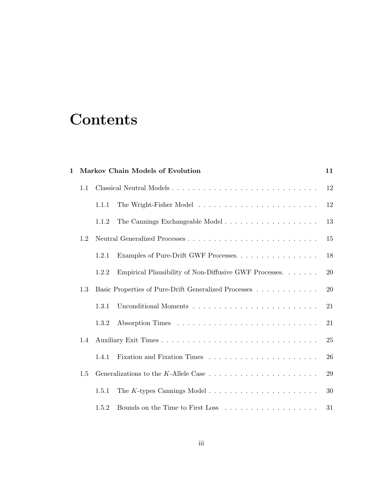# **Contents**

| 1 |     |       | Markov Chain Models of Evolution                                                       | 11 |
|---|-----|-------|----------------------------------------------------------------------------------------|----|
|   | 1.1 |       |                                                                                        | 12 |
|   |     | 1.1.1 |                                                                                        | 12 |
|   |     | 1.1.2 |                                                                                        | 13 |
|   | 1.2 |       |                                                                                        | 15 |
|   |     | 1.2.1 | Examples of Pure-Drift GWF Processes.                                                  | 18 |
|   |     | 1.2.2 | Empirical Plausibility of Non-Diffusive GWF Processes.                                 | 20 |
|   | 1.3 |       | Basic Properties of Pure-Drift Generalized Processes                                   | 20 |
|   |     | 1.3.1 |                                                                                        | 21 |
|   |     | 1.3.2 |                                                                                        | 21 |
|   | 1.4 |       |                                                                                        | 25 |
|   |     | 1.4.1 |                                                                                        | 26 |
|   | 1.5 |       | Generalizations to the K-Allele Case $\dots \dots \dots \dots \dots \dots \dots \dots$ | 29 |
|   |     | 1.5.1 |                                                                                        | 30 |
|   |     | 1.5.2 |                                                                                        | 31 |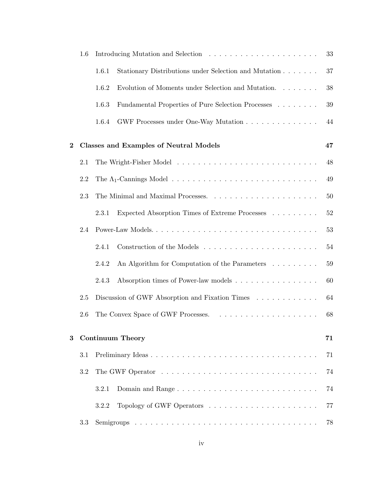|          | 1.6 |                                                                              | 33 |
|----------|-----|------------------------------------------------------------------------------|----|
|          |     | 1.6.1<br>Stationary Distributions under Selection and Mutation               | 37 |
|          |     | Evolution of Moments under Selection and Mutation.<br>$\dots$ .<br><br>1.6.2 | 38 |
|          |     | 1.6.3<br>Fundamental Properties of Pure Selection Processes                  | 39 |
|          |     | GWF Processes under One-Way Mutation<br>1.6.4                                | 44 |
| $\bf{2}$ |     | <b>Classes and Examples of Neutral Models</b>                                | 47 |
|          | 2.1 |                                                                              | 48 |
|          | 2.2 |                                                                              | 49 |
|          | 2.3 |                                                                              | 50 |
|          |     | 2.3.1<br>Expected Absorption Times of Extreme Processes                      | 52 |
|          | 2.4 |                                                                              | 53 |
|          |     | 2.4.1                                                                        | 54 |
|          |     | 2.4.2<br>An Algorithm for Computation of the Parameters                      | 59 |
|          |     | Absorption times of Power-law models<br>2.4.3                                | 60 |
|          | 2.5 | Discussion of GWF Absorption and Fixation Times                              | 64 |
|          | 2.6 |                                                                              | 68 |
| 3        |     | <b>Continuum Theory</b>                                                      | 71 |
|          | 3.1 |                                                                              | 71 |
|          | 3.2 |                                                                              | 74 |
|          |     | 3.2.1<br>Domain and Range                                                    | 74 |
|          |     | 3.2.2                                                                        | 77 |
|          | 3.3 |                                                                              | 78 |
|          |     |                                                                              |    |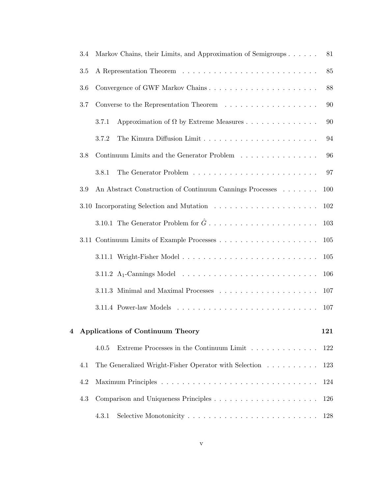|   | 3.4 | Markov Chains, their Limits, and Approximation of Semigroups                                        | 81 |
|---|-----|-----------------------------------------------------------------------------------------------------|----|
|   | 3.5 |                                                                                                     | 85 |
|   | 3.6 | Convergence of GWF Markov Chains                                                                    | 88 |
|   | 3.7 | 90                                                                                                  |    |
|   |     | Approximation of $\Omega$ by Extreme Measures<br>3.7.1                                              | 90 |
|   |     | 94<br>3.7.2                                                                                         |    |
|   | 3.8 | Continuum Limits and the Generator Problem $\ldots \ldots \ldots \ldots \ldots$<br>96               |    |
|   |     | 97<br>3.8.1                                                                                         |    |
|   | 3.9 | An Abstract Construction of Continuum Cannings Processes<br>100                                     |    |
|   |     | 3.10 Incorporating Selection and Mutation $\ldots \ldots \ldots \ldots \ldots \ldots \ldots$<br>102 |    |
|   |     | 103                                                                                                 |    |
|   |     | 105                                                                                                 |    |
|   |     | 105                                                                                                 |    |
|   |     | 106                                                                                                 |    |
|   |     | 107                                                                                                 |    |
|   |     | 107                                                                                                 |    |
| 4 |     | <b>Applications of Continuum Theory</b><br>121                                                      |    |
|   |     |                                                                                                     |    |
|   |     | Extreme Processes in the Continuum Limit<br>4.0.5<br>122                                            |    |
|   | 4.1 | The Generalized Wright-Fisher Operator with Selection<br>123                                        |    |
|   | 4.2 | 124                                                                                                 |    |
|   | 4.3 | 126                                                                                                 |    |
|   |     | 4.3.1<br>128                                                                                        |    |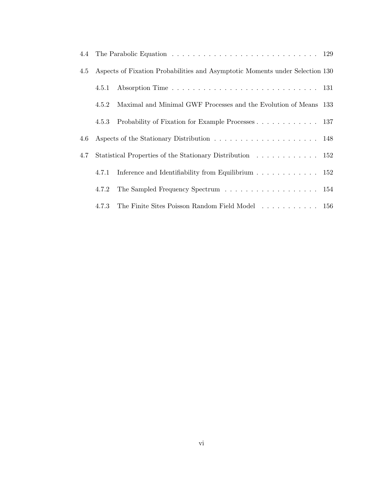| 4.4 |       |                                                                                                |  |
|-----|-------|------------------------------------------------------------------------------------------------|--|
| 4.5 |       | Aspects of Fixation Probabilities and Asymptotic Moments under Selection 130                   |  |
|     | 4.5.1 |                                                                                                |  |
|     | 4.5.2 | Maximal and Minimal GWF Processes and the Evolution of Means 133                               |  |
|     | 4.5.3 | Probability of Fixation for Example Processes 137                                              |  |
| 4.6 |       |                                                                                                |  |
| 4.7 |       |                                                                                                |  |
|     | 4.7.1 | Inference and Identifiability from Equilibrium $\ldots \ldots \ldots \ldots \ldots$ 152        |  |
|     | 4.7.2 | The Sampled Frequency Spectrum 154                                                             |  |
|     | 4.7.3 | The Finite Sites Poisson Random Field Model $\hfill\ldots\ldots\ldots\ldots\ldots\ldots\,$ 156 |  |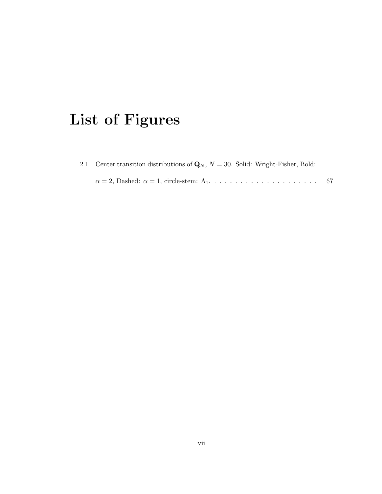# List of Figures

| 2.1 Center transition distributions of $\mathbf{Q}_N$ , $N = 30$ . Solid: Wright-Fisher, Bold: |  |
|------------------------------------------------------------------------------------------------|--|
|                                                                                                |  |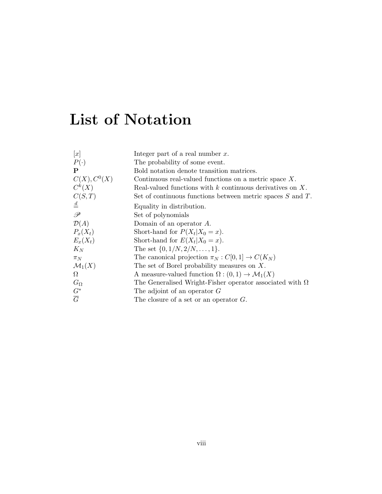# List of Notation

| [x]                | Integer part of a real number $x$ .                                       |
|--------------------|---------------------------------------------------------------------------|
| $P(\cdot)$         | The probability of some event.                                            |
| P                  | Bold notation denote transition matrices.                                 |
| $C(X)$ , $C0(X)$   | Continuous real-valued functions on a metric space $X$ .                  |
| $C^k(X)$           | Real-valued functions with $k$ continuous derivatives on X.               |
| C(S,T)             | Set of continuous functions between metric spaces $S$ and $T$ .           |
| $\stackrel{d}{=}$  | Equality in distribution.                                                 |
| $\mathscr{P}$      | Set of polynomials                                                        |
| $\mathcal{D}(A)$   | Domain of an operator $A$ .                                               |
| $P_x(X_t)$         | Short-hand for $P(X_t X_0=x)$ .                                           |
| $E_x(X_t)$         | Short-hand for $E(X_t X_0=x)$ .                                           |
| $K_N$              | The set $\{0, 1/N, 2/N, \ldots, 1\}.$                                     |
| $\pi_N$            | The canonical projection $\pi_N : C[0,1] \to C(K_N)$                      |
| $\mathcal{M}_1(X)$ | The set of Borel probability measures on $X$ .                            |
| Ω                  | A measure-valued function $\Omega$ : $(0,1) \rightarrow \mathcal{M}_1(X)$ |
| $G_{\Omega}$       | The Generalised Wright-Fisher operator associated with $\Omega$           |
| $\frac{G^*}{G}$    | The adjoint of an operator $G$                                            |
|                    | The closure of a set or an operator $G$ .                                 |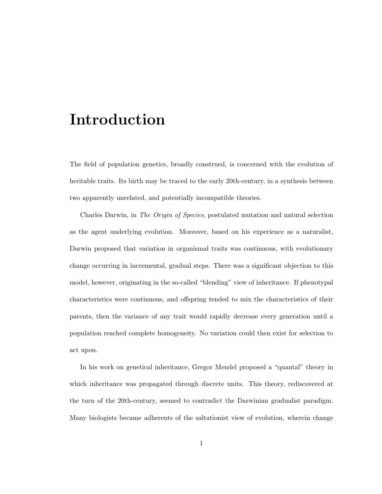# Introduction

The field of population genetics, broadly construed, is concerned with the evolution of heritable traits. Its birth may be traced to the early 20th-century, in a synthesis between two apparently unrelated, and potentially incompatible theories.

Charles Darwin, in The Origin of Species, postulated mutation and natural selection as the agent underlying evolution. Moreover, based on his experience as a naturalist, Darwin proposed that variation in organismal traits was continuous, with evolutionary change occurring in incremental, gradual steps. There was a significant objection to this model, however, originating in the so-called "blending" view of inheritance. If phenotypal characteristics were continuous, and offspring tended to mix the characteristics of their parents, then the variance of any trait would rapidly decrease every generation until a population reached complete homogeneity. No variation could then exist for selection to act upon.

In his work on genetical inheritance, Gregor Mendel proposed a "quantal" theory in which inheritance was propagated through discrete units. This theory, rediscovered at the turn of the 20th-century, seemed to contradict the Darwinian gradualist paradigm. Many biologists became adherents of the saltationist view of evolution, wherein change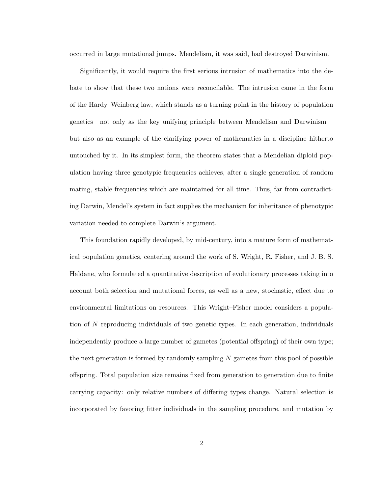occurred in large mutational jumps. Mendelism, it was said, had destroyed Darwinism.

Significantly, it would require the first serious intrusion of mathematics into the debate to show that these two notions were reconcilable. The intrusion came in the form of the Hardy–Weinberg law, which stands as a turning point in the history of population genetics—not only as the key unifying principle between Mendelism and Darwinism but also as an example of the clarifying power of mathematics in a discipline hitherto untouched by it. In its simplest form, the theorem states that a Mendelian diploid population having three genotypic frequencies achieves, after a single generation of random mating, stable frequencies which are maintained for all time. Thus, far from contradicting Darwin, Mendel's system in fact supplies the mechanism for inheritance of phenotypic variation needed to complete Darwin's argument.

This foundation rapidly developed, by mid-century, into a mature form of mathematical population genetics, centering around the work of S. Wright, R. Fisher, and J. B. S. Haldane, who formulated a quantitative description of evolutionary processes taking into account both selection and mutational forces, as well as a new, stochastic, effect due to environmental limitations on resources. This Wright–Fisher model considers a population of N reproducing individuals of two genetic types. In each generation, individuals independently produce a large number of gametes (potential offspring) of their own type; the next generation is formed by randomly sampling  $N$  gametes from this pool of possible offspring. Total population size remains fixed from generation to generation due to finite carrying capacity: only relative numbers of differing types change. Natural selection is incorporated by favoring fitter individuals in the sampling procedure, and mutation by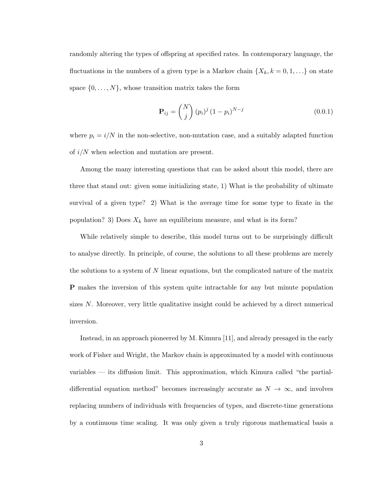randomly altering the types of offspring at specified rates. In contemporary language, the fluctuations in the numbers of a given type is a Markov chain  $\{X_k, k = 0, 1, \ldots\}$  on state space  $\{0, \ldots, N\}$ , whose transition matrix takes the form

$$
\mathbf{P}_{ij} = \begin{pmatrix} N \\ j \end{pmatrix} (p_i)^j (1 - p_i)^{N - j} \tag{0.0.1}
$$

where  $p_i = i/N$  in the non-selective, non-mutation case, and a suitably adapted function of  $i/N$  when selection and mutation are present.

Among the many interesting questions that can be asked about this model, there are three that stand out: given some initializing state, 1) What is the probability of ultimate survival of a given type? 2) What is the average time for some type to fixate in the population? 3) Does  $X_k$  have an equilibrium measure, and what is its form?

While relatively simple to describe, this model turns out to be surprisingly difficult to analyse directly. In principle, of course, the solutions to all these problems are merely the solutions to a system of  $N$  linear equations, but the complicated nature of the matrix P makes the inversion of this system quite intractable for any but minute population sizes N. Moreover, very little qualitative insight could be achieved by a direct numerical inversion.

Instead, in an approach pioneered by M. Kimura [11], and already presaged in the early work of Fisher and Wright, the Markov chain is approximated by a model with continuous variables — its diffusion limit. This approximation, which Kimura called "the partialdifferential equation method" becomes increasingly accurate as  $N \to \infty$ , and involves replacing numbers of individuals with frequencies of types, and discrete-time generations by a continuous time scaling. It was only given a truly rigorous mathematical basis a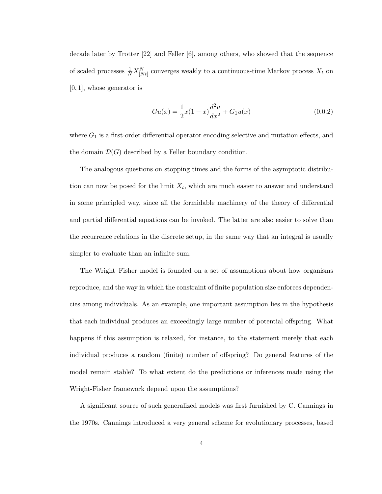decade later by Trotter [22] and Feller [6], among others, who showed that the sequence of scaled processes  $\frac{1}{N} X_{[Nt]}^N$  converges weakly to a continuous-time Markov process  $X_t$  on [0, 1], whose generator is

$$
Gu(x) = \frac{1}{2}x(1-x)\frac{d^2u}{dx^2} + G_1u(x)
$$
\n(0.0.2)

where  $G_1$  is a first-order differential operator encoding selective and mutation effects, and the domain  $\mathcal{D}(G)$  described by a Feller boundary condition.

The analogous questions on stopping times and the forms of the asymptotic distribution can now be posed for the limit  $X_t$ , which are much easier to answer and understand in some principled way, since all the formidable machinery of the theory of differential and partial differential equations can be invoked. The latter are also easier to solve than the recurrence relations in the discrete setup, in the same way that an integral is usually simpler to evaluate than an infinite sum.

The Wright–Fisher model is founded on a set of assumptions about how organisms reproduce, and the way in which the constraint of finite population size enforces dependencies among individuals. As an example, one important assumption lies in the hypothesis that each individual produces an exceedingly large number of potential offspring. What happens if this assumption is relaxed, for instance, to the statement merely that each individual produces a random (finite) number of offspring? Do general features of the model remain stable? To what extent do the predictions or inferences made using the Wright-Fisher framework depend upon the assumptions?

A significant source of such generalized models was first furnished by C. Cannings in the 1970s. Cannings introduced a very general scheme for evolutionary processes, based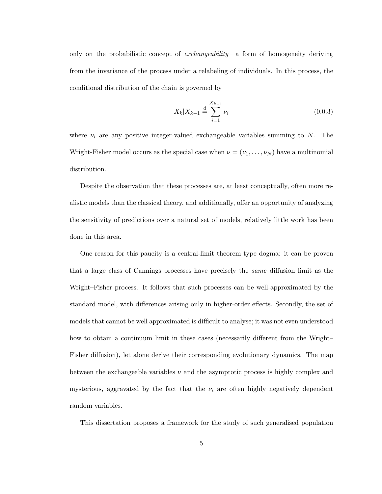only on the probabilistic concept of exchangeability—a form of homogeneity deriving from the invariance of the process under a relabeling of individuals. In this process, the conditional distribution of the chain is governed by

$$
X_k|X_{k-1} \stackrel{d}{=} \sum_{i=1}^{X_{k-1}} \nu_i \tag{0.0.3}
$$

where  $\nu_i$  are any positive integer-valued exchangeable variables summing to N. The Wright-Fisher model occurs as the special case when  $\nu = (\nu_1, \dots, \nu_N)$  have a multinomial distribution.

Despite the observation that these processes are, at least conceptually, often more realistic models than the classical theory, and additionally, offer an opportunity of analyzing the sensitivity of predictions over a natural set of models, relatively little work has been done in this area.

One reason for this paucity is a central-limit theorem type dogma: it can be proven that a large class of Cannings processes have precisely the same diffusion limit as the Wright–Fisher process. It follows that such processes can be well-approximated by the standard model, with differences arising only in higher-order effects. Secondly, the set of models that cannot be well approximated is difficult to analyse; it was not even understood how to obtain a continuum limit in these cases (necessarily different from the Wright– Fisher diffusion), let alone derive their corresponding evolutionary dynamics. The map between the exchangeable variables  $\nu$  and the asymptotic process is highly complex and mysterious, aggravated by the fact that the  $\nu_i$  are often highly negatively dependent random variables.

This dissertation proposes a framework for the study of such generalised population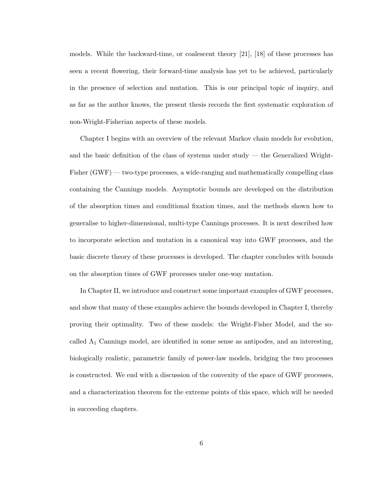models. While the backward-time, or coalescent theory [21], [18] of these processes has seen a recent flowering, their forward-time analysis has yet to be achieved, particularly in the presence of selection and mutation. This is our principal topic of inquiry, and as far as the author knows, the present thesis records the first systematic exploration of non-Wright-Fisherian aspects of these models.

Chapter I begins with an overview of the relevant Markov chain models for evolution, and the basic definition of the class of systems under study  $-$  the Generalized Wright-Fisher (GWF) — two-type processes, a wide-ranging and mathematically compelling class containing the Cannings models. Asymptotic bounds are developed on the distribution of the absorption times and conditional fixation times, and the methods shown how to generalise to higher-dimensional, multi-type Cannings processes. It is next described how to incorporate selection and mutation in a canonical way into GWF processes, and the basic discrete theory of these processes is developed. The chapter concludes with bounds on the absorption times of GWF processes under one-way mutation.

In Chapter II, we introduce and construct some important examples of GWF processes, and show that many of these examples achieve the bounds developed in Chapter I, thereby proving their optimality. Two of these models: the Wright-Fisher Model, and the socalled  $\Lambda_1$  Cannings model, are identified in some sense as antipodes, and an interesting, biologically realistic, parametric family of power-law models, bridging the two processes is constructed. We end with a discussion of the convexity of the space of GWF processes, and a characterization theorem for the extreme points of this space, which will be needed in succeeding chapters.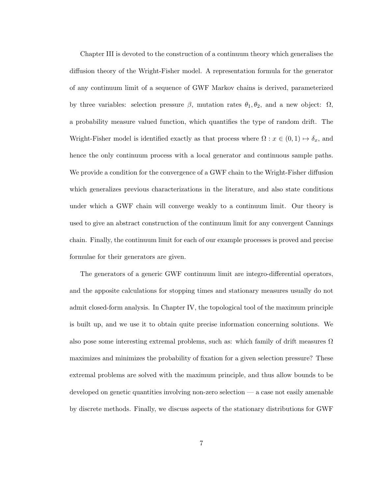Chapter III is devoted to the construction of a continuum theory which generalises the diffusion theory of the Wright-Fisher model. A representation formula for the generator of any continuum limit of a sequence of GWF Markov chains is derived, parameterized by three variables: selection pressure  $\beta$ , mutation rates  $\theta_1, \theta_2$ , and a new object:  $\Omega$ , a probability measure valued function, which quantifies the type of random drift. The Wright-Fisher model is identified exactly as that process where  $\Omega : x \in (0,1) \mapsto \delta_x$ , and hence the only continuum process with a local generator and continuous sample paths. We provide a condition for the convergence of a GWF chain to the Wright-Fisher diffusion which generalizes previous characterizations in the literature, and also state conditions under which a GWF chain will converge weakly to a continuum limit. Our theory is used to give an abstract construction of the continuum limit for any convergent Cannings chain. Finally, the continuum limit for each of our example processes is proved and precise formulae for their generators are given.

The generators of a generic GWF continuum limit are integro-differential operators, and the apposite calculations for stopping times and stationary measures usually do not admit closed-form analysis. In Chapter IV, the topological tool of the maximum principle is built up, and we use it to obtain quite precise information concerning solutions. We also pose some interesting extremal problems, such as: which family of drift measures  $\Omega$ maximizes and minimizes the probability of fixation for a given selection pressure? These extremal problems are solved with the maximum principle, and thus allow bounds to be developed on genetic quantities involving non-zero selection — a case not easily amenable by discrete methods. Finally, we discuss aspects of the stationary distributions for GWF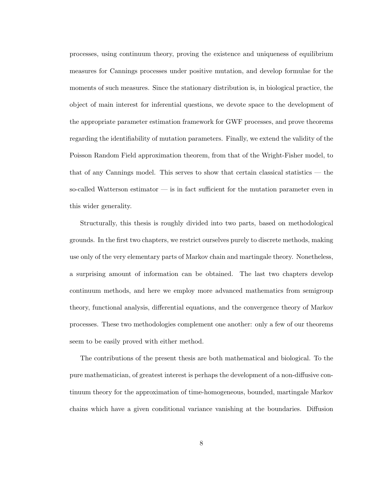processes, using continuum theory, proving the existence and uniqueness of equilibrium measures for Cannings processes under positive mutation, and develop formulae for the moments of such measures. Since the stationary distribution is, in biological practice, the object of main interest for inferential questions, we devote space to the development of the appropriate parameter estimation framework for GWF processes, and prove theorems regarding the identifiability of mutation parameters. Finally, we extend the validity of the Poisson Random Field approximation theorem, from that of the Wright-Fisher model, to that of any Cannings model. This serves to show that certain classical statistics — the so-called Watterson estimator — is in fact sufficient for the mutation parameter even in this wider generality.

Structurally, this thesis is roughly divided into two parts, based on methodological grounds. In the first two chapters, we restrict ourselves purely to discrete methods, making use only of the very elementary parts of Markov chain and martingale theory. Nonetheless, a surprising amount of information can be obtained. The last two chapters develop continuum methods, and here we employ more advanced mathematics from semigroup theory, functional analysis, differential equations, and the convergence theory of Markov processes. These two methodologies complement one another: only a few of our theorems seem to be easily proved with either method.

The contributions of the present thesis are both mathematical and biological. To the pure mathematician, of greatest interest is perhaps the development of a non-diffusive continuum theory for the approximation of time-homogeneous, bounded, martingale Markov chains which have a given conditional variance vanishing at the boundaries. Diffusion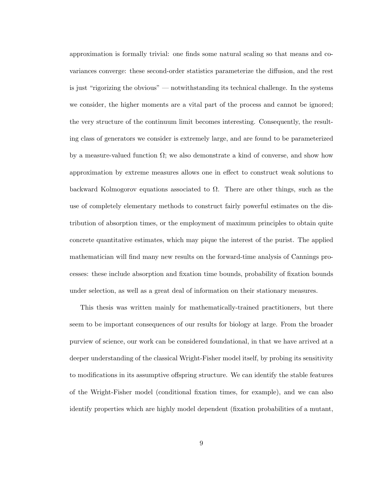approximation is formally trivial: one finds some natural scaling so that means and covariances converge: these second-order statistics parameterize the diffusion, and the rest is just "rigorizing the obvious" — notwithstanding its technical challenge. In the systems we consider, the higher moments are a vital part of the process and cannot be ignored; the very structure of the continuum limit becomes interesting. Consequently, the resulting class of generators we consider is extremely large, and are found to be parameterized by a measure-valued function  $\Omega$ ; we also demonstrate a kind of converse, and show how approximation by extreme measures allows one in effect to construct weak solutions to backward Kolmogorov equations associated to  $\Omega$ . There are other things, such as the use of completely elementary methods to construct fairly powerful estimates on the distribution of absorption times, or the employment of maximum principles to obtain quite concrete quantitative estimates, which may pique the interest of the purist. The applied mathematician will find many new results on the forward-time analysis of Cannings processes: these include absorption and fixation time bounds, probability of fixation bounds under selection, as well as a great deal of information on their stationary measures.

This thesis was written mainly for mathematically-trained practitioners, but there seem to be important consequences of our results for biology at large. From the broader purview of science, our work can be considered foundational, in that we have arrived at a deeper understanding of the classical Wright-Fisher model itself, by probing its sensitivity to modifications in its assumptive offspring structure. We can identify the stable features of the Wright-Fisher model (conditional fixation times, for example), and we can also identify properties which are highly model dependent (fixation probabilities of a mutant,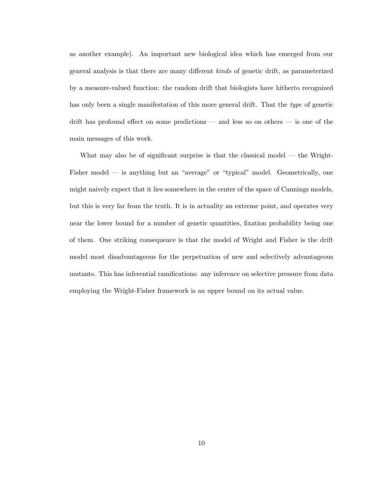as another example). An important new biological idea which has emerged from our general analysis is that there are many different kinds of genetic drift, as parameterized by a measure-valued function: the random drift that biologists have hitherto recognized has only been a single manifestation of this more general drift. That the type of genetic drift has profound effect on some predictions — and less so on others — is one of the main messages of this work.

What may also be of significant surprise is that the classical model — the Wright-Fisher model — is anything but an "average" or "typical" model. Geometrically, one might naively expect that it lies somewhere in the center of the space of Cannings models, but this is very far from the truth. It is in actuality an extreme point, and operates very near the lower bound for a number of genetic quantities, fixation probability being one of them. One striking consequence is that the model of Wright and Fisher is the drift model most disadvantageous for the perpetuation of new and selectively advantageous mutants. This has inferential ramifications: any inference on selective pressure from data employing the Wright-Fisher framework is an upper bound on its actual value.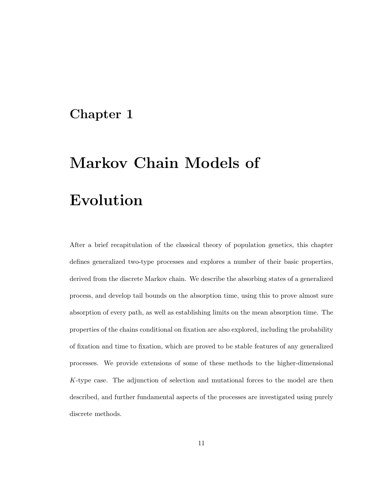## Chapter 1

# Markov Chain Models of

# Evolution

After a brief recapitulation of the classical theory of population genetics, this chapter defines generalized two-type processes and explores a number of their basic properties, derived from the discrete Markov chain. We describe the absorbing states of a generalized process, and develop tail bounds on the absorption time, using this to prove almost sure absorption of every path, as well as establishing limits on the mean absorption time. The properties of the chains conditional on fixation are also explored, including the probability of fixation and time to fixation, which are proved to be stable features of any generalized processes. We provide extensions of some of these methods to the higher-dimensional K-type case. The adjunction of selection and mutational forces to the model are then described, and further fundamental aspects of the processes are investigated using purely discrete methods.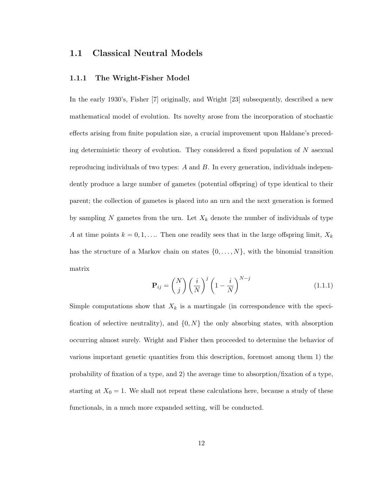## 1.1 Classical Neutral Models

#### 1.1.1 The Wright-Fisher Model

In the early 1930's, Fisher [7] originally, and Wright [23] subsequently, described a new mathematical model of evolution. Its novelty arose from the incorporation of stochastic effects arising from finite population size, a crucial improvement upon Haldane's preceding deterministic theory of evolution. They considered a fixed population of  $N$  asexual reproducing individuals of two types: A and B. In every generation, individuals independently produce a large number of gametes (potential offspring) of type identical to their parent; the collection of gametes is placed into an urn and the next generation is formed by sampling  $N$  gametes from the urn. Let  $X_k$  denote the number of individuals of type A at time points  $k = 0, 1, \ldots$  Then one readily sees that in the large offspring limit,  $X_k$ has the structure of a Markov chain on states  $\{0, \ldots, N\}$ , with the binomial transition matrix

$$
\mathbf{P}_{ij} = \binom{N}{j} \left(\frac{i}{N}\right)^j \left(1 - \frac{i}{N}\right)^{N-j} \tag{1.1.1}
$$

Simple computations show that  $X_k$  is a martingale (in correspondence with the specification of selective neutrality), and  $\{0, N\}$  the only absorbing states, with absorption occurring almost surely. Wright and Fisher then proceeded to determine the behavior of various important genetic quantities from this description, foremost among them 1) the probability of fixation of a type, and 2) the average time to absorption/fixation of a type, starting at  $X_0 = 1$ . We shall not repeat these calculations here, because a study of these functionals, in a much more expanded setting, will be conducted.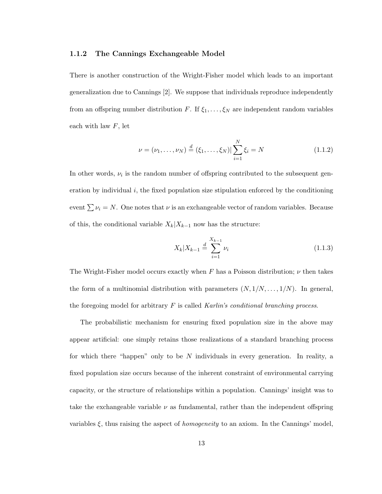#### 1.1.2 The Cannings Exchangeable Model

There is another construction of the Wright-Fisher model which leads to an important generalization due to Cannings [2]. We suppose that individuals reproduce independently from an offspring number distribution F. If  $\xi_1, \ldots, \xi_N$  are independent random variables each with law  $F$ , let

$$
\nu = (\nu_1, \dots, \nu_N) \stackrel{d}{=} (\xi_1, \dots, \xi_N) | \sum_{i=1}^N \xi_i = N
$$
\n(1.1.2)

In other words,  $\nu_i$  is the random number of offspring contributed to the subsequent generation by individual  $i$ , the fixed population size stipulation enforced by the conditioning event  $\sum \nu_i = N$ . One notes that  $\nu$  is an exchangeable vector of random variables. Because of this, the conditional variable  $X_k|X_{k-1}$  now has the structure:

$$
X_k|X_{k-1} \stackrel{d}{=} \sum_{i=1}^{X_{k-1}} \nu_i \tag{1.1.3}
$$

The Wright-Fisher model occurs exactly when F has a Poisson distribution;  $\nu$  then takes the form of a multinomial distribution with parameters  $(N, 1/N, \ldots, 1/N)$ . In general, the foregoing model for arbitrary  $F$  is called Karlin's conditional branching process.

The probabilistic mechanism for ensuring fixed population size in the above may appear artificial: one simply retains those realizations of a standard branching process for which there "happen" only to be  $N$  individuals in every generation. In reality, a fixed population size occurs because of the inherent constraint of environmental carrying capacity, or the structure of relationships within a population. Cannings' insight was to take the exchangeable variable  $\nu$  as fundamental, rather than the independent offspring variables  $\xi$ , thus raising the aspect of *homogeneity* to an axiom. In the Cannings' model,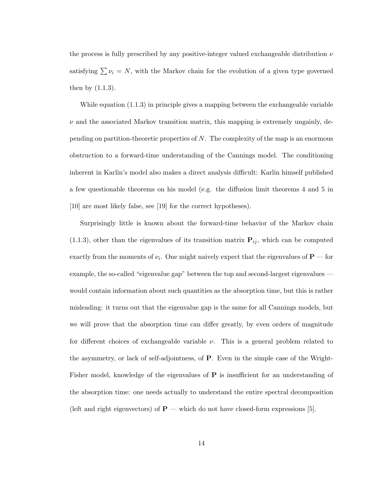the process is fully prescribed by any positive-integer valued exchangeable distribution  $\nu$ satisfying  $\sum \nu_i = N$ , with the Markov chain for the evolution of a given type governed then by (1.1.3).

While equation (1.1.3) in principle gives a mapping between the exchangeable variable  $\nu$  and the associated Markov transition matrix, this mapping is extremely ungainly, depending on partition-theoretic properties of  $N$ . The complexity of the map is an enormous obstruction to a forward-time understanding of the Cannings model. The conditioning inherent in Karlin's model also makes a direct analysis difficult: Karlin himself published a few questionable theorems on his model (e.g. the diffusion limit theorems 4 and 5 in [10] are most likely false, see [19] for the correct hypotheses).

Surprisingly little is known about the forward-time behavior of the Markov chain  $(1.1.3)$ , other than the eigenvalues of its transition matrix  $P_{ij}$ , which can be computed exactly from the moments of  $\nu_i$ . One might naively expect that the eigenvalues of  $P$  — for example, the so-called "eigenvalue gap" between the top and second-largest eigenvalues would contain information about such quantities as the absorption time, but this is rather misleading: it turns out that the eigenvalue gap is the same for all Cannings models, but we will prove that the absorption time can differ greatly, by even orders of magnitude for different choices of exchangeable variable  $\nu$ . This is a general problem related to the asymmetry, or lack of self-adjointness, of P. Even in the simple case of the Wright-Fisher model, knowledge of the eigenvalues of  $P$  is insufficient for an understanding of the absorption time: one needs actually to understand the entire spectral decomposition (left and right eigenvectors) of  $P$  — which do not have closed-form expressions [5].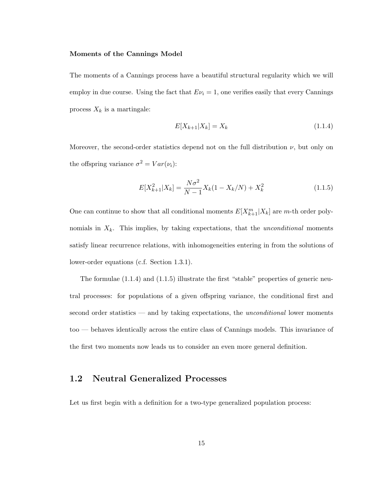#### Moments of the Cannings Model

The moments of a Cannings process have a beautiful structural regularity which we will employ in due course. Using the fact that  $E\nu_i = 1$ , one verifies easily that every Cannings process  $X_k$  is a martingale:

$$
E[X_{k+1}|X_k] = X_k \tag{1.1.4}
$$

Moreover, the second-order statistics depend not on the full distribution  $\nu$ , but only on the offspring variance  $\sigma^2 = Var(\nu_i)$ :

$$
E[X_{k+1}^2 | X_k] = \frac{N\sigma^2}{N-1} X_k (1 - X_k/N) + X_k^2
$$
\n(1.1.5)

One can continue to show that all conditional moments  $E[X_{k+1}^m | X_k]$  are m-th order polynomials in  $X_k$ . This implies, by taking expectations, that the *unconditional* moments satisfy linear recurrence relations, with inhomogeneities entering in from the solutions of lower-order equations (c.f. Section 1.3.1).

The formulae  $(1.1.4)$  and  $(1.1.5)$  illustrate the first "stable" properties of generic neutral processes: for populations of a given offspring variance, the conditional first and second order statistics — and by taking expectations, the *unconditional* lower moments too — behaves identically across the entire class of Cannings models. This invariance of the first two moments now leads us to consider an even more general definition.

## 1.2 Neutral Generalized Processes

Let us first begin with a definition for a two-type generalized population process: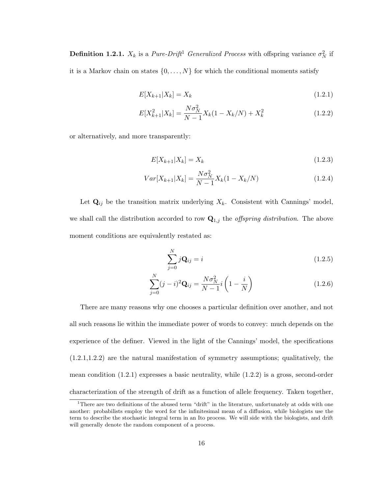**Definition 1.2.1.**  $X_k$  is a Pure-Drift<sup>1</sup> Generalized Process with offspring variance  $\sigma_N^2$  if it is a Markov chain on states  $\{0, \ldots, N\}$  for which the conditional moments satisfy

$$
E[X_{k+1}|X_k] = X_k
$$
\n(1.2.1)

$$
E[X_{k+1}^2 | X_k] = \frac{N\sigma_N^2}{N-1} X_k (1 - X_k/N) + X_k^2
$$
\n(1.2.2)

or alternatively, and more transparently:

$$
E[X_{k+1}|X_k] = X_k
$$
\n(1.2.3)

$$
Var[X_{k+1}|X_k] = \frac{N\sigma_N^2}{N-1}X_k(1 - X_k/N)
$$
\n(1.2.4)

Let  $\mathbf{Q}_{ij}$  be the transition matrix underlying  $X_k$ . Consistent with Cannings' model, we shall call the distribution accorded to row  $\mathbf{Q}_{1,j}$  the *offspring distribution*. The above moment conditions are equivalently restated as:

$$
\sum_{j=0}^{N} j\mathbf{Q}_{ij} = i \tag{1.2.5}
$$

$$
\sum_{j=0}^{N} (j-i)^2 \mathbf{Q}_{ij} = \frac{N \sigma_N^2}{N-1} i \left( 1 - \frac{i}{N} \right)
$$
 (1.2.6)

There are many reasons why one chooses a particular definition over another, and not all such reasons lie within the immediate power of words to convey: much depends on the experience of the definer. Viewed in the light of the Cannings' model, the specifications (1.2.1,1.2.2) are the natural manifestation of symmetry assumptions; qualitatively, the mean condition  $(1.2.1)$  expresses a basic neutrality, while  $(1.2.2)$  is a gross, second-order characterization of the strength of drift as a function of allele frequency. Taken together,

<sup>1</sup>There are two definitions of the abused term "drift" in the literature, unfortunately at odds with one another: probabilists employ the word for the infinitesimal mean of a diffusion, while biologists use the term to describe the stochastic integral term in an Ito process. We will side with the biologists, and drift will generally denote the random component of a process.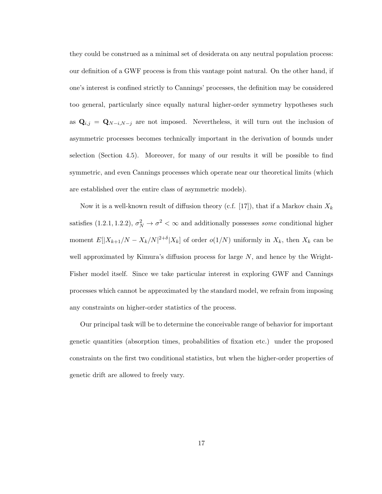they could be construed as a minimal set of desiderata on any neutral population process: our definition of a GWF process is from this vantage point natural. On the other hand, if one's interest is confined strictly to Cannings' processes, the definition may be considered too general, particularly since equally natural higher-order symmetry hypotheses such as  $\mathbf{Q}_{i,j} = \mathbf{Q}_{N-i,N-j}$  are not imposed. Nevertheless, it will turn out the inclusion of asymmetric processes becomes technically important in the derivation of bounds under selection (Section 4.5). Moreover, for many of our results it will be possible to find symmetric, and even Cannings processes which operate near our theoretical limits (which are established over the entire class of asymmetric models).

Now it is a well-known result of diffusion theory (c.f. [17]), that if a Markov chain  $X_k$ satisfies (1.2.1, 1.2.2),  $\sigma_N^2 \to \sigma^2 < \infty$  and additionally possesses *some* conditional higher moment  $E[|X_{k+1}/N - X_k/N|^{2+\delta}|X_k]$  of order  $o(1/N)$  uniformly in  $X_k$ , then  $X_k$  can be well approximated by Kimura's diffusion process for large  $N$ , and hence by the Wright-Fisher model itself. Since we take particular interest in exploring GWF and Cannings processes which cannot be approximated by the standard model, we refrain from imposing any constraints on higher-order statistics of the process.

Our principal task will be to determine the conceivable range of behavior for important genetic quantities (absorption times, probabilities of fixation etc.) under the proposed constraints on the first two conditional statistics, but when the higher-order properties of genetic drift are allowed to freely vary.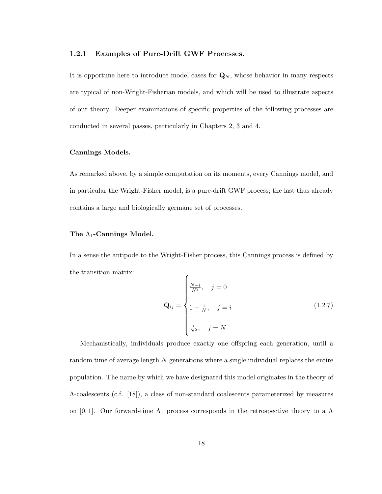#### 1.2.1 Examples of Pure-Drift GWF Processes.

It is opportune here to introduce model cases for  $\mathbf{Q}_N$ , whose behavior in many respects are typical of non-Wright-Fisherian models, and which will be used to illustrate aspects of our theory. Deeper examinations of specific properties of the following processes are conducted in several passes, particularly in Chapters 2, 3 and 4.

#### Cannings Models.

As remarked above, by a simple computation on its moments, every Cannings model, and in particular the Wright-Fisher model, is a pure-drift GWF process; the last thus already contains a large and biologically germane set of processes.

#### The  $\Lambda_1$ -Cannings Model.

In a sense the antipode to the Wright-Fisher process, this Cannings process is defined by the transition matrix:  $\epsilon$ 

$$
\mathbf{Q}_{ij} = \begin{cases} \frac{N-i}{N^2}, & j = 0\\ 1 - \frac{1}{N}, & j = i\\ \frac{i}{N^2}, & j = N \end{cases}
$$
(1.2.7)

Mechanistically, individuals produce exactly one offspring each generation, until a random time of average length N generations where a single individual replaces the entire population. The name by which we have designated this model originates in the theory of Λ-coalescents (c.f. [18]), a class of non-standard coalescents parameterized by measures on [0, 1]. Our forward-time  $\Lambda_1$  process corresponds in the retrospective theory to a  $\Lambda$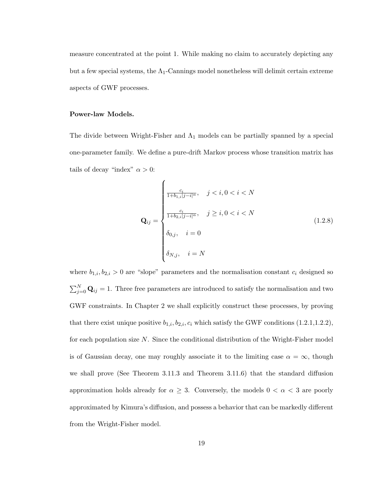measure concentrated at the point 1. While making no claim to accurately depicting any but a few special systems, the  $\Lambda_1$ -Cannings model nonetheless will delimit certain extreme aspects of GWF processes.

#### Power-law Models.

The divide between Wright-Fisher and  $\Lambda_1$  models can be partially spanned by a special one-parameter family. We define a pure-drift Markov process whose transition matrix has tails of decay "index"  $\alpha > 0$ :

$$
\mathbf{Q}_{ij} = \begin{cases} \frac{c_i}{1 + b_{1,i}|j - i|^{\alpha}}, & j < i, 0 < i < N \\ \frac{c_i}{1 + b_{2,i}|j - i|^{\alpha}}, & j \geq i, 0 < i < N \\ \delta_{0,j}, & i = 0 \\ \delta_{N,j}, & i = N \end{cases} \tag{1.2.8}
$$

where  $b_{1,i}, b_{2,i} > 0$  are "slope" parameters and the normalisation constant  $c_i$  designed so  $\sum_{j=0}^{N} \mathbf{Q}_{ij} = 1$ . Three free parameters are introduced to satisfy the normalisation and two GWF constraints. In Chapter 2 we shall explicitly construct these processes, by proving that there exist unique positive  $b_{1,i}, b_{2,i}, c_i$  which satisfy the GWF conditions (1.2.1,1.2.2), for each population size  $N$ . Since the conditional distribution of the Wright-Fisher model is of Gaussian decay, one may roughly associate it to the limiting case  $\alpha = \infty$ , though we shall prove (See Theorem 3.11.3 and Theorem 3.11.6) that the standard diffusion approximation holds already for  $\alpha \geq 3$ . Conversely, the models  $0 < \alpha < 3$  are poorly approximated by Kimura's diffusion, and possess a behavior that can be markedly different from the Wright-Fisher model.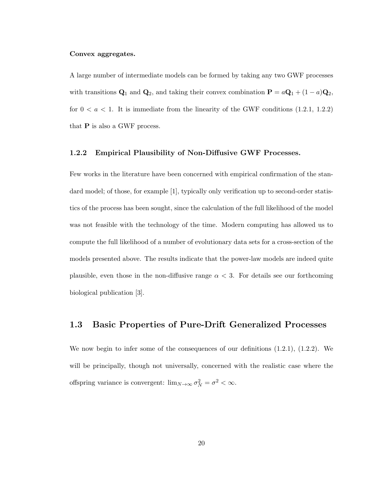#### Convex aggregates.

A large number of intermediate models can be formed by taking any two GWF processes with transitions  $\mathbf{Q}_1$  and  $\mathbf{Q}_2$ , and taking their convex combination  $\mathbf{P} = a\mathbf{Q}_1 + (1 - a)\mathbf{Q}_2$ , for  $0 < a < 1$ . It is immediate from the linearity of the GWF conditions  $(1.2.1, 1.2.2)$ that  $P$  is also a GWF process.

#### 1.2.2 Empirical Plausibility of Non-Diffusive GWF Processes.

Few works in the literature have been concerned with empirical confirmation of the standard model; of those, for example [1], typically only verification up to second-order statistics of the process has been sought, since the calculation of the full likelihood of the model was not feasible with the technology of the time. Modern computing has allowed us to compute the full likelihood of a number of evolutionary data sets for a cross-section of the models presented above. The results indicate that the power-law models are indeed quite plausible, even those in the non-diffusive range  $\alpha < 3$ . For details see our forthcoming biological publication [3].

### 1.3 Basic Properties of Pure-Drift Generalized Processes

We now begin to infer some of the consequences of our definitions  $(1.2.1)$ ,  $(1.2.2)$ . We will be principally, though not universally, concerned with the realistic case where the offspring variance is convergent:  $\lim_{N \to \infty} \sigma_N^2 = \sigma^2 < \infty$ .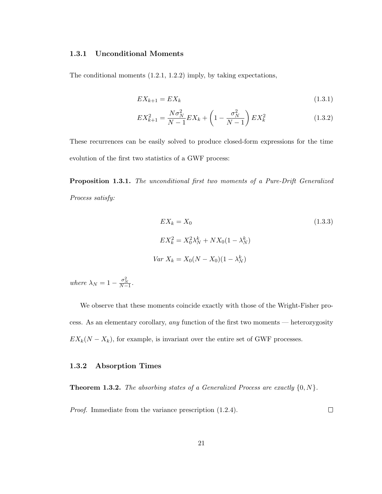## 1.3.1 Unconditional Moments

The conditional moments (1.2.1, 1.2.2) imply, by taking expectations,

$$
EX_{k+1} = EX_k \tag{1.3.1}
$$

$$
EX_{k+1}^2 = \frac{N\sigma_N^2}{N-1}EX_k + \left(1 - \frac{\sigma_N^2}{N-1}\right)EX_k^2
$$
 (1.3.2)

These recurrences can be easily solved to produce closed-form expressions for the time evolution of the first two statistics of a GWF process:

Proposition 1.3.1. The unconditional first two moments of a Pure-Drift Generalized Process satisfy:

$$
EX_k = X_0
$$
\n
$$
EX_k^2 = X_0^2 \lambda_N^k + N X_0 (1 - \lambda_N^k)
$$
\n
$$
Var X_k = X_0 (N - X_0) (1 - \lambda_N^k)
$$
\n(1.3.3)

where  $\lambda_N = 1 - \frac{\sigma_N^2}{N-1}$ .

We observe that these moments coincide exactly with those of the Wright-Fisher process. As an elementary corollary, any function of the first two moments — heterozygosity  $EX_k(N - X_k)$ , for example, is invariant over the entire set of GWF processes.

#### 1.3.2 Absorption Times

**Theorem 1.3.2.** The absorbing states of a Generalized Process are exactly  $\{0, N\}$ .

Proof. Immediate from the variance prescription (1.2.4).  $\Box$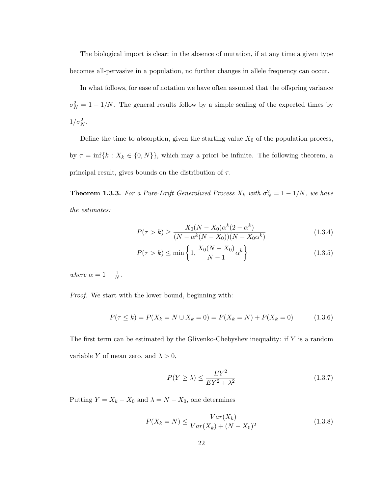The biological import is clear: in the absence of mutation, if at any time a given type becomes all-pervasive in a population, no further changes in allele frequency can occur.

In what follows, for ease of notation we have often assumed that the offspring variance  $\sigma_N^2 = 1 - 1/N$ . The general results follow by a simple scaling of the expected times by  $1/\sigma_N^2$ .

Define the time to absorption, given the starting value  $X_0$  of the population process, by  $\tau = \inf\{k : X_k \in \{0, N\}\},\$  which may a priori be infinite. The following theorem, a principal result, gives bounds on the distribution of  $\tau$ .

**Theorem 1.3.3.** For a Pure-Drift Generalized Process  $X_k$  with  $\sigma_N^2 = 1 - 1/N$ , we have the estimates:

$$
P(\tau > k) \ge \frac{X_0(N - X_0)\alpha^k(2 - \alpha^k)}{(N - \alpha^k(N - X_0))(N - X_0\alpha^k)}
$$
(1.3.4)

$$
P(\tau > k) \le \min\left\{1, \frac{X_0(N - X_0)}{N - 1} \alpha^k\right\}
$$
 (1.3.5)

where  $\alpha = 1 - \frac{1}{N}$  $\frac{1}{N}$  .

Proof. We start with the lower bound, beginning with:

$$
P(\tau \le k) = P(X_k = N \cup X_k = 0) = P(X_k = N) + P(X_k = 0)
$$
\n(1.3.6)

The first term can be estimated by the Glivenko-Chebyshev inequality: if  $Y$  is a random variable Y of mean zero, and  $\lambda > 0$ ,

$$
P(Y \ge \lambda) \le \frac{EY^2}{EY^2 + \lambda^2} \tag{1.3.7}
$$

Putting  $Y = X_k - X_0$  and  $\lambda = N - X_0$ , one determines

$$
P(X_k = N) \le \frac{Var(X_k)}{Var(X_k) + (N - X_0)^2}
$$
\n(1.3.8)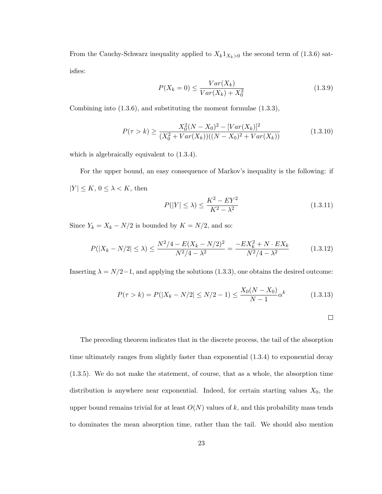From the Cauchy-Schwarz inequality applied to  $X_k 1_{X_k>0}$  the second term of (1.3.6) satisfies:

$$
P(X_k = 0) \le \frac{Var(X_k)}{Var(X_k) + X_0^2}
$$
\n(1.3.9)

Combining into (1.3.6), and substituting the moment formulae (1.3.3),

$$
P(\tau > k) \ge \frac{X_0^2 (N - X_0)^2 - [Var(X_k)]^2}{(X_0^2 + Var(X_k))((N - X_0)^2 + Var(X_k))}
$$
(1.3.10)

which is algebraically equivalent to (1.3.4).

For the upper bound, an easy consequence of Markov's inequality is the following: if  $|Y| \leq K$ ,  $0 \leq \lambda < K$ , then

$$
P(|Y| \le \lambda) \le \frac{K^2 - EY^2}{K^2 - \lambda^2} \tag{1.3.11}
$$

Since  $Y_k = X_k - N/2$  is bounded by  $K = N/2$ , and so:

$$
P(|X_k - N/2| \le \lambda) \le \frac{N^2/4 - E(X_k - N/2)^2}{N^2/4 - \lambda^2} = \frac{-EX_k^2 + N \cdot EX_k}{N^2/4 - \lambda^2} \tag{1.3.12}
$$

Inserting  $\lambda = N/2-1$ , and applying the solutions (1.3.3), one obtains the desired outcome:

$$
P(\tau > k) = P(|X_k - N/2| \le N/2 - 1) \le \frac{X_0(N - X_0)}{N - 1} \alpha^k \tag{1.3.13}
$$

The preceding theorem indicates that in the discrete process, the tail of the absorption time ultimately ranges from slightly faster than exponential (1.3.4) to exponential decay (1.3.5). We do not make the statement, of course, that as a whole, the absorption time distribution is anywhere near exponential. Indeed, for certain starting values  $X_0$ , the upper bound remains trivial for at least  $O(N)$  values of k, and this probability mass tends to dominates the mean absorption time, rather than the tail. We should also mention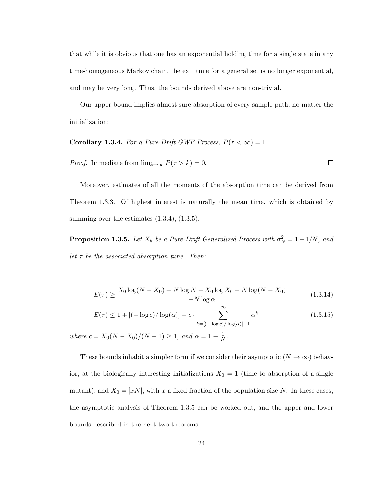that while it is obvious that one has an exponential holding time for a single state in any time-homogeneous Markov chain, the exit time for a general set is no longer exponential, and may be very long. Thus, the bounds derived above are non-trivial.

Our upper bound implies almost sure absorption of every sample path, no matter the initialization:

**Corollary 1.3.4.** For a Pure-Drift GWF Process,  $P(\tau < \infty) = 1$ 

*Proof.* Immediate from  $\lim_{k\to\infty} P(\tau > k) = 0$ .  $\Box$ 

Moreover, estimates of all the moments of the absorption time can be derived from Theorem 1.3.3. Of highest interest is naturally the mean time, which is obtained by summing over the estimates  $(1.3.4)$ ,  $(1.3.5)$ .

**Proposition 1.3.5.** Let  $X_k$  be a Pure-Drift Generalized Process with  $\sigma_N^2 = 1 - 1/N$ , and let  $\tau$  be the associated absorption time. Then:

$$
E(\tau) \ge \frac{X_0 \log(N - X_0) + N \log N - X_0 \log X_0 - N \log(N - X_0)}{-N \log \alpha} \tag{1.3.14}
$$

$$
E(\tau) \le 1 + \left[(-\log c)/\log(\alpha)\right] + c \cdot \sum_{k=\left[(-\log c)/\log(\alpha)\right]+1}^{\infty} \alpha^k \tag{1.3.15}
$$

where  $c = X_0(N - X_0)/(N - 1) \geq 1$ , and  $\alpha = 1 - \frac{1}{N}$  $\frac{1}{N}$  .

These bounds inhabit a simpler form if we consider their asymptotic  $(N \to \infty)$  behavior, at the biologically interesting initializations  $X_0 = 1$  (time to absorption of a single mutant), and  $X_0 = [xN]$ , with x a fixed fraction of the population size N. In these cases, the asymptotic analysis of Theorem 1.3.5 can be worked out, and the upper and lower bounds described in the next two theorems.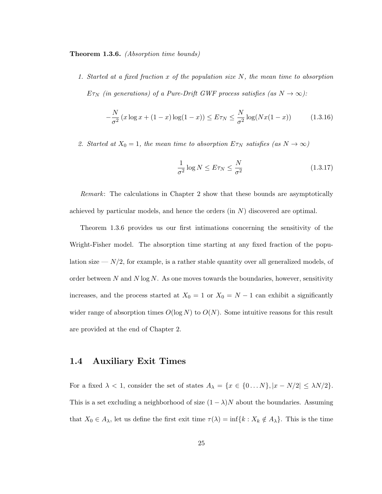#### Theorem 1.3.6. *(Absorption time bounds)*

1. Started at a fixed fraction x of the population size  $N$ , the mean time to absorption  $E\tau_N$  (in generations) of a Pure-Drift GWF process satisfies (as  $N \to \infty$ ):

$$
-\frac{N}{\sigma^2} (x \log x + (1 - x) \log(1 - x)) \le E \tau_N \le \frac{N}{\sigma^2} \log(Nx(1 - x)) \tag{1.3.16}
$$

2. Started at  $X_0 = 1$ , the mean time to absorption  $E\tau_N$  satisfies (as  $N \to \infty$ )

$$
\frac{1}{\sigma^2} \log N \le E \tau_N \le \frac{N}{\sigma^2} \tag{1.3.17}
$$

Remark: The calculations in Chapter 2 show that these bounds are asymptotically achieved by particular models, and hence the orders (in N) discovered are optimal.

Theorem 1.3.6 provides us our first intimations concerning the sensitivity of the Wright-Fisher model. The absorption time starting at any fixed fraction of the population size  $-N/2$ , for example, is a rather stable quantity over all generalized models, of order between N and N log N. As one moves towards the boundaries, however, sensitivity increases, and the process started at  $X_0 = 1$  or  $X_0 = N - 1$  can exhibit a significantly wider range of absorption times  $O(\log N)$  to  $O(N)$ . Some intuitive reasons for this result are provided at the end of Chapter 2.

## 1.4 Auxiliary Exit Times

For a fixed  $\lambda < 1$ , consider the set of states  $A_{\lambda} = \{x \in \{0...N\}, |x - N/2| \leq \lambda N/2\}.$ This is a set excluding a neighborhood of size  $(1 - \lambda)N$  about the boundaries. Assuming that  $X_0 \in A_\lambda$ , let us define the first exit time  $\tau(\lambda) = \inf\{k : X_k \notin A_\lambda\}$ . This is the time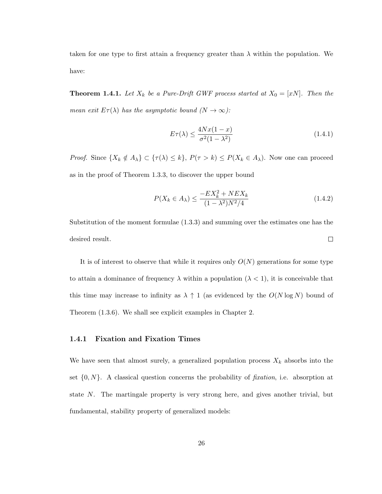taken for one type to first attain a frequency greater than  $\lambda$  within the population. We have:

**Theorem 1.4.1.** Let  $X_k$  be a Pure-Drift GWF process started at  $X_0 = [xN]$ . Then the mean exit  $E\tau(\lambda)$  has the asymptotic bound  $(N \to \infty)$ :

$$
E\tau(\lambda) \le \frac{4Nx(1-x)}{\sigma^2(1-\lambda^2)}\tag{1.4.1}
$$

*Proof.* Since  $\{X_k \notin A_\lambda\} \subset \{\tau(\lambda) \leq k\}, P(\tau > k) \leq P(X_k \in A_\lambda)$ . Now one can proceed as in the proof of Theorem 1.3.3, to discover the upper bound

$$
P(X_k \in A_\lambda) \le \frac{-EX_k^2 + NEX_k}{(1 - \lambda^2)N^2/4}
$$
\n(1.4.2)

Substitution of the moment formulae (1.3.3) and summing over the estimates one has the  $\Box$ desired result.

It is of interest to observe that while it requires only  $O(N)$  generations for some type to attain a dominance of frequency  $\lambda$  within a population  $(\lambda < 1)$ , it is conceivable that this time may increase to infinity as  $\lambda \uparrow 1$  (as evidenced by the  $O(N \log N)$  bound of Theorem (1.3.6). We shall see explicit examples in Chapter 2.

#### 1.4.1 Fixation and Fixation Times

We have seen that almost surely, a generalized population process  $X_k$  absorbs into the set  $\{0, N\}$ . A classical question concerns the probability of *fixation*, i.e. absorption at state N. The martingale property is very strong here, and gives another trivial, but fundamental, stability property of generalized models: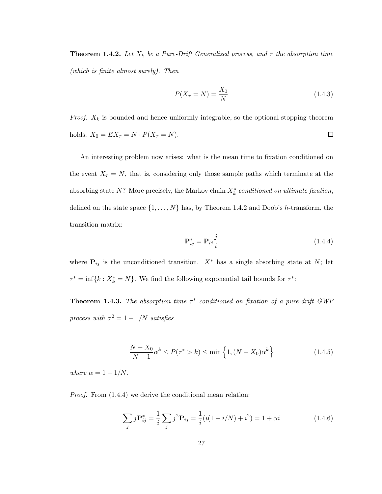**Theorem 1.4.2.** Let  $X_k$  be a Pure-Drift Generalized process, and  $\tau$  the absorption time (which is finite almost surely). Then

$$
P(X_{\tau} = N) = \frac{X_0}{N}
$$
 (1.4.3)

*Proof.*  $X_k$  is bounded and hence uniformly integrable, so the optional stopping theorem holds:  $X_0 = EX_\tau = N \cdot P(X_\tau = N)$ .  $\Box$ 

An interesting problem now arises: what is the mean time to fixation conditioned on the event  $X_\tau = N$ , that is, considering only those sample paths which terminate at the absorbing state N? More precisely, the Markov chain  $X_k^*$  conditioned on ultimate fixation, defined on the state space  $\{1, \ldots, N\}$  has, by Theorem 1.4.2 and Doob's h-transform, the transition matrix:

$$
\mathbf{P}_{ij}^* = \mathbf{P}_{ij} \frac{j}{i} \tag{1.4.4}
$$

where  $P_{ij}$  is the unconditioned transition.  $X^*$  has a single absorbing state at N; let  $\tau^* = \inf\{k : X_k^* = N\}.$  We find the following exponential tail bounds for  $\tau^*$ :

**Theorem 1.4.3.** The absorption time  $\tau^*$  conditioned on fixation of a pure-drift GWF process with  $\sigma^2 = 1 - 1/N$  satisfies

$$
\frac{N - X_0}{N - 1} \alpha^k \le P(\tau^* > k) \le \min\left\{1, (N - X_0)\alpha^k\right\}
$$
\n(1.4.5)

where  $\alpha = 1 - 1/N$ .

Proof. From (1.4.4) we derive the conditional mean relation:

$$
\sum_{j} j \mathbf{P}_{ij}^{*} = \frac{1}{i} \sum_{j} j^{2} \mathbf{P}_{ij} = \frac{1}{i} (i(1 - i/N) + i^{2}) = 1 + \alpha i
$$
 (1.4.6)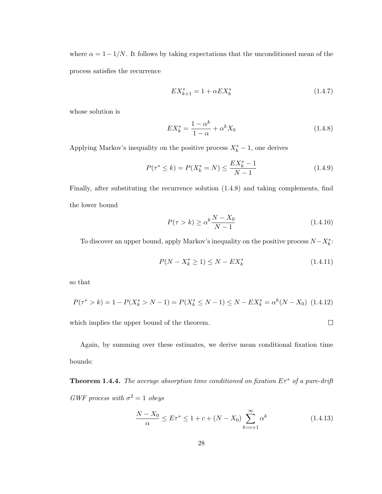where  $\alpha = 1 - 1/N$ . It follows by taking expectations that the unconditioned mean of the process satisfies the recurrence

$$
EX_{k+1}^* = 1 + \alpha EX_k^* \tag{1.4.7}
$$

whose solution is

$$
EX_k^* = \frac{1 - \alpha^k}{1 - \alpha} + \alpha^k X_0 \tag{1.4.8}
$$

Applying Markov's inequality on the positive process  $X_k^* - 1$ , one derives

$$
P(\tau^* \le k) = P(X_k^* = N) \le \frac{EX_k^* - 1}{N - 1}
$$
\n(1.4.9)

Finally, after substituting the recurrence solution (1.4.8) and taking complements, find the lower bound

$$
P(\tau > k) \ge \alpha^k \frac{N - X_0}{N - 1} \tag{1.4.10}
$$

To discover an upper bound, apply Markov's inequality on the positive process  $N - X_k^*$ :

$$
P(N - X_k^* \ge 1) \le N - EX_k^* \tag{1.4.11}
$$

 $\Box$ 

so that

$$
P(\tau^* > k) = 1 - P(X_k^* > N - 1) = P(X_k^* \le N - 1) \le N - EX_k^* = \alpha^k (N - X_0) \tag{1.4.12}
$$

which implies the upper bound of the theorem.

Again, by summing over these estimates, we derive mean conditional fixation time bounds:

**Theorem 1.4.4.** The average absorption time conditioned on fixation  $E\tau^*$  of a pure-drift GWF process with  $\sigma^2 = 1$  obeys

$$
\frac{N - X_0}{\alpha} \le E\tau^* \le 1 + c + (N - X_0) \sum_{k=c+1}^{\infty} \alpha^k
$$
\n(1.4.13)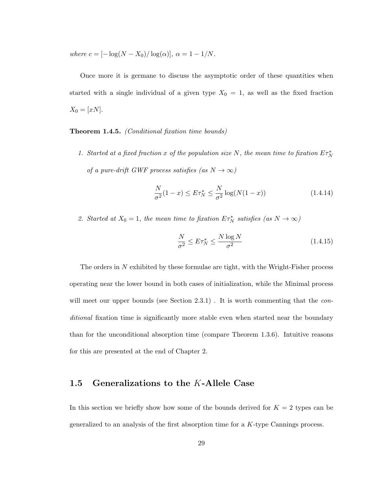where  $c = [-\log(N - X_0)/\log(\alpha)], \ \alpha = 1 - 1/N.$ 

Once more it is germane to discuss the asymptotic order of these quantities when started with a single individual of a given type  $X_0 = 1$ , as well as the fixed fraction  $X_0 = [xN].$ 

**Theorem 1.4.5.** (Conditional fixation time bounds)

1. Started at a fixed fraction x of the population size N, the mean time to fixation  $E\tau_N^*$ of a pure-drift GWF process satisfies (as  $N\rightarrow\infty)$ 

$$
\frac{N}{\sigma^2}(1-x) \le E\tau_N^* \le \frac{N}{\sigma^2}\log(N(1-x))\tag{1.4.14}
$$

2. Started at  $X_0 = 1$ , the mean time to fixation  $E\tau_N^*$  satisfies (as  $N \to \infty$ )

$$
\frac{N}{\sigma^2} \le E\tau_N^* \le \frac{N\log N}{\sigma^2} \tag{1.4.15}
$$

The orders in  $N$  exhibited by these formulae are tight, with the Wright-Fisher process operating near the lower bound in both cases of initialization, while the Minimal process will meet our upper bounds (see Section 2.3.1). It is worth commenting that the *con*ditional fixation time is significantly more stable even when started near the boundary than for the unconditional absorption time (compare Theorem 1.3.6). Intuitive reasons for this are presented at the end of Chapter 2.

### 1.5 Generalizations to the K-Allele Case

In this section we briefly show how some of the bounds derived for  $K = 2$  types can be generalized to an analysis of the first absorption time for a K-type Cannings process.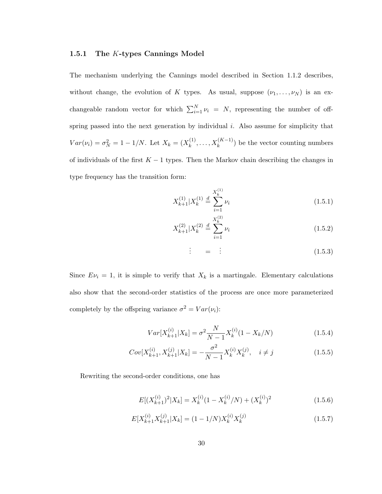#### 1.5.1 The K-types Cannings Model

The mechanism underlying the Cannings model described in Section 1.1.2 describes, without change, the evolution of K types. As usual, suppose  $(\nu_1, \ldots, \nu_N)$  is an exchangeable random vector for which  $\sum_{i=1}^{N} \nu_i = N$ , representing the number of offspring passed into the next generation by individual  $i$ . Also assume for simplicity that  $Var(\nu_i) = \sigma_N^2 = 1 - 1/N$ . Let  $X_k = (X_k^{(1)})$  $x_k^{(1)}, \ldots, X_k^{(K-1)}$  be the vector counting numbers of individuals of the first  $K - 1$  types. Then the Markov chain describing the changes in type frequency has the transition form:

$$
X_{k+1}^{(1)} | X_k^{(1)} \stackrel{d}{=} \sum_{i=1}^{X_k^{(1)}} \nu_i \tag{1.5.1}
$$

$$
X_{k+1}^{(2)} | X_k^{(2)} \stackrel{d}{=} \sum_{i=1}^{X_k^{(2)}} \nu_i \tag{1.5.2}
$$

$$
\vdots \quad = \quad \vdots \tag{1.5.3}
$$

Since  $E\nu_i = 1$ , it is simple to verify that  $X_k$  is a martingale. Elementary calculations also show that the second-order statistics of the process are once more parameterized completely by the offspring variance  $\sigma^2 = Var(\nu_i)$ :

$$
Var[X_{k+1}^{(i)}|X_k] = \sigma^2 \frac{N}{N-1} X_k^{(i)} (1 - X_k/N)
$$
\n(1.5.4)

$$
Cov[X_{k+1}^{(i)}, X_{k+1}^{(j)} | X_k] = -\frac{\sigma^2}{N-1} X_k^{(i)} X_k^{(j)}, \quad i \neq j \tag{1.5.5}
$$

Rewriting the second-order conditions, one has

$$
E[(X_{k+1}^{(i)})^2 | X_k] = X_k^{(i)}(1 - X_k^{(i)}/N) + (X_k^{(i)})^2
$$
\n(1.5.6)

$$
E[X_{k+1}^{(i)} X_{k+1}^{(j)} | X_k] = (1 - 1/N)X_k^{(i)} X_k^{(j)}
$$
\n(1.5.7)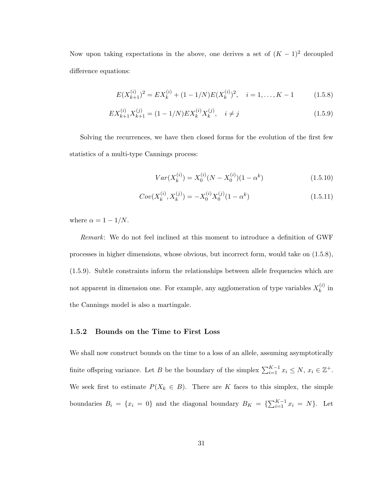Now upon taking expectations in the above, one derives a set of  $(K-1)^2$  decoupled difference equations:

$$
E(X_{k+1}^{(i)})^2 = EX_k^{(i)} + (1 - 1/N)E(X_k^{(i)})^2, \quad i = 1, ..., K - 1
$$
 (1.5.8)

$$
EX_{k+1}^{(i)}X_{k+1}^{(j)} = (1 - 1/N)EX_k^{(i)}X_k^{(j)}, \quad i \neq j
$$
\n(1.5.9)

Solving the recurrences, we have then closed forms for the evolution of the first few statistics of a multi-type Cannings process:

$$
Var(X_k^{(i)}) = X_0^{(i)}(N - X_0^{(i)})(1 - \alpha^k)
$$
\n(1.5.10)

$$
Cov(X_k^{(i)}, X_k^{(j)}) = -X_0^{(i)}X_0^{(j)}(1 - \alpha^k)
$$
\n(1.5.11)

where  $\alpha = 1 - 1/N$ .

Remark: We do not feel inclined at this moment to introduce a definition of GWF processes in higher dimensions, whose obvious, but incorrect form, would take on (1.5.8), (1.5.9). Subtle constraints inform the relationships between allele frequencies which are not apparent in dimension one. For example, any agglomeration of type variables  $X_k^{(i)}$  $\boldsymbol{e}^{(i)}$  in the Cannings model is also a martingale.

#### 1.5.2 Bounds on the Time to First Loss

We shall now construct bounds on the time to a loss of an allele, assuming asymptotically finite offspring variance. Let B be the boundary of the simplex  $\sum_{i=1}^{K-1} x_i \leq N$ ,  $x_i \in \mathbb{Z}^+$ . We seek first to estimate  $P(X_k \in B)$ . There are K faces to this simplex, the simple boundaries  $B_i = \{x_i = 0\}$  and the diagonal boundary  $B_K = \{\sum_{i=1}^{K-1} x_i = N\}$ . Let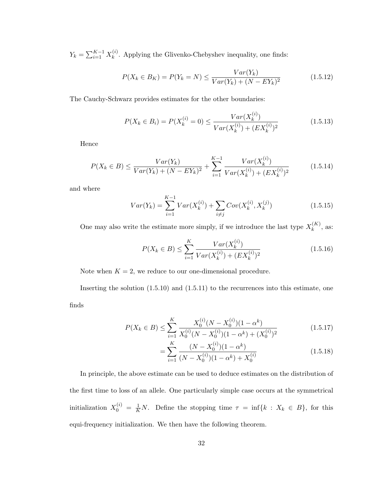$Y_k = \sum_{i=1}^{K-1} X_k^{(i)}$  $\kappa_k^{(i)}$ . Applying the Glivenko-Chebyshev inequality, one finds:

$$
P(X_k \in B_K) = P(Y_k = N) \le \frac{Var(Y_k)}{Var(Y_k) + (N - EY_k)^2}
$$
\n(1.5.12)

The Cauchy-Schwarz provides estimates for the other boundaries:

$$
P(X_k \in B_i) = P(X_k^{(i)} = 0) \le \frac{Var(X_k^{(i)})}{Var(X_k^{(i)}) + (EX_k^{(i)})^2}
$$
(1.5.13)

Hence

$$
P(X_k \in B) \le \frac{Var(Y_k)}{Var(Y_k) + (N - EY_k)^2} + \sum_{i=1}^{K-1} \frac{Var(X_k^{(i)})}{Var(X_k^{(i)}) + (EX_k^{(i)})^2}
$$
(1.5.14)

and where

$$
Var(Y_k) = \sum_{i=1}^{K-1} Var(X_k^{(i)}) + \sum_{i \neq j} Cov(X_k^{(i)}, X_k^{(j)})
$$
\n(1.5.15)

One may also write the estimate more simply, if we introduce the last type  $X_k^{(K)}$  $\binom{K}{k}$ , as:

$$
P(X_k \in B) \le \sum_{i=1}^{K} \frac{Var(X_k^{(i)})}{Var(X_k^{(i)}) + (EX_k^{(i)})^2}
$$
(1.5.16)

Note when  $K = 2$ , we reduce to our one-dimensional procedure.

Inserting the solution (1.5.10) and (1.5.11) to the recurrences into this estimate, one finds

$$
P(X_k \in B) \le \sum_{i=1}^{K} \frac{X_0^{(i)}(N - X_0^{(i)})(1 - \alpha^k)}{X_0^{(i)}(N - X_0^{(i)})(1 - \alpha^k) + (X_0^{(i)})^2}
$$
(1.5.17)

$$
= \sum_{i=1}^{K} \frac{(N - X_0^{(i)})(1 - \alpha^k)}{(N - X_0^{(i)})(1 - \alpha^k) + X_0^{(i)}} \tag{1.5.18}
$$

In principle, the above estimate can be used to deduce estimates on the distribution of the first time to loss of an allele. One particularly simple case occurs at the symmetrical initialization  $X_0^{(i)} = \frac{1}{K}N$ . Define the stopping time  $\tau = \inf\{k : X_k \in B\}$ , for this equi-frequency initialization. We then have the following theorem.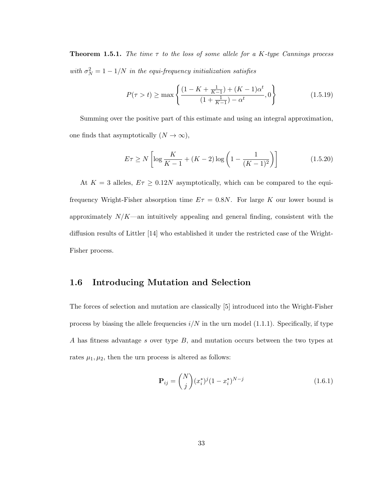**Theorem 1.5.1.** The time  $\tau$  to the loss of some allele for a K-type Cannings process with  $\sigma_N^2 = 1 - 1/N$  in the equi-frequency initialization satisfies

$$
P(\tau > t) \ge \max\left\{ \frac{(1 - K + \frac{1}{K - 1}) + (K - 1)\alpha^t}{(1 + \frac{1}{K - 1}) - \alpha^t}, 0 \right\}
$$
(1.5.19)

Summing over the positive part of this estimate and using an integral approximation, one finds that asymptotically  $(N \to \infty)$ ,

$$
E\tau \ge N \left[ \log \frac{K}{K-1} + (K-2) \log \left( 1 - \frac{1}{(K-1)^2} \right) \right]
$$
 (1.5.20)

At  $K = 3$  alleles,  $E\tau \geq 0.12N$  asymptotically, which can be compared to the equifrequency Wright-Fisher absorption time  $E\tau = 0.8N$ . For large K our lower bound is approximately  $N/K$ —an intuitively appealing and general finding, consistent with the diffusion results of Littler [14] who established it under the restricted case of the Wright-Fisher process.

# 1.6 Introducing Mutation and Selection

The forces of selection and mutation are classically [5] introduced into the Wright-Fisher process by biasing the allele frequencies  $i/N$  in the urn model (1.1.1). Specifically, if type A has fitness advantage s over type B, and mutation occurs between the two types at rates  $\mu_1, \mu_2$ , then the urn process is altered as follows:

$$
\mathbf{P}_{ij} = \binom{N}{j} (x_i^*)^j (1 - x_i^*)^{N-j} \tag{1.6.1}
$$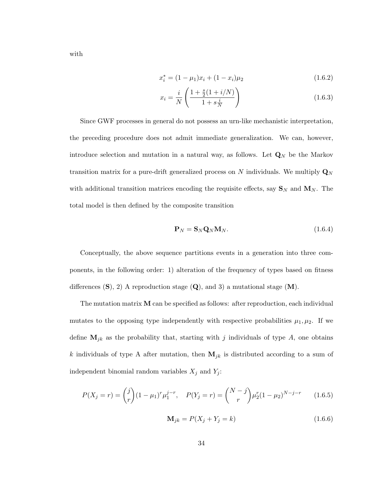$$
x_i^* = (1 - \mu_1)x_i + (1 - x_i)\mu_2 \tag{1.6.2}
$$

$$
x_i = \frac{i}{N} \left( \frac{1 + \frac{s}{2}(1 + i/N)}{1 + s\frac{i}{N}} \right)
$$
 (1.6.3)

Since GWF processes in general do not possess an urn-like mechanistic interpretation, the preceding procedure does not admit immediate generalization. We can, however, introduce selection and mutation in a natural way, as follows. Let  $\mathbf{Q}_N$  be the Markov transition matrix for a pure-drift generalized process on N individuals. We multiply  $\mathbf{Q}_N$ with additional transition matrices encoding the requisite effects, say  $\mathbf{S}_N$  and  $\mathbf{M}_N$ . The total model is then defined by the composite transition

$$
\mathbf{P}_N = \mathbf{S}_N \mathbf{Q}_N \mathbf{M}_N. \tag{1.6.4}
$$

Conceptually, the above sequence partitions events in a generation into three components, in the following order: 1) alteration of the frequency of types based on fitness differences  $(S)$ , 2) A reproduction stage  $(Q)$ , and 3) a mutational stage  $(M)$ .

The mutation matrix  $M$  can be specified as follows: after reproduction, each individual mutates to the opposing type independently with respective probabilities  $\mu_1, \mu_2$ . If we define  $M_{jk}$  as the probability that, starting with j individuals of type A, one obtains k individuals of type A after mutation, then  $M_{jk}$  is distributed according to a sum of independent binomial random variables  $X_j$  and  $Y_j$ :

$$
P(X_j = r) = {j \choose r} (1 - \mu_1)^r \mu_1^{j - r}, \quad P(Y_j = r) = {N - j \choose r} \mu_2^r (1 - \mu_2)^{N - j - r} \tag{1.6.5}
$$

$$
\mathbf{M}_{jk} = P(X_j + Y_j = k) \tag{1.6.6}
$$

with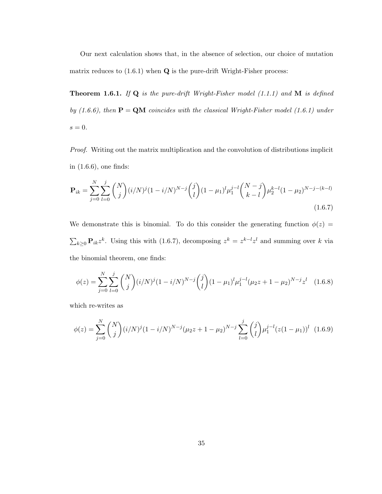Our next calculation shows that, in the absence of selection, our choice of mutation matrix reduces to  $(1.6.1)$  when **Q** is the pure-drift Wright-Fisher process:

**Theorem 1.6.1.** If  $Q$  is the pure-drift Wright-Fisher model (1.1.1) and  $M$  is defined by (1.6.6), then  $\mathbf{P} = \mathbf{Q}\mathbf{M}$  coincides with the classical Wright-Fisher model (1.6.1) under  $s=0.$ 

Proof. Writing out the matrix multiplication and the convolution of distributions implicit in (1.6.6), one finds:

$$
\mathbf{P}_{ik} = \sum_{j=0}^{N} \sum_{l=0}^{j} {N \choose j} (i/N)^j (1 - i/N)^{N-j} {j \choose l} (1 - \mu_1)^l \mu_1^{j-l} {N-j \choose k-l} \mu_2^{k-l} (1 - \mu_2)^{N-j-(k-l)}
$$
(1.6.7)

We demonstrate this is binomial. To do this consider the generating function  $\phi(z)$  =  $\sum_{k\geq 0} \mathbf{P}_{ik} z^k$ . Using this with (1.6.7), decomposing  $z^k = z^{k-l} z^l$  and summing over k via the binomial theorem, one finds:

$$
\phi(z) = \sum_{j=0}^{N} \sum_{l=0}^{j} {N \choose j} (i/N)^j (1 - i/N)^{N-j} {j \choose l} (1 - \mu_1)^l \mu_1^{j-l} (\mu_2 z + 1 - \mu_2)^{N-j} z^l \quad (1.6.8)
$$

which re-writes as

$$
\phi(z) = \sum_{j=0}^{N} {N \choose j} (i/N)^j (1 - i/N)^{N-j} (\mu_2 z + 1 - \mu_2)^{N-j} \sum_{l=0}^{j} {j \choose l} \mu_1^{j-l} (z(1 - \mu_1))^l
$$
(1.6.9)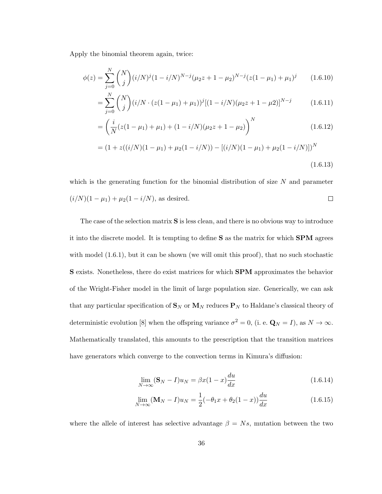Apply the binomial theorem again, twice:

$$
\phi(z) = \sum_{j=0}^{N} {N \choose j} (i/N)^j (1 - i/N)^{N-j} (\mu_2 z + 1 - \mu_2)^{N-j} (z(1 - \mu_1) + \mu_1)^j
$$
(1.6.10)

$$
= \sum_{j=0}^{N} {N \choose j} (i/N \cdot (z(1 - \mu_1) + \mu_1))^j [(1 - i/N)(\mu_2 z + 1 - \mu_2)]^{N-j}
$$
(1.6.11)

$$
= \left(\frac{i}{N}(z(1-\mu_1)+\mu_1) + (1-i/N)(\mu_2 z + 1 - \mu_2)\right)^N
$$
\n(1.6.12)

$$
= (1 + z((i/N)(1 - \mu_1) + \mu_2(1 - i/N)) - [(i/N)(1 - \mu_1) + \mu_2(1 - i/N)])^N
$$
\n(1.6.13)

which is the generating function for the binomial distribution of size  $N$  and parameter  $(i/N)(1 - \mu_1) + \mu_2(1 - i/N)$ , as desired.  $\Box$ 

The case of the selection matrix S is less clean, and there is no obvious way to introduce it into the discrete model. It is tempting to define S as the matrix for which SPM agrees with model  $(1.6.1)$ , but it can be shown (we will omit this proof), that no such stochastic S exists. Nonetheless, there do exist matrices for which SPM approximates the behavior of the Wright-Fisher model in the limit of large population size. Generically, we can ask that any particular specification of  $\mathbf{S}_N$  or  $\mathbf{M}_N$  reduces  $\mathbf{P}_N$  to Haldane's classical theory of deterministic evolution [8] when the offspring variance  $\sigma^2 = 0$ , (i. e.  $\mathbf{Q}_N = I$ ), as  $N \to \infty$ . Mathematically translated, this amounts to the prescription that the transition matrices have generators which converge to the convection terms in Kimura's diffusion:

$$
\lim_{N \to \infty} (\mathbf{S}_N - I) u_N = \beta x (1 - x) \frac{du}{dx}
$$
\n(1.6.14)

$$
\lim_{N \to \infty} (\mathbf{M}_N - I) u_N = \frac{1}{2} (-\theta_1 x + \theta_2 (1 - x)) \frac{du}{dx}
$$
\n(1.6.15)

where the allele of interest has selective advantage  $\beta = Ns$ , mutation between the two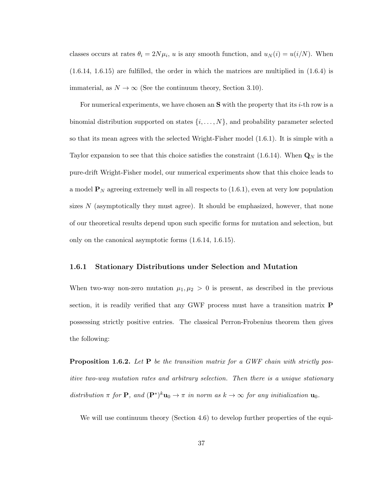classes occurs at rates  $\theta_i = 2N\mu_i$ , u is any smooth function, and  $u_N(i) = u(i/N)$ . When  $(1.6.14, 1.6.15)$  are fulfilled, the order in which the matrices are multiplied in  $(1.6.4)$  is immaterial, as  $N \to \infty$  (See the continuum theory, Section 3.10).

For numerical experiments, we have chosen an  $S$  with the property that its *i*-th row is a binomial distribution supported on states  $\{i, \ldots, N\}$ , and probability parameter selected so that its mean agrees with the selected Wright-Fisher model (1.6.1). It is simple with a Taylor expansion to see that this choice satisfies the constraint (1.6.14). When  $\mathbf{Q}_N$  is the pure-drift Wright-Fisher model, our numerical experiments show that this choice leads to a model  $\mathbf{P}_N$  agreeing extremely well in all respects to  $(1.6.1)$ , even at very low population sizes N (asymptotically they must agree). It should be emphasized, however, that none of our theoretical results depend upon such specific forms for mutation and selection, but only on the canonical asymptotic forms (1.6.14, 1.6.15).

#### 1.6.1 Stationary Distributions under Selection and Mutation

When two-way non-zero mutation  $\mu_1, \mu_2 > 0$  is present, as described in the previous section, it is readily verified that any GWF process must have a transition matrix P possessing strictly positive entries. The classical Perron-Frobenius theorem then gives the following:

**Proposition 1.6.2.** Let  $P$  be the transition matrix for a GWF chain with strictly positive two-way mutation rates and arbitrary selection. Then there is a unique stationary distribution  $\pi$  for **P**, and  $(\mathbf{P}^*)^k \mathbf{u}_0 \to \pi$  in norm as  $k \to \infty$  for any initialization  $\mathbf{u}_0$ .

We will use continuum theory (Section 4.6) to develop further properties of the equi-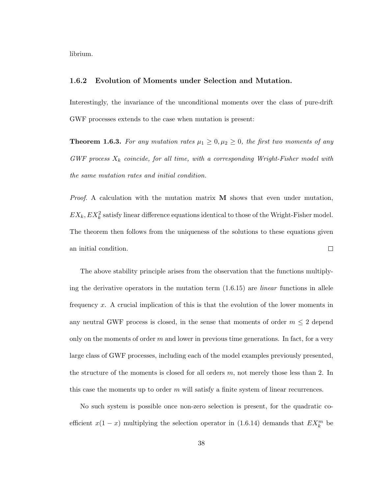librium.

#### 1.6.2 Evolution of Moments under Selection and Mutation.

Interestingly, the invariance of the unconditional moments over the class of pure-drift GWF processes extends to the case when mutation is present:

**Theorem 1.6.3.** For any mutation rates  $\mu_1 \geq 0, \mu_2 \geq 0$ , the first two moments of any  $GWF$  process  $X_k$  coincide, for all time, with a corresponding Wright-Fisher model with the same mutation rates and initial condition.

*Proof.* A calculation with the mutation matrix  $M$  shows that even under mutation,  $EX_k, EX_k^2$  satisfy linear difference equations identical to those of the Wright-Fisher model. The theorem then follows from the uniqueness of the solutions to these equations given an initial condition.  $\Box$ 

The above stability principle arises from the observation that the functions multiplying the derivative operators in the mutation term  $(1.6.15)$  are *linear* functions in allele frequency x. A crucial implication of this is that the evolution of the lower moments in any neutral GWF process is closed, in the sense that moments of order  $m \leq 2$  depend only on the moments of order  $m$  and lower in previous time generations. In fact, for a very large class of GWF processes, including each of the model examples previously presented, the structure of the moments is closed for all orders  $m$ , not merely those less than 2. In this case the moments up to order  $m$  will satisfy a finite system of linear recurrences.

No such system is possible once non-zero selection is present, for the quadratic coefficient  $x(1-x)$  multiplying the selection operator in (1.6.14) demands that  $EX_k^m$  be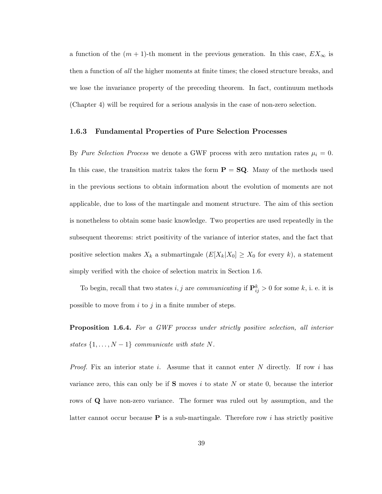a function of the  $(m + 1)$ -th moment in the previous generation. In this case,  $EX_{\infty}$  is then a function of all the higher moments at finite times; the closed structure breaks, and we lose the invariance property of the preceding theorem. In fact, continuum methods (Chapter 4) will be required for a serious analysis in the case of non-zero selection.

#### 1.6.3 Fundamental Properties of Pure Selection Processes

By Pure Selection Process we denote a GWF process with zero mutation rates  $\mu_i = 0$ . In this case, the transition matrix takes the form  $P = SQ$ . Many of the methods used in the previous sections to obtain information about the evolution of moments are not applicable, due to loss of the martingale and moment structure. The aim of this section is nonetheless to obtain some basic knowledge. Two properties are used repeatedly in the subsequent theorems: strict positivity of the variance of interior states, and the fact that positive selection makes  $X_k$  a submartingale  $(E[X_k|X_0] \ge X_0$  for every k), a statement simply verified with the choice of selection matrix in Section 1.6.

To begin, recall that two states  $i, j$  are *communicating* if  $\mathbf{P}_{ij}^k > 0$  for some k, i. e. it is possible to move from  $i$  to  $j$  in a finite number of steps.

**Proposition 1.6.4.** For a GWF process under strictly positive selection, all interior states  $\{1, \ldots, N-1\}$  communicate with state N.

*Proof.* Fix an interior state i. Assume that it cannot enter N directly. If row i has variance zero, this can only be if  $S$  moves i to state N or state 0, because the interior rows of Q have non-zero variance. The former was ruled out by assumption, and the latter cannot occur because  $P$  is a sub-martingale. Therefore row i has strictly positive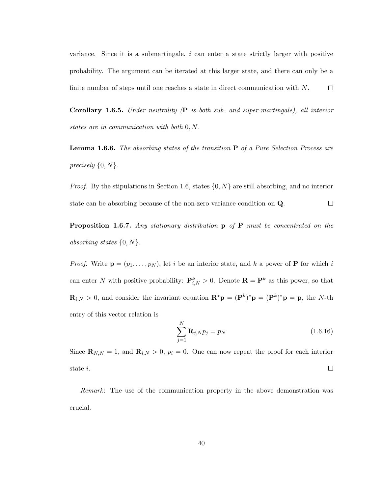variance. Since it is a submartingale, i can enter a state strictly larger with positive probability. The argument can be iterated at this larger state, and there can only be a finite number of steps until one reaches a state in direct communication with N.  $\Box$ 

**Corollary 1.6.5.** Under neutrality  $(P$  is both sub- and super-martingale), all interior states are in communication with both 0, N.

**Lemma 1.6.6.** The absorbing states of the transition  $P$  of a Pure Selection Process are precisely  $\{0, N\}.$ 

*Proof.* By the stipulations in Section 1.6, states  $\{0, N\}$  are still absorbing, and no interior state can be absorbing because of the non-zero variance condition on Q.  $\Box$ 

**Proposition 1.6.7.** Any stationary distribution  $p$  of P must be concentrated on the absorbing states  $\{0, N\}$ .

*Proof.* Write  $\mathbf{p} = (p_1, \ldots, p_N)$ , let i be an interior state, and k a power of **P** for which i can enter N with positive probability:  $\mathbf{P}_{i,N}^k > 0$ . Denote  $\mathbf{R} = \mathbf{P}^k$  as this power, so that  $\mathbf{R}_{i,N} > 0$ , and consider the invariant equation  $\mathbf{R}^* \mathbf{p} = (\mathbf{P}^k)^* \mathbf{p} = (\mathbf{P}^k)^* \mathbf{p} = \mathbf{p}$ , the *N*-th entry of this vector relation is

$$
\sum_{j=1}^{N} \mathbf{R}_{j, NPj} = p_N \tag{1.6.16}
$$

Since  $\mathbf{R}_{N,N} = 1$ , and  $\mathbf{R}_{i,N} > 0$ ,  $p_i = 0$ . One can now repeat the proof for each interior  $\Box$ state i.

Remark: The use of the communication property in the above demonstration was crucial.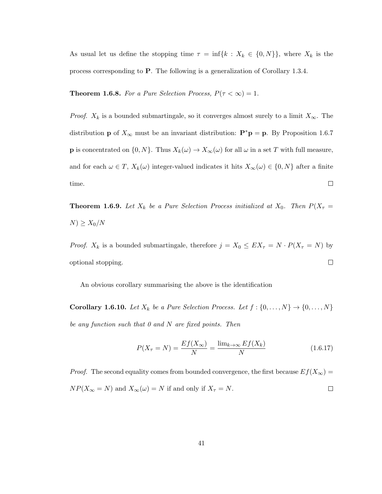As usual let us define the stopping time  $\tau = \inf\{k : X_k \in \{0, N\}\}\,$ , where  $X_k$  is the process corresponding to P. The following is a generalization of Corollary 1.3.4.

**Theorem 1.6.8.** For a Pure Selection Process,  $P(\tau < \infty) = 1$ .

*Proof.*  $X_k$  is a bounded submartingale, so it converges almost surely to a limit  $X_{\infty}$ . The distribution **p** of  $X_{\infty}$  must be an invariant distribution:  $\mathbf{P}^* \mathbf{p} = \mathbf{p}$ . By Proposition 1.6.7 **p** is concentrated on  $\{0, N\}$ . Thus  $X_k(\omega) \to X_{\infty}(\omega)$  for all  $\omega$  in a set T with full measure, and for each  $\omega \in T$ ,  $X_k(\omega)$  integer-valued indicates it hits  $X_\infty(\omega) \in \{0, N\}$  after a finite time.  $\Box$ 

**Theorem 1.6.9.** Let  $X_k$  be a Pure Selection Process initialized at  $X_0$ . Then  $P(X_\tau =$  $N) \geq X_0/N$ 

*Proof.*  $X_k$  is a bounded submartingale, therefore  $j = X_0 \leq EX_{\tau} = N \cdot P(X_{\tau} = N)$  by  $\Box$ optional stopping.

An obvious corollary summarising the above is the identification

**Corollary 1.6.10.** Let  $X_k$  be a Pure Selection Process. Let  $f: \{0, \ldots, N\} \rightarrow \{0, \ldots, N\}$ be any function such that 0 and N are fixed points. Then

$$
P(X_{\tau} = N) = \frac{Ef(X_{\infty})}{N} = \frac{\lim_{k \to \infty} Ef(X_k)}{N}
$$
\n(1.6.17)

*Proof.* The second equality comes from bounded convergence, the first because  $Ef(X_\infty)$  =  $NP(X_{\infty} = N)$  and  $X_{\infty}(\omega) = N$  if and only if  $X_{\tau} = N$ .  $\Box$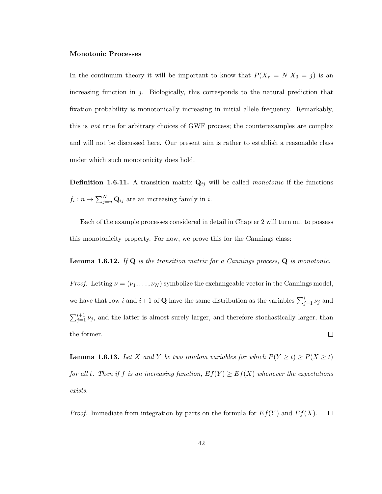#### Monotonic Processes

In the continuum theory it will be important to know that  $P(X_\tau = N | X_0 = j)$  is an increasing function in  $j$ . Biologically, this corresponds to the natural prediction that fixation probability is monotonically increasing in initial allele frequency. Remarkably, this is *not* true for arbitrary choices of GWF process; the counterexamples are complex and will not be discussed here. Our present aim is rather to establish a reasonable class under which such monotonicity does hold.

**Definition 1.6.11.** A transition matrix  $Q_{ij}$  will be called *monotonic* if the functions  $f_i: n \mapsto \sum_{j=n}^{N} \mathbf{Q}_{ij}$  are an increasing family in i.

Each of the example processes considered in detail in Chapter 2 will turn out to possess this monotonicity property. For now, we prove this for the Cannings class:

**Lemma 1.6.12.** If  $Q$  is the transition matrix for a Cannings process,  $Q$  is monotonic.

*Proof.* Letting  $\nu = (\nu_1, \dots, \nu_N)$  symbolize the exchangeable vector in the Cannings model, we have that row i and  $i+1$  of **Q** have the same distribution as the variables  $\sum_{j=1}^{i} \nu_j$  and  $\sum_{j=1}^{i+1} \nu_j$ , and the latter is almost surely larger, and therefore stochastically larger, than the former.  $\Box$ 

**Lemma 1.6.13.** Let X and Y be two random variables for which  $P(Y \ge t) \ge P(X \ge t)$ for all t. Then if f is an increasing function,  $Ef(Y) \ge Ef(X)$  whenever the expectations exists.

*Proof.* Immediate from integration by parts on the formula for  $Ef(Y)$  and  $Ef(X)$ .  $\Box$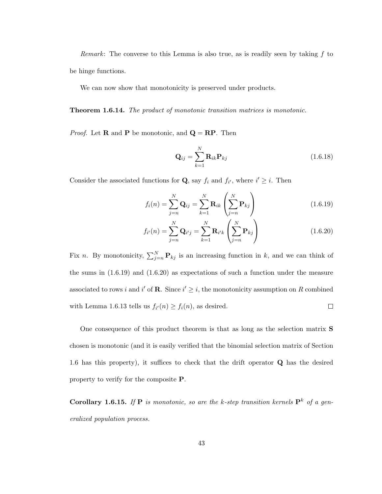*Remark*: The converse to this Lemma is also true, as is readily seen by taking  $f$  to be hinge functions.

We can now show that monotonicity is preserved under products.

Theorem 1.6.14. The product of monotonic transition matrices is monotonic.

*Proof.* Let **R** and **P** be monotonic, and  $Q = RP$ . Then

$$
\mathbf{Q}_{ij} = \sum_{k=1}^{N} \mathbf{R}_{ik} \mathbf{P}_{kj}
$$
 (1.6.18)

Consider the associated functions for **Q**, say  $f_i$  and  $f_{i'}$ , where  $i' \geq i$ . Then

$$
f_i(n) = \sum_{j=n}^{N} \mathbf{Q}_{ij} = \sum_{k=1}^{N} \mathbf{R}_{ik} \left( \sum_{j=n}^{N} \mathbf{P}_{kj} \right)
$$
(1.6.19)

$$
f_{i'}(n) = \sum_{j=n}^{N} \mathbf{Q}_{i'j} = \sum_{k=1}^{N} \mathbf{R}_{i'k} \left( \sum_{j=n}^{N} \mathbf{P}_{kj} \right)
$$
 (1.6.20)

Fix *n*. By monotonicity,  $\sum_{j=n}^{N} P_{kj}$  is an increasing function in k, and we can think of the sums in (1.6.19) and (1.6.20) as expectations of such a function under the measure associated to rows i and i' of **R**. Since  $i' \geq i$ , the monotonicity assumption on R combined  $\Box$ with Lemma 1.6.13 tells us  $f_{i'}(n) \ge f_i(n)$ , as desired.

One consequence of this product theorem is that as long as the selection matrix S chosen is monotonic (and it is easily verified that the binomial selection matrix of Section 1.6 has this property), it suffices to check that the drift operator Q has the desired property to verify for the composite P.

**Corollary 1.6.15.** If **P** is monotonic, so are the k-step transition kernels  $\mathbf{P}^k$  of a generalized population process.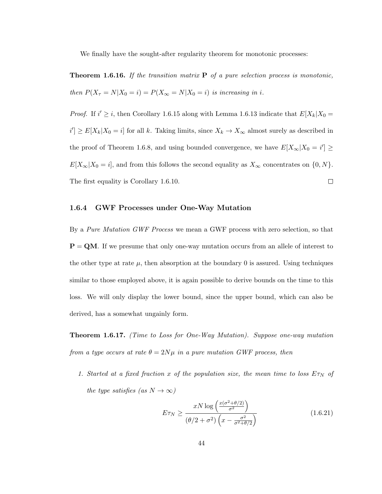We finally have the sought-after regularity theorem for monotonic processes:

**Theorem 1.6.16.** If the transition matrix  $P$  of a pure selection process is monotonic, then  $P(X_{\tau} = N | X_0 = i) = P(X_{\infty} = N | X_0 = i)$  is increasing in i.

*Proof.* If  $i' \geq i$ , then Corollary 1.6.15 along with Lemma 1.6.13 indicate that  $E[X_k|X_0 =$  $i' \ge E[X_k | X_0 = i]$  for all k. Taking limits, since  $X_k \to X_\infty$  almost surely as described in the proof of Theorem 1.6.8, and using bounded convergence, we have  $E[X_{\infty}|X_0 = i'] \ge$  $E[X_{\infty}|X_0 = i]$ , and from this follows the second equality as  $X_{\infty}$  concentrates on  $\{0, N\}$ . The first equality is Corollary 1.6.10.  $\Box$ 

#### 1.6.4 GWF Processes under One-Way Mutation

By a Pure Mutation GWF Process we mean a GWF process with zero selection, so that  $P = QM$ . If we presume that only one-way mutation occurs from an allele of interest to the other type at rate  $\mu$ , then absorption at the boundary 0 is assured. Using techniques similar to those employed above, it is again possible to derive bounds on the time to this loss. We will only display the lower bound, since the upper bound, which can also be derived, has a somewhat ungainly form.

Theorem 1.6.17. (Time to Loss for One-Way Mutation). Suppose one-way mutation from a type occurs at rate  $\theta = 2N\mu$  in a pure mutation GWF process, then

1. Started at a fixed fraction x of the population size, the mean time to loss  $E\tau_N$  of the type satisfies (as  $N \to \infty$ )

$$
E\tau_N \ge \frac{xN\log\left(\frac{x(\sigma^2 + \theta/2)}{\sigma^2}\right)}{(\theta/2 + \sigma^2)\left(x - \frac{\sigma^2}{\sigma^2 + \theta/2}\right)}
$$
(1.6.21)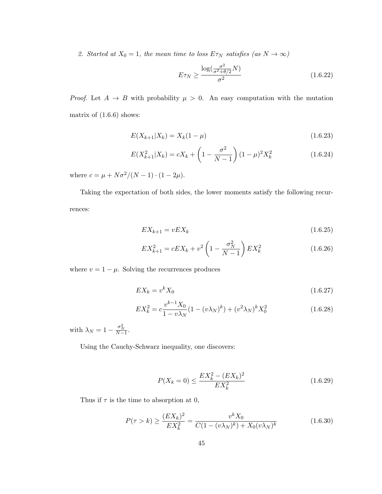2. Started at  $X_0 = 1$ , the mean time to loss  $E\tau_N$  satisfies  $(as\ N \rightarrow \infty)$ 

$$
E\tau_N \ge \frac{\log(\frac{\sigma^2}{\sigma^2 + \theta/2}N)}{\sigma^2} \tag{1.6.22}
$$

*Proof.* Let  $A \rightarrow B$  with probability  $\mu > 0$ . An easy computation with the mutation matrix of  $(1.6.6)$  shows:

$$
E(X_{k+1}|X_k) = X_k(1 - \mu)
$$
\n(1.6.23)

$$
E(X_{k+1}^2 | X_k) = cX_k + \left(1 - \frac{\sigma^2}{N-1}\right)(1-\mu)^2 X_k^2
$$
 (1.6.24)

where  $c = \mu + N\sigma^2/(N-1) \cdot (1 - 2\mu)$ .

Taking the expectation of both sides, the lower moments satisfy the following recurrences:

$$
EX_{k+1} = vEX_k \tag{1.6.25}
$$

$$
EX_{k+1}^2 = cEX_k + v^2 \left(1 - \frac{\sigma_N^2}{N-1}\right) EX_k^2
$$
 (1.6.26)

where  $v = 1 - \mu$ . Solving the recurrences produces

$$
EX_k = v^k X_0 \tag{1.6.27}
$$

$$
EX_k^2 = c \frac{v^{k-1} X_0}{1 - v \lambda_N} (1 - (v \lambda_N)^k) + (v^2 \lambda_N)^k X_0^2
$$
 (1.6.28)

with  $\lambda_N = 1 - \frac{\sigma_N^2}{N-1}$ .

Using the Cauchy-Schwarz inequality, one discovers:

$$
P(X_k = 0) \le \frac{EX_k^2 - (EX_k)^2}{EX_k^2}
$$
\n(1.6.29)

Thus if  $\tau$  is the time to absorption at 0,

$$
P(\tau > k) \ge \frac{(EX_k)^2}{EX_k^2} = \frac{v^k X_0}{C(1 - (v\lambda_N)^k) + X_0(v\lambda_N)^k}
$$
(1.6.30)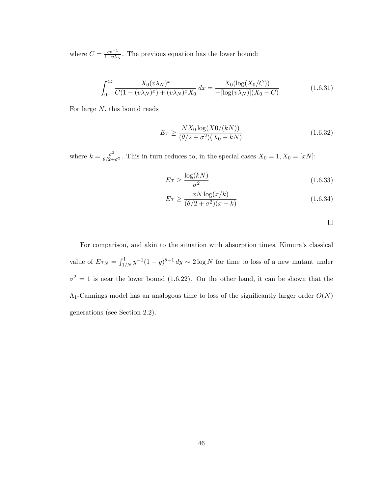where  $C = \frac{cv^{-1}}{1-v}$  $\frac{cv^{-1}}{1-v\lambda_N}$ . The previous equation has the lower bound:

$$
\int_0^\infty \frac{X_0(v\lambda_N)^x}{C(1-(v\lambda_N)^x)+(v\lambda_N)^xX_0} dx = \frac{X_0(\log(X_0/C))}{-[\log(v\lambda_N)](X_0-C)}
$$
(1.6.31)

For large  $N$ , this bound reads

$$
E\tau \ge \frac{NX_0 \log(X0/(kN))}{(\theta/2 + \sigma^2)(X_0 - kN)}
$$
\n(1.6.32)

where  $k = \frac{\sigma^2}{\theta/2 + \sigma^2}$ . This in turn reduces to, in the special cases  $X_0 = 1, X_0 = [xN]$ :

$$
E\tau \ge \frac{\log(kN)}{\sigma^2} \tag{1.6.33}
$$

$$
E\tau \ge \frac{xN\log(x/k)}{(\theta/2 + \sigma^2)(x - k)}\tag{1.6.34}
$$

| ۰ |  |  |
|---|--|--|
|   |  |  |
|   |  |  |
|   |  |  |

For comparison, and akin to the situation with absorption times, Kimura's classical value of  $E\tau_N = \int_{1/N}^1 y^{-1}(1-y)^{\theta-1} dy \sim 2\log N$  for time to loss of a new mutant under  $\sigma^2 = 1$  is near the lower bound (1.6.22). On the other hand, it can be shown that the  $\Lambda_1$ -Cannings model has an analogous time to loss of the significantly larger order  $O(N)$ generations (see Section 2.2).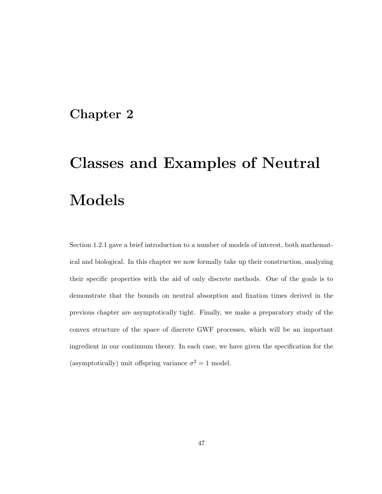# Chapter 2

# Classes and Examples of Neutral Models

Section 1.2.1 gave a brief introduction to a number of models of interest, both mathematical and biological. In this chapter we now formally take up their construction, analyzing their specific properties with the aid of only discrete methods. One of the goals is to demonstrate that the bounds on neutral absorption and fixation times derived in the previous chapter are asymptotically tight. Finally, we make a preparatory study of the convex structure of the space of discrete GWF processes, which will be an important ingredient in our continuum theory. In each case, we have given the specification for the (asymptotically) unit offspring variance  $\sigma^2 = 1$  model.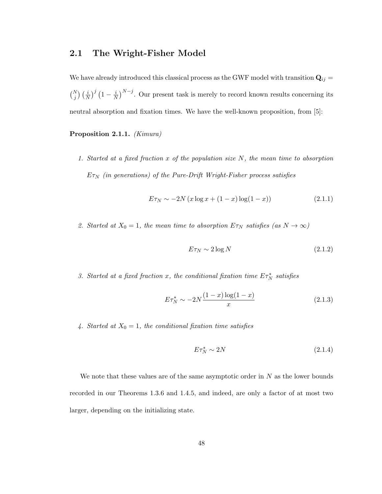# 2.1 The Wright-Fisher Model

We have already introduced this classical process as the GWF model with transition  $\mathbf{Q}_{ij} =$  $\binom{N}{j} \left(\frac{i}{N}\right)^j \left(1-\frac{i}{N}\right)$  $\frac{i}{N}$ )<sup>N-j</sup>. Our present task is merely to record known results concerning its neutral absorption and fixation times. We have the well-known proposition, from [5]:

Proposition 2.1.1. (Kimura)

1. Started at a fixed fraction x of the population size  $N$ , the mean time to absorption  $E\tau_N$  (in generations) of the Pure-Drift Wright-Fisher process satisfies

$$
E\tau_N \sim -2N(x\log x + (1-x)\log(1-x))
$$
\n(2.1.1)

2. Started at  $X_0 = 1$ , the mean time to absorption  $E\tau_N$  satisfies (as  $N \to \infty$ )

$$
E\tau_N \sim 2\log N \tag{2.1.2}
$$

3. Started at a fixed fraction x, the conditional fixation time  $E\tau_N^*$  satisfies

$$
E\tau_N^* \sim -2N\frac{(1-x)\log(1-x)}{x}
$$
 (2.1.3)

4. Started at  $X_0 = 1$ , the conditional fixation time satisfies

$$
E\tau_N^* \sim 2N\tag{2.1.4}
$$

We note that these values are of the same asymptotic order in  $N$  as the lower bounds recorded in our Theorems 1.3.6 and 1.4.5, and indeed, are only a factor of at most two larger, depending on the initializing state.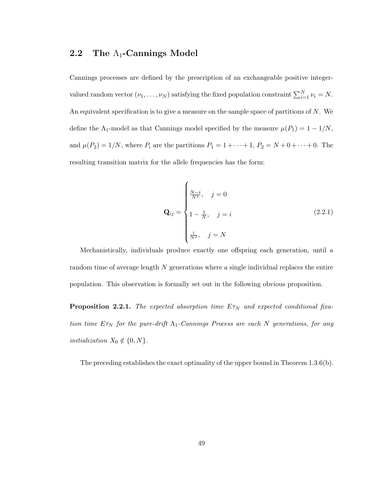# 2.2 The  $\Lambda_1$ -Cannings Model

Cannings processes are defined by the prescription of an exchangeable positive integervalued random vector  $(\nu_1, \ldots, \nu_N)$  satisfying the fixed population constraint  $\sum_{i=1}^N \nu_i = N$ . An equivalent specification is to give a measure on the sample space of partitions of  $N$ . We define the  $\Lambda_1$ -model as that Cannings model specified by the measure  $\mu(P_1) = 1 - 1/N$ , and  $\mu(P_2) = 1/N$ , where  $P_i$  are the partitions  $P_1 = 1 + \cdots + 1$ ,  $P_2 = N + 0 + \cdots + 0$ . The resulting transition matrix for the allele frequencies has the form:

$$
\mathbf{Q}_{ij} = \begin{cases} \frac{N-i}{N^2}, & j = 0\\ 1 - \frac{1}{N}, & j = i\\ \frac{i}{N^2}, & j = N \end{cases}
$$
 (2.2.1)

Mechanistically, individuals produce exactly one offspring each generation, until a random time of average length N generations where a single individual replaces the entire population. This observation is formally set out in the following obvious proposition.

**Proposition 2.2.1.** The expected absorption time  $E\tau_N$  and expected conditional fixation time  $E\tau_N$  for the pure-drift  $\Lambda_1$ -Cannings Process are each N generations, for any *initialization*  $X_0 \notin \{0, N\}.$ 

The preceding establishes the exact optimality of the upper bound in Theorem 1.3.6(b).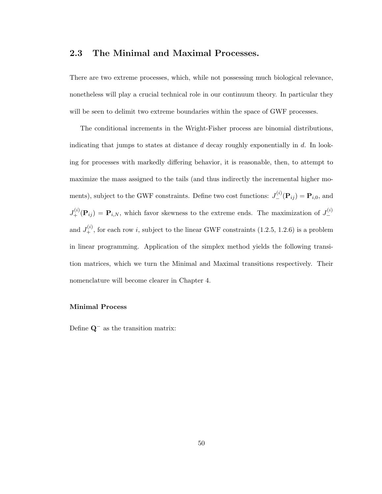## 2.3 The Minimal and Maximal Processes.

There are two extreme processes, which, while not possessing much biological relevance, nonetheless will play a crucial technical role in our continuum theory. In particular they will be seen to delimit two extreme boundaries within the space of GWF processes.

The conditional increments in the Wright-Fisher process are binomial distributions, indicating that jumps to states at distance  $d$  decay roughly exponentially in  $d$ . In looking for processes with markedly differing behavior, it is reasonable, then, to attempt to maximize the mass assigned to the tails (and thus indirectly the incremental higher moments), subject to the GWF constraints. Define two cost functions:  $J_{-}^{(i)}(\mathbf{P}_{ij}) = \mathbf{P}_{i,0}$ , and  $J^{(i)}_{+}(\mathbf{P}_{ij}) = \mathbf{P}_{i,N}$ , which favor skewness to the extreme ends. The maximization of  $J^{(i)}_{-}$ − and  $J_{+}^{(i)}$ , for each row *i*, subject to the linear GWF constraints (1.2.5, 1.2.6) is a problem in linear programming. Application of the simplex method yields the following transition matrices, which we turn the Minimal and Maximal transitions respectively. Their nomenclature will become clearer in Chapter 4.

#### Minimal Process

Define Q<sup>−</sup> as the transition matrix: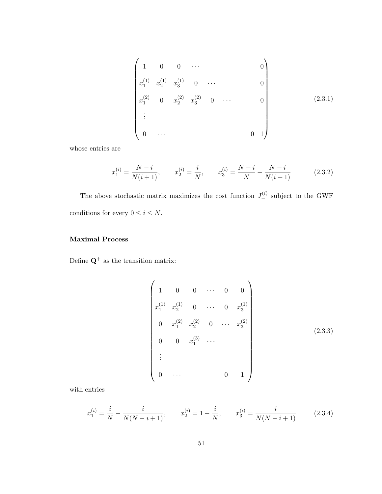$$
\begin{pmatrix}\n1 & 0 & 0 & \cdots & & & & 0 \\
x_1^{(1)} & x_2^{(1)} & x_3^{(1)} & 0 & \cdots & & & 0 \\
x_1^{(2)} & 0 & x_2^{(2)} & x_3^{(2)} & 0 & \cdots & & & 0 \\
\vdots & & & & & & & \\
\vdots & & & & & & \\
0 & \cdots & & & & & & \\
0 & \cdots & & & & & & \\
0 & \cdots & & & & & & \\
0 & \cdots & & & & & & \\
0 & \cdots & & & & & & \\
0 & \cdots & & & & & & \\
0 & \cdots & & & & & & \\
0 & \cdots & & & & & & \\
0 & \cdots & & & & & & \\
0 & \cdots & & & & & & \\
0 & \cdots & & & & & & \\
0 & \cdots & & & & & & \\
0 & \cdots & & & & & & \\
0 & \cdots & & & & & & \\
0 & \cdots & & & & & & \\
0 & \cdots & & & & & & \\
0 & \cdots & & & & & & \\
0 & \cdots & & & & & & \\
0 & \cdots & & & & & & \\
0 & \cdots & & & & & & \\
0 & \cdots & & & & & & \\
0 & \cdots & & & & & & \\
0 & \cdots & & & & & & \\
0 & \cdots & & & & & & \\
0 & \cdots & & & & & & \\
0 & \cdots & & & & & & \\
0 & \cdots & & & & & & \\
0 & \cdots & & & & & & \\
0 & \cdots & & & & & & \\
0 & \cdots & & & & & & \\
0 & \cdots & & & & & & \\
0 & \cdots & & & & & & \\
0 & \cdots & & & & & & \\
0 & \cdots & & & & & & \\
0 & \cdots & & & & & & \\
0 & \cdots & & & & & & \\
0 & \cdots & & & & & & & \\
0 & \cdots & & & & & & & \\
0 & \cdots & & & & & & & \\
0 & \cdots & & & & & & & \\
0 & \cdots & & & & & & & \\
0 & \cdots & & & & & & & \\
0 & \cdots & & & & & & & \\
0 & \cdots & & & & & & & \\
0 & \cdots & & & & & & & \\
0 & \cdots & & & & & & & \\
0 & \cdots & & & & & & & \\
0 & \cdots & & & & & & & \\
0 & \cdots & & & & & & & \\
0 & \cdots & & & & & & & \\
0 & \cdots & & & & & & & \\
0 & \cdots & & & & & & &
$$

whose entries are

$$
x_1^{(i)} = \frac{N-i}{N(i+1)}, \qquad x_2^{(i)} = \frac{i}{N}, \qquad x_3^{(i)} = \frac{N-i}{N} - \frac{N-i}{N(i+1)}
$$
(2.3.2)

The above stochastic matrix maximizes the cost function  $J_{-}^{(i)}$  subject to the GWF conditions for every  $0\leq i\leq N.$ 

#### Maximal Process

Define  $\mathbf{Q}^+$  as the transition matrix:

$$
\begin{pmatrix}\n1 & 0 & 0 & \cdots & 0 & 0 \\
x_1^{(1)} & x_2^{(1)} & 0 & \cdots & 0 & x_3^{(1)} \\
0 & x_1^{(2)} & x_2^{(2)} & 0 & \cdots & x_3^{(2)} \\
0 & 0 & x_1^{(3)} & \cdots & & & \\
\vdots & & & & & \\
0 & \cdots & & & 0 & 1\n\end{pmatrix}
$$
\n(2.3.3)

with entries

$$
x_1^{(i)} = \frac{i}{N} - \frac{i}{N(N-i+1)}, \qquad x_2^{(i)} = 1 - \frac{i}{N}, \qquad x_3^{(i)} = \frac{i}{N(N-i+1)}
$$
(2.3.4)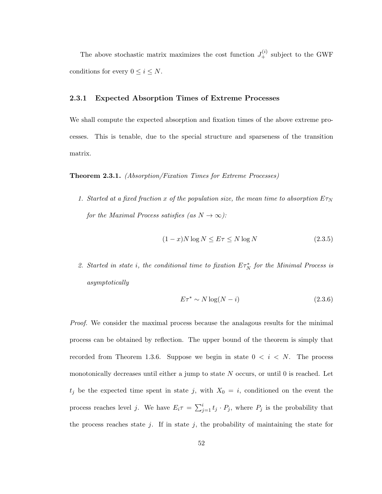The above stochastic matrix maximizes the cost function  $J_{+}^{(i)}$  subject to the GWF conditions for every  $0 \leq i \leq N$ .

#### 2.3.1 Expected Absorption Times of Extreme Processes

We shall compute the expected absorption and fixation times of the above extreme processes. This is tenable, due to the special structure and sparseness of the transition matrix.

Theorem 2.3.1. (Absorption/Fixation Times for Extreme Processes)

1. Started at a fixed fraction x of the population size, the mean time to absorption  $E_{\mathcal{T}_N}$ for the Maximal Process satisfies (as  $N \to \infty$ ):

$$
(1-x)N\log N \le E\tau \le N\log N\tag{2.3.5}
$$

2. Started in state i, the conditional time to fixation  $E\tau_N^*$  for the Minimal Process is asymptotically

$$
E\tau^* \sim N \log(N - i) \tag{2.3.6}
$$

Proof. We consider the maximal process because the analagous results for the minimal process can be obtained by reflection. The upper bound of the theorem is simply that recorded from Theorem 1.3.6. Suppose we begin in state  $0 < i < N$ . The process monotonically decreases until either a jump to state N occurs, or until 0 is reached. Let  $t_j$  be the expected time spent in state j, with  $X_0 = i$ , conditioned on the event the process reaches level j. We have  $E_i \tau = \sum_{j=1}^i t_j \cdot P_j$ , where  $P_j$  is the probability that the process reaches state j. If in state j, the probability of maintaining the state for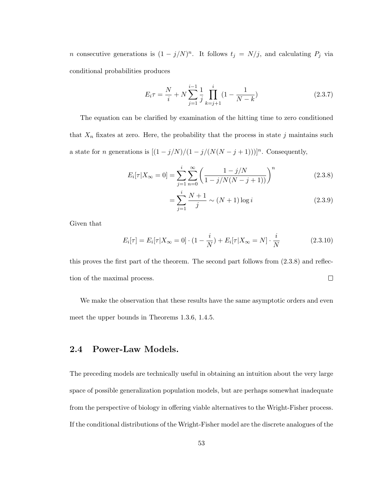*n* consecutive generations is  $(1 - j/N)^n$ . It follows  $t_j = N/j$ , and calculating  $P_j$  via conditional probabilities produces

$$
E_i \tau = \frac{N}{i} + N \sum_{j=1}^{i-1} \frac{1}{j} \prod_{k=j+1}^{i} (1 - \frac{1}{N-k})
$$
 (2.3.7)

The equation can be clarified by examination of the hitting time to zero conditioned that  $X_n$  fixates at zero. Here, the probability that the process in state j maintains such a state for *n* generations is  $[(1-j/N)/(1-j/(N(N-j+1)))]^n$ . Consequently,

$$
E_i[\tau|X_\infty = 0] = \sum_{j=1}^i \sum_{n=0}^\infty \left( \frac{1 - j/N}{1 - j/N(N - j + 1)} \right)^n \tag{2.3.8}
$$

$$
=\sum_{j=1}^{i} \frac{N+1}{j} \sim (N+1) \log i \tag{2.3.9}
$$

Given that

$$
E_i[\tau] = E_i[\tau | X_{\infty} = 0] \cdot (1 - \frac{i}{N}) + E_i[\tau | X_{\infty} = N] \cdot \frac{i}{N}
$$
 (2.3.10)

this proves the first part of the theorem. The second part follows from (2.3.8) and reflec- $\Box$ tion of the maximal process.

We make the observation that these results have the same asymptotic orders and even meet the upper bounds in Theorems 1.3.6, 1.4.5.

# 2.4 Power-Law Models.

The preceding models are technically useful in obtaining an intuition about the very large space of possible generalization population models, but are perhaps somewhat inadequate from the perspective of biology in offering viable alternatives to the Wright-Fisher process. If the conditional distributions of the Wright-Fisher model are the discrete analogues of the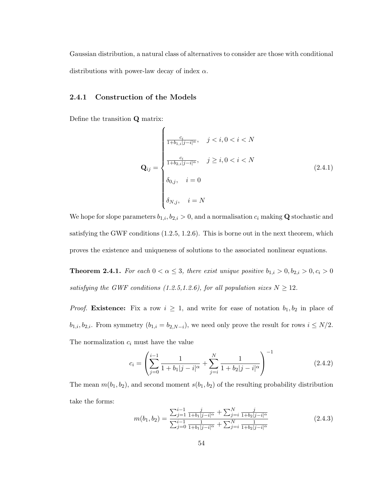Gaussian distribution, a natural class of alternatives to consider are those with conditional distributions with power-law decay of index  $\alpha$ .

#### 2.4.1 Construction of the Models

Define the transition Q matrix:

$$
\mathbf{Q}_{ij} = \begin{cases} \frac{c_i}{1 + b_{1,i}|j - i|^{\alpha}}, & j < i, 0 < i < N \\ \frac{c_i}{1 + b_{2,i}|j - i|^{\alpha}}, & j \geq i, 0 < i < N \\ \delta_{0,j}, & i = 0 \\ \delta_{N,j}, & i = N \end{cases} \tag{2.4.1}
$$

We hope for slope parameters  $b_{1,i}$ ,  $b_{2,i} > 0$ , and a normalisation  $c_i$  making **Q** stochastic and satisfying the GWF conditions (1.2.5, 1.2.6). This is borne out in the next theorem, which proves the existence and uniqueness of solutions to the associated nonlinear equations.

**Theorem 2.4.1.** For each  $0 < \alpha \leq 3$ , there exist unique positive  $b_{1,i} > 0, b_{2,i} > 0, c_i > 0$ satisfying the GWF conditions (1.2.5,1.2.6), for all population sizes  $N \ge 12$ .

*Proof.* Existence: Fix a row  $i \geq 1$ , and write for ease of notation  $b_1, b_2$  in place of  $b_{1,i}, b_{2,i}$ . From symmetry  $(b_{1,i} = b_{2,N-i})$ , we need only prove the result for rows  $i \leq N/2$ . The normalization  $c_i$  must have the value

$$
c_i = \left(\sum_{j=0}^{i-1} \frac{1}{1+b_1|j-i|^\alpha} + \sum_{j=i}^N \frac{1}{1+b_2|j-i|^\alpha}\right)^{-1}
$$
(2.4.2)

The mean  $m(b_1, b_2)$ , and second moment  $s(b_1, b_2)$  of the resulting probability distribution take the forms:

$$
m(b_1, b_2) = \frac{\sum_{j=1}^{i-1} \frac{j}{1+b_1|j-i|^\alpha} + \sum_{j=i}^N \frac{j}{1+b_2|j-i|^\alpha}}{\sum_{j=0}^{i-1} \frac{1}{1+b_1|j-i|^\alpha} + \sum_{j=i}^N \frac{1}{1+b_2|j-i|^\alpha}}
$$
(2.4.3)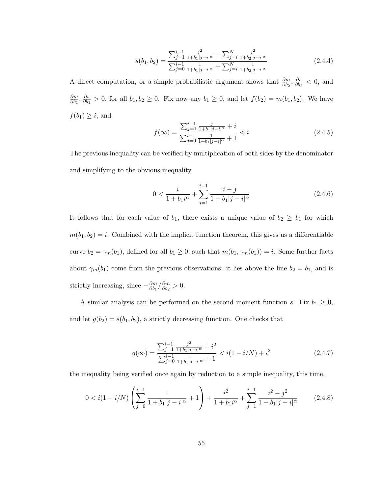$$
s(b_1, b_2) = \frac{\sum_{j=1}^{i-1} \frac{j^2}{1+b_1|j-i|^{\alpha}} + \sum_{j=i}^{N} \frac{j^2}{1+b_2|j-i|^{\alpha}}}{\sum_{j=0}^{i-1} \frac{1}{1+b_1|j-i|^{\alpha}} + \sum_{j=i}^{N} \frac{1}{1+b_2|j-i|^{\alpha}}}
$$
(2.4.4)

A direct computation, or a simple probabilistic argument shows that  $\frac{\partial m}{\partial b_2}$ ,  $\frac{\partial s}{\partial b_2}$  $\frac{\partial s}{\partial b_2} < 0$ , and ∂m  $\frac{\partial m}{\partial b_1}, \frac{\partial s}{\partial b_1}$  $\frac{\partial s}{\partial b_1} > 0$ , for all  $b_1, b_2 \geq 0$ . Fix now any  $b_1 \geq 0$ , and let  $f(b_2) = m(b_1, b_2)$ . We have  $f(b_1) \geq i$ , and

$$
f(\infty) = \frac{\sum_{j=1}^{i-1} \frac{j}{1+b_1|j-i|^{\alpha}} + i}{\sum_{j=0}^{i-1} \frac{1}{1+b_1|j-i|^{\alpha}} + 1} < i
$$
 (2.4.5)

The previous inequality can be verified by multiplication of both sides by the denominator and simplifying to the obvious inequality

$$
0 < \frac{i}{1 + b_1 i^{\alpha}} + \sum_{j=1}^{i-1} \frac{i - j}{1 + b_1 |j - i|^{\alpha}} \tag{2.4.6}
$$

It follows that for each value of  $b_1$ , there exists a unique value of  $b_2 \geq b_1$  for which  $m(b_1, b_2) = i$ . Combined with the implicit function theorem, this gives us a differentiable curve  $b_2 = \gamma_m(b_1)$ , defined for all  $b_1 \geq 0$ , such that  $m(b_1, \gamma_m(b_1)) = i$ . Some further facts about  $\gamma_m(b_1)$  come from the previous observations: it lies above the line  $b_2 = b_1$ , and is strictly increasing, since  $-\frac{\partial m}{\partial b_1}$  $\frac{\partial m}{\partial b_1}/\frac{\partial m}{\partial b_2}$  $\frac{\partial m}{\partial b_2} > 0.$ 

A similar analysis can be performed on the second moment function s. Fix  $b_1 \geq 0$ , and let  $g(b_2) = s(b_1, b_2)$ , a strictly decreasing function. One checks that

$$
g(\infty) = \frac{\sum_{j=1}^{i-1} \frac{j^2}{1+b_1|j-i|^{\alpha}} + i^2}{\sum_{j=0}^{i-1} \frac{1}{1+b_1|j-i|^{\alpha}} + 1} < i(1 - i/N) + i^2
$$
 (2.4.7)

the inequality being verified once again by reduction to a simple inequality, this time,

$$
0 < i(1 - i/N) \left( \sum_{j=0}^{i-1} \frac{1}{1 + b_1 |j - i|^{\alpha}} + 1 \right) + \frac{i^2}{1 + b_1 i^{\alpha}} + \sum_{j=1}^{i-1} \frac{i^2 - j^2}{1 + b_1 |j - i|^{\alpha}} \tag{2.4.8}
$$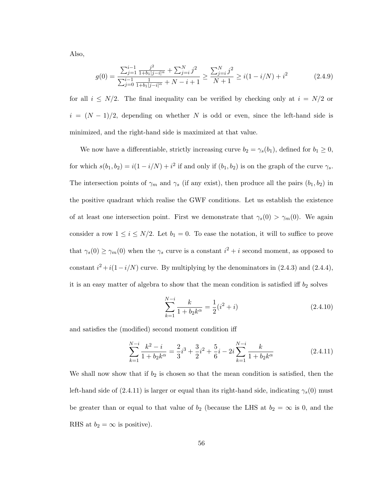Also,

$$
g(0) = \frac{\sum_{j=1}^{i-1} \frac{j^2}{1+b_1|j-i|^\alpha} + \sum_{j=i}^N j^2}{\sum_{j=0}^{i-1} \frac{1}{1+b_1|j-i|^\alpha} + N - i + 1} \ge \frac{\sum_{j=i}^N j^2}{N+1} \ge i(1-i/N) + i^2
$$
(2.4.9)

for all  $i \leq N/2$ . The final inequality can be verified by checking only at  $i = N/2$  or  $i = (N-1)/2$ , depending on whether N is odd or even, since the left-hand side is minimized, and the right-hand side is maximized at that value.

We now have a differentiable, strictly increasing curve  $b_2 = \gamma_s(b_1)$ , defined for  $b_1 \geq 0$ , for which  $s(b_1, b_2) = i(1 - i/N) + i^2$  if and only if  $(b_1, b_2)$  is on the graph of the curve  $\gamma_s$ . The intersection points of  $\gamma_m$  and  $\gamma_s$  (if any exist), then produce all the pairs  $(b_1, b_2)$  in the positive quadrant which realise the GWF conditions. Let us establish the existence of at least one intersection point. First we demonstrate that  $\gamma_s(0) > \gamma_m(0)$ . We again consider a row  $1 \leq i \leq N/2$ . Let  $b_1 = 0$ . To ease the notation, it will to suffice to prove that  $\gamma_s(0) \ge \gamma_m(0)$  when the  $\gamma_s$  curve is a constant  $i^2 + i$  second moment, as opposed to constant  $i^2 + i(1 - i/N)$  curve. By multiplying by the denominators in (2.4.3) and (2.4.4), it is an easy matter of algebra to show that the mean condition is satisfied iff  $b_2$  solves

$$
\sum_{k=1}^{N-i} \frac{k}{1 + b_2 k^{\alpha}} = \frac{1}{2} (i^2 + i)
$$
\n(2.4.10)

and satisfies the (modified) second moment condition iff

$$
\sum_{k=1}^{N-i} \frac{k^2 - i}{1 + b_2 k^{\alpha}} = \frac{2}{3} i^3 + \frac{3}{2} i^2 + \frac{5}{6} i - 2i \sum_{k=1}^{N-i} \frac{k}{1 + b_2 k^{\alpha}}
$$
(2.4.11)

We shall now show that if  $b_2$  is chosen so that the mean condition is satisfied, then the left-hand side of (2.4.11) is larger or equal than its right-hand side, indicating  $\gamma_s(0)$  must be greater than or equal to that value of  $b_2$  (because the LHS at  $b_2 = \infty$  is 0, and the RHS at  $b_2 = \infty$  is positive).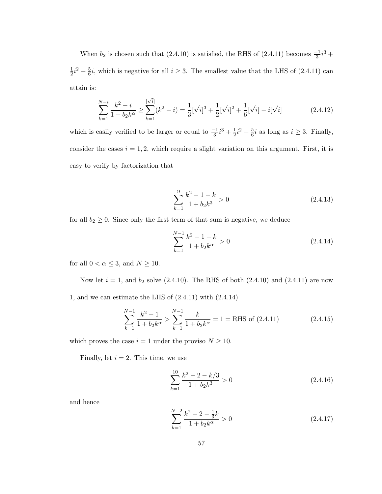When  $b_2$  is chosen such that (2.4.10) is satisfied, the RHS of (2.4.11) becomes  $\frac{-1}{3}i^3 +$ 1  $\frac{1}{2}i^2 + \frac{5}{6}$  $\frac{5}{6}i$ , which is negative for all  $i \geq 3$ . The smallest value that the LHS of (2.4.11) can attain is:

$$
\sum_{k=1}^{N-i} \frac{k^2 - i}{1 + b_2 k^{\alpha}} \ge \sum_{k=1}^{\lfloor \sqrt{i} \rfloor} (k^2 - i) = \frac{1}{3} [\sqrt{i}]^3 + \frac{1}{2} [\sqrt{i}]^2 + \frac{1}{6} [\sqrt{i}] - i [\sqrt{i}] \tag{2.4.12}
$$

which is easily verified to be larger or equal to  $\frac{-1}{3}i^3 + \frac{1}{2}$  $rac{1}{2}i^2 + \frac{5}{6}$  $\frac{5}{6}i$  as long as  $i \geq 3$ . Finally, consider the cases  $i = 1, 2$ , which require a slight variation on this argument. First, it is easy to verify by factorization that

$$
\sum_{k=1}^{9} \frac{k^2 - 1 - k}{1 + b_2 k^3} > 0
$$
\n(2.4.13)

for all  $b_2 \geq 0$ . Since only the first term of that sum is negative, we deduce

$$
\sum_{k=1}^{N-1} \frac{k^2 - 1 - k}{1 + b_2 k^{\alpha}} > 0
$$
\n(2.4.14)

for all  $0<\alpha\leq 3,$  and  $N\geq 10.$ 

Now let  $i = 1$ , and  $b_2$  solve (2.4.10). The RHS of both (2.4.10) and (2.4.11) are now 1, and we can estimate the LHS of (2.4.11) with (2.4.14)

$$
\sum_{k=1}^{N-1} \frac{k^2 - 1}{1 + b_2 k^{\alpha}} > \sum_{k=1}^{N-1} \frac{k}{1 + b_2 k^{\alpha}} = 1 = \text{RHS of (2.4.11)}
$$
\n(2.4.15)

which proves the case  $i = 1$  under the proviso  $N \geq 10$ .

Finally, let  $i = 2$ . This time, we use

$$
\sum_{k=1}^{10} \frac{k^2 - 2 - k/3}{1 + b_2 k^3} > 0
$$
\n(2.4.16)

and hence

$$
\sum_{k=1}^{N-2} \frac{k^2 - 2 - \frac{1}{3}k}{1 + b_2 k^{\alpha}} > 0
$$
\n(2.4.17)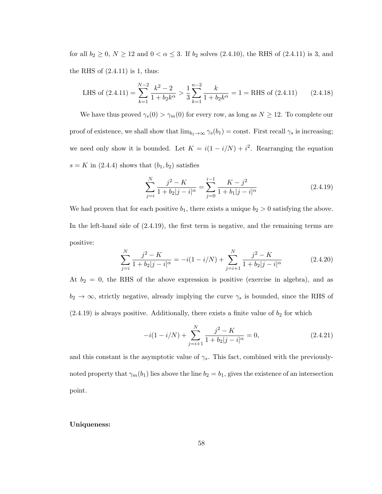for all  $b_2 \ge 0$ ,  $N \ge 12$  and  $0 < \alpha \le 3$ . If  $b_2$  solves (2.4.10), the RHS of (2.4.11) is 3, and the RHS of  $(2.4.11)$  is 1, thus:

LHS of (2.4.11) = 
$$
\sum_{k=1}^{N-2} \frac{k^2 - 2}{1 + b_2 k^{\alpha}} > \frac{1}{3} \sum_{k=1}^{n-2} \frac{k}{1 + b_2 k^{\alpha}} = 1 =
$$
RHS of (2.4.11) (2.4.18)

We have thus proved  $\gamma_s(0) > \gamma_m(0)$  for every row, as long as  $N \geq 12$ . To complete our proof of existence, we shall show that  $\lim_{b_1\to\infty} \gamma_s(b_1) = \text{const.}$  First recall  $\gamma_s$  is increasing; we need only show it is bounded. Let  $K = i(1 - i/N) + i^2$ . Rearranging the equation  $s = K$  in (2.4.4) shows that  $(b_1, b_2)$  satisfies

$$
\sum_{j=i}^{N} \frac{j^2 - K}{1 + b_2 |j - i|^{\alpha}} = \sum_{j=0}^{i-1} \frac{K - j^2}{1 + b_1 |j - i|^{\alpha}}
$$
(2.4.19)

We had proven that for each positive  $b_1$ , there exists a unique  $b_2 > 0$  satisfying the above. In the left-hand side of (2.4.19), the first term is negative, and the remaining terms are positive:

$$
\sum_{j=i}^{N} \frac{j^2 - K}{1 + b_2 |j - i|^{\alpha}} = -i(1 - i/N) + \sum_{j=i+1}^{N} \frac{j^2 - K}{1 + b_2 |j - i|^{\alpha}} \tag{2.4.20}
$$

At  $b_2 = 0$ , the RHS of the above expression is positive (exercise in algebra), and as  $b_2 \rightarrow \infty$ , strictly negative, already implying the curve  $\gamma_s$  is bounded, since the RHS of  $(2.4.19)$  is always positive. Additionally, there exists a finite value of  $b<sub>2</sub>$  for which

$$
-i(1 - i/N) + \sum_{j=i+1}^{N} \frac{j^2 - K}{1 + b_2 |j - i|^{\alpha}} = 0,
$$
\n(2.4.21)

and this constant is the asymptotic value of  $\gamma_s$ . This fact, combined with the previouslynoted property that  $\gamma_m(b_1)$  lies above the line  $b_2 = b_1$ , gives the existence of an intersection point.

#### Uniqueness: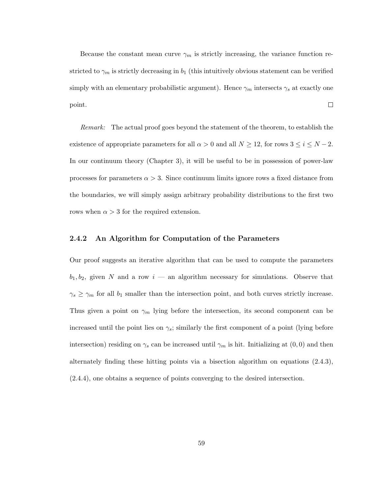Because the constant mean curve  $\gamma_m$  is strictly increasing, the variance function restricted to  $\gamma_m$  is strictly decreasing in  $b_1$  (this intuitively obvious statement can be verified simply with an elementary probabilistic argument). Hence  $\gamma_m$  intersects  $\gamma_s$  at exactly one  $\Box$ point.

Remark: The actual proof goes beyond the statement of the theorem, to establish the existence of appropriate parameters for all  $\alpha > 0$  and all  $N \ge 12$ , for rows  $3 \le i \le N - 2$ . In our continuum theory (Chapter 3), it will be useful to be in possession of power-law processes for parameters  $\alpha > 3$ . Since continuum limits ignore rows a fixed distance from the boundaries, we will simply assign arbitrary probability distributions to the first two rows when  $\alpha > 3$  for the required extension.

#### 2.4.2 An Algorithm for Computation of the Parameters

Our proof suggests an iterative algorithm that can be used to compute the parameters  $b_1, b_2$ , given N and a row  $i -$  an algorithm necessary for simulations. Observe that  $\gamma_s \geq \gamma_m$  for all  $b_1$  smaller than the intersection point, and both curves strictly increase. Thus given a point on  $\gamma_m$  lying before the intersection, its second component can be increased until the point lies on  $\gamma_s$ ; similarly the first component of a point (lying before intersection) residing on  $\gamma_s$  can be increased until  $\gamma_m$  is hit. Initializing at  $(0,0)$  and then alternately finding these hitting points via a bisection algorithm on equations (2.4.3), (2.4.4), one obtains a sequence of points converging to the desired intersection.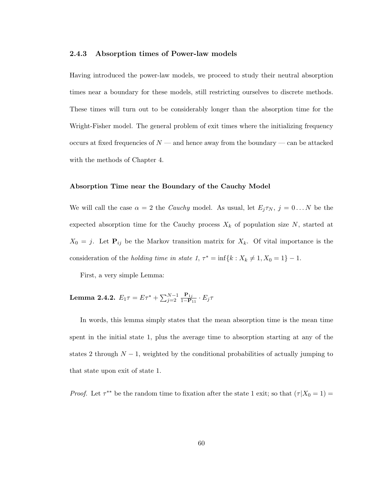#### 2.4.3 Absorption times of Power-law models

Having introduced the power-law models, we proceed to study their neutral absorption times near a boundary for these models, still restricting ourselves to discrete methods. These times will turn out to be considerably longer than the absorption time for the Wright-Fisher model. The general problem of exit times where the initializing frequency occurs at fixed frequencies of  $N$  — and hence away from the boundary — can be attacked with the methods of Chapter 4.

#### Absorption Time near the Boundary of the Cauchy Model

We will call the case  $\alpha = 2$  the *Cauchy* model. As usual, let  $E_j \tau_N$ ,  $j = 0...N$  be the expected absorption time for the Cauchy process  $X_k$  of population size N, started at  $X_0 = j$ . Let  $\mathbf{P}_{ij}$  be the Markov transition matrix for  $X_k$ . Of vital importance is the consideration of the *holding time in state 1*,  $\tau^* = \inf\{k : X_k \neq 1, X_0 = 1\} - 1$ .

First, a very simple Lemma:

**Lemma 2.4.2.** 
$$
E_1 \tau = E \tau^* + \sum_{j=2}^{N-1} \frac{\mathbf{P}_{1j}}{1-\mathbf{P}_{11}} \cdot E_j \tau
$$

In words, this lemma simply states that the mean absorption time is the mean time spent in the initial state 1, plus the average time to absorption starting at any of the states 2 through  $N-1$ , weighted by the conditional probabilities of actually jumping to that state upon exit of state 1.

*Proof.* Let  $\tau^{**}$  be the random time to fixation after the state 1 exit; so that  $(\tau | X_0 = 1)$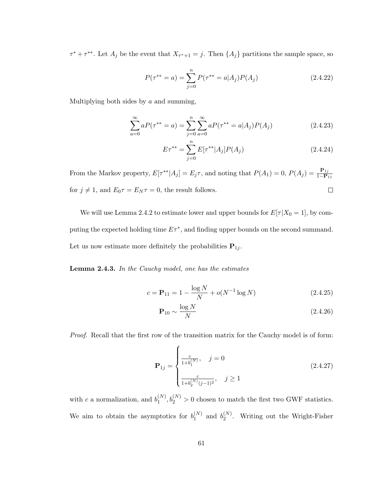$\tau^* + \tau^{**}$ . Let  $A_j$  be the event that  $X_{\tau^*+1} = j$ . Then  $\{A_j\}$  partitions the sample space, so

$$
P(\tau^{**} = a) = \sum_{j=0}^{n} P(\tau^{**} = a | A_j) P(A_j)
$$
 (2.4.22)

Multiplying both sides by  $a$  and summing,

$$
\sum_{a=0}^{\infty} aP(\tau^{**} = a) = \sum_{j=0}^{n} \sum_{a=0}^{\infty} aP(\tau^{**} = a|A_j)P(A_j)
$$
\n(2.4.23)

$$
E\tau^{**} = \sum_{j=0}^{n} E[\tau^{**}|A_j]P(A_j)
$$
 (2.4.24)

From the Markov property,  $E[\tau^{**}|A_j] = E_j \tau$ , and noting that  $P(A_1) = 0$ ,  $P(A_j) = \frac{P_{1j}}{1 - P_{11}}$ for  $j \neq 1$ , and  $E_0 \tau = E_N \tau = 0$ , the result follows.  $\Box$ 

We will use Lemma 2.4.2 to estimate lower and upper bounds for  $E[\tau|X_0 = 1]$ , by computing the expected holding time  $E\tau^*$ , and finding upper bounds on the second summand. Let us now estimate more definitely the probabilities  $P_{1j}$ .

Lemma 2.4.3. In the Cauchy model, one has the estimates

$$
c = \mathbf{P}_{11} = 1 - \frac{\log N}{N} + o(N^{-1} \log N)
$$
 (2.4.25)

$$
\mathbf{P}_{10} \sim \frac{\log N}{N} \tag{2.4.26}
$$

Proof. Recall that the first row of the transition matrix for the Cauchy model is of form:

$$
\mathbf{P}_{1j} = \begin{cases} \frac{c}{1 + b_1^{(N)}}, & j = 0\\ \frac{c}{1 + b_2^{(N)}(j-1)^2}, & j \ge 1 \end{cases}
$$
 (2.4.27)

with c a normalization, and  $b_1^{(N)}$  $\binom{N}{1}$ ,  $b_2^{(N)} > 0$  chosen to match the first two GWF statistics. We aim to obtain the asymptotics for  $b_1^{(N)}$  $b_1^{(N)}$  and  $b_2^{(N)}$  $2^{(N)}$ . Writing out the Wright-Fisher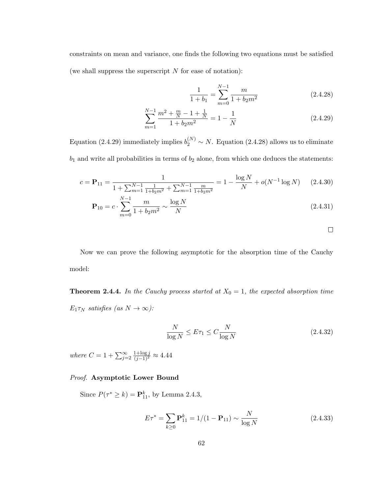constraints on mean and variance, one finds the following two equations must be satisfied (we shall suppress the superscript  $N$  for ease of notation):

$$
\frac{1}{1+b_1} = \sum_{m=0}^{N-1} \frac{m}{1+b_2m^2}
$$
 (2.4.28)

$$
\sum_{m=1}^{N-1} \frac{m^2 + \frac{m}{N} - 1 + \frac{1}{N}}{1 + b_2 m^2} = 1 - \frac{1}{N}
$$
 (2.4.29)

Equation (2.4.29) immediately implies  $b_2^{(N)} \sim N$ . Equation (2.4.28) allows us to eliminate  $\mathfrak{b}_1$  and write all probabilities in terms of  $\mathfrak{b}_2$  alone, from which one deduces the statements:

$$
c = \mathbf{P}_{11} = \frac{1}{1 + \sum_{m=1}^{N-1} \frac{1}{1 + b_2 m^2} + \sum_{m=1}^{N-1} \frac{m}{1 + b_2 m^2}} = 1 - \frac{\log N}{N} + o(N^{-1} \log N) \tag{2.4.30}
$$

$$
\mathbf{P}_{10} = c \cdot \sum_{m=0}^{N-1} \frac{m}{1 + b_2 m^2} \sim \frac{\log N}{N}
$$
\n(2.4.31)

Now we can prove the following asymptotic for the absorption time of the Cauchy model:

**Theorem 2.4.4.** In the Cauchy process started at  $X_0 = 1$ , the expected absorption time  $E_1 \tau_N$  satisfies (as  $N \to \infty$ ):

$$
\frac{N}{\log N} \le E\tau_1 \le C\frac{N}{\log N} \tag{2.4.32}
$$

where  $C = 1 + \sum_{j=2}^{\infty}$  $\frac{1+\log j}{(j-1)^2} \approx 4.44$ 

#### Proof. Asymptotic Lower Bound

Since  $P(\tau^* \ge k) = \mathbf{P}_{11}^k$ , by Lemma 2.4.3,

$$
E\tau^* = \sum_{k\geq 0} \mathbf{P}_{11}^k = 1/(1 - \mathbf{P}_{11}) \sim \frac{N}{\log N}
$$
 (2.4.33)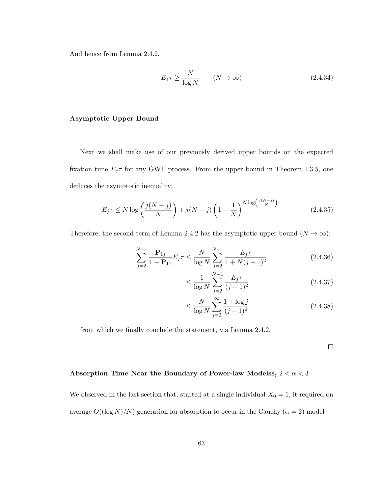And hence from Lemma 2.4.2,

$$
E_1 \tau \ge \frac{N}{\log N} \qquad (N \to \infty) \tag{2.4.34}
$$

#### Asymptotic Upper Bound

Next we shall make use of our previously derived upper bounds on the expected fixation time  $E_j \tau$  for any GWF process. From the upper bound in Theorem 1.3.5, one deduces the asymptotic inequality:

$$
E_j \tau \le N \log \left( \frac{j(N-j)}{N} \right) + j(N-j) \left( 1 - \frac{1}{N} \right)^{N \log \left( \frac{j(N-j)}{N} \right)} \tag{2.4.35}
$$

Therefore, the second term of Lemma 2.4.2 has the asymptotic upper bound  $(N \to \infty)$ :

$$
\sum_{j=2}^{N-1} \frac{\mathbf{P}_{1j}}{1 - \mathbf{P}_{11}} E_j \tau \le \frac{N}{\log N} \sum_{j=2}^{N-1} \frac{E_j \tau}{1 + N(j-1)^2}
$$
(2.4.36)

$$
\leq \frac{1}{\log N} \sum_{j=2}^{N-1} \frac{E_j \tau}{(j-1)^2} \tag{2.4.37}
$$

$$
\leq \frac{N}{\log N} \sum_{j=2}^{\infty} \frac{1 + \log j}{(j-1)^2}
$$
\n(2.4.38)

from which we finally conclude the statement, via Lemma 2.4.2.

 $\Box$ 

#### Absorption Time Near the Boundary of Power-law Modelss,  $2 < \alpha < 3$

We observed in the last section that, started at a single individual  $X_0 = 1$ , it required on average  $O((\log N)/N)$  generation for absorption to occur in the Cauchy  $(\alpha = 2)$  model —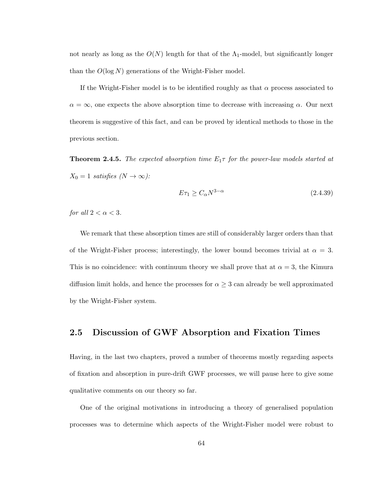not nearly as long as the  $O(N)$  length for that of the  $\Lambda_1$ -model, but significantly longer than the  $O(\log N)$  generations of the Wright-Fisher model.

If the Wright-Fisher model is to be identified roughly as that  $\alpha$  process associated to  $\alpha = \infty$ , one expects the above absorption time to decrease with increasing  $\alpha$ . Our next theorem is suggestive of this fact, and can be proved by identical methods to those in the previous section.

**Theorem 2.4.5.** The expected absorption time  $E_1\tau$  for the power-law models started at  $X_0 = 1$  satisfies  $(N \to \infty)$ :

$$
E\tau_1 \ge C_\alpha N^{3-\alpha} \tag{2.4.39}
$$

for all  $2 < \alpha < 3$ .

We remark that these absorption times are still of considerably larger orders than that of the Wright-Fisher process; interestingly, the lower bound becomes trivial at  $\alpha = 3$ . This is no coincidence: with continuum theory we shall prove that at  $\alpha = 3$ , the Kimura diffusion limit holds, and hence the processes for  $\alpha \geq 3$  can already be well approximated by the Wright-Fisher system.

# 2.5 Discussion of GWF Absorption and Fixation Times

Having, in the last two chapters, proved a number of theorems mostly regarding aspects of fixation and absorption in pure-drift GWF processes, we will pause here to give some qualitative comments on our theory so far.

One of the original motivations in introducing a theory of generalised population processes was to determine which aspects of the Wright-Fisher model were robust to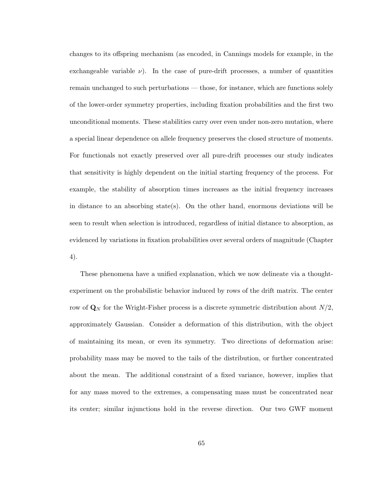changes to its offspring mechanism (as encoded, in Cannings models for example, in the exchangeable variable  $\nu$ ). In the case of pure-drift processes, a number of quantities remain unchanged to such perturbations — those, for instance, which are functions solely of the lower-order symmetry properties, including fixation probabilities and the first two unconditional moments. These stabilities carry over even under non-zero mutation, where a special linear dependence on allele frequency preserves the closed structure of moments. For functionals not exactly preserved over all pure-drift processes our study indicates that sensitivity is highly dependent on the initial starting frequency of the process. For example, the stability of absorption times increases as the initial frequency increases in distance to an absorbing state(s). On the other hand, enormous deviations will be seen to result when selection is introduced, regardless of initial distance to absorption, as evidenced by variations in fixation probabilities over several orders of magnitude (Chapter 4).

These phenomena have a unified explanation, which we now delineate via a thoughtexperiment on the probabilistic behavior induced by rows of the drift matrix. The center row of  $\mathbf{Q}_N$  for the Wright-Fisher process is a discrete symmetric distribution about  $N/2$ , approximately Gaussian. Consider a deformation of this distribution, with the object of maintaining its mean, or even its symmetry. Two directions of deformation arise: probability mass may be moved to the tails of the distribution, or further concentrated about the mean. The additional constraint of a fixed variance, however, implies that for any mass moved to the extremes, a compensating mass must be concentrated near its center; similar injunctions hold in the reverse direction. Our two GWF moment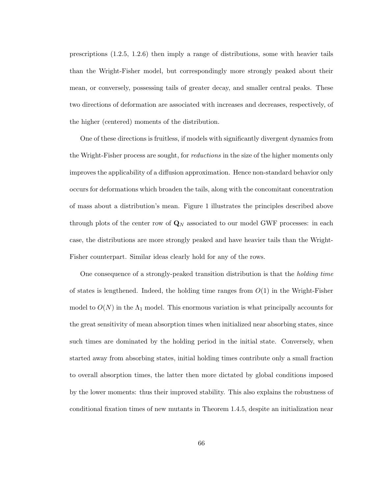prescriptions (1.2.5, 1.2.6) then imply a range of distributions, some with heavier tails than the Wright-Fisher model, but correspondingly more strongly peaked about their mean, or conversely, possessing tails of greater decay, and smaller central peaks. These two directions of deformation are associated with increases and decreases, respectively, of the higher (centered) moments of the distribution.

One of these directions is fruitless, if models with significantly divergent dynamics from the Wright-Fisher process are sought, for *reductions* in the size of the higher moments only improves the applicability of a diffusion approximation. Hence non-standard behavior only occurs for deformations which broaden the tails, along with the concomitant concentration of mass about a distribution's mean. Figure 1 illustrates the principles described above through plots of the center row of  $\mathbf{Q}_N$  associated to our model GWF processes: in each case, the distributions are more strongly peaked and have heavier tails than the Wright-Fisher counterpart. Similar ideas clearly hold for any of the rows.

One consequence of a strongly-peaked transition distribution is that the holding time of states is lengthened. Indeed, the holding time ranges from  $O(1)$  in the Wright-Fisher model to  $O(N)$  in the  $\Lambda_1$  model. This enormous variation is what principally accounts for the great sensitivity of mean absorption times when initialized near absorbing states, since such times are dominated by the holding period in the initial state. Conversely, when started away from absorbing states, initial holding times contribute only a small fraction to overall absorption times, the latter then more dictated by global conditions imposed by the lower moments: thus their improved stability. This also explains the robustness of conditional fixation times of new mutants in Theorem 1.4.5, despite an initialization near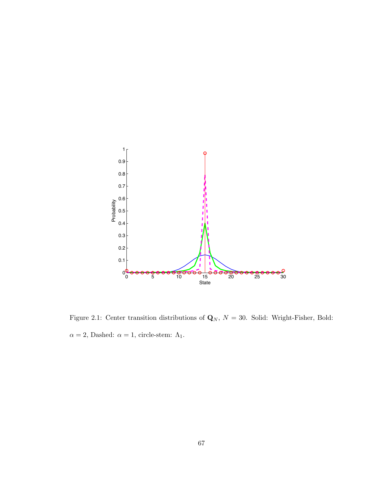

Figure 2.1: Center transition distributions of  $\mathbf{Q}_N$ ,  $N = 30$ . Solid: Wright-Fisher, Bold:  $\alpha=2,$  Dashed:  $\alpha=1,$  circle-stem:  $\Lambda_1.$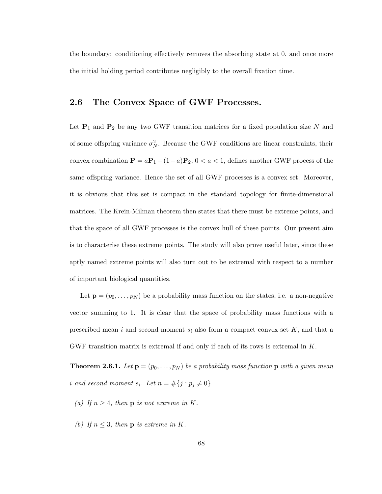the boundary: conditioning effectively removes the absorbing state at 0, and once more the initial holding period contributes negligibly to the overall fixation time.

#### 2.6 The Convex Space of GWF Processes.

Let  $P_1$  and  $P_2$  be any two GWF transition matrices for a fixed population size N and of some offspring variance  $\sigma_N^2$ . Because the GWF conditions are linear constraints, their convex combination  $P = aP_1 + (1 - a)P_2$ ,  $0 < a < 1$ , defines another GWF process of the same offspring variance. Hence the set of all GWF processes is a convex set. Moreover, it is obvious that this set is compact in the standard topology for finite-dimensional matrices. The Krein-Milman theorem then states that there must be extreme points, and that the space of all GWF processes is the convex hull of these points. Our present aim is to characterise these extreme points. The study will also prove useful later, since these aptly named extreme points will also turn out to be extremal with respect to a number of important biological quantities.

Let  $\mathbf{p} = (p_0, \ldots, p_N)$  be a probability mass function on the states, i.e. a non-negative vector summing to 1. It is clear that the space of probability mass functions with a prescribed mean i and second moment  $s_i$  also form a compact convex set K, and that a GWF transition matrix is extremal if and only if each of its rows is extremal in K.

**Theorem 2.6.1.** Let  $\mathbf{p} = (p_0, \ldots, p_N)$  be a probability mass function  $\mathbf{p}$  with a given mean i and second moment  $s_i$ . Let  $n = \#\{j : p_j \neq 0\}.$ 

- (a) If  $n \geq 4$ , then **p** is not extreme in K.
- (b) If  $n \leq 3$ , then **p** is extreme in K.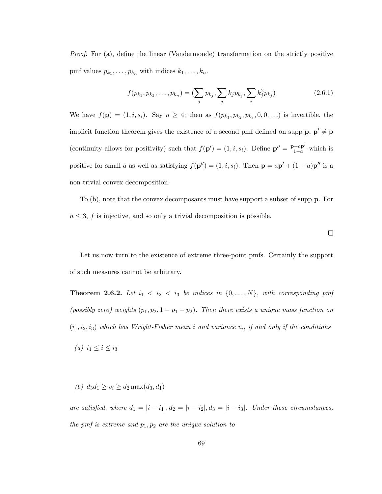Proof. For (a), define the linear (Vandermonde) transformation on the strictly positive pmf values  $p_{k_1}, \ldots, p_{k_n}$  with indices  $k_1, \ldots, k_n$ .

$$
f(p_{k_1}, p_{k_2}, \dots, p_{k_n}) = \left(\sum_j p_{k_j}, \sum_j k_j p_{k_j}, \sum_i k_j^2 p_{k_j}\right) \tag{2.6.1}
$$

We have  $f(\mathbf{p}) = (1, i, s_i)$ . Say  $n \geq 4$ ; then as  $f(p_{k_1}, p_{k_2}, p_{k_3}, 0, 0, ...)$  is invertible, the implicit function theorem gives the existence of a second pmf defined on supp  $\mathbf{p}, \mathbf{p}' \neq \mathbf{p}$ (continuity allows for positivity) such that  $f(\mathbf{p}') = (1, i, s_i)$ . Define  $\mathbf{p}'' = \frac{\mathbf{p} - a\mathbf{p}'}{1 - a}$  which is positive for small a as well as satisfying  $f(\mathbf{p}'') = (1, i, s_i)$ . Then  $\mathbf{p} = a\mathbf{p}' + (1 - a)\mathbf{p}''$  is a non-trivial convex decomposition.

To (b), note that the convex decomposants must have support a subset of supp p. For  $n \leq 3$ , f is injective, and so only a trivial decomposition is possible.

 $\Box$ 

Let us now turn to the existence of extreme three-point pmfs. Certainly the support of such measures cannot be arbitrary.

**Theorem 2.6.2.** Let  $i_1 < i_2 < i_3$  be indices in  $\{0, \ldots, N\}$ , with corresponding pmf (possibly zero) weights  $(p_1, p_2, 1 - p_1 - p_2)$ . Then there exists a unique mass function on  $(i_1, i_2, i_3)$  which has Wright-Fisher mean i and variance  $v_i$ , if and only if the conditions

(a)  $i_1 < i < i_3$ 

(b) 
$$
d_3d_1 \ge v_i \ge d_2 \max(d_3, d_1)
$$

are satisfied, where  $d_1 = |i - i_1|, d_2 = |i - i_2|, d_3 = |i - i_3|$ . Under these circumstances, the pmf is extreme and  $p_1, p_2$  are the unique solution to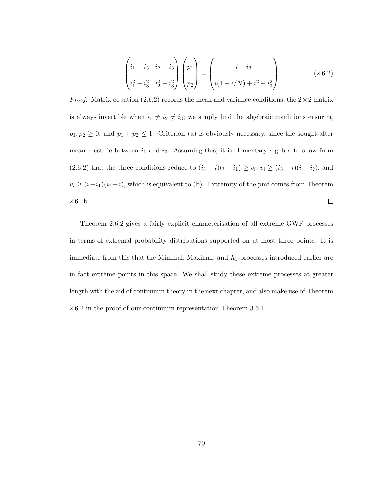$$
\begin{pmatrix} i_1 - i_3 & i_2 - i_3 \ i_1^2 - i_3^2 & i_2^2 - i_3^2 \end{pmatrix} \begin{pmatrix} p_1 \ p_2 \end{pmatrix} = \begin{pmatrix} i - i_3 \ i(1 - i/N) + i^2 - i_3^2 \end{pmatrix}
$$
 (2.6.2)

*Proof.* Matrix equation (2.6.2) records the mean and variance conditions; the  $2 \times 2$  matrix is always invertible when  $i_1 \neq i_2 \neq i_3$ ; we simply find the algebraic conditions ensuring  $p_1, p_2 \geq 0$ , and  $p_1 + p_2 \leq 1$ . Criterion (a) is obviously necessary, since the sought-after mean must lie between  $i_1$  and  $i_3$ . Assuming this, it is elementary algebra to show from (2.6.2) that the three conditions reduce to  $(i_3 - i)(i - i_1) \ge v_i, v_i \ge (i_3 - i)(i - i_2)$ , and  $v_i \geq (i-i_1)(i_2-i)$ , which is equivalent to (b). Extremity of the pmf comes from Theorem 2.6.1b.  $\Box$ 

Theorem 2.6.2 gives a fairly explicit characterisation of all extreme GWF processes in terms of extremal probability distributions supported on at most three points. It is immediate from this that the Minimal, Maximal, and  $\Lambda_1$ -processes introduced earlier are in fact extreme points in this space. We shall study these extreme processes at greater length with the aid of continuum theory in the next chapter, and also make use of Theorem 2.6.2 in the proof of our continuum representation Theorem 3.5.1.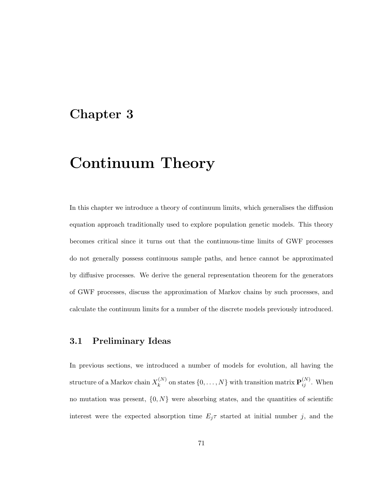### Chapter 3

## Continuum Theory

In this chapter we introduce a theory of continuum limits, which generalises the diffusion equation approach traditionally used to explore population genetic models. This theory becomes critical since it turns out that the continuous-time limits of GWF processes do not generally possess continuous sample paths, and hence cannot be approximated by diffusive processes. We derive the general representation theorem for the generators of GWF processes, discuss the approximation of Markov chains by such processes, and calculate the continuum limits for a number of the discrete models previously introduced.

#### 3.1 Preliminary Ideas

In previous sections, we introduced a number of models for evolution, all having the structure of a Markov chain  $X_k^{(N)}$  $\mathbf{R}_k^{(N)}$  on states  $\{0, \ldots, N\}$  with transition matrix  $\mathbf{P}_{ij}^{(N)}$ . When no mutation was present,  $\{0, N\}$  were absorbing states, and the quantities of scientific interest were the expected absorption time  $E_j \tau$  started at initial number j, and the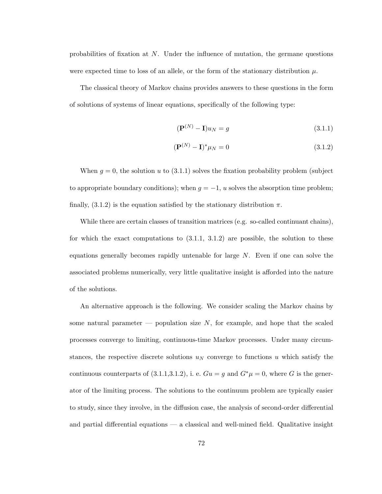probabilities of fixation at N. Under the influence of mutation, the germane questions were expected time to loss of an allele, or the form of the stationary distribution  $\mu$ .

The classical theory of Markov chains provides answers to these questions in the form of solutions of systems of linear equations, specifically of the following type:

$$
(\mathbf{P}^{(N)} - \mathbf{I})u_N = g \tag{3.1.1}
$$

$$
(\mathbf{P}^{(N)} - \mathbf{I})^* \mu_N = 0 \tag{3.1.2}
$$

When  $g = 0$ , the solution u to (3.1.1) solves the fixation probability problem (subject to appropriate boundary conditions); when  $g = -1$ , u solves the absorption time problem; finally,  $(3.1.2)$  is the equation satisfied by the stationary distribution  $\pi$ .

While there are certain classes of transition matrices (e.g. so-called continuant chains), for which the exact computations to  $(3.1.1, 3.1.2)$  are possible, the solution to these equations generally becomes rapidly untenable for large  $N$ . Even if one can solve the associated problems numerically, very little qualitative insight is afforded into the nature of the solutions.

An alternative approach is the following. We consider scaling the Markov chains by some natural parameter — population size  $N$ , for example, and hope that the scaled processes converge to limiting, continuous-time Markov processes. Under many circumstances, the respective discrete solutions  $u<sub>N</sub>$  converge to functions u which satisfy the continuous counterparts of  $(3.1.1,3.1.2)$ , i. e.  $Gu = g$  and  $G^*\mu = 0$ , where G is the generator of the limiting process. The solutions to the continuum problem are typically easier to study, since they involve, in the diffusion case, the analysis of second-order differential and partial differential equations — a classical and well-mined field. Qualitative insight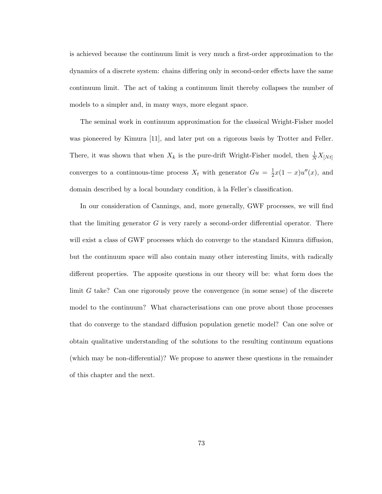is achieved because the continuum limit is very much a first-order approximation to the dynamics of a discrete system: chains differing only in second-order effects have the same continuum limit. The act of taking a continuum limit thereby collapses the number of models to a simpler and, in many ways, more elegant space.

The seminal work in continuum approximation for the classical Wright-Fisher model was pioneered by Kimura [11], and later put on a rigorous basis by Trotter and Feller. There, it was shown that when  $X_k$  is the pure-drift Wright-Fisher model, then  $\frac{1}{N}X_{[N_t]}$ converges to a continuous-time process  $X_t$  with generator  $Gu = \frac{1}{2}$  $\frac{1}{2}x(1-x)u''(x)$ , and domain described by a local boundary condition, à la Feller's classification.

In our consideration of Cannings, and, more generally, GWF processes, we will find that the limiting generator  $G$  is very rarely a second-order differential operator. There will exist a class of GWF processes which do converge to the standard Kimura diffusion, but the continuum space will also contain many other interesting limits, with radically different properties. The apposite questions in our theory will be: what form does the limit G take? Can one rigorously prove the convergence (in some sense) of the discrete model to the continuum? What characterisations can one prove about those processes that do converge to the standard diffusion population genetic model? Can one solve or obtain qualitative understanding of the solutions to the resulting continuum equations (which may be non-differential)? We propose to answer these questions in the remainder of this chapter and the next.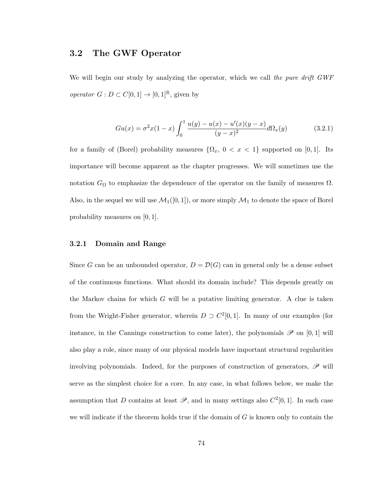#### 3.2 The GWF Operator

We will begin our study by analyzing the operator, which we call the pure drift GWF operator  $G: D \subset C[0,1] \to [0,1]^{\mathbb{R}}$ , given by

$$
Gu(x) = \sigma^2 x (1-x) \int_0^1 \frac{u(y) - u(x) - u'(x)(y-x)}{(y-x)^2} d\Omega_x(y)
$$
 (3.2.1)

for a family of (Borel) probability measures  $\{\Omega_x, 0 < x < 1\}$  supported on [0,1]. Its importance will become apparent as the chapter progresses. We will sometimes use the notation  $G_{\Omega}$  to emphasize the dependence of the operator on the family of measures  $\Omega$ . Also, in the sequel we will use  $\mathcal{M}_1([0,1])$ , or more simply  $\mathcal{M}_1$  to denote the space of Borel probability measures on [0, 1].

#### 3.2.1 Domain and Range

Since G can be an unbounded operator,  $D = \mathcal{D}(G)$  can in general only be a dense subset of the continuous functions. What should its domain include? This depends greatly on the Markov chains for which  $G$  will be a putative limiting generator. A clue is taken from the Wright-Fisher generator, wherein  $D \supset C^2[0,1]$ . In many of our examples (for instance, in the Cannings construction to come later), the polynomials  $\mathscr P$  on [0, 1] will also play a role, since many of our physical models have important structural regularities involving polynomials. Indeed, for the purposes of construction of generators,  $\mathscr P$  will serve as the simplest choice for a core. In any case, in what follows below, we make the assumption that D contains at least  $\mathscr{P}$ , and in many settings also  $C^2[0,1]$ . In each case we will indicate if the theorem holds true if the domain of  $G$  is known only to contain the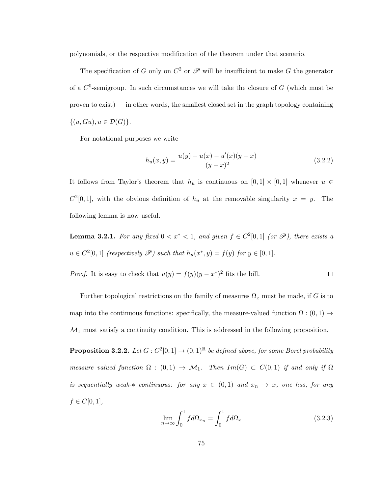polynomials, or the respective modification of the theorem under that scenario.

The specification of G only on  $C^2$  or  $\mathscr P$  will be insufficient to make G the generator of a  $C^0$ -semigroup. In such circumstances we will take the closure of  $G$  (which must be proven to exist) — in other words, the smallest closed set in the graph topology containing  $\{(u,Gu), u \in \mathcal{D}(G)\}.$ 

For notational purposes we write

$$
h_u(x,y) = \frac{u(y) - u(x) - u'(x)(y-x)}{(y-x)^2}
$$
\n(3.2.2)

It follows from Taylor's theorem that  $h_u$  is continuous on  $[0, 1] \times [0, 1]$  whenever  $u \in$  $C^2[0,1]$ , with the obvious definition of  $h_u$  at the removable singularity  $x = y$ . The following lemma is now useful.

**Lemma 3.2.1.** For any fixed  $0 < x^* < 1$ , and given  $f \in C^2[0,1]$  (or  $\mathscr{P}$ ), there exists a  $u \in C^2[0,1]$  (respectively  $\mathscr{P})$  such that  $h_u(x^*, y) = f(y)$  for  $y \in [0,1]$ .

*Proof.* It is easy to check that 
$$
u(y) = f(y)(y - x^*)^2
$$
 fits the bill.

Further topological restrictions on the family of measures  $\Omega_x$  must be made, if G is to map into the continuous functions: specifically, the measure-valued function  $\Omega: (0,1) \rightarrow$  $\mathcal{M}_1$  must satisfy a continuity condition. This is addressed in the following proposition.

**Proposition 3.2.2.** Let  $G: C^2[0,1] \to (0,1)^\mathbb{R}$  be defined above, for some Borel probability measure valued function  $\Omega$  :  $(0,1) \rightarrow M_1$ . Then  $Im(G) \subset C(0,1)$  if and only if  $\Omega$ is sequentially weak- $*$  continuous: for any  $x \in (0,1)$  and  $x_n \to x$ , one has, for any  $f \in C[0,1],$ 

$$
\lim_{n \to \infty} \int_0^1 f d\Omega_{x_n} = \int_0^1 f d\Omega_x \tag{3.2.3}
$$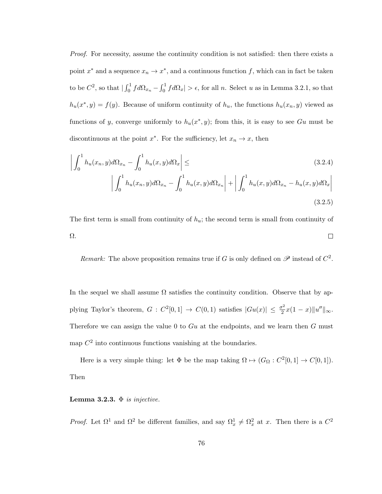Proof. For necessity, assume the continuity condition is not satisfied: then there exists a point  $x^*$  and a sequence  $x_n \to x^*$ , and a continuous function f, which can in fact be taken to be  $C^2$ , so that  $\left| \int_0^1 f d\Omega_{x_n} - \int_0^1 f d\Omega_x \right| > \epsilon$ , for all n. Select u as in Lemma 3.2.1, so that  $h_u(x^*, y) = f(y)$ . Because of uniform continuity of  $h_u$ , the functions  $h_u(x_n, y)$  viewed as functions of y, converge uniformly to  $h_u(x^*, y)$ ; from this, it is easy to see Gu must be discontinuous at the point  $x^*$ . For the sufficiency, let  $x_n \to x$ , then

$$
\left| \int_0^1 h_u(x_n, y) d\Omega_{x_n} - \int_0^1 h_u(x, y) d\Omega_x \right| \leq \tag{3.2.4}
$$

$$
\left| \int_0^1 h_u(x_n, y) d\Omega_{x_n} - \int_0^1 h_u(x, y) d\Omega_{x_n} \right| + \left| \int_0^1 h_u(x, y) d\Omega_{x_n} - h_u(x, y) d\Omega_x \right|
$$
\n(3.2.5)

The first term is small from continuity of  $h_u$ ; the second term is small from continuity of  $\Box$ Ω.

Remark: The above proposition remains true if G is only defined on  $\mathscr P$  instead of  $C^2$ .

In the sequel we shall assume  $\Omega$  satisfies the continuity condition. Observe that by applying Taylor's theorem,  $G: C^2[0,1] \to C(0,1)$  satisfies  $|Gu(x)| \leq \frac{\sigma^2}{2}$  $\frac{\sigma^2}{2}x(1-x)\|u''\|_{\infty}.$ Therefore we can assign the value 0 to  $Gu$  at the endpoints, and we learn then  $G$  must map  $C^2$  into continuous functions vanishing at the boundaries.

Here is a very simple thing: let  $\Phi$  be the map taking  $\Omega \mapsto (G_{\Omega}: C^2[0,1] \to C[0,1])$ . Then

#### **Lemma 3.2.3.**  $\Phi$  is injective.

*Proof.* Let  $\Omega^1$  and  $\Omega^2$  be different families, and say  $\Omega^1_x \neq \Omega^2_x$  at x. Then there is a  $C^2$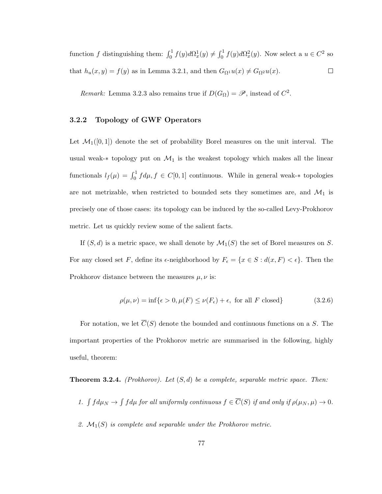function f distinguishing them:  $\int_0^1 f(y)d\Omega_x^1(y) \neq \int_0^1 f(y)d\Omega_x^2(y)$ . Now select a  $u \in C^2$  so that  $h_u(x, y) = f(y)$  as in Lemma 3.2.1, and then  $G_{\Omega^1}u(x) \neq G_{\Omega^2}u(x)$ .  $\Box$ 

Remark: Lemma 3.2.3 also remains true if  $D(G_{\Omega}) = \mathscr{P}$ , instead of  $C^2$ .

#### 3.2.2 Topology of GWF Operators

Let  $\mathcal{M}_1([0,1])$  denote the set of probability Borel measures on the unit interval. The usual weak- $*$  topology put on  $\mathcal{M}_1$  is the weakest topology which makes all the linear functionals  $l_f(\mu) = \int_0^1 f d\mu, f \in C[0,1]$  continuous. While in general weak-\* topologies are not metrizable, when restricted to bounded sets they sometimes are, and  $\mathcal{M}_1$  is precisely one of those cases: its topology can be induced by the so-called Levy-Prokhorov metric. Let us quickly review some of the salient facts.

If  $(S, d)$  is a metric space, we shall denote by  $\mathcal{M}_1(S)$  the set of Borel measures on S. For any closed set F, define its  $\epsilon$ -neighborhood by  $F_{\epsilon} = \{x \in S : d(x, F) < \epsilon\}$ . Then the Prokhorov distance between the measures  $\mu, \nu$  is:

$$
\rho(\mu, \nu) = \inf \{ \epsilon > 0, \mu(F) \le \nu(F_{\epsilon}) + \epsilon, \text{ for all } F \text{ closed} \}
$$
\n(3.2.6)

For notation, we let  $\overline{C}(S)$  denote the bounded and continuous functions on a S. The important properties of the Prokhorov metric are summarised in the following, highly useful, theorem:

**Theorem 3.2.4.** (Prokhorov). Let  $(S, d)$  be a complete, separable metric space. Then:

- 1.  $\int f d\mu_N \to \int f d\mu$  for all uniformly continuous  $f \in \overline{C}(S)$  if and only if  $\rho(\mu_N, \mu) \to 0$ .
- 2.  $\mathcal{M}_1(S)$  is complete and separable under the Prokhorov metric.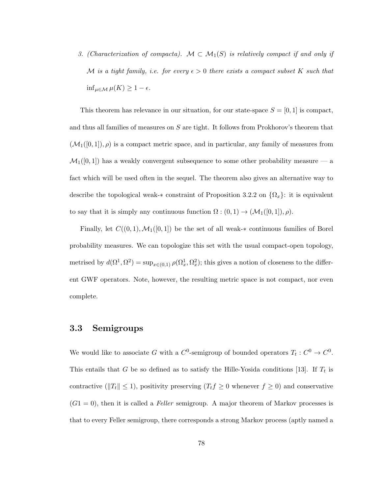3. (Characterization of compacta).  $\mathcal{M} \subset \mathcal{M}_1(S)$  is relatively compact if and only if M is a tight family, i.e. for every  $\epsilon > 0$  there exists a compact subset K such that  $\inf_{\mu \in \mathcal{M}} \mu(K) \geq 1 - \epsilon.$ 

This theorem has relevance in our situation, for our state-space  $S = [0, 1]$  is compact, and thus all families of measures on S are tight. It follows from Prokhorov's theorem that  $(\mathcal{M}_1([0,1]), \rho)$  is a compact metric space, and in particular, any family of measures from  $\mathcal{M}_1([0,1])$  has a weakly convergent subsequence to some other probability measure — a fact which will be used often in the sequel. The theorem also gives an alternative way to describe the topological weak- $*$  constraint of Proposition 3.2.2 on  $\{\Omega_x\}$ : it is equivalent to say that it is simply any continuous function  $\Omega : (0,1) \to (\mathcal{M}_1([0,1]), \rho)$ .

Finally, let  $C((0,1),\mathcal{M}_1([0,1])$  be the set of all weak- $*$  continuous families of Borel probability measures. We can topologize this set with the usual compact-open topology, metrised by  $d(\Omega^1, \Omega^2) = \sup_{x \in (0,1)} \rho(\Omega^1_x, \Omega^2_x)$ ; this gives a notion of closeness to the different GWF operators. Note, however, the resulting metric space is not compact, nor even complete.

#### 3.3 Semigroups

We would like to associate G with a  $C^0$ -semigroup of bounded operators  $T_t: C^0 \to C^0$ . This entails that G be so defined as to satisfy the Hille-Yosida conditions [13]. If  $T_t$  is contractive ( $||T_t|| \leq 1$ ), positivity preserving  $(T_t f \geq 0$  whenever  $f \geq 0$ ) and conservative  $(G1 = 0)$ , then it is called a *Feller* semigroup. A major theorem of Markov processes is that to every Feller semigroup, there corresponds a strong Markov process (aptly named a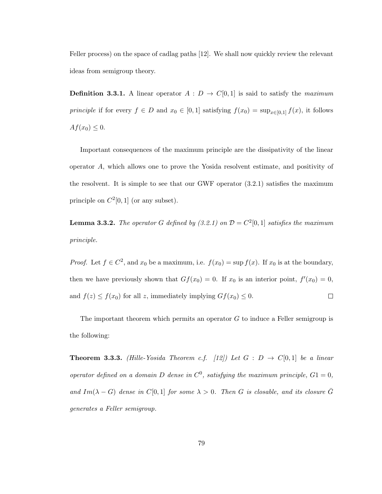Feller process) on the space of cadlag paths [12]. We shall now quickly review the relevant ideas from semigroup theory.

**Definition 3.3.1.** A linear operator  $A: D \to C[0,1]$  is said to satisfy the maximum *principle* if for every  $f \in D$  and  $x_0 \in [0,1]$  satisfying  $f(x_0) = \sup_{x \in [0,1]} f(x)$ , it follows  $Af(x_0) \leq 0.$ 

Important consequences of the maximum principle are the dissipativity of the linear operator A, which allows one to prove the Yosida resolvent estimate, and positivity of the resolvent. It is simple to see that our GWF operator (3.2.1) satisfies the maximum principle on  $C^2[0,1]$  (or any subset).

**Lemma 3.3.2.** The operator G defined by (3.2.1) on  $\mathcal{D} = C^2[0,1]$  satisfies the maximum principle.

*Proof.* Let  $f \in C^2$ , and  $x_0$  be a maximum, i.e.  $f(x_0) = \sup f(x)$ . If  $x_0$  is at the boundary, then we have previously shown that  $Gf(x_0) = 0$ . If  $x_0$  is an interior point,  $f'(x_0) = 0$ , and  $f(z) \le f(x_0)$  for all z, immediately implying  $Gf(x_0) \le 0$ .  $\Box$ 

The important theorem which permits an operator  $G$  to induce a Feller semigroup is the following:

**Theorem 3.3.3.** (Hille-Yosida Theorem c.f. [12]) Let  $G : D \rightarrow C[0,1]$  be a linear operator defined on a domain D dense in  $C^0$ , satisfying the maximum principle,  $G1 = 0$ , and Im( $\lambda - G$ ) dense in C[0,1] for some  $\lambda > 0$ . Then G is closable, and its closure  $\overline{G}$ generates a Feller semigroup.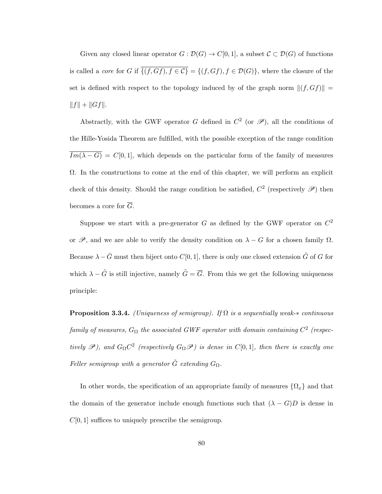Given any closed linear operator  $G : \mathcal{D}(G) \to C[0,1]$ , a subset  $\mathcal{C} \subset \mathcal{D}(G)$  of functions is called a *core* for G if  $\overline{\{(f, Gf), f \in \mathcal{C}\}} = \{(f, Gf), f \in \mathcal{D}(G)\}\$ , where the closure of the set is defined with respect to the topology induced by of the graph norm  $||(f, Gf)||$  =  $||f|| + ||Gf||.$ 

Abstractly, with the GWF operator G defined in  $C^2$  (or  $\mathscr{P}$ ), all the conditions of the Hille-Yosida Theorem are fulfilled, with the possible exception of the range condition  $\overline{Im(\lambda - G)} = C[0,1],$  which depends on the particular form of the family of measures  $\Omega$ . In the constructions to come at the end of this chapter, we will perform an explicit check of this density. Should the range condition be satisfied,  $C^2$  (respectively  $\mathscr{P}$ ) then becomes a core for  $\overline{G}$ .

Suppose we start with a pre-generator  $G$  as defined by the GWF operator on  $C^2$ or  $\mathscr{P}$ , and we are able to verify the density condition on  $\lambda - G$  for a chosen family  $\Omega$ . Because  $\lambda - \bar{G}$  must then biject onto C[0, 1], there is only one closed extension  $\tilde{G}$  of G for which  $\lambda - \tilde{G}$  is still injective, namely  $\tilde{G} = \overline{G}$ . From this we get the following uniqueness principle:

**Proposition 3.3.4.** (Uniqueness of semigroup). If  $\Omega$  is a sequentially weak- $*$  continuous  $family~of~measures,~G_\Omega$  the associated GWF operator with domain containing  $C^2$  (respectively  $\mathscr{P}$ ), and  $G_{\Omega}C^2$  (respectively  $G_{\Omega}\mathscr{P}$ ) is dense in  $C[0,1]$ , then there is exactly one Feller semigroup with a generator  $\tilde{G}$  extending  $G_{\Omega}$ .

In other words, the specification of an appropriate family of measures  $\{\Omega_x\}$  and that the domain of the generator include enough functions such that  $(\lambda - G)D$  is dense in  $C[0, 1]$  suffices to uniquely prescribe the semigroup.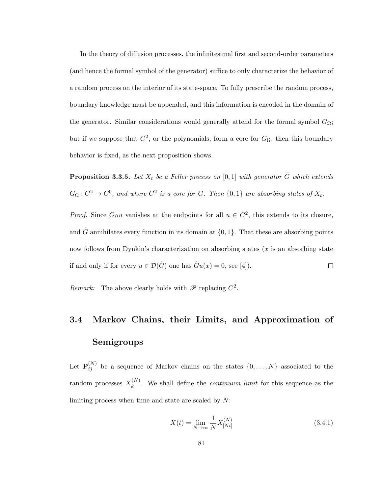In the theory of diffusion processes, the infinitesimal first and second-order parameters (and hence the formal symbol of the generator) suffice to only characterize the behavior of a random process on the interior of its state-space. To fully prescribe the random process, boundary knowledge must be appended, and this information is encoded in the domain of the generator. Similar considerations would generally attend for the formal symbol  $G_{\Omega}$ ; but if we suppose that  $C^2$ , or the polynomials, form a core for  $G_{\Omega}$ , then this boundary behavior is fixed, as the next proposition shows.

**Proposition 3.3.5.** Let  $X_t$  be a Feller process on [0,1] with generator  $\tilde{G}$  which extends  $G_{\Omega}: C^2 \to C^0$ , and where  $C^2$  is a core for G. Then  $\{0,1\}$  are absorbing states of  $X_t$ .

*Proof.* Since  $G_{\Omega}u$  vanishes at the endpoints for all  $u \in C^2$ , this extends to its closure, and  $\tilde{G}$  annihilates every function in its domain at  $\{0, 1\}$ . That these are absorbing points now follows from Dynkin's characterization on absorbing states  $(x$  is an absorbing state if and only if for every  $u \in \mathcal{D}(\tilde{G})$  one has  $\tilde{G}u(x) = 0$ , see [4]).  $\Box$ 

Remark: The above clearly holds with  $\mathscr P$  replacing  $C^2$ .

### 3.4 Markov Chains, their Limits, and Approximation of Semigroups

Let  $\mathbf{P}_{ij}^{(N)}$  be a sequence of Markov chains on the states  $\{0,\ldots,N\}$  associated to the random processes  $X_k^{(N)}$  $\binom{N}{k}$ . We shall define the *continuum limit* for this sequence as the limiting process when time and state are scaled by  $N$ :

$$
X(t) = \lim_{N \to \infty} \frac{1}{N} X_{[Nt]}^{(N)}
$$
\n(3.4.1)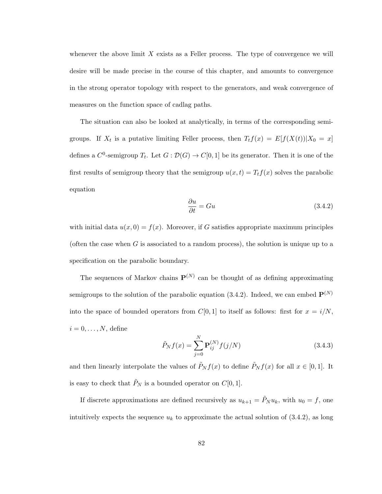whenever the above limit  $X$  exists as a Feller process. The type of convergence we will desire will be made precise in the course of this chapter, and amounts to convergence in the strong operator topology with respect to the generators, and weak convergence of measures on the function space of cadlag paths.

The situation can also be looked at analytically, in terms of the corresponding semigroups. If  $X_t$  is a putative limiting Feller process, then  $T_t f(x) = E[f(X(t))|X_0 = x]$ defines a  $C^0$ -semigroup  $T_t$ . Let  $G: \mathcal{D}(G) \to C[0,1]$  be its generator. Then it is one of the first results of semigroup theory that the semigroup  $u(x,t) = T_t f(x)$  solves the parabolic equation

$$
\frac{\partial u}{\partial t} = Gu \tag{3.4.2}
$$

with initial data  $u(x, 0) = f(x)$ . Moreover, if G satisfies appropriate maximum principles (often the case when  $G$  is associated to a random process), the solution is unique up to a specification on the parabolic boundary.

The sequences of Markov chains  $\mathbf{P}^{(N)}$  can be thought of as defining approximating semigroups to the solution of the parabolic equation (3.4.2). Indeed, we can embed  $\mathbf{P}^{(N)}$ into the space of bounded operators from  $C[0, 1]$  to itself as follows: first for  $x = i/N$ ,  $i = 0, \ldots, N$ , define

$$
\tilde{P}_N f(x) = \sum_{j=0}^N \mathbf{P}_{ij}^{(N)} f(j/N)
$$
\n(3.4.3)

and then linearly interpolate the values of  $\tilde{P}_N f(x)$  to define  $\tilde{P}_N f(x)$  for all  $x \in [0,1]$ . It is easy to check that  $\tilde{P}_N$  is a bounded operator on  $C[0, 1]$ .

If discrete approximations are defined recursively as  $u_{k+1} = \tilde{P}_N u_k$ , with  $u_0 = f$ , one intuitively expects the sequence  $u_k$  to approximate the actual solution of  $(3.4.2)$ , as long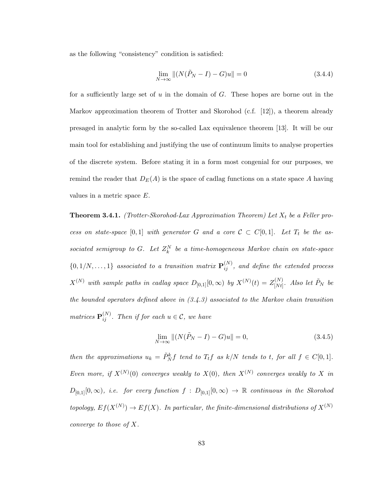as the following "consistency" condition is satisfied:

$$
\lim_{N \to \infty} ||(N(\tilde{P}_N - I) - G)u|| = 0
$$
\n(3.4.4)

for a sufficiently large set of u in the domain of  $G$ . These hopes are borne out in the Markov approximation theorem of Trotter and Skorohod (c.f. [12]), a theorem already presaged in analytic form by the so-called Lax equivalence theorem [13]. It will be our main tool for establishing and justifying the use of continuum limits to analyse properties of the discrete system. Before stating it in a form most congenial for our purposes, we remind the reader that  $D_E(A)$  is the space of cadlag functions on a state space A having values in a metric space E.

**Theorem 3.4.1.** (Trotter-Skorohod-Lax Approximation Theorem) Let  $X_t$  be a Feller process on state-space [0,1] with generator G and a core  $C \subset C[0,1]$ . Let  $T_t$  be the associated semigroup to G. Let  $Z_k^N$  be a time-homogeneous Markov chain on state-space  $\{0,1/N,\ldots,1\}$  associated to a transition matrix  ${\bf P}_{ij}^{(N)}$ , and define the extended process  $X^{(N)}$  with sample paths in cadlag space  $D_{[0,1]}[0,\infty)$  by  $X^{(N)}(t)=Z_{[Nt]}^{(N)}$  $\tilde{P}_N^{(N)}.$  Also let  $\tilde{P}_N$  be the bounded operators defined above in  $(3.4.3)$  associated to the Markov chain transition matrices  $\mathbf{P}_{ij}^{(N)}$ . Then if for each  $u \in \mathcal{C}$ , we have

$$
\lim_{N \to \infty} ||(N(\tilde{P}_N - I) - G)u|| = 0,
$$
\n(3.4.5)

then the approximations  $u_k = \tilde{P}_N^k f$  tend to  $T_t f$  as  $k/N$  tends to t, for all  $f \in C[0,1]$ . Even more, if  $X^{(N)}(0)$  converges weakly to  $X(0)$ , then  $X^{(N)}$  converges weakly to X in  $D_{[0,1]}[0,\infty)$ , i.e. for every function  $f : D_{[0,1]}[0,\infty) \to \mathbb{R}$  continuous in the Skorohod topology,  $Ef(X^{(N)}) \to Ef(X)$ . In particular, the finite-dimensional distributions of  $X^{(N)}$ converge to those of X.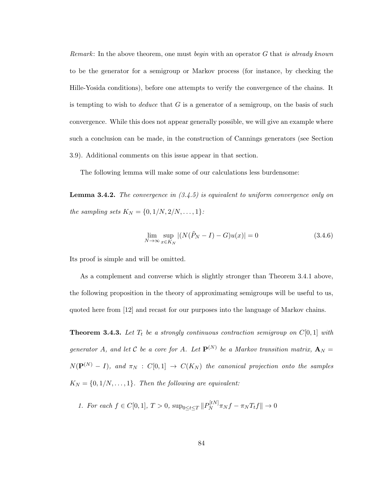Remark: In the above theorem, one must begin with an operator G that is already known to be the generator for a semigroup or Markov process (for instance, by checking the Hille-Yosida conditions), before one attempts to verify the convergence of the chains. It is tempting to wish to *deduce* that  $G$  is a generator of a semigroup, on the basis of such convergence. While this does not appear generally possible, we will give an example where such a conclusion can be made, in the construction of Cannings generators (see Section 3.9). Additional comments on this issue appear in that section.

The following lemma will make some of our calculations less burdensome:

**Lemma 3.4.2.** The convergence in  $(3.4.5)$  is equivalent to uniform convergence only on the sampling sets  $K_N = \{0, 1/N, 2/N, ..., 1\}$ :

$$
\lim_{N \to \infty} \sup_{x \in K_N} |(N(\tilde{P}_N - I) - G)u(x)| = 0
$$
\n(3.4.6)

Its proof is simple and will be omitted.

As a complement and converse which is slightly stronger than Theorem 3.4.1 above, the following proposition in the theory of approximating semigroups will be useful to us, quoted here from [12] and recast for our purposes into the language of Markov chains.

**Theorem 3.4.3.** Let  $T_t$  be a strongly continuous contraction semigroup on  $C[0,1]$  with generator A, and let C be a core for A. Let  $\mathbf{P}^{(N)}$  be a Markov transition matrix,  $\mathbf{A}_N =$  $N(\mathbf{P}^{(N)} - I)$ , and  $\pi_N : C[0,1] \to C(K_N)$  the canonical projection onto the samples  $K_N = \{0, 1/N, \ldots, 1\}$ . Then the following are equivalent:

1. For each  $f \in C[0,1], T > 0$ ,  $\sup_{0 \le t \le T} ||P_N^{[tN]}||$  $\int_N^{\lfloor tIV \rfloor} \pi_N f - \pi_N T_t f \Vert \to 0$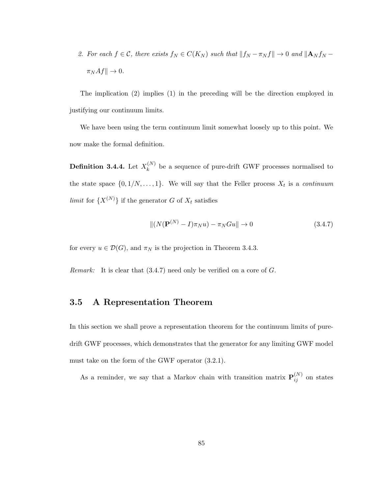2. For each  $f \in \mathcal{C}$ , there exists  $f_N \in C(K_N)$  such that  $||f_N - \pi_N f|| \to 0$  and  $||\mathbf{A}_N f_N \pi_N Af \|\to 0.$ 

The implication (2) implies (1) in the preceding will be the direction employed in justifying our continuum limits.

We have been using the term continuum limit somewhat loosely up to this point. We now make the formal definition.

Definition 3.4.4. Let  $X_k^{(N)}$  $\kappa_k^{(N)}$  be a sequence of pure-drift GWF processes normalised to the state space  $\{0, 1/N, \ldots, 1\}$ . We will say that the Feller process  $X_t$  is a *continuum* limit for  $\{X^{(N)}\}$  if the generator G of  $X_t$  satisfies

$$
\| (N(\mathbf{P}^{(N)} - I)\pi_N u) - \pi_N Gu \| \to 0 \tag{3.4.7}
$$

for every  $u \in \mathcal{D}(G)$ , and  $\pi_N$  is the projection in Theorem 3.4.3.

Remark: It is clear that  $(3.4.7)$  need only be verified on a core of G.

#### 3.5 A Representation Theorem

In this section we shall prove a representation theorem for the continuum limits of puredrift GWF processes, which demonstrates that the generator for any limiting GWF model must take on the form of the GWF operator (3.2.1).

As a reminder, we say that a Markov chain with transition matrix  ${\bf P}_{ij}^{(N)}$  on states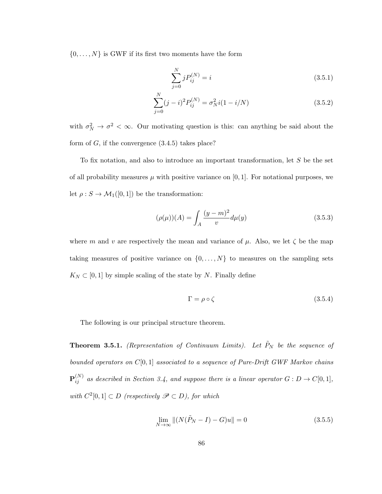$\{0, \ldots, N\}$  is GWF if its first two moments have the form

$$
\sum_{j=0}^{N} j P_{ij}^{(N)} = i \tag{3.5.1}
$$

$$
\sum_{j=0}^{N} (j-i)^2 P_{ij}^{(N)} = \sigma_N^2 i (1 - i/N)
$$
\n(3.5.2)

with  $\sigma_N^2 \to \sigma^2 < \infty$ . Our motivating question is this: can anything be said about the form of  $G$ , if the convergence  $(3.4.5)$  takes place?

To fix notation, and also to introduce an important transformation, let S be the set of all probability measures  $\mu$  with positive variance on [0, 1]. For notational purposes, we let  $\rho: S \to \mathcal{M}_1([0,1])$  be the transformation:

$$
(\rho(\mu))(A) = \int_{A} \frac{(y-m)^2}{v} d\mu(y)
$$
\n(3.5.3)

where m and v are respectively the mean and variance of  $\mu$ . Also, we let  $\zeta$  be the map taking measures of positive variance on  $\{0, \ldots, N\}$  to measures on the sampling sets  $K_N\subset [0,1]$  by simple scaling of the state by  $N.$  Finally define

$$
\Gamma = \rho \circ \zeta \tag{3.5.4}
$$

The following is our principal structure theorem.

**Theorem 3.5.1.** (Representation of Continuum Limits). Let  $\tilde{P}_N$  be the sequence of bounded operators on  $C[0, 1]$  associated to a sequence of Pure-Drift GWF Markov chains  ${\bf P}_{ij}^{(N)}$  as described in Section 3.4, and suppose there is a linear operator  $G: D \to C[0,1],$ with  $C^2[0,1] \subset D$  (respectively  $\mathscr{P} \subset D$ ), for which

$$
\lim_{N \to \infty} ||(N(\tilde{P}_N - I) - G)u|| = 0
$$
\n(3.5.5)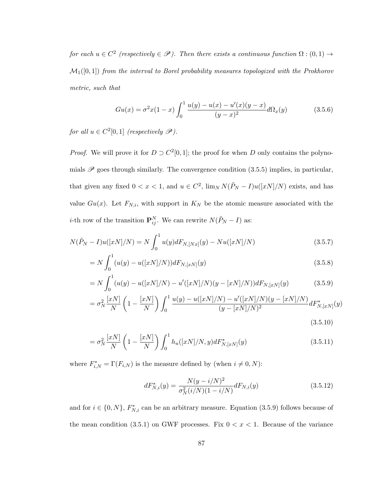for each  $u \in C^2$  (respectively  $\in \mathscr{P}$ ). Then there exists a continuous function  $\Omega : (0,1) \to$  $\mathcal{M}_1([0,1])$  from the interval to Borel probability measures topologized with the Prokhorov metric, such that

$$
Gu(x) = \sigma^2 x (1-x) \int_0^1 \frac{u(y) - u(x) - u'(x)(y-x)}{(y-x)^2} d\Omega_x(y)
$$
(3.5.6)

for all  $u \in C^2[0,1]$  (respectively  $\mathscr{P}$ ).

*Proof.* We will prove it for  $D \supset C^2[0,1]$ ; the proof for when D only contains the polynomials  $\mathscr P$  goes through similarly. The convergence condition (3.5.5) implies, in particular, that given any fixed  $0 < x < 1$ , and  $u \in C^2$ ,  $\lim_N N(\tilde{P}_N - I)u([xN]/N)$  exists, and has value  $Gu(x)$ . Let  $F_{N,i}$ , with support in  $K_N$  be the atomic measure associated with the *i*-th row of the transition  $\mathbf{P}_{ij}^N$ . We can rewrite  $N(\tilde{P}_N - I)$  as:

$$
N(\tilde{P}_N - I)u([xN]/N) = N \int_0^1 u(y)dF_{N,[Nx]}(y) - Nu([xN]/N)
$$
\n(3.5.7)

$$
= N \int_0^1 (u(y) - u([xN]/N)) dF_{N,[xN]}(y)
$$
\n(3.5.8)

$$
= N \int_0^1 (u(y) - u([xN]/N) - u'([xN]/N)(y - [xN]/N))dF_{N,[xN]}(y)
$$
(3.5.9)

$$
= \sigma_N^2 \frac{[xN]}{N} \left(1 - \frac{[xN]}{N}\right) \int_0^1 \frac{u(y) - u([xN]/N) - u'([xN]/N)(y - [xN]/N)}{(y - [xN]/N)^2} dF_{N,[xN]}^*(y) \tag{3.5.10}
$$

$$
= \sigma_N^2 \frac{[xN]}{N} \left(1 - \frac{[xN]}{N}\right) \int_0^1 h_u([xN]/N, y) dF_{N,[xN]}^*(y) \tag{3.5.11}
$$

where  $F_{i,N}^* = \Gamma(F_{i,N})$  is the measure defined by (when  $i \neq 0, N$ ):

$$
dF_{N,i}^*(y) = \frac{N(y - i/N)^2}{\sigma_N^2(i/N)(1 - i/N)} dF_{N,i}(y)
$$
\n(3.5.12)

and for  $i \in \{0, N\}$ ,  $F_{N,i}^*$  can be an arbitrary measure. Equation (3.5.9) follows because of the mean condition (3.5.1) on GWF processes. Fix  $0 < x < 1$ . Because of the variance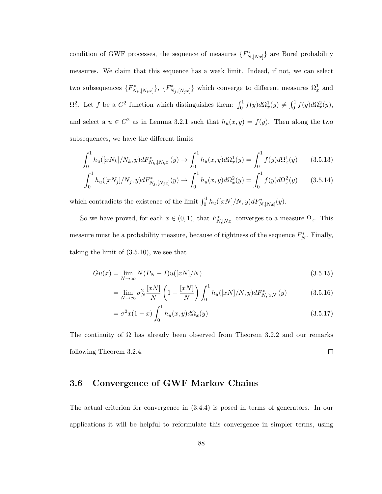condition of GWF processes, the sequence of measures  ${F_{N,[Nx]}^*}$  are Borel probability measures. We claim that this sequence has a weak limit. Indeed, if not, we can select two subsequences  $\{F_{N_k,[N_kx]}^*\}$ ,  $\{F_{N_j,[N_jx]}^*\}$  which converge to different measures  $\Omega_x^1$  and  $\Omega_x^2$ . Let f be a  $C^2$  function which distinguishes them:  $\int_0^1 f(y)d\Omega_x^1(y) \neq \int_0^1 f(y)d\Omega_x^2(y)$ , and select a  $u \in C^2$  as in Lemma 3.2.1 such that  $h_u(x, y) = f(y)$ . Then along the two subsequences, we have the different limits

$$
\int_0^1 h_u([xN_k]/N_k, y)dF_{N_k, [N_k x]}^*(y) \to \int_0^1 h_u(x, y)d\Omega_x^1(y) = \int_0^1 f(y)d\Omega_x^1(y) \tag{3.5.13}
$$

$$
\int_0^1 h_u([xN_j]/N_j, y) dF_{N_j, [N_j x]}^*(y) \to \int_0^1 h_u(x, y) d\Omega_x^2(y) = \int_0^1 f(y) d\Omega_x^2(y) \tag{3.5.14}
$$

which contradicts the existence of the limit  $\int_0^1 h_u([xN]/N, y)dF^*_{N,[Nx]}(y)$ .

So we have proved, for each  $x \in (0,1)$ , that  $F_{N, [Nx]}^*$  converges to a measure  $\Omega_x$ . This measure must be a probability measure, because of tightness of the sequence  $F_N^*$ . Finally, taking the limit of (3.5.10), we see that

$$
Gu(x) = \lim_{N \to \infty} N(P_N - I)u([xN]/N)
$$
\n(3.5.15)

$$
= \lim_{N \to \infty} \sigma_N^2 \frac{[xN]}{N} \left(1 - \frac{[xN]}{N}\right) \int_0^1 h_u([xN]/N, y) dF_{N,[xN]}^*(y) \tag{3.5.16}
$$

$$
= \sigma^2 x (1-x) \int_0^1 h_u(x, y) d\Omega_x(y)
$$
\n(3.5.17)

The continuity of  $\Omega$  has already been observed from Theorem 3.2.2 and our remarks  $\Box$ following Theorem 3.2.4.

#### 3.6 Convergence of GWF Markov Chains

The actual criterion for convergence in (3.4.4) is posed in terms of generators. In our applications it will be helpful to reformulate this convergence in simpler terms, using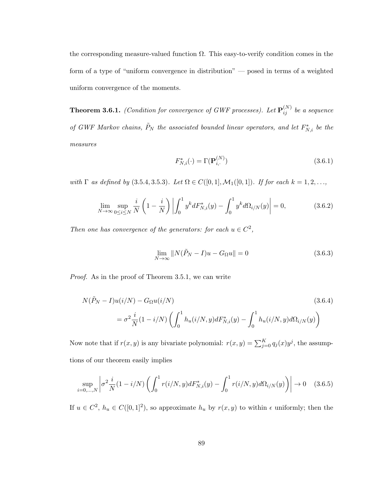the corresponding measure-valued function  $\Omega$ . This easy-to-verify condition comes in the form of a type of "uniform convergence in distribution" — posed in terms of a weighted uniform convergence of the moments.

**Theorem 3.6.1.** (Condition for convergence of GWF processes). Let  $\mathbf{P}_{ij}^{(N)}$  be a sequence of GWF Markov chains,  $\tilde{P}_N$  the associated bounded linear operators, and let  $F_{N,i}^*$  be the measures

$$
F_{N,i}^*(\cdot) = \Gamma(\mathbf{P}_{i,\cdot}^{(N)})\tag{3.6.1}
$$

with  $\Gamma$  as defined by (3.5.4, 3.5.3). Let  $\Omega \in C([0,1], \mathcal{M}_1([0,1])$ . If for each  $k = 1, 2, ...,$ 

$$
\lim_{N \to \infty} \sup_{0 \le i \le N} \frac{i}{N} \left( 1 - \frac{i}{N} \right) \left| \int_0^1 y^k dF_{N,i}^*(y) - \int_0^1 y^k d\Omega_{i/N}(y) \right| = 0, \tag{3.6.2}
$$

Then one has convergence of the generators: for each  $u \in C^2$ ,

$$
\lim_{N \to \infty} \|N(\tilde{P}_N - I)u - G_\Omega u\| = 0
$$
\n(3.6.3)

Proof. As in the proof of Theorem 3.5.1, we can write

$$
N(\tilde{P}_N - I)u(i/N) - G_{\Omega}u(i/N)
$$
\n
$$
= \sigma^2 \frac{i}{N} (1 - i/N) \left( \int_0^1 h_u(i/N, y) dF_{N,i}^*(y) - \int_0^1 h_u(i/N, y) d\Omega_{i/N}(y) \right)
$$
\n(3.6.4)

Now note that if  $r(x, y)$  is any bivariate polynomial:  $r(x, y) = \sum_{j=0}^{K} q_j(x) y^j$ , the assumptions of our theorem easily implies

$$
\sup_{i=0,\dots,N} \left| \sigma^2 \frac{i}{N} (1 - i/N) \left( \int_0^1 r(i/N, y) dF_{N,i}^*(y) - \int_0^1 r(i/N, y) d\Omega_{i/N}(y) \right) \right| \to 0 \quad (3.6.5)
$$

If  $u \in C^2$ ,  $h_u \in C([0,1]^2)$ , so approximate  $h_u$  by  $r(x,y)$  to within  $\epsilon$  uniformly; then the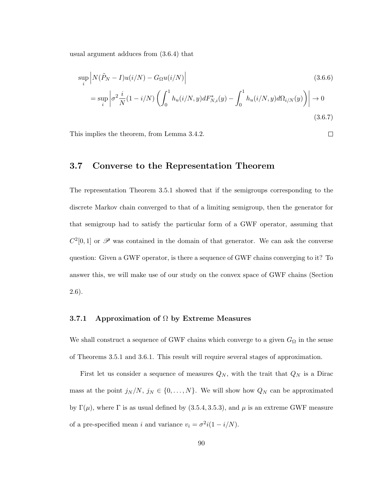usual argument adduces from (3.6.4) that

$$
\sup_{i} \left| N(\tilde{P}_{N} - I)u(i/N) - G_{\Omega}u(i/N) \right|
$$
\n
$$
= \sup_{i} \left| \sigma^{2} \frac{i}{N} (1 - i/N) \left( \int_{0}^{1} h_{u}(i/N, y) dF_{N,i}^{*}(y) - \int_{0}^{1} h_{u}(i/N, y) d\Omega_{i/N}(y) \right) \right| \to 0
$$
\n(3.6.7)

This implies the theorem, from Lemma 3.4.2.

#### 3.7 Converse to the Representation Theorem

The representation Theorem 3.5.1 showed that if the semigroups corresponding to the discrete Markov chain converged to that of a limiting semigroup, then the generator for that semigroup had to satisfy the particular form of a GWF operator, assuming that  $C^2[0,1]$  or  $\mathscr P$  was contained in the domain of that generator. We can ask the converse question: Given a GWF operator, is there a sequence of GWF chains converging to it? To answer this, we will make use of our study on the convex space of GWF chains (Section 2.6).

#### 3.7.1 Approximation of  $\Omega$  by Extreme Measures

We shall construct a sequence of GWF chains which converge to a given  $G_{\Omega}$  in the sense of Theorems 3.5.1 and 3.6.1. This result will require several stages of approximation.

First let us consider a sequence of measures  $Q_N$ , with the trait that  $Q_N$  is a Dirac mass at the point  $j_N / N$ ,  $j_N \in \{0, ..., N\}$ . We will show how  $Q_N$  can be approximated by  $\Gamma(\mu)$ , where  $\Gamma$  is as usual defined by (3.5.4, 3.5.3), and  $\mu$  is an extreme GWF measure of a pre-specified mean *i* and variance  $v_i = \sigma^2 i(1 - i/N)$ .

 $\Box$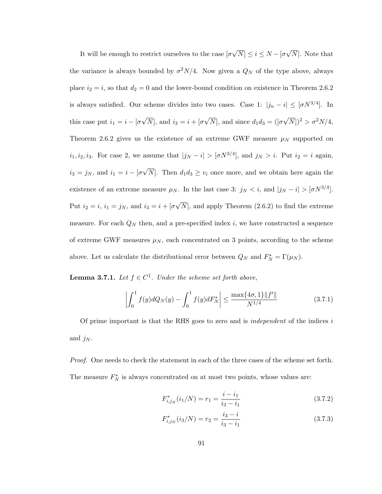It will be enough to restrict ourselves to the case  $\sigma$ √  $N \leq i \leq N - \lceil \sigma \rceil$ √ N]. Note that the variance is always bounded by  $\sigma^2 N/4$ . Now given a  $Q_N$  of the type above, always place  $i_2 = i$ , so that  $d_2 = 0$  and the lower-bound condition on existence in Theorem 2.6.2 is always satisfied. Our scheme divides into two cases. Case 1:  $|j_n - i| \leq [\sigma N^{3/4}]$ . In this case put  $i_1 = i - [\sigma]$ √ N], and  $i_3 = i + [\sigma]$ √ N, and since  $d_1 d_3 = (\sigma$  $\sqrt{N}|$ <sup>2</sup> >  $\sigma^2 N/4$ , Theorem 2.6.2 gives us the existence of an extreme GWF measure  $\mu$ <sub>N</sub> supported on  $i_1, i_2, i_3$ . For case 2, we assume that  $|j_N - i| > [\sigma N^{3/4}]$ , and  $j_N > i$ . Put  $i_2 = i$  again,  $i_3 = j_N$ , and  $i_1 = i - [\sigma]$ √ N]. Then  $d_1 d_3 \geq v_i$  once more, and we obtain here again the existence of an extreme measure  $\mu_N$ . In the last case 3:  $j_N < i$ , and  $|j_N - i| > [\sigma N^{3/4}]$ . Put  $i_2 = i$ ,  $i_1 = j_N$ , and  $i_3 = i + [\sigma]$ √  $N$ , and apply Theorem  $(2.6.2)$  to find the extreme measure. For each  $Q_N$  then, and a pre-specified index i, we have constructed a sequence of extreme GWF measures  $\mu_N$ , each concentrated on 3 points, according to the scheme above. Let us calculate the distributional error between  $Q_N$  and  $F_N^* = \Gamma(\mu_N)$ .

**Lemma 3.7.1.** Let  $f \in C^1$ . Under the scheme set forth above,

$$
\left| \int_0^1 f(y) dQ_N(y) - \int_0^1 f(y) dF_N^* \right| \le \frac{\max\{4\sigma, 1\} \|f'\|}{N^{1/4}} \tag{3.7.1}
$$

Of prime important is that the RHS goes to zero and is *independent* of the indices  $i$ and  $j_N$ .

Proof. One needs to check the statement in each of the three cases of the scheme set forth. The measure  $F_N^*$  is always concentrated on at most two points, whose values are:

$$
F_{i,j}^{*}(i_{1}/N) = r_{1} = \frac{i - i_{1}}{i_{3} - i_{1}} \tag{3.7.2}
$$

$$
F_{i,j}^{*}(i_{3}/N) = r_{2} = \frac{i_{3} - i}{i_{3} - i_{1}} \tag{3.7.3}
$$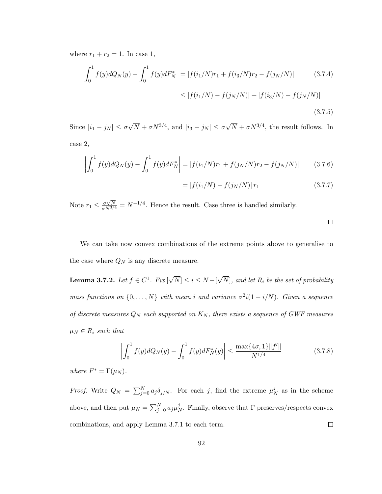where  $r_1 + r_2 = 1$ . In case 1,

$$
\left| \int_{0}^{1} f(y) dQ_{N}(y) - \int_{0}^{1} f(y) dF_{N}^{*} \right| = |f(i_{1}/N)r_{1} + f(i_{3}/N)r_{2} - f(j_{N}/N)| \qquad (3.7.4)
$$

$$
\leq |f(i_{1}/N) - f(j_{N}/N)| + |f(i_{3}/N) - f(j_{N}/N)|
$$

(3.7.5)

Since  $|i_1 - j_N| \leq \sigma$  $\sqrt{N} + \sigma N^{3/4}$ , and  $|i_3 - j_N| \le \sigma$  $\sqrt{N} + \sigma N^{3/4}$ , the result follows. In case 2,

$$
\left| \int_0^1 f(y) dQ_N(y) - \int_0^1 f(y) dF_N^* \right| = |f(i_1/N)r_1 + f(j_N/N)r_2 - f(j_N/N)| \tag{3.7.6}
$$

$$
= |f(i_1/N) - f(j_N/N)| r_1
$$
\n(3.7.7)

Note  $r_1 \n\t\leq \frac{\sigma \sqrt{N}}{\sigma N^{3/4}} = N^{-1/4}$ . Hence the result. Case three is handled similarly.

 $\Box$ 

We can take now convex combinations of the extreme points above to generalise to the case where  $Q_N$  is any discrete measure.

Lemma 3.7.2. Let  $f \in C^1$ . Fix [ √  $|N| \leq i \leq N-$ [ √  $[N]$ , and let  $R_i$  be the set of probability mass functions on  $\{0, \ldots, N\}$  with mean i and variance  $\sigma^2 i(1 - i/N)$ . Given a sequence of discrete measures  $Q_N$  each supported on  $K_N$ , there exists a sequence of GWF measures  $\mu_N \in R_i$  such that

$$
\left| \int_0^1 f(y) dQ_N(y) - \int_0^1 f(y) dF_N^*(y) \right| \le \frac{\max\{4\sigma, 1\} \|f'\|}{N^{1/4}} \tag{3.7.8}
$$

where  $F^* = \Gamma(\mu_N)$ .

*Proof.* Write  $Q_N = \sum_{j=0}^N a_j \delta_{j/N}$ . For each j, find the extreme  $\mu_l^j$  $N \text{ as in the scheme}$ above, and then put  $\mu_N = \sum_{j=0}^N a_j \mu_j^j$  $N$ . Finally, observe that  $\Gamma$  preserves/respects convex  $\Box$ combinations, and apply Lemma 3.7.1 to each term.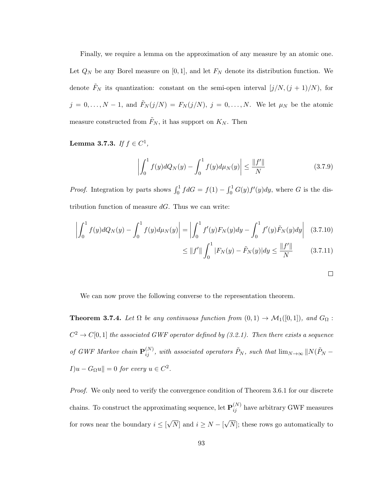Finally, we require a lemma on the approximation of any measure by an atomic one. Let  $Q_N$  be any Borel measure on [0, 1], and let  $F_N$  denote its distribution function. We denote  $\tilde{F}_N$  its quantization: constant on the semi-open interval  $[j/N,(j+1)/N)$ , for  $j = 0, ..., N - 1$ , and  $\tilde{F}_N(j/N) = F_N(j/N)$ ,  $j = 0, ..., N$ . We let  $\mu_N$  be the atomic measure constructed from  $\tilde{F}_N$ , it has support on  $K_N$ . Then

Lemma 3.7.3. If  $f \in C^1$ ,

$$
\left| \int_{0}^{1} f(y) dQ_{N}(y) - \int_{0}^{1} f(y) d\mu_{N}(y) \right| \leq \frac{\|f'\|}{N}
$$
\n(3.7.9)

*Proof.* Integration by parts shows  $\int_0^1 f dG = f(1) - \int_0^1 G(y)f'(y)dy$ , where G is the distribution function of measure  $dG$ . Thus we can write:

$$
\left| \int_0^1 f(y) dQ_N(y) - \int_0^1 f(y) d\mu_N(y) \right| = \left| \int_0^1 f'(y) F_N(y) dy - \int_0^1 f'(y) \tilde{F}_N(y) dy \right| \quad (3.7.10)
$$
  

$$
< ||f'|| \int_{-1}^1 |F_N(y) - \tilde{F}_N(y)| dy < \frac{||f'||}{||f||} \quad (3.7.11)
$$

$$
\leq \|f'\| \int_0^1 |F_N(y) - \tilde{F}_N(y)| dy \leq \frac{\|f'\|}{N} \tag{3.7.11}
$$

We can now prove the following converse to the representation theorem.

**Theorem 3.7.4.** Let  $\Omega$  be any continuous function from  $(0, 1) \rightarrow M_1([0, 1])$ , and  $G_{\Omega}$ :  $C^2 \rightarrow C[0,1]$  the associated GWF operator defined by (3.2.1). Then there exists a sequence of GWF Markov chain  $\mathbf{P}_{ij}^{(N)}$ , with associated operators  $\tilde{P}_N$ , such that  $\lim_{N\to\infty}||N(\tilde{P}_N I)u - G_{\Omega}u \rVert = 0$  for every  $u \in C^2$ .

Proof. We only need to verify the convergence condition of Theorem 3.6.1 for our discrete chains. To construct the approximating sequence, let  $\mathbf{P}_{ij}^{(N)}$  have arbitrary GWF measures for rows near the boundary  $i \leq$ √  $N$  and  $i \geq N -$ √ N]; these rows go automatically to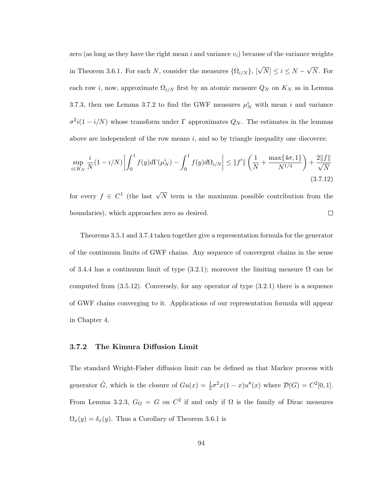zero (as long as they have the right mean i and variance  $v_i$ ) because of the variance weights in Theorem 3.6.1. For each N, consider the measures  $\{\Omega_{i/N}\},\ [\sqrt{N}] \le i \le N -$ √ N. For each row *i*, now, approximate  $\Omega_{i/N}$  first by an atomic measure  $Q_N$  on  $K_N$  as in Lemma 3.7.3, then use Lemma 3.7.2 to find the GWF measures  $\mu_N^i$  with mean i and variance  $\sigma^2 i(1 - i/N)$  whose transform under  $\Gamma$  approximates  $Q_N$ . The estimates in the lemmas above are independent of the row means  $i$ , and so by triangle inequality one discovers:

$$
\sup_{i \in K_N} \frac{i}{N} (1 - i/N) \left| \int_0^1 f(y) d\Gamma(\mu_N^i) - \int_0^1 f(y) d\Omega_{i/N} \right| \le ||f'|| \left( \frac{1}{N} + \frac{\max\{4\sigma, 1\}}{N^{1/4}} \right) + \frac{2||f||}{\sqrt{N}}
$$
\n(3.7.12)

for every  $f \in C^1$  (the last  $\sqrt{N}$  term is the maximum possible contribution from the boundaries), which approaches zero as desired.  $\Box$ 

Theorems 3.5.1 and 3.7.4 taken together give a representation formula for the generator of the continuum limits of GWF chains. Any sequence of convergent chains in the sense of 3.4.4 has a continuum limit of type (3.2.1); moreover the limiting measure  $\Omega$  can be computed from (3.5.12). Conversely, for any operator of type (3.2.1) there is a sequence of GWF chains converging to it. Applications of our representation formula will appear in Chapter 4.

#### 3.7.2 The Kimura Diffusion Limit

The standard Wright-Fisher diffusion limit can be defined as that Markov process with generator  $\tilde{G}$ , which is the closure of  $Gu(x) = \frac{1}{2}\sigma^2 x(1-x)u''(x)$  where  $\mathcal{D}(G) = C^2[0,1]$ . From Lemma 3.2.3,  $G_{\Omega} = G$  on  $C^2$  if and only if  $\Omega$  is the family of Dirac measures  $\Omega_x(y) = \delta_x(y)$ . Thus a Corollary of Theorem 3.6.1 is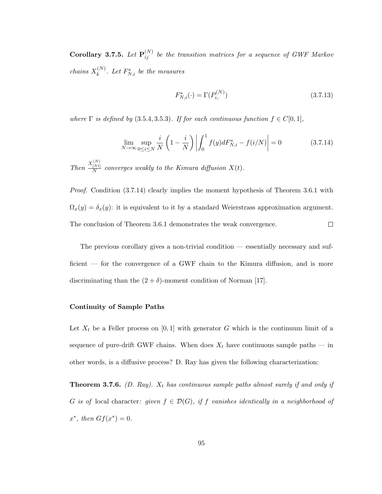**Corollary 3.7.5.** Let  $\mathbf{P}_{ij}^{(N)}$  be the transition matrices for a sequence of GWF Markov chains  $X_k^{(N)}$  $k^{(N)}$ . Let  $F_{N,i}^*$  be the measures

$$
F_{N,i}^*(\cdot) = \Gamma(P_{i,\cdot}^{(N)})\tag{3.7.13}
$$

where  $\Gamma$  is defined by (3.5.4, 3.5.3). If for each continuous function  $f \in C[0,1]$ ,

$$
\lim_{N \to \infty} \sup_{0 \le i \le N} \frac{i}{N} \left( 1 - \frac{i}{N} \right) \left| \int_0^1 f(y) dF_{N,i}^* - f(i/N) \right| = 0 \tag{3.7.14}
$$

Then  $\frac{X_{[Nt]}^{(N)}}{N}$  converges weakly to the Kimura diffusion  $X(t)$ .

Proof. Condition  $(3.7.14)$  clearly implies the moment hypothesis of Theorem 3.6.1 with  $\Omega_x(y) = \delta_x(y)$ : it is equivalent to it by a standard Weierstrass approximation argument.  $\Box$ The conclusion of Theorem 3.6.1 demonstrates the weak convergence.

The previous corollary gives a non-trivial condition — essentially necessary and sufficient — for the convergence of a GWF chain to the Kimura diffusion, and is more discriminating than the  $(2 + \delta)$ -moment condition of Norman [17].

#### Continuity of Sample Paths

Let  $X_t$  be a Feller process on [0, 1] with generator G which is the continuum limit of a sequence of pure-drift GWF chains. When does  $X_t$  have continuous sample paths — in other words, is a diffusive process? D. Ray has given the following characterization:

**Theorem 3.7.6.** (D. Ray).  $X_t$  has continuous sample paths almost surely if and only if G is of local character: given  $f \in \mathcal{D}(G)$ , if f vanishes identically in a neighborhood of  $x^*$ , then  $Gf(x^*)=0$ .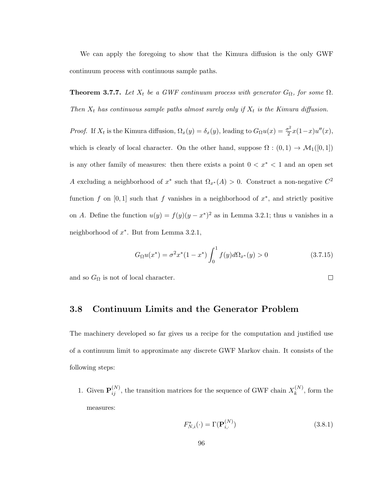We can apply the foregoing to show that the Kimura diffusion is the only GWF continuum process with continuous sample paths.

**Theorem 3.7.7.** Let  $X_t$  be a GWF continuum process with generator  $G_{\Omega}$ , for some  $\Omega$ . Then  $X_t$  has continuous sample paths almost surely only if  $X_t$  is the Kimura diffusion.

*Proof.* If  $X_t$  is the Kimura diffusion,  $\Omega_x(y) = \delta_x(y)$ , leading to  $G_{\Omega}u(x) = \frac{\sigma^2}{2}$  $rac{y^2}{2}x(1-x)u''(x),$ which is clearly of local character. On the other hand, suppose  $\Omega : (0,1) \to \mathcal{M}_1([0,1])$ is any other family of measures: then there exists a point  $0 < x^* < 1$  and an open set A excluding a neighborhood of  $x^*$  such that  $\Omega_{x^*}(A) > 0$ . Construct a non-negative  $C^2$ function f on [0,1] such that f vanishes in a neighborhood of  $x^*$ , and strictly positive on A. Define the function  $u(y) = f(y)(y - x^*)^2$  as in Lemma 3.2.1; thus u vanishes in a neighborhood of  $x^*$ . But from Lemma 3.2.1,

$$
G_{\Omega}u(x^*) = \sigma^2 x^*(1 - x^*) \int_0^1 f(y) d\Omega_{x^*}(y) > 0
$$
\n(3.7.15)

 $\Box$ 

and so  $G_{\Omega}$  is not of local character.

#### 3.8 Continuum Limits and the Generator Problem

The machinery developed so far gives us a recipe for the computation and justified use of a continuum limit to approximate any discrete GWF Markov chain. It consists of the following steps:

1. Given  $\mathbf{P}_{ij}^{(N)}$ , the transition matrices for the sequence of GWF chain  $X_k^{(N)}$  $k^{(N)}$ , form the measures:

$$
F_{N,i}^*(\cdot) = \Gamma(\mathbf{P}_{i,\cdot}^{(N)})\tag{3.8.1}
$$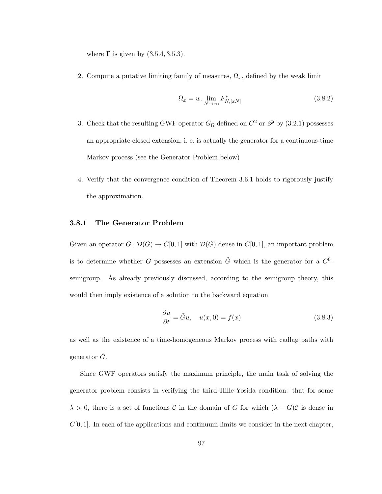where  $\Gamma$  is given by  $(3.5.4, 3.5.3)$ .

2. Compute a putative limiting family of measures,  $\Omega_x$ , defined by the weak limit

$$
\Omega_x = w \cdot \lim_{N \to \infty} F_{N,[xN]}^* \tag{3.8.2}
$$

- 3. Check that the resulting GWF operator  $G_{\Omega}$  defined on  $C^2$  or  $\mathscr{P}$  by (3.2.1) possesses an appropriate closed extension, i. e. is actually the generator for a continuous-time Markov process (see the Generator Problem below)
- 4. Verify that the convergence condition of Theorem 3.6.1 holds to rigorously justify the approximation.

#### 3.8.1 The Generator Problem

Given an operator  $G : \mathcal{D}(G) \to C[0,1]$  with  $\mathcal{D}(G)$  dense in  $C[0,1]$ , an important problem is to determine whether G possesses an extension  $\tilde{G}$  which is the generator for a  $C^0$ semigroup. As already previously discussed, according to the semigroup theory, this would then imply existence of a solution to the backward equation

$$
\frac{\partial u}{\partial t} = \tilde{G}u, \quad u(x,0) = f(x) \tag{3.8.3}
$$

as well as the existence of a time-homogeneous Markov process with cadlag paths with generator  $\tilde{G}$ .

Since GWF operators satisfy the maximum principle, the main task of solving the generator problem consists in verifying the third Hille-Yosida condition: that for some  $\lambda > 0$ , there is a set of functions C in the domain of G for which  $(\lambda - G)\mathcal{C}$  is dense in  $C[0, 1]$ . In each of the applications and continuum limits we consider in the next chapter,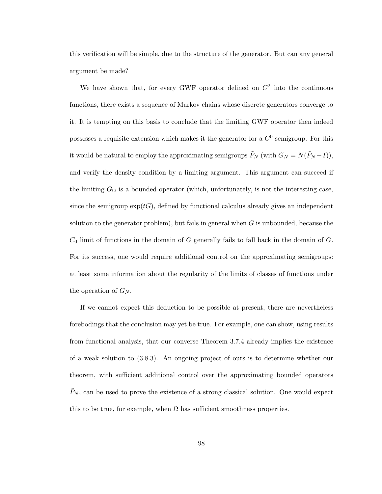this verification will be simple, due to the structure of the generator. But can any general argument be made?

We have shown that, for every GWF operator defined on  $C<sup>2</sup>$  into the continuous functions, there exists a sequence of Markov chains whose discrete generators converge to it. It is tempting on this basis to conclude that the limiting GWF operator then indeed possesses a requisite extension which makes it the generator for a  $C^0$  semigroup. For this it would be natural to employ the approximating semigroups  $\tilde{P}_N$  (with  $G_N = N(\tilde{P}_N - I)$ ), and verify the density condition by a limiting argument. This argument can succeed if the limiting  $G_{\Omega}$  is a bounded operator (which, unfortunately, is not the interesting case, since the semigroup  $\exp(t)$ , defined by functional calculus already gives an independent solution to the generator problem), but fails in general when  $G$  is unbounded, because the  $C_0$  limit of functions in the domain of G generally fails to fall back in the domain of G. For its success, one would require additional control on the approximating semigroups: at least some information about the regularity of the limits of classes of functions under the operation of  $G_N$ .

If we cannot expect this deduction to be possible at present, there are nevertheless forebodings that the conclusion may yet be true. For example, one can show, using results from functional analysis, that our converse Theorem 3.7.4 already implies the existence of a weak solution to (3.8.3). An ongoing project of ours is to determine whether our theorem, with sufficient additional control over the approximating bounded operators  $P_N$ , can be used to prove the existence of a strong classical solution. One would expect this to be true, for example, when  $\Omega$  has sufficient smoothness properties.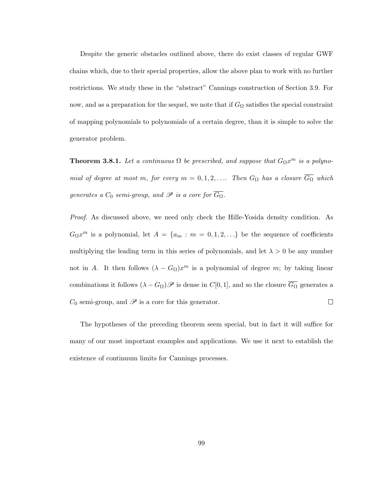Despite the generic obstacles outlined above, there do exist classes of regular GWF chains which, due to their special properties, allow the above plan to work with no further restrictions. We study these in the "abstract" Cannings construction of Section 3.9. For now, and as a preparation for the sequel, we note that if  $G_{\Omega}$  satisfies the special constraint of mapping polynomials to polynomials of a certain degree, than it is simple to solve the generator problem.

**Theorem 3.8.1.** Let a continuous  $\Omega$  be prescribed, and suppose that  $G_{\Omega}x^m$  is a polynomial of degree at most m, for every  $m = 0, 1, 2, \ldots$  Then  $G_{\Omega}$  has a closure  $\overline{G_{\Omega}}$  which generates a  $C_0$  semi-group, and  $\mathscr P$  is a core for  $\overline{G_{\Omega}}$ .

Proof. As discussed above, we need only check the Hille-Yosida density condition. As  $G_{\Omega}x^m$  is a polynomial, let  $A = \{a_m : m = 0, 1, 2, ...\}$  be the sequence of coefficients multiplying the leading term in this series of polynomials, and let  $\lambda > 0$  be any number not in A. It then follows  $(\lambda - G_{\Omega})x^m$  is a polynomial of degree m; by taking linear combinations it follows  $(\lambda - G_{\Omega})\mathscr{P}$  is dense in  $C[0, 1]$ , and so the closure  $\overline{G_{\Omega}}$  generates a  $C_0$  semi-group, and  $\mathscr P$  is a core for this generator.  $\Box$ 

The hypotheses of the preceding theorem seem special, but in fact it will suffice for many of our most important examples and applications. We use it next to establish the existence of continuum limits for Cannings processes.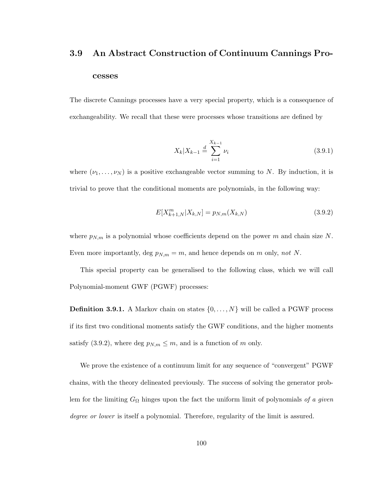# 3.9 An Abstract Construction of Continuum Cannings Processes

The discrete Cannings processes have a very special property, which is a consequence of exchangeability. We recall that these were processes whose transitions are defined by

$$
X_k | X_{k-1} \stackrel{d}{=} \sum_{i=1}^{X_{k-1}} \nu_i \tag{3.9.1}
$$

where  $(\nu_1, \ldots, \nu_N)$  is a positive exchangeable vector summing to N. By induction, it is trivial to prove that the conditional moments are polynomials, in the following way:

$$
E[X_{k+1,N}^m | X_{k,N}] = p_{N,m}(X_{k,N})
$$
\n(3.9.2)

where  $p_{N,m}$  is a polynomial whose coefficients depend on the power m and chain size N. Even more importantly, deg  $p_{N,m} = m$ , and hence depends on m only, not N.

This special property can be generalised to the following class, which we will call Polynomial-moment GWF (PGWF) processes:

**Definition 3.9.1.** A Markov chain on states  $\{0, \ldots, N\}$  will be called a PGWF process if its first two conditional moments satisfy the GWF conditions, and the higher moments satisfy (3.9.2), where deg  $p_{N,m} \leq m$ , and is a function of m only.

We prove the existence of a continuum limit for any sequence of "convergent" PGWF chains, with the theory delineated previously. The success of solving the generator problem for the limiting  $G_{\Omega}$  hinges upon the fact the uniform limit of polynomials of a given degree or lower is itself a polynomial. Therefore, regularity of the limit is assured.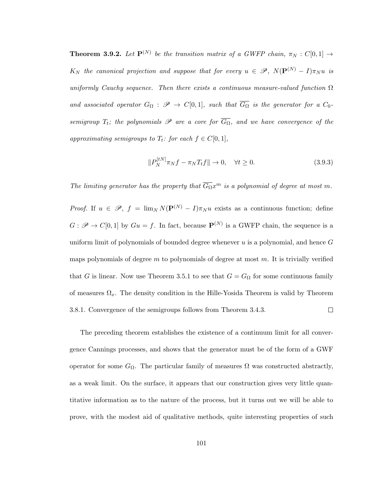**Theorem 3.9.2.** Let  $\mathbf{P}^{(N)}$  be the transition matrix of a GWFP chain,  $\pi_N : C[0,1] \rightarrow$  $K_N$  the canonical projection and suppose that for every  $u \in \mathscr{P}$ ,  $N(\mathbf{P}^{(N)} - I)\pi_N u$  is uniformly Cauchy sequence. Then there exists a continuous measure-valued function  $\Omega$ and associated operator  $G_{\Omega} : \mathscr{P} \to C[0,1]$ , such that  $\overline{G_{\Omega}}$  is the generator for a  $C_0$ semigroup  $T_t$ ; the polynomials  $\mathscr P$  are a core for  $\overline{G_{\Omega}}$ , and we have convergence of the approximating semigroups to  $T_t$ : for each  $f \in C[0,1],$ 

$$
||P_N^{[tN]}\pi_N f - \pi_N T_t f|| \to 0, \quad \forall t \ge 0.
$$
\n(3.9.3)

The limiting generator has the property that  $\overline{G_{\Omega}}x^m$  is a polynomial of degree at most m.

*Proof.* If  $u \in \mathscr{P}$ ,  $f = \lim_{N} N(P^{(N)} - I)\pi_N u$  exists as a continuous function; define  $G: \mathscr{P} \to C[0,1]$  by  $Gu = f$ . In fact, because  $\mathbf{P}^{(N)}$  is a GWFP chain, the sequence is a uniform limit of polynomials of bounded degree whenever  $u$  is a polynomial, and hence  $G$ maps polynomials of degree  $m$  to polynomials of degree at most  $m$ . It is trivially verified that G is linear. Now use Theorem 3.5.1 to see that  $G = G_{\Omega}$  for some continuous family of measures  $\Omega_x$ . The density condition in the Hille-Yosida Theorem is valid by Theorem  $\Box$ 3.8.1. Convergence of the semigroups follows from Theorem 3.4.3.

The preceding theorem establishes the existence of a continuum limit for all convergence Cannings processes, and shows that the generator must be of the form of a GWF operator for some  $G_{\Omega}$ . The particular family of measures  $\Omega$  was constructed abstractly, as a weak limit. On the surface, it appears that our construction gives very little quantitative information as to the nature of the process, but it turns out we will be able to prove, with the modest aid of qualitative methods, quite interesting properties of such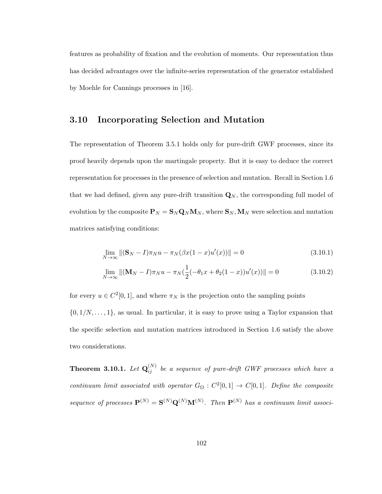features as probability of fixation and the evolution of moments. Our representation thus has decided advantages over the infinite-series representation of the generator established by Moehle for Cannings processes in [16].

### 3.10 Incorporating Selection and Mutation

The representation of Theorem 3.5.1 holds only for pure-drift GWF processes, since its proof heavily depends upon the martingale property. But it is easy to deduce the correct representation for processes in the presence of selection and mutation. Recall in Section 1.6 that we had defined, given any pure-drift transition  $\mathbf{Q}_N$ , the corresponding full model of evolution by the composite  $P_N = S_N Q_N M_N$ , where  $S_N, M_N$  were selection and mutation matrices satisfying conditions:

$$
\lim_{N \to \infty} \| (\mathbf{S}_N - I)\pi_N u - \pi_N(\beta x (1 - x) u'(x)) \| = 0
$$
\n(3.10.1)

$$
\lim_{N \to \infty} \| (\mathbf{M}_N - I)\pi_N u - \pi_N \left( \frac{1}{2} (-\theta_1 x + \theta_2 (1 - x)) u'(x) \right) \| = 0 \tag{3.10.2}
$$

for every  $u \in C^2[0,1]$ , and where  $\pi_N$  is the projection onto the sampling points  $\{0, 1/N, \ldots, 1\}$ , as usual. In particular, it is easy to prove using a Taylor expansion that the specific selection and mutation matrices introduced in Section 1.6 satisfy the above two considerations.

**Theorem 3.10.1.** Let  $\mathbf{Q}_{ij}^{(N)}$  be a sequence of pure-drift GWF processes which have a continuum limit associated with operator  $G_{\Omega}: C^2[0,1] \to C[0,1]$ . Define the composite sequence of processes  $\mathbf{P}^{(N)} = \mathbf{S}^{(N)} \mathbf{Q}^{(N)} \mathbf{M}^{(N)}$ . Then  $\mathbf{P}^{(N)}$  has a continuum limit associ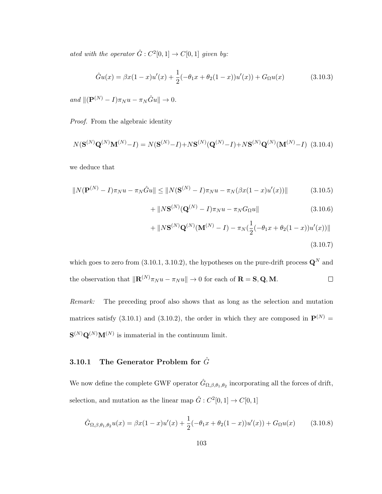ated with the operator  $\hat{G}: C^2[0,1] \to C[0,1]$  given by:

$$
\hat{G}u(x) = \beta x(1-x)u'(x) + \frac{1}{2}(-\theta_1 x + \theta_2 (1-x))u'(x) + G_{\Omega}u(x)
$$
\n(3.10.3)

and  $\|(\mathbf{P}^{(N)} - I)\pi_N u - \pi_N \hat{G}u\| \to 0.$ 

Proof. From the algebraic identity

$$
N(\mathbf{S}^{(N)}\mathbf{Q}^{(N)}\mathbf{M}^{(N)}-I) = N(\mathbf{S}^{(N)}-I) + N\mathbf{S}^{(N)}(\mathbf{Q}^{(N)}-I) + N\mathbf{S}^{(N)}\mathbf{Q}^{(N)}(\mathbf{M}^{(N)}-I) (3.10.4)
$$

we deduce that

$$
||N(\mathbf{P}^{(N)} - I)\pi_N u - \pi_N \hat{G}u|| \le ||N(\mathbf{S}^{(N)} - I)\pi_N u - \pi_N(\beta x(1 - x)u'(x))|| \tag{3.10.5}
$$

$$
+ \left\| N\mathbf{S}^{(N)}(\mathbf{Q}^{(N)} - I)\pi_N u - \pi_N G_\Omega u \right\| \tag{3.10.6}
$$

$$
+ \|N\mathbf{S}^{(N)}\mathbf{Q}^{(N)}(\mathbf{M}^{(N)} - I) - \pi_N(\frac{1}{2}(-\theta_1 x + \theta_2 (1 - x))u'(x))\|
$$
\n(3.10.7)

which goes to zero from (3.10.1, 3.10.2), the hypotheses on the pure-drift process  $\mathbf{Q}^{N}$  and the observation that  $\|\mathbf{R}^{(N)}\pi_N u - \pi_N u\| \to 0$  for each of  $\mathbf{R} = \mathbf{S}, \mathbf{Q}, \mathbf{M}$ .  $\Box$ 

Remark: The preceding proof also shows that as long as the selection and mutation matrices satisfy (3.10.1) and (3.10.2), the order in which they are composed in  $\mathbf{P}^{(N)}$  =  $\mathbf{S}^{(N)}\mathbf{Q}^{(N)}\mathbf{M}^{(N)}$  is immaterial in the continuum limit.

### 3.10.1 The Generator Problem for  $\hat{G}$

We now define the complete GWF operator  $\hat{G}_{\Omega,\beta,\theta_1,\theta_2}$  incorporating all the forces of drift, selection, and mutation as the linear map  $\hat{G}: C^2[0,1] \to C[0,1]$ 

$$
\hat{G}_{\Omega,\beta,\theta_1,\theta_2}u(x) = \beta x(1-x)u'(x) + \frac{1}{2}(-\theta_1 x + \theta_2 (1-x))u'(x) + G_{\Omega}u(x)
$$
(3.10.8)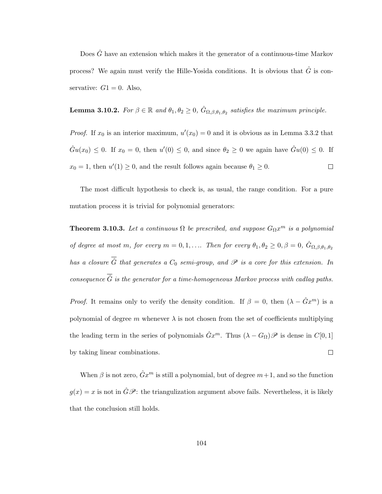Does  $\hat{G}$  have an extension which makes it the generator of a continuous-time Markov process? We again must verify the Hille-Yosida conditions. It is obvious that  $\hat{G}$  is conservative:  $G1 = 0$ . Also,

**Lemma 3.10.2.** For  $\beta \in \mathbb{R}$  and  $\theta_1, \theta_2 \geq 0$ ,  $\hat{G}_{\Omega,\beta,\theta_1,\theta_2}$  satisfies the maximum principle.

*Proof.* If  $x_0$  is an interior maximum,  $u'(x_0) = 0$  and it is obvious as in Lemma 3.3.2 that  $\hat{G}u(x_0) \leq 0$ . If  $x_0 = 0$ , then  $u'(0) \leq 0$ , and since  $\theta_2 \geq 0$  we again have  $\hat{G}u(0) \leq 0$ . If  $x_0 = 1$ , then  $u'(1) \geq 0$ , and the result follows again because  $\theta_1 \geq 0$ .  $\Box$ 

The most difficult hypothesis to check is, as usual, the range condition. For a pure mutation process it is trivial for polynomial generators:

**Theorem 3.10.3.** Let a continuous  $\Omega$  be prescribed, and suppose  $G_{\Omega}x^m$  is a polynomial of degree at most m, for every  $m = 0, 1, \ldots$  Then for every  $\theta_1, \theta_2 \geq 0, \beta = 0, \hat{G}_{\Omega, \beta, \theta_1, \theta_2}$ has a closure  $\overline{\hat{G}}$  that generates a  $C_0$  semi-group, and  $\mathscr P$  is a core for this extension. In consequence  $\overline{\hat{G}}$  is the generator for a time-homogeneous Markov process with cadlag paths.

*Proof.* It remains only to verify the density condition. If  $\beta = 0$ , then  $(\lambda - \hat{G}x^m)$  is a polynomial of degree m whenever  $\lambda$  is not chosen from the set of coefficients multiplying the leading term in the series of polynomials  $\hat{G}x^m$ . Thus  $(\lambda - G_{\Omega})\mathscr{P}$  is dense in  $C[0, 1]$ by taking linear combinations.  $\Box$ 

When  $\beta$  is not zero,  $\hat{G}x^m$  is still a polynomial, but of degree  $m+1$ , and so the function  $g(x) = x$  is not in  $\hat{G}P$ : the triangulization argument above fails. Nevertheless, it is likely that the conclusion still holds.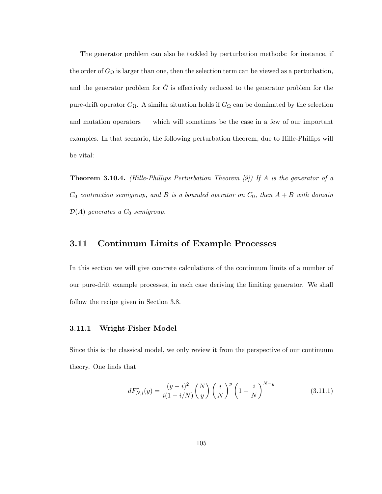The generator problem can also be tackled by perturbation methods: for instance, if the order of  $G_{\Omega}$  is larger than one, then the selection term can be viewed as a perturbation, and the generator problem for  $\hat{G}$  is effectively reduced to the generator problem for the pure-drift operator  $G_{\Omega}$ . A similar situation holds if  $G_{\Omega}$  can be dominated by the selection and mutation operators — which will sometimes be the case in a few of our important examples. In that scenario, the following perturbation theorem, due to Hille-Phillips will be vital:

**Theorem 3.10.4.** (Hille-Phillips Perturbation Theorem [9]) If A is the generator of a  $C_0$  contraction semigroup, and B is a bounded operator on  $C_0$ , then  $A + B$  with domain  $\mathcal{D}(A)$  generates a  $C_0$  semigroup.

### 3.11 Continuum Limits of Example Processes

In this section we will give concrete calculations of the continuum limits of a number of our pure-drift example processes, in each case deriving the limiting generator. We shall follow the recipe given in Section 3.8.

### 3.11.1 Wright-Fisher Model

Since this is the classical model, we only review it from the perspective of our continuum theory. One finds that

$$
dF_{N,i}^*(y) = \frac{(y-i)^2}{i(1-i/N)} \binom{N}{y} \left(\frac{i}{N}\right)^y \left(1 - \frac{i}{N}\right)^{N-y}
$$
(3.11.1)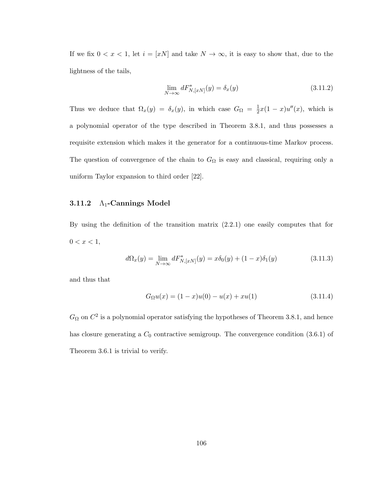If we fix  $0 < x < 1$ , let  $i = [xN]$  and take  $N \to \infty$ , it is easy to show that, due to the lightness of the tails,

$$
\lim_{N \to \infty} dF_{N,[xN]}^*(y) = \delta_x(y) \tag{3.11.2}
$$

Thus we deduce that  $\Omega_x(y) = \delta_x(y)$ , in which case  $G_{\Omega} = \frac{1}{2}$  $\frac{1}{2}x(1-x)u''(x)$ , which is a polynomial operator of the type described in Theorem 3.8.1, and thus possesses a requisite extension which makes it the generator for a continuous-time Markov process. The question of convergence of the chain to  $G_{\Omega}$  is easy and classical, requiring only a uniform Taylor expansion to third order [22].

### 3.11.2  $\Lambda_1$ -Cannings Model

By using the definition of the transition matrix (2.2.1) one easily computes that for  $0 < x < 1$ ,

$$
d\Omega_x(y) = \lim_{N \to \infty} dF_{N,[xN]}^*(y) = x\delta_0(y) + (1-x)\delta_1(y)
$$
\n(3.11.3)

and thus that

$$
G_{\Omega}u(x) = (1 - x)u(0) - u(x) + xu(1)
$$
\n(3.11.4)

 $G_{\Omega}$  on  $C^2$  is a polynomial operator satisfying the hypotheses of Theorem 3.8.1, and hence has closure generating a  $C_0$  contractive semigroup. The convergence condition  $(3.6.1)$  of Theorem 3.6.1 is trivial to verify.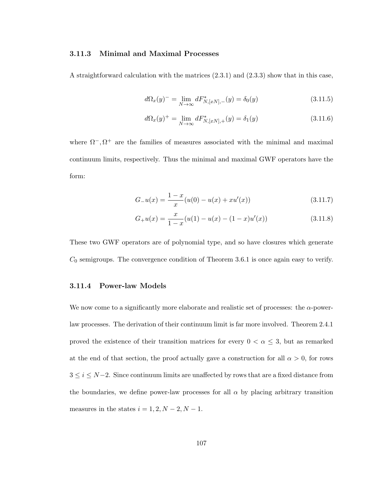#### 3.11.3 Minimal and Maximal Processes

A straightforward calculation with the matrices (2.3.1) and (2.3.3) show that in this case,

$$
d\Omega_x(y)^{-} = \lim_{N \to \infty} dF_{N,[xN],-}^{*}(y) = \delta_0(y)
$$
\n(3.11.5)

$$
d\Omega_x(y)^{+} = \lim_{N \to \infty} dF_{N,[xN],+}^{*}(y) = \delta_1(y)
$$
\n(3.11.6)

where  $\Omega^-, \Omega^+$  are the families of measures associated with the minimal and maximal continuum limits, respectively. Thus the minimal and maximal GWF operators have the form:

$$
G_{-}u(x) = \frac{1-x}{x}(u(0) - u(x) + xu'(x))
$$
\n(3.11.7)

$$
G_{+}u(x) = \frac{x}{1-x}(u(1) - u(x) - (1-x)u'(x))
$$
\n(3.11.8)

These two GWF operators are of polynomial type, and so have closures which generate  $C_0$  semigroups. The convergence condition of Theorem 3.6.1 is once again easy to verify.

### 3.11.4 Power-law Models

We now come to a significantly more elaborate and realistic set of processes: the  $\alpha$ -powerlaw processes. The derivation of their continuum limit is far more involved. Theorem 2.4.1 proved the existence of their transition matrices for every  $0 < \alpha \leq 3$ , but as remarked at the end of that section, the proof actually gave a construction for all  $\alpha > 0$ , for rows  $3 \leq i \leq N-2$ . Since continuum limits are unaffected by rows that are a fixed distance from the boundaries, we define power-law processes for all  $\alpha$  by placing arbitrary transition measures in the states  $i = 1, 2, N - 2, N - 1$ .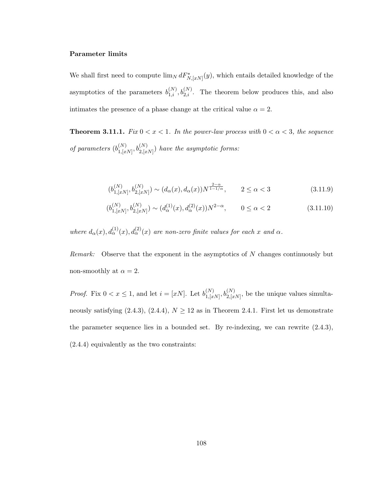#### Parameter limits

We shall first need to compute  $\lim_N dF^*_{N, [xN]}(y)$ , which entails detailed knowledge of the asymptotics of the parameters  $b_{1,i}^{(N)}$ ,  $b_{2,i}^{(N)}$ . The theorem below produces this, and also intimates the presence of a phase change at the critical value  $\alpha = 2$ .

**Theorem 3.11.1.** Fix  $0 < x < 1$ . In the power-law process with  $0 < \alpha < 3$ , the sequence of parameters  $(b_{1}^{(N)})$  $\binom{(N)}{1,[xN]}, b_{2,[xN]}^{(N)}$  have the asymptotic forms:

$$
(b_{1,[xN]}^{(N)}, b_{2,[xN]}^{(N)}) \sim (d_{\alpha}(x), d_{\alpha}(x))N^{\frac{2-\alpha}{1-1/\alpha}}, \qquad 2 \le \alpha < 3 \tag{3.11.9}
$$

$$
(b_{1,[xN]}^{(N)}, b_{2,[xN]}^{(N)}) \sim (d_{\alpha}^{(1)}(x), d_{\alpha}^{(2)}(x))N^{2-\alpha}, \qquad 0 \le \alpha < 2
$$
\n(3.11.10)

where  $d_{\alpha}(x), d_{\alpha}^{(1)}(x), d_{\alpha}^{(2)}(x)$  are non-zero finite values for each x and  $\alpha$ .

Remark: Observe that the exponent in the asymptotics of N changes continuously but non-smoothly at  $\alpha = 2$ .

*Proof.* Fix  $0 < x \leq 1$ , and let  $i = [xN]$ . Let  $b_{1}^{(N)}$  $\binom{N}{1,[xN]},$   $\binom{N}{2,[xN]},$  be the unique values simultaneously satisfying (2.4.3), (2.4.4),  $N \ge 12$  as in Theorem 2.4.1. First let us demonstrate the parameter sequence lies in a bounded set. By re-indexing, we can rewrite (2.4.3), (2.4.4) equivalently as the two constraints: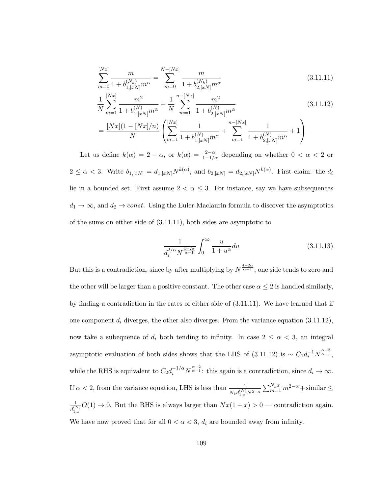$$
\sum_{m=0}^{[Nx]} \frac{m}{1 + b_{1,[xN]}^{(N_k)} m^{\alpha}} = \sum_{m=0}^{N-[Nx]} \frac{m}{1 + b_{2,[xN]}^{(N_k)} m^{\alpha}}
$$
\n(3.11.11)

$$
\frac{1}{N} \sum_{m=1}^{[Nx]} \frac{m^2}{1 + b_{1,[xN]}^{(N)} m^{\alpha}} + \frac{1}{N} \sum_{m=1}^{n-[Nx]} \frac{m^2}{1 + b_{2,[xN]}^{(N)} m^{\alpha}} \n= \frac{[Nx](1 - [Nx]/n)}{N} \left( \sum_{m=1}^{[Nx]} \frac{1}{1 + b_{1,[xN]}^{(N)} m^{\alpha}} + \sum_{m=1}^{n-[Nx]} \frac{1}{1 + b_{2,[xN]}^{(N)} m^{\alpha}} + 1 \right)
$$
\n(3.11.12)

Let us define  $k(\alpha) = 2 - \alpha$ , or  $k(\alpha) = \frac{2-\alpha}{1-1/\alpha}$  depending on whether  $0 < \alpha < 2$  or  $2 \leq \alpha < 3$ . Write  $b_{1,[xN]} = d_{1,[xN]} N^{k(\alpha)}$ , and  $b_{2,[xN]} = d_{2,[xN]} N^{k(\alpha)}$ . First claim: the  $d_i$ lie in a bounded set. First assume  $2 < \alpha \leq 3$ . For instance, say we have subsequences  $d_1\rightarrow\infty,$  and  $d_2\rightarrow const.$  Using the Euler-Maclaurin formula to discover the asymptotics of the sums on either side of (3.11.11), both sides are asymptotic to

$$
\frac{1}{d_i^{2/\alpha} N^{\frac{4-2\alpha}{\alpha-1}}} \int_0^\infty \frac{u}{1+u^\alpha} du
$$
\n(3.11.13)

But this is a contradiction, since by after multiplying by  $N^{\frac{4-2\alpha}{\alpha-1}}$ , one side tends to zero and the other will be larger than a positive constant. The other case  $\alpha \leq 2$  is handled similarly, by finding a contradiction in the rates of either side of (3.11.11). We have learned that if one component  $d_i$  diverges, the other also diverges. From the variance equation  $(3.11.12)$ , now take a subequence of  $d_i$  both tending to infinity. In case  $2 \leq \alpha < 3$ , an integral asymptotic evaluation of both sides shows that the LHS of  $(3.11.12)$  is  $\sim C_1 d_i^{-1} N^{\frac{\alpha-2}{\alpha-1}},$ while the RHS is equivalent to  $C_2 d_i^{-1/\alpha} N^{\frac{\alpha-2}{\alpha-1}}$ : this again is a contradiction, since  $d_i \to \infty$ . If  $\alpha < 2$ , from the variance equation, LHS is less than  $\frac{1}{N_k d_{1,x}^{(N)} N^{2-\alpha}}$  $\sum_{m=1}^{N_k x} m^{2-\alpha} + \text{similar} \leq$ 1  $d_{1,x}^{(N)}$  $O(1) \rightarrow 0$ . But the RHS is always larger than  $Nx(1-x) > 0$  — contradiction again. We have now proved that for all  $0 < \alpha < 3$ ,  $d_i$  are bounded away from infinity.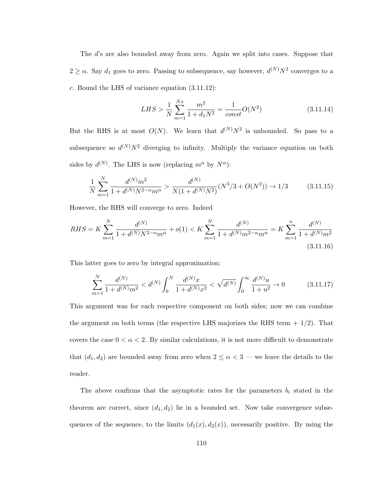The d's are also bounded away from zero. Again we split into cases. Suppose that  $2 \geq \alpha$ . Say  $d_1$  goes to zero. Passing to subsequence, say however,  $d^{(N)}N^2$  converges to a c. Bound the LHS of variance equation (3.11.12):

$$
LHS > \frac{1}{N} \sum_{m=1}^{Nx} \frac{m^2}{1 + d_1 N^2} = \frac{1}{const} O(N^2)
$$
\n(3.11.14)

But the RHS is at most  $O(N)$ . We learn that  $d^{(N)}N^2$  is unbounded. So pass to a subsequence so  $d^{(N)}N^2$  diverging to infinity. Multiply the variance equation on both sides by  $d^{(N)}$ . The LHS is now (replacing  $m^{\alpha}$  by  $N^{\alpha}$ ):

$$
\frac{1}{N} \sum_{m=1}^{N} \frac{d^{(N)}m^2}{1 + d^{(N)}N^{2-\alpha}m^{\alpha}} > \frac{d^{(N)}}{N(1 + d^{(N)}N^2)}(N^3/3 + O(N^2)) \to 1/3
$$
\n(3.11.15)

However, the RHS will converge to zero. Indeed

$$
RHS = K \sum_{m=1}^{N} \frac{d^{(N)}}{1 + d^{(N)}N^{2-\alpha}m^{\alpha}} + o(1) < K \sum_{m=1}^{N} \frac{d^{(N)}}{1 + d^{(N)}m^{2-\alpha}m^{\alpha}} = K \sum_{m=1}^{n} \frac{d^{(N)}}{1 + d^{(N)}m^{2}} \tag{3.11.16}
$$

This latter goes to zero by integral approximation:

$$
\sum_{m=1}^{N} \frac{d^{(N)}}{1+d^{(N)}m^2} < d^{(N)} \int_0^N \frac{d^{(N)}x}{1+d^{(N)}x^2} < \sqrt{d^{(N)}} \int_0^\infty \frac{d^{(N)}u}{1+u^2} \to 0 \tag{3.11.17}
$$

This argument was for each respective component on both sides; now we can combine the argument on both terms (the respective LHS majorizes the RHS term  $+1/2$ ). That covers the case  $0 < \alpha < 2$ . By similar calculations, it is not more difficult to demonstrate that  $(d_1, d_2)$  are bounded away from zero when  $2 \leq \alpha < 3$  — we leave the details to the reader.

The above confirms that the asymptotic rates for the parameters  $b_i$  stated in the theorem are correct, since  $(d_1, d_2)$  lie in a bounded set. Now take convergence subsequences of the sequence, to the limits  $(d_1(x), d_2(x))$ , necessarily positive. By using the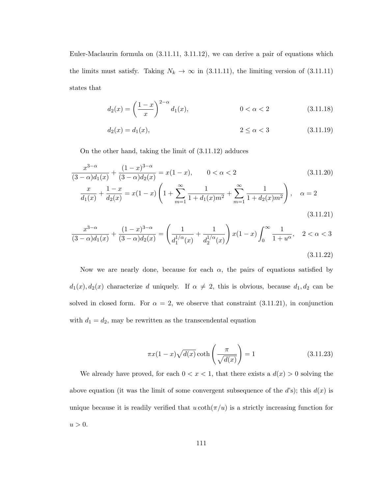Euler-Maclaurin formula on (3.11.11, 3.11.12), we can derive a pair of equations which the limits must satisfy. Taking  $N_k \to \infty$  in (3.11.11), the limiting version of (3.11.11) states that

$$
d_2(x) = \left(\frac{1-x}{x}\right)^{2-\alpha} d_1(x), \qquad 0 < \alpha < 2 \tag{3.11.18}
$$

$$
d_2(x) = d_1(x), \t\t 2 \le \alpha < 3 \t (3.11.19)
$$

On the other hand, taking the limit of (3.11.12) adduces

$$
\frac{x^{3-\alpha}}{(3-\alpha)d_1(x)} + \frac{(1-x)^{3-\alpha}}{(3-\alpha)d_2(x)} = x(1-x), \qquad 0 < \alpha < 2
$$
\n
$$
\frac{x}{d_1(x)} + \frac{1-x}{d_2(x)} = x(1-x)\left(1 + \sum_{m=1}^{\infty} \frac{1}{1+d_1(x)m^2} + \sum_{m=1}^{\infty} \frac{1}{1+d_2(x)m^2}\right), \quad \alpha = 2
$$
\n(3.11.20)\n(3.11.21)

$$
\frac{x^{3-\alpha}}{(3-\alpha)d_1(x)} + \frac{(1-x)^{3-\alpha}}{(3-\alpha)d_2(x)} = \left(\frac{1}{d_1^{1/\alpha}(x)} + \frac{1}{d_2^{1/\alpha}(x)}\right)x(1-x)\int_0^\infty \frac{1}{1+u^\alpha}, \quad 2 < \alpha < 3
$$
\n(3.11.22)

Now we are nearly done, because for each  $\alpha$ , the pairs of equations satisfied by  $d_1(x), d_2(x)$  characterize d uniquely. If  $\alpha \neq 2$ , this is obvious, because  $d_1, d_2$  can be solved in closed form. For  $\alpha = 2$ , we observe that constraint (3.11.21), in conjunction with  $d_1 = d_2$ , may be rewritten as the transcendental equation

$$
\pi x (1 - x) \sqrt{d(x)} \coth\left(\frac{\pi}{\sqrt{d(x)}}\right) = 1 \tag{3.11.23}
$$

We already have proved, for each  $0 < x < 1$ , that there exists a  $d(x) > 0$  solving the above equation (it was the limit of some convergent subsequence of the  $d$ 's); this  $d(x)$  is unique because it is readily verified that  $u \coth(\pi/u)$  is a strictly increasing function for  $u > 0$ .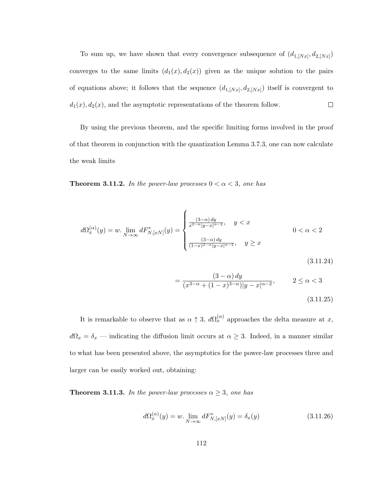To sum up, we have shown that every convergence subsequence of  $(d_{1,[Nx]}, d_{2,[Nx]})$ converges to the same limits  $(d_1(x), d_2(x))$  given as the unique solution to the pairs of equations above; it follows that the sequence  $(d_{1,[Nx]}, d_{2,[Nx]})$  itself is convergent to  $\Box$  $d_1(x), d_2(x)$ , and the asymptotic representations of the theorem follow.

By using the previous theorem, and the specific limiting forms involved in the proof of that theorem in conjunction with the quantization Lemma 3.7.3, one can now calculate the weak limits

**Theorem 3.11.2.** In the power-law processes  $0 < \alpha < 3$ , one has

$$
d\Omega_x^{(\alpha)}(y) = w. \lim_{N \to \infty} dF_{N,[xN]}^*(y) = \begin{cases} \frac{(3-\alpha) dy}{x^{2-\alpha}|y-x|^{\alpha-2}}, & y < x \\ \frac{(3-\alpha) dy}{(1-x)^{2-\alpha}|y-x|^{\alpha-2}}, & y \ge x \end{cases} \qquad 0 < \alpha < 2
$$
 (3.11.24)

$$
= \frac{(3-\alpha) dy}{(x^{3-\alpha} + (1-x)^{3-\alpha})|y-x|^{\alpha-2}}, \qquad 2 \le \alpha < 3
$$
\n(3.11.25)

It is remarkable to observe that as  $\alpha \uparrow 3$ ,  $d\Omega_x^{(\alpha)}$  approaches the delta measure at x,  $d\Omega_x = \delta_x$  — indicating the diffusion limit occurs at  $\alpha \geq 3$ . Indeed, in a manner similar to what has been presented above, the asymptotics for the power-law processes three and larger can be easily worked out, obtaining:

**Theorem 3.11.3.** In the power-law processes  $\alpha \geq 3$ , one has

$$
d\Omega_x^{(\alpha)}(y) = w. \lim_{N \to \infty} dF_{N,[xN]}^*(y) = \delta_x(y)
$$
\n(3.11.26)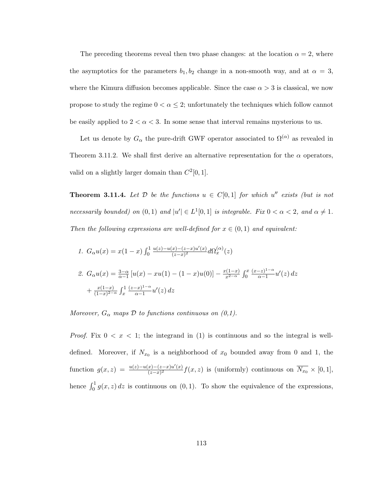The preceding theorems reveal then two phase changes: at the location  $\alpha = 2$ , where the asymptotics for the parameters  $b_1, b_2$  change in a non-smooth way, and at  $\alpha = 3$ , where the Kimura diffusion becomes applicable. Since the case  $\alpha > 3$  is classical, we now propose to study the regime  $0 < \alpha \leq 2$ ; unfortunately the techniques which follow cannot be easily applied to  $2 < \alpha < 3$ . In some sense that interval remains mysterious to us.

Let us denote by  $G_{\alpha}$  the pure-drift GWF operator associated to  $\Omega^{(\alpha)}$  as revealed in Theorem 3.11.2. We shall first derive an alternative representation for the  $\alpha$  operators, valid on a slightly larger domain than  $C^2[0,1]$ .

**Theorem 3.11.4.** Let  $D$  be the functions  $u \in C[0,1]$  for which  $u''$  exists (but is not necessarily bounded) on  $(0,1)$  and  $|u'| \in L^1[0,1]$  is integrable. Fix  $0 < \alpha < 2$ , and  $\alpha \neq 1$ . Then the following expressions are well-defined for  $x \in (0,1)$  and equivalent:

1. 
$$
G_{\alpha}u(x) = x(1-x) \int_0^1 \frac{u(z) - u(x) - (z-x)u'(x)}{(z-x)^2} d\Omega_x^{(\alpha)}(z)
$$
  
\n2.  $G_{\alpha}u(x) = \frac{3-\alpha}{\alpha-1} [u(x) - xu(1) - (1-x)u(0)] - \frac{x(1-x)}{x^{2-\alpha}} \int_0^x \frac{(x-z)^{1-\alpha}}{\alpha-1} u'(z) dz$   
\n $+ \frac{x(1-x)}{(1-x)^{2-\alpha}} \int_x^1 \frac{(z-x)^{1-\alpha}}{\alpha-1} u'(z) dz$ 

Moreover,  $G_{\alpha}$  maps  $\mathcal D$  to functions continuous on  $(0,1)$ .

*Proof.* Fix  $0 < x < 1$ ; the integrand in (1) is continuous and so the integral is welldefined. Moreover, if  $N_{x_0}$  is a neighborhood of  $x_0$  bounded away from 0 and 1, the function  $g(x, z) = \frac{u(z) - u(x) - (z-x)u'(x)}{(z-x)^2}$  $\frac{x)-(z-x)u(x)}{(z-x)^2}f(x,z)$  is (uniformly) continuous on  $\overline{N_{x_0}}\times [0,1],$ hence  $\int_0^1 g(x, z) dz$  is continuous on  $(0, 1)$ . To show the equivalence of the expressions,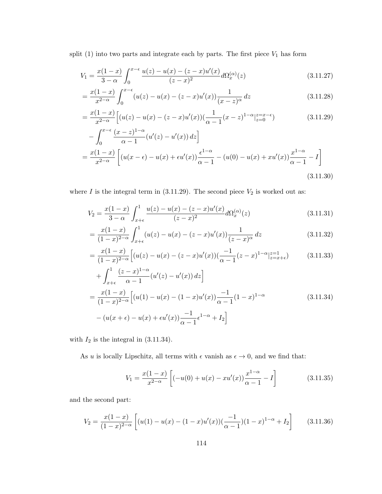split (1) into two parts and integrate each by parts. The first piece  $V_1$  has form

$$
V_1 = \frac{x(1-x)}{3-\alpha} \int_0^{x-\epsilon} \frac{u(z) - u(x) - (z-x)u'(x)}{(z-x)^2} d\Omega_x^{(\alpha)}(z)
$$
(3.11.27)

$$
= \frac{x(1-x)}{x^{2-\alpha}} \int_0^{x-\epsilon} (u(z) - u(x) - (z-x)u'(x)) \frac{1}{(x-z)^{\alpha}} dz
$$
 (3.11.28)

$$
= \frac{x(1-x)}{x^{2-\alpha}} \Big[ (u(z) - u(x) - (z-x)u'(x)) \Big( \frac{1}{\alpha - 1} (x-z)^{1-\alpha} \Big|_{z=0}^{z=x-\epsilon} \Big) \tag{3.11.29}
$$
\n
$$
\int_0^{x-\epsilon} (x-z)^{1-\alpha} (f(x) - f(x)) \, dx
$$

$$
-\int_0^{x^{-c}} \frac{(x-z)^{1-\alpha}}{\alpha-1} (u'(z) - u'(x)) dz \Big|
$$
  
= 
$$
\frac{x(1-x)}{x^{2-\alpha}} \left[ (u(x-\epsilon) - u(x) + \epsilon u'(x)) \frac{\epsilon^{1-\alpha}}{\alpha-1} - (u(0) - u(x) + xu'(x)) \frac{x^{1-\alpha}}{\alpha-1} - I \right]
$$
  
(3.11.30)

where  $I$  is the integral term in (3.11.29). The second piece  $V_2$  is worked out as:

$$
V_2 = \frac{x(1-x)}{3-\alpha} \int_{x+\epsilon}^1 \frac{u(z) - u(x) - (z-x)u'(x)}{(z-x)^2} d\Omega_x^{(\alpha)}(z)
$$
(3.11.31)

$$
= \frac{x(1-x)}{(1-x)^{2-\alpha}} \int_{x+\epsilon}^{1} (u(z) - u(x) - (z-x)u'(x)) \frac{1}{(z-x)^{\alpha}} dz
$$
 (3.11.32)

$$
= \frac{x(1-x)}{(1-x)^{2-\alpha}} \Big[ (u(z) - u(x) - (z-x)u'(x)) \left( \frac{-1}{\alpha - 1} (z-x)^{1-\alpha} \Big|_{z=x+\epsilon}^{z=1} \right] \tag{3.11.33}
$$

$$
+\int_{x+\epsilon}^{1} \frac{(z-x)^{1-\alpha}}{\alpha-1} (u'(z) - u'(x)) dz\Big]
$$
  
= 
$$
\frac{x(1-x)}{(1-x)^{2-\alpha}} \Big[ (u(1) - u(x) - (1-x)u'(x)) \frac{-1}{\alpha-1} (1-x)^{1-\alpha}
$$
 (3.11.34)  

$$
-(u(x+\epsilon) - u(x) + \epsilon u'(x)) \frac{-1}{\alpha-1} \epsilon^{1-\alpha} + I_2 \Big]
$$

with  $I_2$  is the integral in  $(3.11.34)$ .

As u is locally Lipschitz, all terms with  $\epsilon$  vanish as  $\epsilon \to 0$ , and we find that:

$$
V_1 = \frac{x(1-x)}{x^{2-\alpha}} \left[ (-u(0) + u(x) - xu'(x)) \frac{x^{1-\alpha}}{\alpha - 1} - I \right]
$$
 (3.11.35)

and the second part:

$$
V_2 = \frac{x(1-x)}{(1-x)^{2-\alpha}} \left[ (u(1) - u(x) - (1-x)u'(x))(\frac{-1}{\alpha-1})(1-x)^{1-\alpha} + I_2 \right] \tag{3.11.36}
$$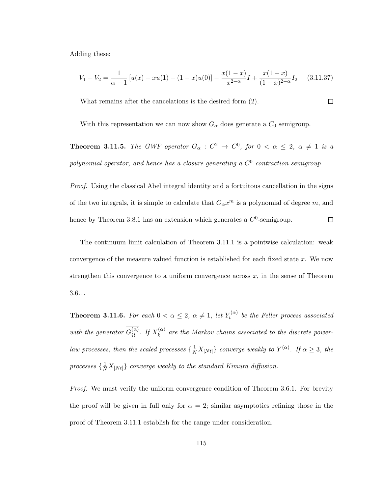Adding these:

$$
V_1 + V_2 = \frac{1}{\alpha - 1} \left[ u(x) - xu(1) - (1 - x)u(0) \right] - \frac{x(1 - x)}{x^{2 - \alpha}} I + \frac{x(1 - x)}{(1 - x)^{2 - \alpha}} I_2 \tag{3.11.37}
$$

 $\Box$ What remains after the cancelations is the desired form (2).

With this representation we can now show  $G_{\alpha}$  does generate a  $C_0$  semigroup.

**Theorem 3.11.5.** The GWF operator  $G_{\alpha}: C^2 \to C^0$ , for  $0 < \alpha \leq 2$ ,  $\alpha \neq 1$  is a polynomial operator, and hence has a closure generating a  $C^0$  contraction semigroup.

Proof. Using the classical Abel integral identity and a fortuitous cancellation in the signs of the two integrals, it is simple to calculate that  $G_{\alpha}x^m$  is a polynomial of degree m, and hence by Theorem 3.8.1 has an extension which generates a  $C^0$ -semigroup.  $\Box$ 

The continuum limit calculation of Theorem 3.11.1 is a pointwise calculation: weak convergence of the measure valued function is established for each fixed state  $x$ . We now strengthen this convergence to a uniform convergence across  $x$ , in the sense of Theorem 3.6.1.

**Theorem 3.11.6.** For each  $0 < \alpha \leq 2$ ,  $\alpha \neq 1$ , let  $Y_t^{(\alpha)}$  $t_t^{(\alpha)}$  be the Feller process associated with the generator  $G_{\Omega}^{(\alpha)}$  $\Omega^{(\alpha)}$ . If  $X_k^{(\alpha)}$  $\kappa^{(\alpha)}$  are the Markov chains associated to the discrete powerlaw processes, then the scaled processes  $\{\frac{1}{N}X_{[Nt]}\}\$ converge weakly to  $Y^{(\alpha)}$ . If  $\alpha \geq 3$ , the processes  $\{\frac{1}{N}X_{[N t]}\}$  converge weakly to the standard Kimura diffusion.

Proof. We must verify the uniform convergence condition of Theorem 3.6.1. For brevity the proof will be given in full only for  $\alpha = 2$ ; similar asymptotics refining those in the proof of Theorem 3.11.1 establish for the range under consideration.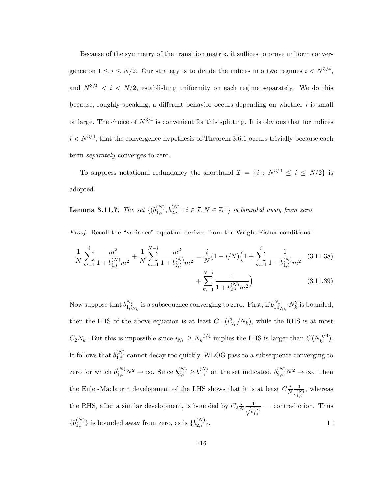Because of the symmetry of the transition matrix, it suffices to prove uniform convergence on  $1 \leq i \leq N/2$ . Our strategy is to divide the indices into two regimes  $i < N^{3/4}$ , and  $N^{3/4} < i < N/2$ , establishing uniformity on each regime separately. We do this because, roughly speaking, a different behavior occurs depending on whether  $i$  is small or large. The choice of  $N^{3/4}$  is convenient for this splitting. It is obvious that for indices  $i < N^{3/4}$ , that the convergence hypothesis of Theorem 3.6.1 occurs trivially because each term *separately* converges to zero.

To suppress notational redundancy the shorthand  $\mathcal{I} = \{i : N^{3/4} \le i \le N/2\}$  is adopted.

**Lemma 3.11.7.** The set  $\{(b_{1,i}^{(N)}, b_{2,i}^{(N)} : i \in \mathcal{I}, N \in \mathbb{Z}^+\}$  is bounded away from zero.

Proof. Recall the "variance" equation derived from the Wright-Fisher conditions:

$$
\frac{1}{N} \sum_{m=1}^{i} \frac{m^2}{1 + b_{1,i}^{(N)} m^2} + \frac{1}{N} \sum_{m=1}^{N-i} \frac{m^2}{1 + b_{2,i}^{(N)} m^2} = \frac{i}{N} (1 - i/N) \left( 1 + \sum_{m=1}^{i} \frac{1}{1 + b_{1,i}^{(N)} m^2} \right)
$$
(3.11.38)  

$$
+ \sum_{m=1}^{N-i} \frac{1}{1 + b_{2,i}^{(N)} m^2} \right)
$$

Now suppose that  $b_{1,i}^{N_k}$  $_{1,i_{N_k}}^{N_k}$  is a subsequence converging to zero. First, if  $b_{1,i}^{N_k}$  $_{1,i_{N_k}}^{N_k}$  ·  $N_k^2$  is bounded, then the LHS of the above equation is at least  $C \cdot (i_{N_k}^3/N_k)$ , while the RHS is at most  $C_2N_k$ . But this is impossible since  $i_{N_k} \geq N_k^{3/4}$  implies the LHS is larger than  $C(N_k^{5/4})$  $k^{(0/4)}$ . It follows that  $b_{1,i}^{(N)}$  cannot decay too quickly, WLOG pass to a subsequence converging to zero for which  $b_{1,i}^{(N)}N^2 \to \infty$ . Since  $b_{2,i}^{(N)} \ge b_{1,i}^{(N)}$  on the set indicated,  $b_{2,i}^{(N)}N^2 \to \infty$ . Then the Euler-Maclaurin development of the LHS shows that it is at least  $C_{\frac{1}{\lambda}}$ 1 , whereas N  $b_{1,i}^{(N)}$ the RHS, after a similar development, is bounded by  $C_2\frac{i}{\Lambda}$ 1 — contradiction. Thus  $\overline{N}$   $\overline{\phantom{.}}$  $b_{1,i}^{(N)}$  ${b_{1,i}^{(N)}}$  is bounded away from zero, as is  ${b_{2,i}^{(N)}}$ .  $\Box$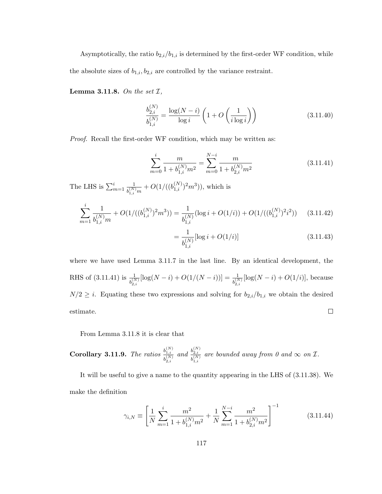Asymptotically, the ratio  $b_{2,i}/b_{1,i}$  is determined by the first-order WF condition, while the absolute sizes of  $b_{1,i}, b_{2,i}$  are controlled by the variance restraint.

**Lemma 3.11.8.** On the set  $I$ ,

$$
\frac{b_{2,i}^{(N)}}{b_{1,i}^{(N)}} = \frac{\log(N-i)}{\log i} \left( 1 + O\left(\frac{1}{i \log i}\right) \right)
$$
(3.11.40)

Proof. Recall the first-order WF condition, which may be written as:

$$
\sum_{m=0}^{i} \frac{m}{1 + b_{1,i}^{(N)} m^2} = \sum_{m=0}^{N-i} \frac{m}{1 + b_{2,i}^{(N)} m^2}
$$
(3.11.41)

The LHS is  $\sum_{m=1}^i \frac{1}{b^{(N)}}$  $b_{1,i}^{(N)}m$  $+ O(1/((b_{1,i}^{(N)})^2m^3))$ , which is

$$
\sum_{m=1}^{i} \frac{1}{b_{1,i}^{(N)} m} + O(1/((b_{1,i}^{(N)})^2 m^3)) = \frac{1}{b_{1,i}^{(N)}} (\log i + O(1/i)) + O(1/((b_{1,i}^{(N)})^2 i^2)) \tag{3.11.42}
$$

$$
= \frac{1}{b_{1,i}^{(N)}} [\log i + O(1/i)] \tag{3.11.43}
$$

where we have used Lemma 3.11.7 in the last line. By an identical development, the RHS of  $(3.11.41)$  is  $\frac{1}{b_{2,i}^{(N)}}$  $[\log(N-i) + O(1/(N-i))] = \frac{1}{b_{2,i}^{(N)}}$  $[\log(N - i) + O(1/i)],$  because  $N/2 \geq i$ . Equating these two expressions and solving for  $b_{2,i}/b_{1,i}$  we obtain the desired estimate.  $\Box$ 

From Lemma 3.11.8 it is clear that

**Corollary 3.11.9.** The ratios 
$$
\frac{b_{1,i}^{(N)}}{b_{2,i}^{(N)}}
$$
 and  $\frac{b_{2,i}^{(N)}}{b_{1,i}^{(N)}}$  are bounded away from 0 and  $\infty$  on  $\mathcal{I}$ .

It will be useful to give a name to the quantity appearing in the LHS of (3.11.38). We make the definition

$$
\gamma_{i,N} \equiv \left[ \frac{1}{N} \sum_{m=1}^{i} \frac{m^2}{1 + b_{1,i}^{(N)} m^2} + \frac{1}{N} \sum_{m=1}^{N-i} \frac{m^2}{1 + b_{2,i}^{(N)} m^2} \right]^{-1}
$$
(3.11.44)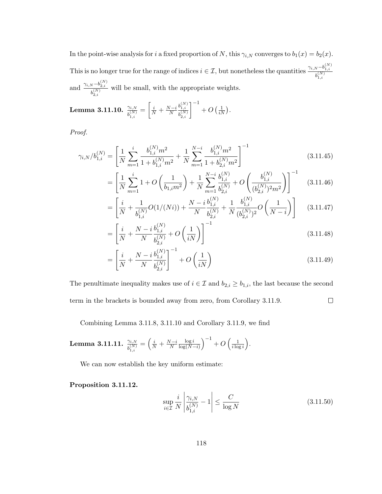In the point-wise analysis for i a fixed proportion of N, this  $\gamma_{i,N}$  converges to  $b_1(x) = b_2(x)$ . This is no longer true for the range of indices  $i \in \mathcal{I}$ , but nonetheless the quantities  $\frac{\gamma_{i,N} - b_{1,i}^{(N)}}{\sqrt{N}}$  $b_{1,i}^{(N)}$ and  $\frac{\gamma_{i,N} - b_{2,i}^{(N)}}{\sqrt{(N)}}$  $b_{2,i}^{(N)}$ will be small, with the appropriate weights.

**Lemma 3.11.10.** 
$$
\frac{\gamma_{i,N}}{b_{1,i}^{(N)}} = \left[\frac{i}{N} + \frac{N-i}{N} \frac{b_{1,i}^{(N)}}{b_{2,i}^{(N)}}\right]^{-1} + O\left(\frac{1}{iN}\right)
$$

Proof.

$$
\gamma_{i,N}/b_{1,i}^{(N)} = \left[\frac{1}{N} \sum_{m=1}^{i} \frac{b_{1,i}^{(N)} m^2}{1 + b_{1,i}^{(N)} m^2} + \frac{1}{N} \sum_{m=1}^{N-i} \frac{b_{1,i}^{(N)} m^2}{1 + b_{2,i}^{(N)} m^2}\right]^{-1}
$$
(3.11.45)

$$
= \left[\frac{1}{N}\sum_{m=1}^{i} 1 + O\left(\frac{1}{b_{1,i}m^2}\right) + \frac{1}{N}\sum_{m=1}^{N-i} \frac{b_{1,i}^{(N)}}{b_{2,i}^{(N)}} + O\left(\frac{b_{1,i}^{(N)}}{(b_{2,i}^{(N)})^2 m^2}\right)\right]^{-1} \quad (3.11.46)
$$

.

$$
= \left[ \frac{i}{N} + \frac{1}{b_{1,i}^{(N)}} O(1/(Ni)) + \frac{N-i}{N} \frac{b_{1,i}^{(N)}}{b_{2,i}^{(N)}} + \frac{1}{N} \frac{b_{1,i}^{(N)}}{(b_{2,i}^{(N)})^2} O\left(\frac{1}{N-i}\right) \right]
$$
(3.11.47)

$$
= \left[\frac{i}{N} + \frac{N - i}{N} \frac{b_{1,i}^{(N)}}{b_{2,i}^{(N)}} + O\left(\frac{1}{iN}\right)\right]^{-1} \tag{3.11.48}
$$

$$
= \left[\frac{i}{N} + \frac{N - i}{N} \frac{b_{1,i}^{(N)}}{b_{2,i}^{(N)}}\right]^{-1} + O\left(\frac{1}{iN}\right)
$$
\n(3.11.49)

The penultimate inequality makes use of  $i \in \mathcal{I}$  and  $b_{2,i} \geq b_{1,i}$ , the last because the second term in the brackets is bounded away from zero, from Corollary 3.11.9.  $\Box$ 

Combining Lemma 3.11.8, 3.11.10 and Corollary 3.11.9, we find

**Lemma 3.11.11.** 
$$
\frac{\gamma_{i,N}}{b_{1,i}^{(N)}} = \left(\frac{i}{N} + \frac{N-i}{N} \frac{\log i}{\log(N-i)}\right)^{-1} + O\left(\frac{1}{i \log i}\right).
$$

We can now establish the key uniform estimate:

Proposition 3.11.12.

$$
\sup_{i \in \mathcal{I}} \frac{i}{N} \left| \frac{\gamma_{i,N}}{b_{1,i}^{(N)}} - 1 \right| \le \frac{C}{\log N} \tag{3.11.50}
$$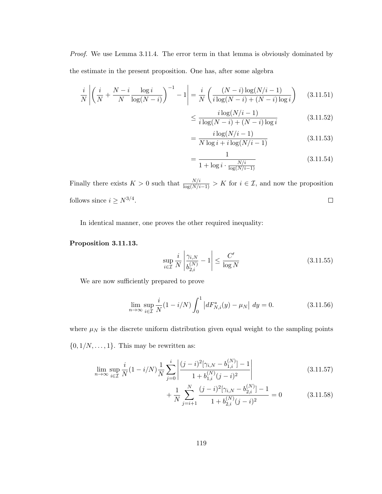Proof. We use Lemma 3.11.4. The error term in that lemma is obviously dominated by the estimate in the present proposition. One has, after some algebra

$$
\frac{i}{N} \left| \left( \frac{i}{N} + \frac{N-i}{N} \frac{\log i}{\log(N-i)} \right)^{-1} - 1 \right| = \frac{i}{N} \left( \frac{(N-i)\log(N/i - 1)}{i\log(N-i) + (N-i)\log i} \right) \tag{3.11.51}
$$

$$
\leq \frac{i \log(N/i - 1)}{i \log(N - i) + (N - i) \log i} \tag{3.11.52}
$$

$$
= \frac{i \log(N/i - 1)}{N \log i + i \log(N/i - 1)}
$$
(3.11.53)

$$
= \frac{1}{1 + \log i \cdot \frac{N/i}{\log(N/i - 1)}}\tag{3.11.54}
$$

Finally there exists  $K > 0$  such that  $\frac{N/i}{\log(N/i-1)} > K$  for  $i \in \mathcal{I}$ , and now the proposition  $\Box$ follows since  $i \geq N^{3/4}$ .

In identical manner, one proves the other required inequality:

### Proposition 3.11.13.

$$
\sup_{i \in \mathcal{I}} \frac{i}{N} \left| \frac{\gamma_{i,N}}{b_{2,i}^{(N)}} - 1 \right| \le \frac{C'}{\log N} \tag{3.11.55}
$$

We are now sufficiently prepared to prove

$$
\lim_{n \to \infty} \sup_{i \in \mathcal{I}} \frac{i}{N} (1 - i/N) \int_0^1 \left| dF_{N,i}^*(y) - \mu_N \right| dy = 0.
$$
 (3.11.56)

where  $\mu_N$  is the discrete uniform distribution given equal weight to the sampling points  $\{0, 1/N, \ldots, 1\}$ . This may be rewritten as:

$$
\lim_{n \to \infty} \sup_{i \in \mathcal{I}} \frac{i}{N} (1 - i/N) \frac{1}{N} \sum_{j=0}^{i} \left| \frac{(j-i)^2 [\gamma_{i,N} - b_{1,i}^{(N)}] - 1}{1 + b_{1,i}^{(N)} (j-i)^2} \right|
$$
\n(3.11.57)

$$
+\frac{1}{N} \sum_{j=i+1}^{N} \frac{(j-i)^2[\gamma_{i,N} - b_{2,i}^{(N)}] - 1}{1 + b_{2,i}^{(N)}(j-i)^2} = 0
$$
\n(3.11.58)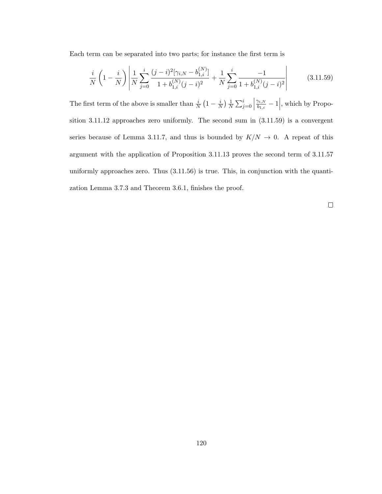Each term can be separated into two parts; for instance the first term is

$$
\frac{i}{N} \left( 1 - \frac{i}{N} \right) \left| \frac{1}{N} \sum_{j=0}^{i} \frac{(j-i)^2 [\gamma_{i,N} - b_{1,i}^{(N)}]}{1 + b_{1,i}^{(N)} (j-i)^2} + \frac{1}{N} \sum_{j=0}^{i} \frac{-1}{1 + b_{1,i}^{(N)} (j-i)^2} \right| \tag{3.11.59}
$$

The first term of the above is smaller than  $\frac{i}{N} \left(1 - \frac{i}{N}\right)$  $\frac{i}{N}$ )  $\frac{1}{N}$  $\frac{1}{N} \sum_{j=0}^{i}$  $\gamma_{i,N}$  $\frac{\gamma_{i,N}}{b_{1,i}}-1\Big|$ , which by Proposition 3.11.12 approaches zero uniformly. The second sum in (3.11.59) is a convergent series because of Lemma 3.11.7, and thus is bounded by  $K/N \rightarrow 0$ . A repeat of this argument with the application of Proposition 3.11.13 proves the second term of 3.11.57 uniformly approaches zero. Thus (3.11.56) is true. This, in conjunction with the quantization Lemma 3.7.3 and Theorem 3.6.1, finishes the proof.

 $\Box$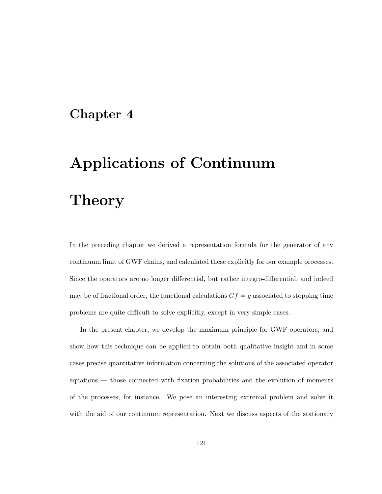### Chapter 4

# Applications of Continuum

### Theory

In the preceding chapter we derived a representation formula for the generator of any continuum limit of GWF chains, and calculated these explicitly for our example processes. Since the operators are no longer differential, but rather integro-differential, and indeed may be of fractional order, the functional calculations  $Gf = g$  associated to stopping time problems are quite difficult to solve explicitly, except in very simple cases.

In the present chapter, we develop the maximum principle for GWF operators, and show how this technique can be applied to obtain both qualitative insight and in some cases precise quantitative information concerning the solutions of the associated operator equations — those connected with fixation probabilities and the evolution of moments of the processes, for instance. We pose an interesting extremal problem and solve it with the aid of our continuum representation. Next we discuss aspects of the stationary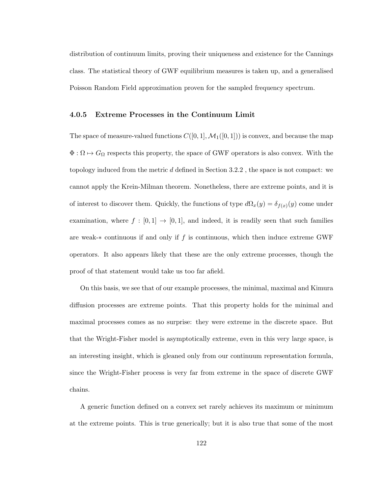distribution of continuum limits, proving their uniqueness and existence for the Cannings class. The statistical theory of GWF equilibrium measures is taken up, and a generalised Poisson Random Field approximation proven for the sampled frequency spectrum.

### 4.0.5 Extreme Processes in the Continuum Limit

The space of measure-valued functions  $C([0,1], \mathcal{M}_1([0,1]))$  is convex, and because the map  $\Phi : \Omega \mapsto G_{\Omega}$  respects this property, the space of GWF operators is also convex. With the topology induced from the metric d defined in Section 3.2.2 , the space is not compact: we cannot apply the Krein-Milman theorem. Nonetheless, there are extreme points, and it is of interest to discover them. Quickly, the functions of type  $d\Omega_x(y) = \delta_{f(x)}(y)$  come under examination, where  $f : [0,1] \rightarrow [0,1]$ , and indeed, it is readily seen that such families are weak-∗ continuous if and only if f is continuous, which then induce extreme GWF operators. It also appears likely that these are the only extreme processes, though the proof of that statement would take us too far afield.

On this basis, we see that of our example processes, the minimal, maximal and Kimura diffusion processes are extreme points. That this property holds for the minimal and maximal processes comes as no surprise: they were extreme in the discrete space. But that the Wright-Fisher model is asymptotically extreme, even in this very large space, is an interesting insight, which is gleaned only from our continuum representation formula, since the Wright-Fisher process is very far from extreme in the space of discrete GWF chains.

A generic function defined on a convex set rarely achieves its maximum or minimum at the extreme points. This is true generically; but it is also true that some of the most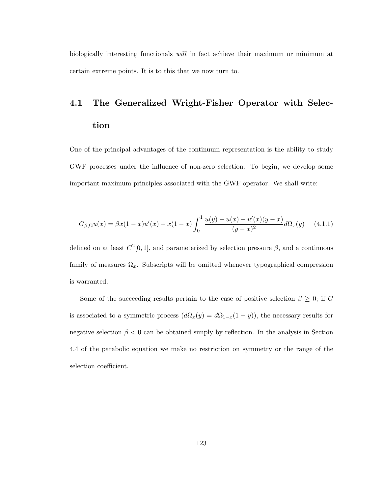biologically interesting functionals will in fact achieve their maximum or minimum at certain extreme points. It is to this that we now turn to.

## 4.1 The Generalized Wright-Fisher Operator with Selection

One of the principal advantages of the continuum representation is the ability to study GWF processes under the influence of non-zero selection. To begin, we develop some important maximum principles associated with the GWF operator. We shall write:

$$
G_{\beta,\Omega}u(x) = \beta x(1-x)u'(x) + x(1-x)\int_0^1 \frac{u(y) - u(x) - u'(x)(y-x)}{(y-x)^2}d\Omega_x(y) \tag{4.1.1}
$$

defined on at least  $C^2[0,1]$ , and parameterized by selection pressure  $\beta$ , and a continuous family of measures  $\Omega_x$ . Subscripts will be omitted whenever typographical compression is warranted.

Some of the succeeding results pertain to the case of positive selection  $\beta \geq 0$ ; if G is associated to a symmetric process  $(d\Omega_x(y) = d\Omega_{1-x}(1-y))$ , the necessary results for negative selection  $\beta < 0$  can be obtained simply by reflection. In the analysis in Section 4.4 of the parabolic equation we make no restriction on symmetry or the range of the selection coefficient.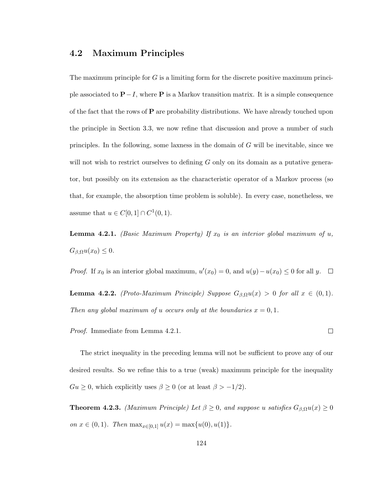### 4.2 Maximum Principles

The maximum principle for  $G$  is a limiting form for the discrete positive maximum principle associated to  $P-I$ , where P is a Markov transition matrix. It is a simple consequence of the fact that the rows of  $P$  are probability distributions. We have already touched upon the principle in Section 3.3, we now refine that discussion and prove a number of such principles. In the following, some laxness in the domain of G will be inevitable, since we will not wish to restrict ourselves to defining  $G$  only on its domain as a putative generator, but possibly on its extension as the characteristic operator of a Markov process (so that, for example, the absorption time problem is soluble). In every case, nonetheless, we assume that  $u \in C[0,1] \cap C^1(0,1)$ .

**Lemma 4.2.1.** (Basic Maximum Property) If  $x_0$  is an interior global maximum of  $u$ ,  $G_{\beta,\Omega}u(x_0)\leq 0.$ 

*Proof.* If  $x_0$  is an interior global maximum,  $u'(x_0) = 0$ , and  $u(y) - u(x_0) \leq 0$  for all y.

**Lemma 4.2.2.** (Proto-Maximum Principle) Suppose  $G_{\beta,\Omega}u(x) > 0$  for all  $x \in (0,1)$ . Then any global maximum of u occurs only at the boundaries  $x = 0, 1$ .

 $\Box$ 

Proof. Immediate from Lemma 4.2.1.

The strict inequality in the preceding lemma will not be sufficient to prove any of our desired results. So we refine this to a true (weak) maximum principle for the inequality  $Gu \geq 0$ , which explicitly uses  $\beta \geq 0$  (or at least  $\beta > -1/2$ ).

**Theorem 4.2.3.** (Maximum Principle) Let  $\beta \geq 0$ , and suppose u satisfies  $G_{\beta,\Omega}u(x) \geq 0$ on  $x \in (0,1)$ . Then  $\max_{x \in [0,1]} u(x) = \max\{u(0), u(1)\}.$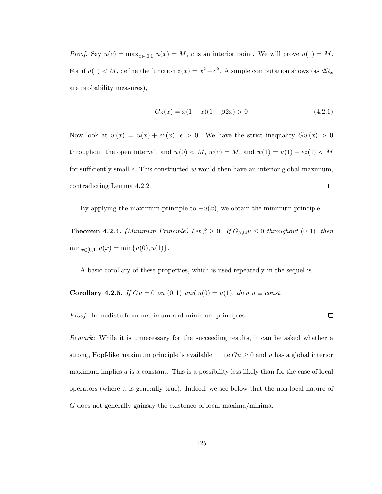*Proof.* Say  $u(c) = \max_{x \in [0,1]} u(x) = M$ , c is an interior point. We will prove  $u(1) = M$ . For if  $u(1) < M$ , define the function  $z(x) = x^2 - c^2$ . A simple computation shows (as  $d\Omega_x$ ) are probability measures),

$$
Gz(x) = x(1-x)(1+\beta 2x) > 0
$$
\n(4.2.1)

Now look at  $w(x) = u(x) + \epsilon z(x)$ ,  $\epsilon > 0$ . We have the strict inequality  $Gw(x) > 0$ throughout the open interval, and  $w(0) < M$ ,  $w(c) = M$ , and  $w(1) = u(1) + \epsilon z(1) < M$ for sufficiently small  $\epsilon$ . This constructed w would then have an interior global maximum, contradicting Lemma 4.2.2.  $\Box$ 

By applying the maximum principle to  $-u(x)$ , we obtain the minimum principle.

**Theorem 4.2.4.** (Minimum Principle) Let  $\beta \geq 0$ . If  $G_{\beta,\Omega}u \leq 0$  throughout  $(0,1)$ , then  $\min_{x \in [0,1]} u(x) = \min\{u(0), u(1)\}.$ 

A basic corollary of these properties, which is used repeatedly in the sequel is

Corollary 4.2.5. If  $Gu = 0$  on  $(0, 1)$  and  $u(0) = u(1)$ , then  $u \equiv const.$ 

Proof. Immediate from maximum and minimum principles.

 $\Box$ 

Remark: While it is unnecessary for the succeeding results, it can be asked whether a strong, Hopf-like maximum principle is available — i.e  $Gu \geq 0$  and u has a global interior maximum implies  $u$  is a constant. This is a possibility less likely than for the case of local operators (where it is generally true). Indeed, we see below that the non-local nature of G does not generally gainsay the existence of local maxima/minima.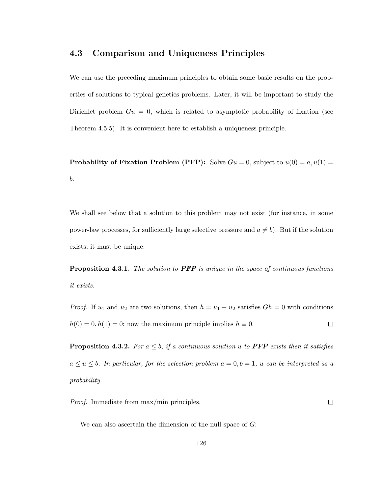### 4.3 Comparison and Uniqueness Principles

We can use the preceding maximum principles to obtain some basic results on the properties of solutions to typical genetics problems. Later, it will be important to study the Dirichlet problem  $Gu = 0$ , which is related to asymptotic probability of fixation (see Theorem 4.5.5). It is convenient here to establish a uniqueness principle.

**Probability of Fixation Problem (PFP):** Solve  $Gu = 0$ , subject to  $u(0) = a$ ,  $u(1) = a$ b.

We shall see below that a solution to this problem may not exist (for instance, in some power-law processes, for sufficiently large selective pressure and  $a \neq b$ ). But if the solution exists, it must be unique:

**Proposition 4.3.1.** The solution to **PFP** is unique in the space of continuous functions it exists.

*Proof.* If  $u_1$  and  $u_2$  are two solutions, then  $h = u_1 - u_2$  satisfies  $Gh = 0$  with conditions  $h(0) = 0, h(1) = 0$ ; now the maximum principle implies  $h \equiv 0$ .  $\Box$ 

**Proposition 4.3.2.** For  $a \leq b$ , if a continuous solution u to **PFP** exists then it satisfies  $a \le u \le b$ . In particular, for the selection problem  $a = 0, b = 1, u$  can be interpreted as a probability.

Proof. Immediate from max/min principles.  $\Box$ 

We can also ascertain the dimension of the null space of  $G$ :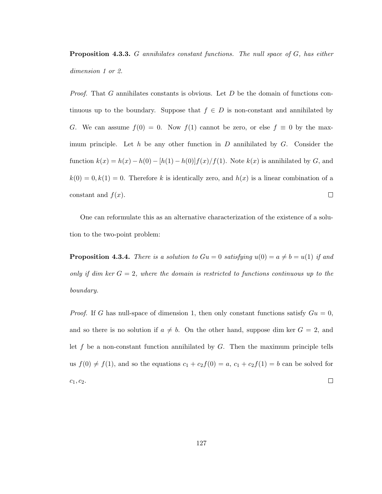**Proposition 4.3.3.** G annihilates constant functions. The null space of G, has either dimension 1 or 2.

*Proof.* That G annihilates constants is obvious. Let  $D$  be the domain of functions continuous up to the boundary. Suppose that  $f \in D$  is non-constant and annihilated by G. We can assume  $f(0) = 0$ . Now  $f(1)$  cannot be zero, or else  $f \equiv 0$  by the maximum principle. Let h be any other function in  $D$  annihilated by  $G$ . Consider the function  $k(x) = h(x) - h(0) - [h(1) - h(0)]f(x)/f(1)$ . Note  $k(x)$  is annihilated by G, and  $k(0) = 0, k(1) = 0$ . Therefore k is identically zero, and  $h(x)$  is a linear combination of a constant and  $f(x)$ .  $\Box$ 

One can reformulate this as an alternative characterization of the existence of a solution to the two-point problem:

**Proposition 4.3.4.** There is a solution to  $Gu = 0$  satisfying  $u(0) = a \neq b = u(1)$  if and only if dim ker  $G = 2$ , where the domain is restricted to functions continuous up to the boundary.

*Proof.* If G has null-space of dimension 1, then only constant functions satisfy  $Gu = 0$ , and so there is no solution if  $a \neq b$ . On the other hand, suppose dim ker  $G = 2$ , and let  $f$  be a non-constant function annihilated by  $G$ . Then the maximum principle tells us  $f(0) \neq f(1)$ , and so the equations  $c_1 + c_2f(0) = a$ ,  $c_1 + c_2f(1) = b$  can be solved for  $c_1, c_2.$  $\Box$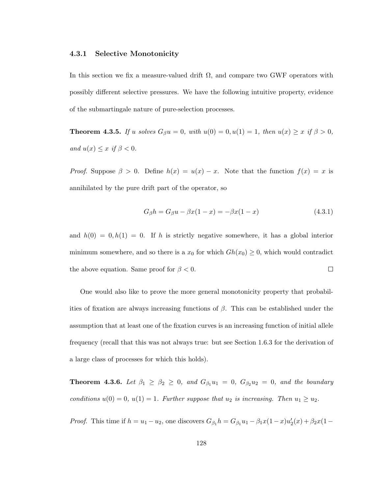#### 4.3.1 Selective Monotonicity

In this section we fix a measure-valued drift  $\Omega$ , and compare two GWF operators with possibly different selective pressures. We have the following intuitive property, evidence of the submartingale nature of pure-selection processes.

**Theorem 4.3.5.** If u solves  $G_{\beta}u = 0$ , with  $u(0) = 0, u(1) = 1$ , then  $u(x) \ge x$  if  $\beta > 0$ , and  $u(x) \leq x$  if  $\beta < 0$ .

*Proof.* Suppose  $\beta > 0$ . Define  $h(x) = u(x) - x$ . Note that the function  $f(x) = x$  is annihilated by the pure drift part of the operator, so

$$
G_{\beta}h = G_{\beta}u - \beta x(1 - x) = -\beta x(1 - x)
$$
\n(4.3.1)

and  $h(0) = 0, h(1) = 0$ . If h is strictly negative somewhere, it has a global interior minimum somewhere, and so there is a  $x_0$  for which  $G_h(x_0) \geq 0$ , which would contradict the above equation. Same proof for  $\beta < 0$ .  $\Box$ 

One would also like to prove the more general monotonicity property that probabilities of fixation are always increasing functions of  $\beta$ . This can be established under the assumption that at least one of the fixation curves is an increasing function of initial allele frequency (recall that this was not always true: but see Section 1.6.3 for the derivation of a large class of processes for which this holds).

**Theorem 4.3.6.** Let  $\beta_1 \geq \beta_2 \geq 0$ , and  $G_{\beta_1}u_1 = 0$ ,  $G_{\beta_2}u_2 = 0$ , and the boundary conditions  $u(0) = 0$ ,  $u(1) = 1$ . Further suppose that  $u_2$  is increasing. Then  $u_1 \ge u_2$ .

*Proof.* This time if  $h = u_1 - u_2$ , one discovers  $G_{\beta_1}h = G_{\beta_1}u_1 - \beta_1x(1-x)u_2'(x) + \beta_2x(1-x)u_2'(x)$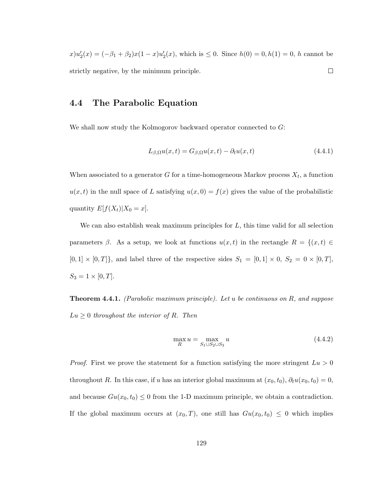$x)u'_2(x) = (-\beta_1 + \beta_2)x(1-x)u'_2(x)$ , which is  $\leq 0$ . Since  $h(0) = 0, h(1) = 0$ , h cannot be strictly negative, by the minimum principle.  $\Box$ 

### 4.4 The Parabolic Equation

We shall now study the Kolmogorov backward operator connected to  $G$ :

$$
L_{\beta,\Omega}u(x,t) = G_{\beta,\Omega}u(x,t) - \partial_t u(x,t)
$$
\n(4.4.1)

When associated to a generator G for a time-homogeneous Markov process  $X_t$ , a function  $u(x, t)$  in the null space of L satisfying  $u(x, 0) = f(x)$  gives the value of the probabilistic quantity  $E[f(X_t)|X_0=x]$ .

We can also establish weak maximum principles for  $L$ , this time valid for all selection parameters  $\beta$ . As a setup, we look at functions  $u(x,t)$  in the rectangle  $R = \{(x,t) \in$  $[0, 1] \times [0, T]$ , and label three of the respective sides  $S_1 = [0, 1] \times 0$ ,  $S_2 = 0 \times [0, T]$ ,  $S_3 = 1 \times [0, T].$ 

**Theorem 4.4.1.** (Parabolic maximum principle). Let  $u$  be continuous on  $R$ , and suppose  $Lu \geq 0$  throughout the interior of R. Then

$$
\max_{R} u = \max_{S_1 \cup S_2 \cup S_3} u \tag{4.4.2}
$$

*Proof.* First we prove the statement for a function satisfying the more stringent  $Lu > 0$ throughout R. In this case, if u has an interior global maximum at  $(x_0, t_0)$ ,  $\partial_t u(x_0, t_0) = 0$ , and because  $Gu(x_0, t_0) \leq 0$  from the 1-D maximum principle, we obtain a contradiction. If the global maximum occurs at  $(x_0, T)$ , one still has  $Gu(x_0, t_0) \leq 0$  which implies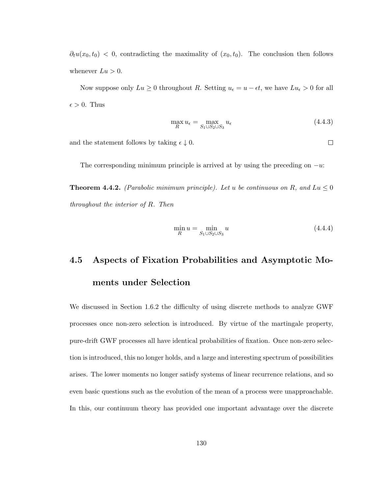$\partial_t u(x_0, t_0)$  < 0, contradicting the maximality of  $(x_0, t_0)$ . The conclusion then follows whenever  $Lu > 0$ .

Now suppose only  $Lu \geq 0$  throughout R. Setting  $u_{\epsilon} = u - \epsilon t$ , we have  $Lu_{\epsilon} > 0$  for all  $\epsilon > 0$ . Thus

$$
\max_{R} u_{\epsilon} = \max_{S_1 \cup S_2 \cup S_3} u_{\epsilon} \tag{4.4.3}
$$

and the statement follows by taking  $\epsilon \downarrow 0$ .

The corresponding minimum principle is arrived at by using the preceding on  $-u$ :

**Theorem 4.4.2.** (Parabolic minimum principle). Let u be continuous on R, and  $Lu \leq 0$ throughout the interior of R. Then

$$
\min_{R} u = \min_{S_1 \cup S_2 \cup S_3} u \tag{4.4.4}
$$

### 4.5 Aspects of Fixation Probabilities and Asymptotic Moments under Selection

We discussed in Section 1.6.2 the difficulty of using discrete methods to analyze GWF processes once non-zero selection is introduced. By virtue of the martingale property, pure-drift GWF processes all have identical probabilities of fixation. Once non-zero selection is introduced, this no longer holds, and a large and interesting spectrum of possibilities arises. The lower moments no longer satisfy systems of linear recurrence relations, and so even basic questions such as the evolution of the mean of a process were unapproachable. In this, our continuum theory has provided one important advantage over the discrete

 $\Box$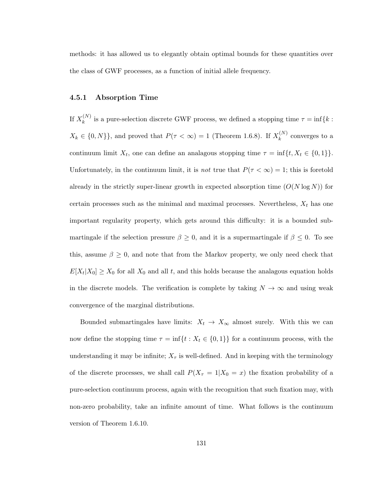methods: it has allowed us to elegantly obtain optimal bounds for these quantities over the class of GWF processes, as a function of initial allele frequency.

### 4.5.1 Absorption Time

If  $X_k^{(N)}$  $\kappa_k^{(N)}$  is a pure-selection discrete GWF process, we defined a stopping time  $\tau = \inf\{k :$  $X_k \in \{0, N\}$ , and proved that  $P(\tau < \infty) = 1$  (Theorem 1.6.8). If  $X_k^{(N)}$  $k^{(N)}$  converges to a continuum limit  $X_t$ , one can define an analagous stopping time  $\tau = \inf\{t, X_t \in \{0, 1\}\}.$ Unfortunately, in the continuum limit, it is *not* true that  $P(\tau < \infty) = 1$ ; this is foretold already in the strictly super-linear growth in expected absorption time  $(O(N \log N))$  for certain processes such as the minimal and maximal processes. Nevertheless,  $X_t$  has one important regularity property, which gets around this difficulty: it is a bounded submartingale if the selection pressure  $\beta \geq 0$ , and it is a supermartingale if  $\beta \leq 0$ . To see this, assume  $\beta \geq 0$ , and note that from the Markov property, we only need check that  $E[X_t|X_0] \ge X_0$  for all  $X_0$  and all t, and this holds because the analagous equation holds in the discrete models. The verification is complete by taking  $N \to \infty$  and using weak convergence of the marginal distributions.

Bounded submartingales have limits:  $X_t \to X_\infty$  almost surely. With this we can now define the stopping time  $\tau = \inf\{t : X_t \in \{0,1\}\}\)$  for a continuum process, with the understanding it may be infinite;  $X_{\tau}$  is well-defined. And in keeping with the terminology of the discrete processes, we shall call  $P(X_\tau = 1 | X_0 = x)$  the fixation probability of a pure-selection continuum process, again with the recognition that such fixation may, with non-zero probability, take an infinite amount of time. What follows is the continuum version of Theorem 1.6.10.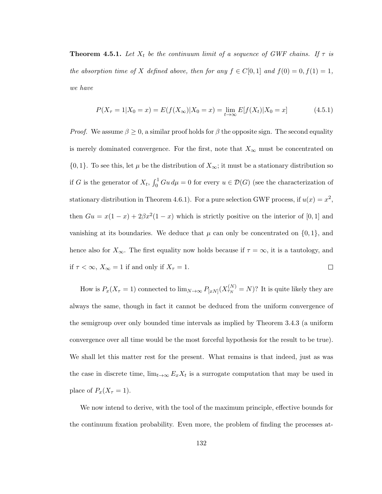**Theorem 4.5.1.** Let  $X_t$  be the continuum limit of a sequence of GWF chains. If  $\tau$  is the absorption time of X defined above, then for any  $f \in C[0,1]$  and  $f(0) = 0, f(1) = 1$ , we have

$$
P(X_{\tau} = 1 | X_0 = x) = E(f(X_{\infty}) | X_0 = x) = \lim_{t \to \infty} E[f(X_t) | X_0 = x]
$$
\n(4.5.1)

*Proof.* We assume  $\beta \geq 0$ , a similar proof holds for  $\beta$  the opposite sign. The second equality is merely dominated convergence. For the first, note that  $X_{\infty}$  must be concentrated on  $\{0,1\}$ . To see this, let  $\mu$  be the distribution of  $X_{\infty}$ ; it must be a stationary distribution so if G is the generator of  $X_t$ ,  $\int_0^1 Gu \, d\mu = 0$  for every  $u \in \mathcal{D}(G)$  (see the characterization of stationary distribution in Theorem 4.6.1). For a pure selection GWF process, if  $u(x) = x^2$ , then  $Gu = x(1-x) + 2\beta x^2(1-x)$  which is strictly positive on the interior of [0, 1] and vanishing at its boundaries. We deduce that  $\mu$  can only be concentrated on  $\{0, 1\}$ , and hence also for  $X_{\infty}$ . The first equality now holds because if  $\tau = \infty$ , it is a tautology, and if  $\tau < \infty$ ,  $X_{\infty} = 1$  if and only if  $X_{\tau} = 1$ .  $\Box$ 

How is  $P_x(X_\tau = 1)$  connected to  $\lim_{N \to \infty} P_{[xN]}(X_{\tau_N}^{(N)} = N)$ ? It is quite likely they are always the same, though in fact it cannot be deduced from the uniform convergence of the semigroup over only bounded time intervals as implied by Theorem 3.4.3 (a uniform convergence over all time would be the most forceful hypothesis for the result to be true). We shall let this matter rest for the present. What remains is that indeed, just as was the case in discrete time,  $\lim_{t\to\infty} E_x X_t$  is a surrogate computation that may be used in place of  $P_x(X_\tau = 1)$ .

We now intend to derive, with the tool of the maximum principle, effective bounds for the continuum fixation probability. Even more, the problem of finding the processes at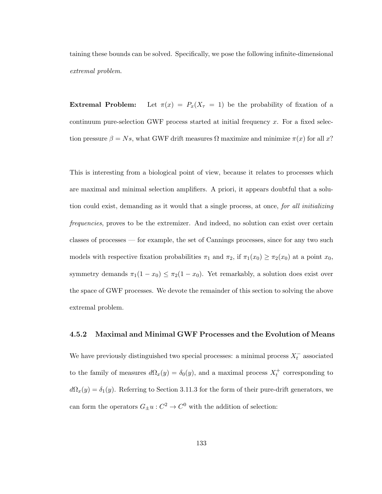taining these bounds can be solved. Specifically, we pose the following infinite-dimensional extremal problem.

Extremal Problem: Let  $\pi(x) = P_x(X_\tau = 1)$  be the probability of fixation of a continuum pure-selection GWF process started at initial frequency  $x$ . For a fixed selection pressure  $\beta = Ns$ , what GWF drift measures  $\Omega$  maximize and minimize  $\pi(x)$  for all x?

This is interesting from a biological point of view, because it relates to processes which are maximal and minimal selection amplifiers. A priori, it appears doubtful that a solution could exist, demanding as it would that a single process, at once, for all initializing frequencies, proves to be the extremizer. And indeed, no solution can exist over certain classes of processes — for example, the set of Cannings processes, since for any two such models with respective fixation probabilities  $\pi_1$  and  $\pi_2$ , if  $\pi_1(x_0) \geq \pi_2(x_0)$  at a point  $x_0$ , symmetry demands  $\pi_1(1-x_0) \leq \pi_2(1-x_0)$ . Yet remarkably, a solution does exist over the space of GWF processes. We devote the remainder of this section to solving the above extremal problem.

### 4.5.2 Maximal and Minimal GWF Processes and the Evolution of Means

We have previously distinguished two special processes: a minimal process  $X_t^-$  associated to the family of measures  $d\Omega_x(y) = \delta_0(y)$ , and a maximal process  $X_t^+$  corresponding to  $d\Omega_x(y) = \delta_1(y)$ . Referring to Section 3.11.3 for the form of their pure-drift generators, we can form the operators  $G_{\pm}u: C^2 \to C^0$  with the addition of selection: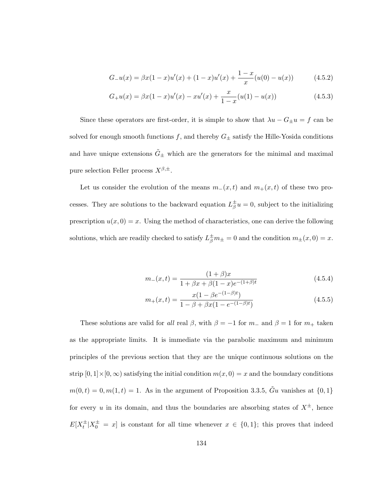$$
G_{-}u(x) = \beta x (1-x)u'(x) + (1-x)u'(x) + \frac{1-x}{x}(u(0) - u(x))
$$
\n(4.5.2)

$$
G_{+}u(x) = \beta x(1-x)u'(x) - xu'(x) + \frac{x}{1-x}(u(1) - u(x))
$$
\n(4.5.3)

Since these operators are first-order, it is simple to show that  $\lambda u - G_{\pm}u = f$  can be solved for enough smooth functions  $f$ , and thereby  $G_{\pm}$  satisfy the Hille-Yosida conditions and have unique extensions  $\tilde{G}_\pm$  which are the generators for the minimal and maximal pure selection Feller process  $X^{\beta,\pm}$ .

Let us consider the evolution of the means  $m_-(x,t)$  and  $m_+(x,t)$  of these two processes. They are solutions to the backward equation  $L^{\pm}_{\beta}$  $\frac{1}{\beta}u=0$ , subject to the initializing prescription  $u(x, 0) = x$ . Using the method of characteristics, one can derive the following solutions, which are readily checked to satisfy  $L^{\pm}_{\beta} m_{\pm} = 0$  and the condition  $m_{\pm}(x, 0) = x$ .

$$
m_{-}(x,t) = \frac{(1+\beta)x}{1+\beta x+\beta(1-x)e^{-(1+\beta)t}}
$$
\n(4.5.4)

$$
m_{+}(x,t) = \frac{x(1 - \beta e^{-(1-\beta)t})}{1 - \beta + \beta x(1 - e^{-(1-\beta)t})}
$$
(4.5.5)

These solutions are valid for all real  $\beta$ , with  $\beta = -1$  for  $m_-\$  and  $\beta = 1$  for  $m_+\$  taken as the appropriate limits. It is immediate via the parabolic maximum and minimum principles of the previous section that they are the unique continuous solutions on the strip  $[0, 1] \times [0, \infty)$  satisfying the initial condition  $m(x, 0) = x$  and the boundary conditions  $m(0, t) = 0, m(1, t) = 1$ . As in the argument of Proposition 3.3.5,  $\tilde{G}u$  vanishes at  $\{0, 1\}$ for every u in its domain, and thus the boundaries are absorbing states of  $X^{\pm}$ , hence  $E[X_t^{\pm}|X_0^{\pm}=x]$  is constant for all time whenever  $x \in \{0,1\}$ ; this proves that indeed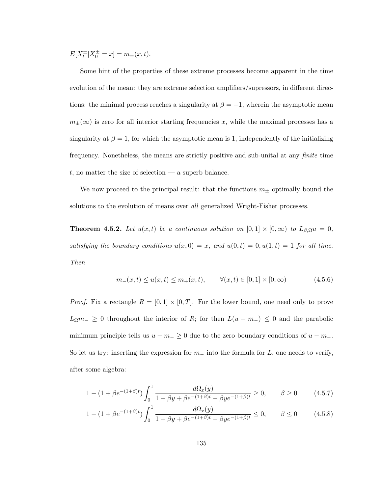$E[X_t^{\pm}|X_0^{\pm}=x] = m_{\pm}(x,t).$ 

Some hint of the properties of these extreme processes become apparent in the time evolution of the mean: they are extreme selection amplifiers/supressors, in different directions: the minimal process reaches a singularity at  $\beta = -1$ , wherein the asymptotic mean  $m_{\pm}(\infty)$  is zero for all interior starting frequencies x, while the maximal processes has a singularity at  $\beta = 1$ , for which the asymptotic mean is 1, independently of the initializing frequency. Nonetheless, the means are strictly positive and sub-unital at any finite time t, no matter the size of selection  $-$  a superb balance.

We now proceed to the principal result: that the functions  $m_{\pm}$  optimally bound the solutions to the evolution of means over all generalized Wright-Fisher processes.

**Theorem 4.5.2.** Let  $u(x,t)$  be a continuous solution on  $[0,1] \times [0,\infty)$  to  $L_{\beta,\Omega}u = 0$ , satisfying the boundary conditions  $u(x, 0) = x$ , and  $u(0,t) = 0, u(1,t) = 1$  for all time. Then

$$
m_{-}(x,t) \le u(x,t) \le m_{+}(x,t), \qquad \forall (x,t) \in [0,1] \times [0,\infty) \tag{4.5.6}
$$

*Proof.* Fix a rectangle  $R = [0, 1] \times [0, T]$ . For the lower bound, one need only to prove  $L_{\Omega}m_{-} \geq 0$  throughout the interior of R; for then  $L(u - m_{-}) \leq 0$  and the parabolic minimum principle tells us  $u - m_-\geq 0$  due to the zero boundary conditions of  $u - m_-\sim$ . So let us try: inserting the expression for  $m_-\,$  into the formula for L, one needs to verify, after some algebra:

$$
1 - (1 + \beta e^{-(1+\beta)t}) \int_0^1 \frac{d\Omega_x(y)}{1 + \beta y + \beta e^{-(1+\beta)t} - \beta y e^{-(1+\beta)t}} \ge 0, \qquad \beta \ge 0 \tag{4.5.7}
$$

$$
1 - (1 + \beta e^{-(1+\beta)t}) \int_0^1 \frac{d\Omega_x(y)}{1 + \beta y + \beta e^{-(1+\beta)t} - \beta y e^{-(1+\beta)t}} \le 0, \qquad \beta \le 0 \qquad (4.5.8)
$$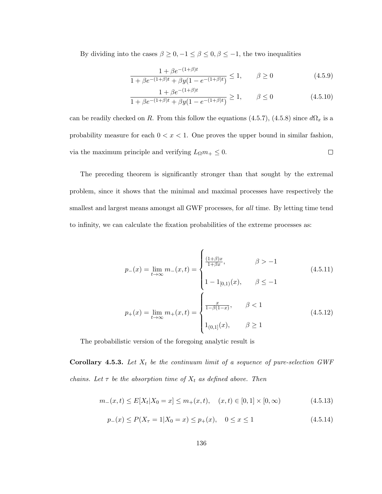By dividing into the cases  $\beta\geq 0, -1\leq \beta\leq 0, \beta\leq -1,$  the two inequalities

$$
\frac{1 + \beta e^{-(1+\beta)t}}{1 + \beta e^{-(1+\beta)t} + \beta y (1 - e^{-(1+\beta)t})} \le 1, \qquad \beta \ge 0
$$
\n(4.5.9)

$$
\frac{1 + \beta e^{-(1+\beta)t}}{1 + \beta e^{-(1+\beta)t} + \beta y (1 - e^{-(1+\beta)t})} \ge 1, \qquad \beta \le 0
$$
\n(4.5.10)

can be readily checked on R. From this follow the equations (4.5.7), (4.5.8) since  $d\Omega_x$  is a probability measure for each  $0 < x < 1$ . One proves the upper bound in similar fashion,  $\Box$ via the maximum principle and verifying  $L_{\Omega}m_{+} \leq 0$ .

The preceding theorem is significantly stronger than that sought by the extremal problem, since it shows that the minimal and maximal processes have respectively the smallest and largest means amongst all GWF processes, for *all* time. By letting time tend to infinity, we can calculate the fixation probabilities of the extreme processes as:

$$
p_{-}(x) = \lim_{t \to \infty} m_{-}(x, t) = \begin{cases} \frac{(1+\beta)x}{1+\beta x}, & \beta > -1 \\ 1 - 1_{[0,1)}(x), & \beta \le -1 \end{cases}
$$
(4.5.11)  

$$
p_{+}(x) = \lim_{t \to \infty} m_{+}(x, t) = \begin{cases} \frac{x}{1-\beta(1-x)}, & \beta < 1 \\ 1_{(0,1]}(x), & \beta \ge 1 \end{cases}
$$
(4.5.12)

The probabilistic version of the foregoing analytic result is

Corollary 4.5.3. Let  $X_t$  be the continuum limit of a sequence of pure-selection GWF chains. Let  $\tau$  be the absorption time of  $X_t$  as defined above. Then

$$
m_{-}(x,t) \le E[X_t | X_0 = x] \le m_{+}(x,t), \quad (x,t) \in [0,1] \times [0,\infty)
$$
\n(4.5.13)

$$
p_{-}(x) \le P(X_{\tau} = 1 | X_0 = x) \le p_{+}(x), \quad 0 \le x \le 1
$$
\n(4.5.14)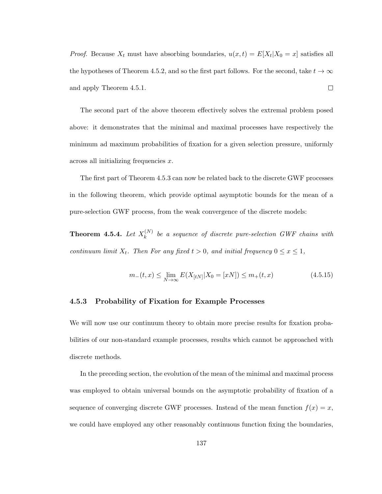*Proof.* Because  $X_t$  must have absorbing boundaries,  $u(x,t) = E[X_t | X_0 = x]$  satisfies all the hypotheses of Theorem 4.5.2, and so the first part follows. For the second, take  $t \to \infty$ and apply Theorem 4.5.1.  $\Box$ 

The second part of the above theorem effectively solves the extremal problem posed above: it demonstrates that the minimal and maximal processes have respectively the minimum ad maximum probabilities of fixation for a given selection pressure, uniformly across all initializing frequencies x.

The first part of Theorem 4.5.3 can now be related back to the discrete GWF processes in the following theorem, which provide optimal asymptotic bounds for the mean of a pure-selection GWF process, from the weak convergence of the discrete models:

Theorem 4.5.4. Let  $X_k^{(N)}$  $\kappa_k^{(N)}$  be a sequence of discrete pure-selection GWF chains with continuum limit  $X_t$ . Then For any fixed  $t > 0$ , and initial frequency  $0 \le x \le 1$ ,

$$
m_{-}(t,x) \le \lim_{N \to \infty} E(X_{[tN]} | X_0 = [xN]) \le m_{+}(t,x)
$$
\n(4.5.15)

### 4.5.3 Probability of Fixation for Example Processes

We will now use our continuum theory to obtain more precise results for fixation probabilities of our non-standard example processes, results which cannot be approached with discrete methods.

In the preceding section, the evolution of the mean of the minimal and maximal process was employed to obtain universal bounds on the asymptotic probability of fixation of a sequence of converging discrete GWF processes. Instead of the mean function  $f(x) = x$ , we could have employed any other reasonably continuous function fixing the boundaries,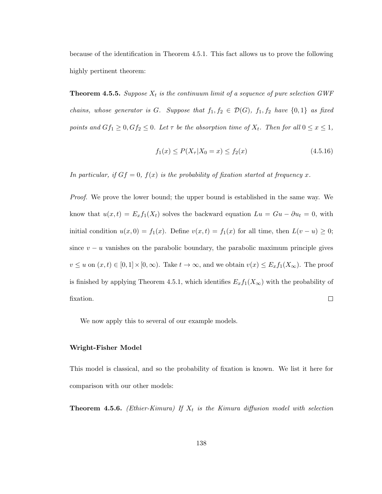because of the identification in Theorem 4.5.1. This fact allows us to prove the following highly pertinent theorem:

**Theorem 4.5.5.** Suppose  $X_t$  is the continuum limit of a sequence of pure selection GWF chains, whose generator is G. Suppose that  $f_1, f_2 \in \mathcal{D}(G)$ ,  $f_1, f_2$  have  $\{0,1\}$  as fixed points and  $Gf_1 \geq 0$ ,  $Gf_2 \leq 0$ . Let  $\tau$  be the absorption time of  $X_t$ . Then for all  $0 \leq x \leq 1$ ,

$$
f_1(x) \le P(X_\tau | X_0 = x) \le f_2(x) \tag{4.5.16}
$$

In particular, if  $Gf = 0$ ,  $f(x)$  is the probability of fixation started at frequency x.

Proof. We prove the lower bound; the upper bound is established in the same way. We know that  $u(x,t) = E_x f_1(X_t)$  solves the backward equation  $Lu = Gu - \partial u_t = 0$ , with initial condition  $u(x, 0) = f_1(x)$ . Define  $v(x,t) = f_1(x)$  for all time, then  $L(v - u) \ge 0$ ; since  $v - u$  vanishes on the parabolic boundary, the parabolic maximum principle gives  $v \leq u$  on  $(x, t) \in [0, 1] \times [0, \infty)$ . Take  $t \to \infty$ , and we obtain  $v(x) \leq E_x f_1(X_\infty)$ . The proof is finished by applying Theorem 4.5.1, which identifies  $E_x f_1(X_\infty)$  with the probability of fixation.  $\Box$ 

We now apply this to several of our example models.

#### Wright-Fisher Model

This model is classical, and so the probability of fixation is known. We list it here for comparison with our other models:

**Theorem 4.5.6.** (Ethier-Kimura) If  $X_t$  is the Kimura diffusion model with selection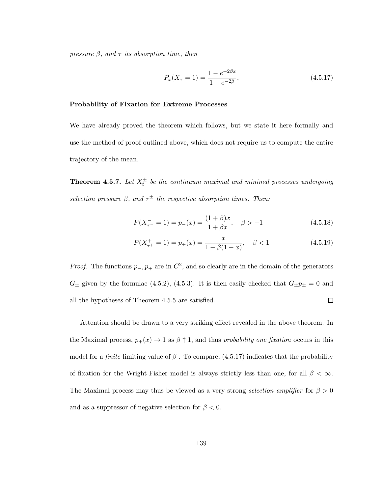pressure  $\beta$ , and  $\tau$  its absorption time, then

$$
P_x(X_\tau = 1) = \frac{1 - e^{-2\beta x}}{1 - e^{-2\beta}},\tag{4.5.17}
$$

## Probability of Fixation for Extreme Processes

We have already proved the theorem which follows, but we state it here formally and use the method of proof outlined above, which does not require us to compute the entire trajectory of the mean.

**Theorem 4.5.7.** Let  $X_t^{\pm}$  be the continuum maximal and minimal processes undergoing selection pressure  $\beta$ , and  $\tau^{\pm}$  the respective absorption times. Then:

$$
P(X_{\tau^-}^- = 1) = p_-(x) = \frac{(1+\beta)x}{1+\beta x}, \quad \beta > -1
$$
\n(4.5.18)

$$
P(X_{\tau^+}^+ = 1) = p_+(x) = \frac{x}{1 - \beta(1 - x)}, \quad \beta < 1 \tag{4.5.19}
$$

*Proof.* The functions  $p_-, p_+$  are in  $C^2$ , and so clearly are in the domain of the generators  $G_{\pm}$  given by the formulae (4.5.2), (4.5.3). It is then easily checked that  $G_{\pm}p_{\pm}=0$  and  $\Box$ all the hypotheses of Theorem 4.5.5 are satisfied.

Attention should be drawn to a very striking effect revealed in the above theorem. In the Maximal process,  $p_+(x) \to 1$  as  $\beta \uparrow 1$ , and thus *probability one fixation* occurs in this model for a *finite* limiting value of  $\beta$ . To compare, (4.5.17) indicates that the probability of fixation for the Wright-Fisher model is always strictly less than one, for all  $\beta < \infty$ . The Maximal process may thus be viewed as a very strong *selection amplifier* for  $\beta > 0$ and as a suppressor of negative selection for  $\beta < 0$ .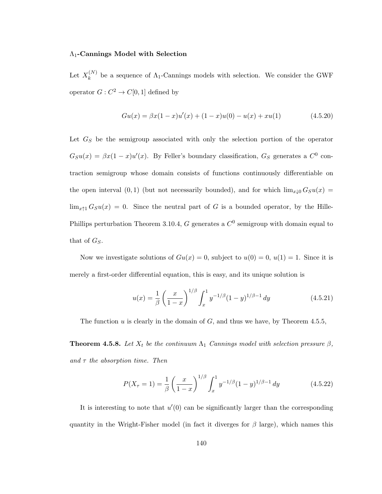#### Λ1-Cannings Model with Selection

Let  $X_k^{(N)}$  $\kappa_k^{(N)}$  be a sequence of  $\Lambda_1$ -Cannings models with selection. We consider the GWF operator  $G: C^2 \to C[0, 1]$  defined by

$$
Gu(x) = \beta x (1 - x) u'(x) + (1 - x) u(0) - u(x) + xu(1)
$$
\n(4.5.20)

Let  $G_S$  be the semigroup associated with only the selection portion of the operator  $G_S u(x) = \beta x (1-x) u'(x)$ . By Feller's boundary classification,  $G_S$  generates a  $C^0$  contraction semigroup whose domain consists of functions continuously differentiable on the open interval  $(0, 1)$  (but not necessarily bounded), and for which  $\lim_{x\downarrow 0} G_S u(x) =$  $\lim_{x\uparrow 1} G_S u(x) = 0$ . Since the neutral part of G is a bounded operator, by the Hille-Phillips perturbation Theorem 3.10.4, G generates a  $C^0$  semigroup with domain equal to that of  $G_S$ .

Now we investigate solutions of  $Gu(x) = 0$ , subject to  $u(0) = 0$ ,  $u(1) = 1$ . Since it is merely a first-order differential equation, this is easy, and its unique solution is

$$
u(x) = \frac{1}{\beta} \left(\frac{x}{1-x}\right)^{1/\beta} \int_x^1 y^{-1/\beta} (1-y)^{1/\beta - 1} dy \tag{4.5.21}
$$

The function  $u$  is clearly in the domain of  $G$ , and thus we have, by Theorem 4.5.5,

**Theorem 4.5.8.** Let  $X_t$  be the continuum  $\Lambda_1$  Cannings model with selection pressure  $\beta$ , and  $\tau$  the absorption time. Then

$$
P(X_{\tau} = 1) = \frac{1}{\beta} \left(\frac{x}{1-x}\right)^{1/\beta} \int_{x}^{1} y^{-1/\beta} (1-y)^{1/\beta - 1} dy \tag{4.5.22}
$$

It is interesting to note that  $u'(0)$  can be significantly larger than the corresponding quantity in the Wright-Fisher model (in fact it diverges for  $\beta$  large), which names this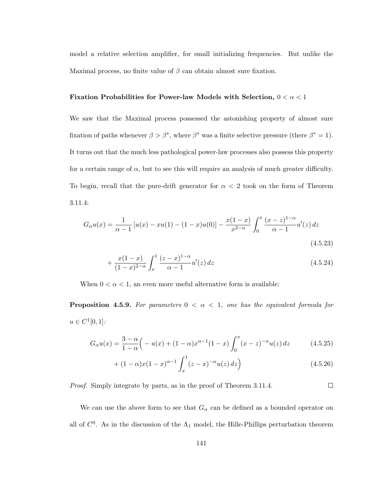model a relative selection amplifier, for small initializing frequencies. But unlike the Maximal process, no finite value of  $\beta$  can obtain almost sure fixation.

#### Fixation Probabilities for Power-law Models with Selection,  $0 < \alpha < 1$

We saw that the Maximal process possessed the astonishing property of almost sure fixation of paths whenever  $\beta > \beta^*$ , where  $\beta^*$  was a finite selective pressure (there  $\beta^* = 1$ ). It turns out that the much less pathological power-law processes also possess this property for a certain range of  $\alpha$ , but to see this will require an analysis of much greater difficulty. To begin, recall that the pure-drift generator for  $\alpha < 2$  took on the form of Theorem 3.11.4:

$$
G_{\alpha}u(x) = \frac{1}{\alpha - 1} \left[ u(x) - xu(1) - (1 - x)u(0) \right] - \frac{x(1 - x)}{x^{2 - \alpha}} \int_0^x \frac{(x - z)^{1 - \alpha}}{\alpha - 1} u'(z) dz
$$
\n(4.5.23)

$$
+\frac{x(1-x)}{(1-x)^{2-\alpha}}\int_{x}^{1}\frac{(z-x)^{1-\alpha}}{\alpha-1}u'(z)\,dz\tag{4.5.24}
$$

When  $0 < \alpha < 1$ , an even more useful alternative form is available:

**Proposition 4.5.9.** For parameters  $0 < \alpha < 1$ , one has the equivalent formula for  $u \in C^1[0,1]$ :

$$
G_{\alpha}u(x) = \frac{3-\alpha}{1-\alpha} \Big( -u(x) + (1-\alpha)x^{\alpha-1}(1-x) \int_0^x (x-z)^{-\alpha} u(z) dz \qquad (4.5.25)
$$

$$
+(1-\alpha)x(1-x)^{\alpha-1}\int_{x}^{1}(z-x)^{-\alpha}u(z)\,dz\Big)\tag{4.5.26}
$$

 $\Box$ 

Proof. Simply integrate by parts, as in the proof of Theorem 3.11.4.

We can use the above form to see that  $G_{\alpha}$  can be defined as a bounded operator on all of  $C^0$ . As in the discussion of the  $\Lambda_1$  model, the Hille-Phillips perturbation theorem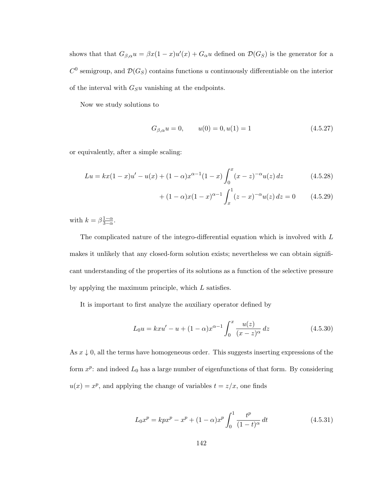shows that that  $G_{\beta,\alpha}u = \beta x(1-x)u'(x) + G_{\alpha}u$  defined on  $\mathcal{D}(G_S)$  is the generator for a  $C^0$  semigroup, and  $\mathcal{D}(G_S)$  contains functions u continuously differentiable on the interior of the interval with  $G_S u$  vanishing at the endpoints.

Now we study solutions to

$$
G_{\beta,\alpha}u = 0, \qquad u(0) = 0, u(1) = 1 \tag{4.5.27}
$$

or equivalently, after a simple scaling:

$$
Lu = kx(1-x)u' - u(x) + (1-\alpha)x^{\alpha-1}(1-x)\int_0^x (x-z)^{-\alpha}u(z) dz
$$
 (4.5.28)

$$
+ (1 - \alpha)x(1 - x)^{\alpha - 1} \int_{x}^{1} (z - x)^{-\alpha} u(z) dz = 0 \qquad (4.5.29)
$$

with  $k = \beta \frac{1-\alpha}{3-\alpha}$  $rac{1-\alpha}{3-\alpha}$ .

The complicated nature of the integro-differential equation which is involved with L makes it unlikely that any closed-form solution exists; nevertheless we can obtain significant understanding of the properties of its solutions as a function of the selective pressure by applying the maximum principle, which L satisfies.

It is important to first analyze the auxiliary operator defined by

$$
L_0 u = kxu' - u + (1 - \alpha)x^{\alpha - 1} \int_0^x \frac{u(z)}{(x - z)^{\alpha}} dz
$$
 (4.5.30)

As  $x \downarrow 0$ , all the terms have homogeneous order. This suggests inserting expressions of the form  $x^p$ : and indeed  $L_0$  has a large number of eigenfunctions of that form. By considering  $u(x) = x^p$ , and applying the change of variables  $t = z/x$ , one finds

$$
L_0 x^p = kpx^p - x^p + (1 - \alpha)x^p \int_0^1 \frac{t^p}{(1 - t)^\alpha} dt
$$
 (4.5.31)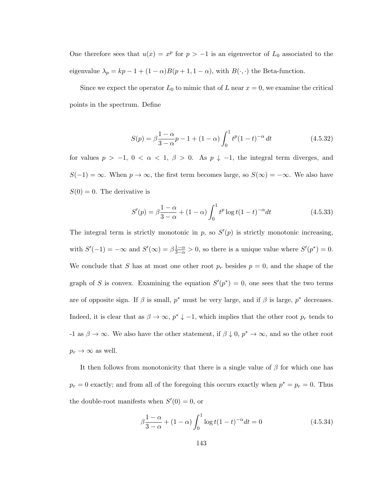One therefore sees that  $u(x) = x^p$  for  $p > -1$  is an eigenvector of  $L_0$  associated to the eigenvalue  $\lambda_p = kp - 1 + (1 - \alpha)B(p + 1, 1 - \alpha)$ , with  $B(\cdot, \cdot)$  the Beta-function.

Since we expect the operator  $L_0$  to mimic that of L near  $x = 0$ , we examine the critical points in the spectrum. Define

$$
S(p) = \beta \frac{1 - \alpha}{3 - \alpha} p - 1 + (1 - \alpha) \int_0^1 t^p (1 - t)^{-\alpha} dt
$$
 (4.5.32)

for values  $p > -1$ ,  $0 < \alpha < 1$ ,  $\beta > 0$ . As  $p \downarrow -1$ , the integral term diverges, and  $S(-1) = \infty$ . When  $p \to \infty$ , the first term becomes large, so  $S(\infty) = -\infty$ . We also have  $S(0) = 0$ . The derivative is

$$
S'(p) = \beta \frac{1-\alpha}{3-\alpha} + (1-\alpha) \int_0^1 t^p \log t (1-t)^{-\alpha} dt \qquad (4.5.33)
$$

The integral term is strictly monotonic in  $p$ , so  $S'(p)$  is strictly monotonic increasing, with  $S'(-1) = -\infty$  and  $S'(\infty) = \beta \frac{1-\alpha}{3-\alpha} > 0$ , so there is a unique value where  $S'(p^*) = 0$ . We conclude that S has at most one other root  $p_r$  besides  $p = 0$ , and the shape of the graph of S is convex. Examining the equation  $S'(p^*) = 0$ , one sees that the two terms are of opposite sign. If  $\beta$  is small,  $p^*$  must be very large, and if  $\beta$  is large,  $p^*$  decreases. Indeed, it is clear that as  $\beta \to \infty$ ,  $p^* \downarrow -1$ , which implies that the other root  $p_r$  tends to -1 as  $\beta \to \infty$ . We also have the other statement, if  $\beta \downarrow 0$ ,  $p^* \to \infty$ , and so the other root  $p_r \to \infty$  as well.

It then follows from monotonicity that there is a single value of  $\beta$  for which one has  $p_r = 0$  exactly; and from all of the foregoing this occurs exactly when  $p^* = p_r = 0$ . Thus the double-root manifests when  $S'(0) = 0$ , or

$$
\beta \frac{1-\alpha}{3-\alpha} + (1-\alpha) \int_0^1 \log t (1-t)^{-\alpha} dt = 0 \qquad (4.5.34)
$$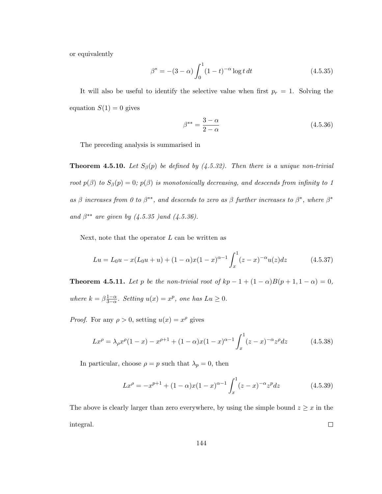or equivalently

$$
\beta^* = -(3 - \alpha) \int_0^1 (1 - t)^{-\alpha} \log t \, dt \tag{4.5.35}
$$

It will also be useful to identify the selective value when first  $p_r = 1$ . Solving the equation  $S(1) = 0$  gives

$$
\beta^{**} = \frac{3-\alpha}{2-\alpha} \tag{4.5.36}
$$

The preceding analysis is summarised in

**Theorem 4.5.10.** Let  $S_\beta(p)$  be defined by (4.5.32). Then there is a unique non-trivial root  $p(\beta)$  to  $S_{\beta}(p) = 0$ ;  $p(\beta)$  is monotonically decreasing, and descends from infinity to 1 as  $\beta$  increases from 0 to  $\beta^{**}$ , and descends to zero as  $\beta$  further increases to  $\beta^*$ , where  $\beta^*$ and  $\beta^{**}$  are given by (4.5.35 )and (4.5.36).

Next, note that the operator  $L$  can be written as

$$
Lu = L_0 u - x(L_0 u + u) + (1 - \alpha)x(1 - x)^{\alpha - 1} \int_x^1 (z - x)^{-\alpha} u(z) dz \qquad (4.5.37)
$$

**Theorem 4.5.11.** Let p be the non-trivial root of  $kp-1+(1-\alpha)B(p+1,1-\alpha)=0$ , where  $k = \beta \frac{1-\alpha}{3-\alpha}$  $\frac{1-\alpha}{3-\alpha}$ . Setting  $u(x) = x^p$ , one has  $Lu \ge 0$ .

*Proof.* For any  $\rho > 0$ , setting  $u(x) = x^{\rho}$  gives

$$
Lx^{\rho} = \lambda_{\rho}x^{\rho}(1-x) - x^{\rho+1} + (1-\alpha)x(1-x)^{\alpha-1} \int_{x}^{1} (z-x)^{-\alpha} z^{\rho} dz
$$
 (4.5.38)

In particular, choose  $\rho = p$  such that  $\lambda_p = 0$ , then

$$
Lx^{\rho} = -x^{p+1} + (1 - \alpha)x(1 - x)^{\alpha - 1} \int_{x}^{1} (z - x)^{-\alpha} z^{p} dz
$$
 (4.5.39)

The above is clearly larger than zero everywhere, by using the simple bound  $z \geq x$  in the  $\Box$ integral.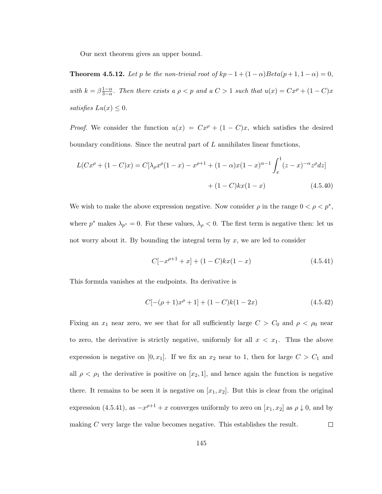Our next theorem gives an upper bound.

**Theorem 4.5.12.** Let p be the non-trivial root of  $kp-1+(1-\alpha)Beta(p+1,1-\alpha)=0$ , with  $k = \beta \frac{1-\alpha}{3-\alpha}$  $\frac{1-\alpha}{3-\alpha}$ . Then there exists a  $\rho < p$  and a  $C > 1$  such that  $u(x) = Cx^{\rho} + (1 - C)x^{\rho}$ satisfies  $Lu(x) \leq 0$ .

*Proof.* We consider the function  $u(x) = Cx^{\rho} + (1 - C)x$ , which satisfies the desired boundary conditions. Since the neutral part of  $L$  annihilates linear functions,

$$
L(Cx^{\rho} + (1 - C)x) = C[\lambda_{\rho}x^{\rho}(1 - x) - x^{\rho+1} + (1 - \alpha)x(1 - x)^{\alpha-1} \int_{x}^{1} (z - x)^{-\alpha} z^{\rho} dz]
$$

$$
+ (1 - C)kx(1 - x) \tag{4.5.40}
$$

We wish to make the above expression negative. Now consider  $\rho$  in the range  $0 < \rho < p^*$ , where  $p^*$  makes  $\lambda_{p^*} = 0$ . For these values,  $\lambda_{\rho} < 0$ . The first term is negative then: let us not worry about it. By bounding the integral term by  $x$ , we are led to consider

$$
C[-x^{\rho+1} + x] + (1 - C)kx(1 - x)
$$
\n(4.5.41)

This formula vanishes at the endpoints. Its derivative is

$$
C[-(\rho+1)x^{\rho}+1] + (1-C)k(1-2x) \qquad (4.5.42)
$$

Fixing an  $x_1$  near zero, we see that for all sufficiently large  $C > C_0$  and  $\rho < \rho_0$  near to zero, the derivative is strictly negative, uniformly for all  $x < x_1$ . Thus the above expression is negative on  $[0, x_1]$ . If we fix an  $x_2$  near to 1, then for large  $C > C_1$  and all  $\rho < \rho_1$  the derivative is positive on  $[x_2, 1]$ , and hence again the function is negative there. It remains to be seen it is negative on  $[x_1, x_2]$ . But this is clear from the original expression (4.5.41), as  $-x^{\rho+1}+x$  converges uniformly to zero on  $[x_1, x_2]$  as  $\rho \downarrow 0$ , and by making C very large the value becomes negative. This establishes the result.  $\Box$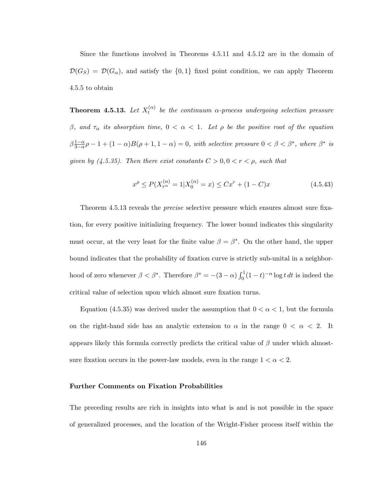Since the functions involved in Theorems 4.5.11 and 4.5.12 are in the domain of  $\mathcal{D}(G_S) = \mathcal{D}(G_\alpha)$ , and satisfy the  $\{0,1\}$  fixed point condition, we can apply Theorem 4.5.5 to obtain

Theorem 4.5.13. Let  $X_t^{(\alpha)}$  $\mathbf{t}_{t}^{(\alpha)}$  be the continuum  $\alpha$ -process undergoing selection pressure β, and  $τ_α$  its absorption time,  $0 < α < 1$ . Let  $ρ$  be the positive root of the equation  $\beta \frac{1-\alpha}{3-\alpha}$  $\frac{1-\alpha}{3-\alpha}\rho-1+(1-\alpha)B(\rho+1,1-\alpha)=0$ , with selective pressure  $0<\beta<\beta^*$ , where  $\beta^*$  is given by (4.5.35). Then there exist constants  $C > 0, 0 < r < \rho$ , such that

$$
x^{\rho} \le P(X_{\tau^{\alpha}}^{(\alpha)} = 1 | X_0^{(\alpha)} = x) \le Cx^r + (1 - C)x \tag{4.5.43}
$$

Theorem 4.5.13 reveals the *precise* selective pressure which ensures almost sure fixation, for every positive initializing frequency. The lower bound indicates this singularity must occur, at the very least for the finite value  $\beta = \beta^*$ . On the other hand, the upper bound indicates that the probability of fixation curve is strictly sub-unital in a neighborhood of zero whenever  $\beta < \beta^*$ . Therefore  $\beta^* = -(3-\alpha) \int_0^1 (1-t)^{-\alpha} \log t \, dt$  is indeed the critical value of selection upon which almost sure fixation turns.

Equation (4.5.35) was derived under the assumption that  $0 < \alpha < 1$ , but the formula on the right-hand side has an analytic extension to  $\alpha$  in the range  $0 < \alpha < 2$ . It appears likely this formula correctly predicts the critical value of  $\beta$  under which almostsure fixation occurs in the power-law models, even in the range  $1 < \alpha < 2$ .

#### Further Comments on Fixation Probabilities

The preceding results are rich in insights into what is and is not possible in the space of generalized processes, and the location of the Wright-Fisher process itself within the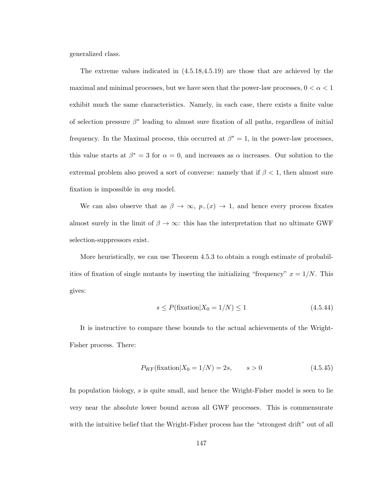generalized class.

The extreme values indicated in (4.5.18,4.5.19) are those that are achieved by the maximal and minimal processes, but we have seen that the power-law processes,  $0 < \alpha < 1$ exhibit much the same characteristics. Namely, in each case, there exists a finite value of selection pressure  $\beta^*$  leading to almost sure fixation of all paths, regardless of initial frequency. In the Maximal process, this occurred at  $\beta^* = 1$ , in the power-law processes, this value starts at  $\beta^* = 3$  for  $\alpha = 0$ , and increases as  $\alpha$  increases. Our solution to the extremal problem also proved a sort of converse: namely that if  $\beta$  < 1, then almost sure fixation is impossible in any model.

We can also observe that as  $\beta \to \infty$ ,  $p_-(x) \to 1$ , and hence every process fixates almost surely in the limit of  $\beta \to \infty$ : this has the interpretation that no ultimate GWF selection-suppressors exist.

More heuristically, we can use Theorem 4.5.3 to obtain a rough estimate of probabilities of fixation of single mutants by inserting the initializing "frequency"  $x = 1/N$ . This gives:

$$
s \le P(\text{fixation}|X_0 = 1/N) \le 1\tag{4.5.44}
$$

It is instructive to compare these bounds to the actual achievements of the Wright-Fisher process. There:

$$
P_{\rm WF}(\text{fixation}|X_0 = 1/N) = 2s, \qquad s > 0 \tag{4.5.45}
$$

In population biology, s is quite small, and hence the Wright-Fisher model is seen to lie very near the absolute lower bound across all GWF processes. This is commensurate with the intuitive belief that the Wright-Fisher process has the "strongest drift" out of all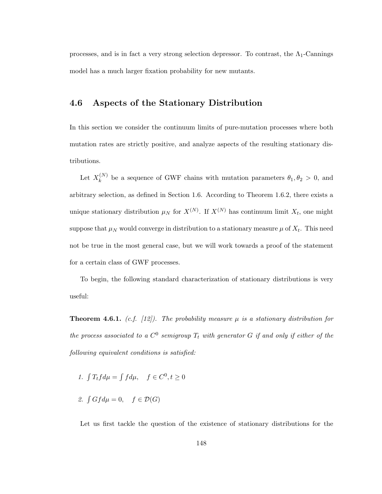processes, and is in fact a very strong selection depressor. To contrast, the  $\Lambda_1$ -Cannings model has a much larger fixation probability for new mutants.

## 4.6 Aspects of the Stationary Distribution

In this section we consider the continuum limits of pure-mutation processes where both mutation rates are strictly positive, and analyze aspects of the resulting stationary distributions.

Let  $X_k^{(N)}$  $\lambda_k^{(N)}$  be a sequence of GWF chains with mutation parameters  $\theta_1, \theta_2 > 0$ , and arbitrary selection, as defined in Section 1.6. According to Theorem 1.6.2, there exists a unique stationary distribution  $\mu_N$  for  $X^{(N)}$ . If  $X^{(N)}$  has continuum limit  $X_t$ , one might suppose that  $\mu_N$  would converge in distribution to a stationary measure  $\mu$  of  $X_t$ . This need not be true in the most general case, but we will work towards a proof of the statement for a certain class of GWF processes.

To begin, the following standard characterization of stationary distributions is very useful:

**Theorem 4.6.1.** (c.f. [12]). The probability measure  $\mu$  is a stationary distribution for the process associated to a  $C^0$  semigroup  $T_t$  with generator G if and only if either of the following equivalent conditions is satisfied:

- 1.  $\int T_t f d\mu = \int f d\mu$ ,  $f \in C^0, t \ge 0$
- 2.  $\int G f d\mu = 0$ ,  $f \in \mathcal{D}(G)$

Let us first tackle the question of the existence of stationary distributions for the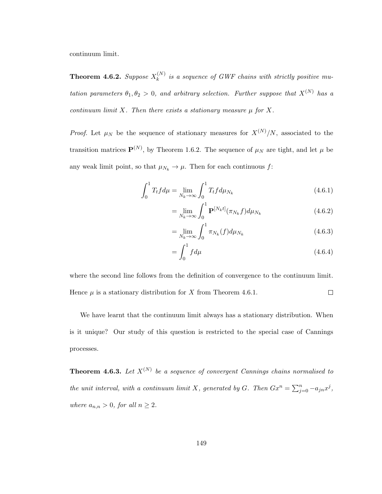continuum limit.

Theorem 4.6.2. Suppose  $X_k^{(N)}$  $\binom{N}{k}$  is a sequence of GWF chains with strictly positive mutation parameters  $\theta_1, \theta_2 > 0$ , and arbitrary selection. Further suppose that  $X^{(N)}$  has a continuum limit X. Then there exists a stationary measure  $\mu$  for X.

*Proof.* Let  $\mu_N$  be the sequence of stationary measures for  $X^{(N)}/N$ , associated to the transition matrices  $\mathbf{P}^{(N)}$ , by Theorem 1.6.2. The sequence of  $\mu_N$  are tight, and let  $\mu$  be any weak limit point, so that  $\mu_{N_k} \to \mu$ . Then for each continuous f:

$$
\int_{0}^{1} T_{t} f d\mu = \lim_{N_{k} \to \infty} \int_{0}^{1} T_{t} f d\mu_{N_{k}}
$$
\n(4.6.1)

$$
= \lim_{N_k \to \infty} \int_0^1 \mathbf{P}^{[N_k t]}(\pi_{N_k} f) d\mu_{N_k}
$$
\n(4.6.2)

$$
= \lim_{N_k \to \infty} \int_0^1 \pi_{N_k}(f) d\mu_{N_k}
$$
\n(4.6.3)

$$
=\int_0^1 f d\mu \tag{4.6.4}
$$

where the second line follows from the definition of convergence to the continuum limit. Hence  $\mu$  is a stationary distribution for X from Theorem 4.6.1.  $\Box$ 

We have learnt that the continuum limit always has a stationary distribution. When is it unique? Our study of this question is restricted to the special case of Cannings processes.

**Theorem 4.6.3.** Let  $X^{(N)}$  be a sequence of convergent Cannings chains normalised to the unit interval, with a continuum limit X, generated by G. Then  $Gx^n = \sum_{j=0}^n -a_{jn}x^j$ , where  $a_{n,n} > 0$ , for all  $n \geq 2$ .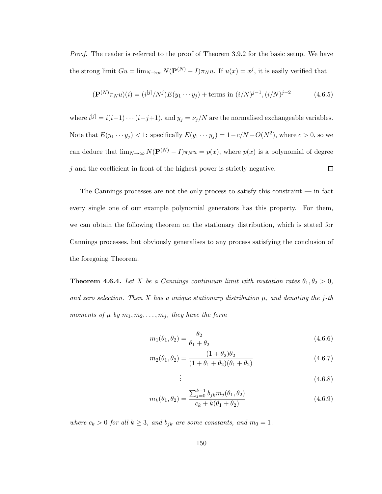Proof. The reader is referred to the proof of Theorem 3.9.2 for the basic setup. We have the strong limit  $Gu = \lim_{N \to \infty} N(\mathbf{P}^{(N)} - I)\pi_N u$ . If  $u(x) = x^j$ , it is easily verified that

$$
(\mathbf{P}^{(N)}\pi_N u)(i) = (i^{[j]}/N^j)E(y_1 \cdots y_j) + \text{terms in } (i/N)^{j-1}, (i/N)^{j-2}
$$
(4.6.5)

where  $i^{[j]} = i(i-1)\cdots(i-j+1)$ , and  $y_j = \nu_j/N$  are the normalised exchangeable variables. Note that  $E(y_1 \cdots y_j) < 1$ : specifically  $E(y_1 \cdots y_j) = 1 - c/N + O(N^2)$ , where  $c > 0$ , so we can deduce that  $\lim_{N\to\infty} N(\mathbf{P}^{(N)}-I)\pi_N u = p(x)$ , where  $p(x)$  is a polynomial of degree  $j$  and the coefficient in front of the highest power is strictly negative.  $\Box$ 

The Cannings processes are not the only process to satisfy this constraint — in fact every single one of our example polynomial generators has this property. For them, we can obtain the following theorem on the stationary distribution, which is stated for Cannings processes, but obviously generalises to any process satisfying the conclusion of the foregoing Theorem.

**Theorem 4.6.4.** Let X be a Cannings continuum limit with mutation rates  $\theta_1, \theta_2 > 0$ , and zero selection. Then X has a unique stationary distribution  $\mu$ , and denoting the j-th moments of  $\mu$  by  $m_1, m_2, \ldots, m_j$ , they have the form

$$
m_1(\theta_1, \theta_2) = \frac{\theta_2}{\theta_1 + \theta_2} \tag{4.6.6}
$$

$$
m_2(\theta_1, \theta_2) = \frac{(1 + \theta_2)\theta_2}{(1 + \theta_1 + \theta_2)(\theta_1 + \theta_2)}
$$
(4.6.7)

$$
\vdots \hspace{1.5cm} (4.6.8)
$$

$$
m_k(\theta_1, \theta_2) = \frac{\sum_{j=0}^{k-1} b_{jk} m_j(\theta_1, \theta_2)}{c_k + k(\theta_1 + \theta_2)}
$$
(4.6.9)

where  $c_k > 0$  for all  $k \geq 3$ , and  $b_{jk}$  are some constants, and  $m_0 = 1$ .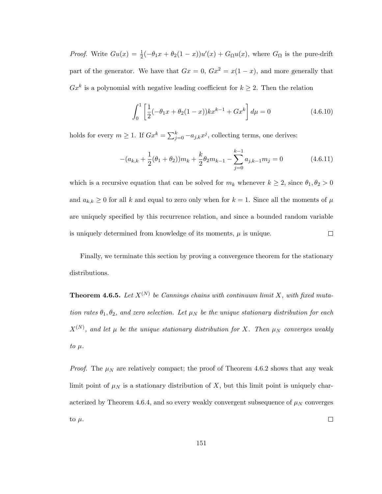*Proof.* Write  $Gu(x) = \frac{1}{2}(-\theta_1 x + \theta_2(1-x))u'(x) + G_{\Omega}u(x)$ , where  $G_{\Omega}$  is the pure-drift part of the generator. We have that  $Gx = 0$ ,  $Gx^2 = x(1-x)$ , and more generally that  $Gx^k$  is a polynomial with negative leading coefficient for  $k \geq 2$ . Then the relation

$$
\int_0^1 \left[ \frac{1}{2} (-\theta_1 x + \theta_2 (1 - x)) k x^{k-1} + G x^k \right] d\mu = 0 \tag{4.6.10}
$$

holds for every  $m \geq 1$ . If  $Gx^k = \sum_{j=0}^k -a_{j,k}x^j$ , collecting terms, one derives:

$$
-(a_{k,k} + \frac{1}{2}(\theta_1 + \theta_2))m_k + \frac{k}{2}\theta_2 m_{k-1} - \sum_{j=0}^{k-1} a_{j,k-1}m_j = 0
$$
 (4.6.11)

which is a recursive equation that can be solved for  $m_k$  whenever  $k \geq 2$ , since  $\theta_1, \theta_2 > 0$ and  $a_{k,k} \geq 0$  for all k and equal to zero only when for  $k = 1$ . Since all the moments of  $\mu$ are uniquely specified by this recurrence relation, and since a bounded random variable  $\Box$ is uniquely determined from knowledge of its moments,  $\mu$  is unique.

Finally, we terminate this section by proving a convergence theorem for the stationary distributions.

**Theorem 4.6.5.** Let  $X^{(N)}$  be Cannings chains with continuum limit X, with fixed mutation rates  $\theta_1, \theta_2$ , and zero selection. Let  $\mu_N$  be the unique stationary distribution for each  $X^{(N)}$ , and let  $\mu$  be the unique stationary distribution for X. Then  $\mu_N$  converges weakly to  $\mu$ .

*Proof.* The  $\mu_N$  are relatively compact; the proof of Theorem 4.6.2 shows that any weak limit point of  $\mu_N$  is a stationary distribution of X, but this limit point is uniquely characterized by Theorem 4.6.4, and so every weakly convergent subsequence of  $\mu$ <sub>N</sub> converges  $\Box$ to  $\mu$ .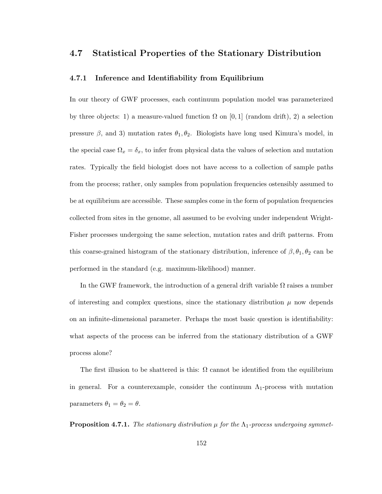## 4.7 Statistical Properties of the Stationary Distribution

## 4.7.1 Inference and Identifiability from Equilibrium

In our theory of GWF processes, each continuum population model was parameterized by three objects: 1) a measure-valued function  $\Omega$  on [0, 1] (random drift), 2) a selection pressure  $\beta$ , and 3) mutation rates  $\theta_1, \theta_2$ . Biologists have long used Kimura's model, in the special case  $\Omega_x = \delta_x$ , to infer from physical data the values of selection and mutation rates. Typically the field biologist does not have access to a collection of sample paths from the process; rather, only samples from population frequencies ostensibly assumed to be at equilibrium are accessible. These samples come in the form of population frequencies collected from sites in the genome, all assumed to be evolving under independent Wright-Fisher processes undergoing the same selection, mutation rates and drift patterns. From this coarse-grained histogram of the stationary distribution, inference of  $\beta$ ,  $\theta_1$ ,  $\theta_2$  can be performed in the standard (e.g. maximum-likelihood) manner.

In the GWF framework, the introduction of a general drift variable  $\Omega$  raises a number of interesting and complex questions, since the stationary distribution  $\mu$  now depends on an infinite-dimensional parameter. Perhaps the most basic question is identifiability: what aspects of the process can be inferred from the stationary distribution of a GWF process alone?

The first illusion to be shattered is this:  $\Omega$  cannot be identified from the equilibrium in general. For a counterexample, consider the continuum  $\Lambda_1$ -process with mutation parameters  $\theta_1 = \theta_2 = \theta$ .

**Proposition 4.7.1.** The stationary distribution  $\mu$  for the  $\Lambda_1$ -process undergoing symmet-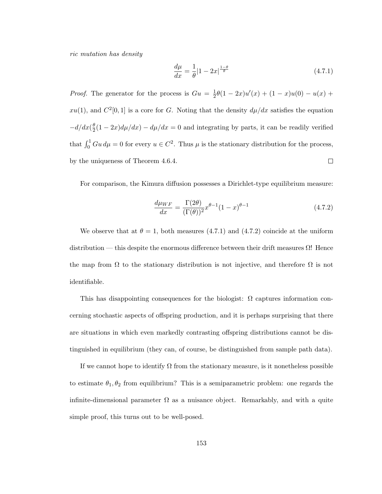ric mutation has density

$$
\frac{d\mu}{dx} = \frac{1}{\theta} |1 - 2x|^\frac{1 - \theta}{\theta} \tag{4.7.1}
$$

*Proof.* The generator for the process is  $Gu = \frac{1}{2}$  $\frac{1}{2}\theta(1-2x)u'(x) + (1-x)u(0) - u(x) +$  $xu(1)$ , and  $C^2[0,1]$  is a core for G. Noting that the density  $d\mu/dx$  satisfies the equation  $-d/dx(\frac{\theta}{2})$  $\frac{\partial}{\partial x}(1-2x)d\mu/dx$  –  $d\mu/dx=0$  and integrating by parts, it can be readily verified that  $\int_0^1 Gu \, d\mu = 0$  for every  $u \in C^2$ . Thus  $\mu$  is the stationary distribution for the process, by the uniqueness of Theorem 4.6.4.  $\Box$ 

For comparison, the Kimura diffusion possesses a Dirichlet-type equilibrium measure:

$$
\frac{d\mu_{WF}}{dx} = \frac{\Gamma(2\theta)}{(\Gamma(\theta))^2} x^{\theta - 1} (1 - x)^{\theta - 1}
$$
\n(4.7.2)

We observe that at  $\theta = 1$ , both measures (4.7.1) and (4.7.2) coincide at the uniform distribution — this despite the enormous difference between their drift measures Ω! Hence the map from  $\Omega$  to the stationary distribution is not injective, and therefore  $\Omega$  is not identifiable.

This has disappointing consequences for the biologist:  $\Omega$  captures information concerning stochastic aspects of offspring production, and it is perhaps surprising that there are situations in which even markedly contrasting offspring distributions cannot be distinguished in equilibrium (they can, of course, be distinguished from sample path data).

If we cannot hope to identify  $\Omega$  from the stationary measure, is it nonetheless possible to estimate  $\theta_1, \theta_2$  from equilibrium? This is a semiparametric problem: one regards the infinite-dimensional parameter  $\Omega$  as a nuisance object. Remarkably, and with a quite simple proof, this turns out to be well-posed.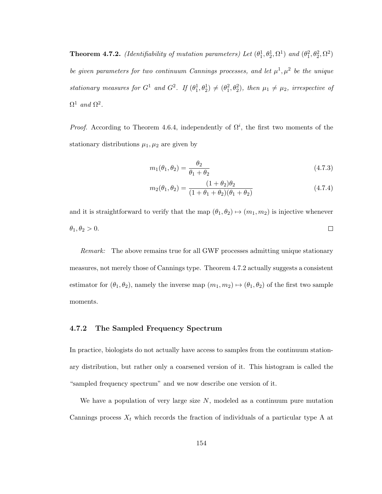**Theorem 4.7.2.** (Identifiability of mutation parameters) Let  $(\theta_1^1, \theta_2^1, \Omega^1)$  and  $(\theta_1^2, \theta_2^2, \Omega^2)$ be given parameters for two continuum Cannings processes, and let  $\mu^1, \mu^2$  be the unique stationary measures for  $G^1$  and  $G^2$ . If  $(\theta_1^1, \theta_2^1) \neq (\theta_1^2, \theta_2^2)$ , then  $\mu_1 \neq \mu_2$ , irrespective of  $\Omega^1$  and  $\Omega^2$ .

*Proof.* According to Theorem 4.6.4, independently of  $\Omega^{i}$ , the first two moments of the stationary distributions  $\mu_1, \mu_2$  are given by

$$
m_1(\theta_1, \theta_2) = \frac{\theta_2}{\theta_1 + \theta_2} \tag{4.7.3}
$$

$$
m_2(\theta_1, \theta_2) = \frac{(1 + \theta_2)\theta_2}{(1 + \theta_1 + \theta_2)(\theta_1 + \theta_2)}
$$
(4.7.4)

and it is straightforward to verify that the map  $(\theta_1, \theta_2) \mapsto (m_1, m_2)$  is injective whenever  $\theta_1, \theta_2 > 0.$  $\Box$ 

Remark: The above remains true for all GWF processes admitting unique stationary measures, not merely those of Cannings type. Theorem 4.7.2 actually suggests a consistent estimator for  $(\theta_1, \theta_2)$ , namely the inverse map  $(m_1, m_2) \mapsto (\theta_1, \theta_2)$  of the first two sample moments.

### 4.7.2 The Sampled Frequency Spectrum

In practice, biologists do not actually have access to samples from the continuum stationary distribution, but rather only a coarsened version of it. This histogram is called the "sampled frequency spectrum" and we now describe one version of it.

We have a population of very large size  $N$ , modeled as a continuum pure mutation Cannings process  $X_t$  which records the fraction of individuals of a particular type A at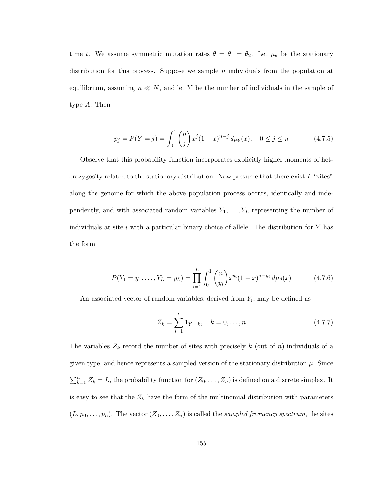time t. We assume symmetric mutation rates  $\theta = \theta_1 = \theta_2$ . Let  $\mu_{\theta}$  be the stationary distribution for this process. Suppose we sample  $n$  individuals from the population at equilibrium, assuming  $n \ll N$ , and let Y be the number of individuals in the sample of type A. Then

$$
p_j = P(Y = j) = \int_0^1 {n \choose j} x^j (1 - x)^{n - j} d\mu_{\theta}(x), \quad 0 \le j \le n \tag{4.7.5}
$$

Observe that this probability function incorporates explicitly higher moments of heterozygosity related to the stationary distribution. Now presume that there exist  $L$  "sites" along the genome for which the above population process occurs, identically and independently, and with associated random variables  $Y_1, \ldots, Y_L$  representing the number of individuals at site i with a particular binary choice of allele. The distribution for  $Y$  has the form

$$
P(Y_1 = y_1, ..., Y_L = y_L) = \prod_{i=1}^{L} \int_0^1 {n \choose y_i} x^{y_i} (1-x)^{n-y_i} d\mu_{\theta}(x)
$$
 (4.7.6)

An associated vector of random variables, derived from  $Y_i$ , may be defined as

$$
Z_k = \sum_{i=1}^{L} 1_{Y_i = k}, \quad k = 0, \dots, n
$$
\n(4.7.7)

The variables  $Z_k$  record the number of sites with precisely k (out of n) individuals of a given type, and hence represents a sampled version of the stationary distribution  $\mu$ . Since  $\sum_{k=0}^{n} Z_k = L$ , the probability function for  $(Z_0, \ldots, Z_n)$  is defined on a discrete simplex. It is easy to see that the  $Z_k$  have the form of the multinomial distribution with parameters  $(L, p_0, \ldots, p_n)$ . The vector  $(Z_0, \ldots, Z_n)$  is called the sampled frequency spectrum, the sites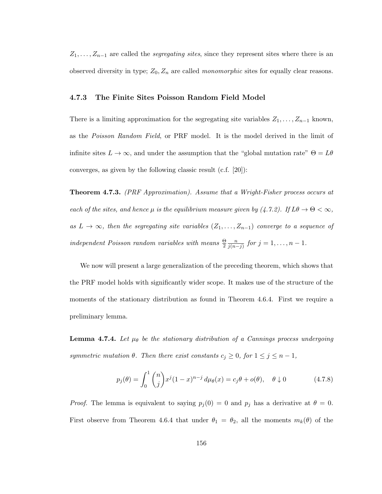$Z_1, \ldots, Z_{n-1}$  are called the *segregating sites*, since they represent sites where there is an observed diversity in type;  $Z_0, Z_n$  are called *monomorphic* sites for equally clear reasons.

## 4.7.3 The Finite Sites Poisson Random Field Model

There is a limiting approximation for the segregating site variables  $Z_1, \ldots, Z_{n-1}$  known, as the Poisson Random Field, or PRF model. It is the model derived in the limit of infinite sites  $L \to \infty$ , and under the assumption that the "global mutation rate"  $\Theta = L\theta$ converges, as given by the following classic result (c.f. [20]):

Theorem 4.7.3. (PRF Approximation). Assume that a Wright-Fisher process occurs at each of the sites, and hence  $\mu$  is the equilibrium measure given by (4.7.2). If  $L\theta \to \Theta < \infty$ , as  $L \to \infty$ , then the segregating site variables  $(Z_1, \ldots, Z_{n-1})$  converge to a sequence of independent Poisson random variables with means  $\frac{\Theta}{2}$ n  $\frac{n}{j(n-j)}$  for  $j = 1, \ldots, n-1$ .

We now will present a large generalization of the preceding theorem, which shows that the PRF model holds with significantly wider scope. It makes use of the structure of the moments of the stationary distribution as found in Theorem 4.6.4. First we require a preliminary lemma.

**Lemma 4.7.4.** Let  $\mu_{\theta}$  be the stationary distribution of a Cannings process undergoing symmetric mutation  $\theta$ . Then there exist constants  $c_j \geq 0$ , for  $1 \leq j \leq n-1$ ,

$$
p_j(\theta) = \int_0^1 {n \choose j} x^j (1-x)^{n-j} d\mu(\theta) = c_j \theta + o(\theta), \quad \theta \downarrow 0 \tag{4.7.8}
$$

*Proof.* The lemma is equivalent to saying  $p_j(0) = 0$  and  $p_j$  has a derivative at  $\theta = 0$ . First observe from Theorem 4.6.4 that under  $\theta_1 = \theta_2$ , all the moments  $m_k(\theta)$  of the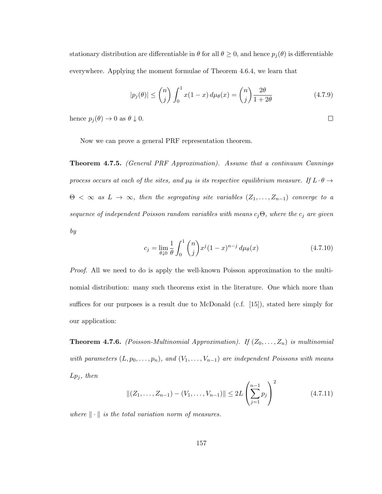stationary distribution are differentiable in  $\theta$  for all  $\theta \geq 0$ , and hence  $p_j(\theta)$  is differentiable everywhere. Applying the moment formulae of Theorem 4.6.4, we learn that

$$
|p_j(\theta)| \leq {n \choose j} \int_0^1 x(1-x) d\mu_{\theta}(x) = {n \choose j} \frac{2\theta}{1+2\theta} \tag{4.7.9}
$$

 $\Box$ 

hence  $p_j(\theta) \to 0$  as  $\theta \downarrow 0$ .

Now we can prove a general PRF representation theorem.

Theorem 4.7.5. (General PRF Approximation). Assume that a continuum Cannings process occurs at each of the sites, and  $\mu_{\theta}$  is its respective equilibrium measure. If  $L \cdot \theta \rightarrow$  $\Theta \leq \infty$  as  $L \to \infty$ , then the segregating site variables  $(Z_1, \ldots, Z_{n-1})$  converge to a sequence of independent Poisson random variables with means  $c_j\Theta$ , where the  $c_j$  are given by

$$
c_j = \lim_{\theta \downarrow 0} \frac{1}{\theta} \int_0^1 {n \choose j} x^j (1-x)^{n-j} d\mu_{\theta}(x)
$$
 (4.7.10)

Proof. All we need to do is apply the well-known Poisson approximation to the multinomial distribution: many such theorems exist in the literature. One which more than suffices for our purposes is a result due to McDonald (c.f. [15]), stated here simply for our application:

**Theorem 4.7.6.** (Poisson-Multinomial Approximation). If  $(Z_0, \ldots, Z_n)$  is multinomial with parameters  $(L, p_0, \ldots, p_n)$ , and  $(V_1, \ldots, V_{n-1})$  are independent Poissons with means  $L_{p_j}$ , then

$$
||(Z_1, \ldots, Z_{n-1}) - (V_1, \ldots, V_{n-1})|| \le 2L \left(\sum_{j=1}^{n-1} p_j\right)^2
$$
 (4.7.11)

where  $\|\cdot\|$  is the total variation norm of measures.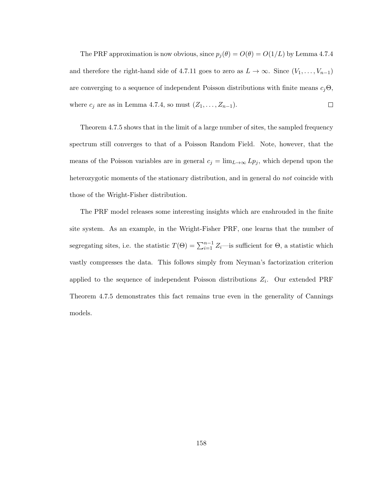The PRF approximation is now obvious, since  $p_j(\theta) = O(\theta) = O(1/L)$  by Lemma 4.7.4 and therefore the right-hand side of 4.7.11 goes to zero as  $L \to \infty$ . Since  $(V_1, \ldots, V_{n-1})$ are converging to a sequence of independent Poisson distributions with finite means  $c_j\Theta$ , where  $c_j$  are as in Lemma 4.7.4, so must  $(Z_1, \ldots, Z_{n-1})$ .  $\Box$ 

Theorem 4.7.5 shows that in the limit of a large number of sites, the sampled frequency spectrum still converges to that of a Poisson Random Field. Note, however, that the means of the Poisson variables are in general  $c_j = \lim_{L\to\infty} L p_j$ , which depend upon the heterozygotic moments of the stationary distribution, and in general do *not* coincide with those of the Wright-Fisher distribution.

The PRF model releases some interesting insights which are enshrouded in the finite site system. As an example, in the Wright-Fisher PRF, one learns that the number of segregating sites, i.e. the statistic  $T(\Theta) = \sum_{i=1}^{n-1} Z_i$ —is sufficient for  $\Theta$ , a statistic which vastly compresses the data. This follows simply from Neyman's factorization criterion applied to the sequence of independent Poisson distributions  $Z_i$ . Our extended PRF Theorem 4.7.5 demonstrates this fact remains true even in the generality of Cannings models.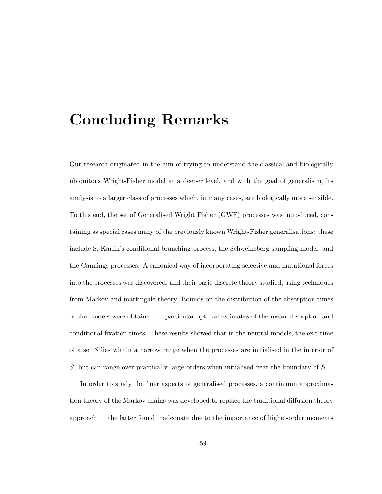## Concluding Remarks

Our research originated in the aim of trying to understand the classical and biologically ubiquitous Wright-Fisher model at a deeper level, and with the goal of generalising its analysis to a larger class of processes which, in many cases, are biologically more sensible. To this end, the set of Generalised Wright Fisher (GWF) processes was introduced, containing as special cases many of the previously known Wright-Fisher generalisations: these include S. Karlin's conditional branching process, the Schweinsberg sampling model, and the Cannings processes. A canonical way of incorporating selective and mutational forces into the processes was discovered, and their basic discrete theory studied, using techniques from Markov and martingale theory. Bounds on the distribution of the absorption times of the models were obtained, in particular optimal estimates of the mean absorption and conditional fixation times. These results showed that in the neutral models, the exit time of a set S lies within a narrow range when the processes are initialised in the interior of S, but can range over practically large orders when initialised near the boundary of S.

In order to study the finer aspects of generalised processes, a continuum approximation theory of the Markov chains was developed to replace the traditional diffusion theory approach — the latter found inadequate due to the importance of higher-order moments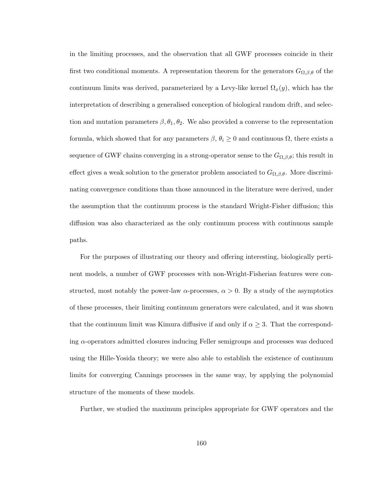in the limiting processes, and the observation that all GWF processes coincide in their first two conditional moments. A representation theorem for the generators  $G_{\Omega,\beta,\theta}$  of the continuum limits was derived, parameterized by a Levy-like kernel  $\Omega_x(y)$ , which has the interpretation of describing a generalised conception of biological random drift, and selection and mutation parameters  $\beta$ ,  $\theta_1$ ,  $\theta_2$ . We also provided a converse to the representation formula, which showed that for any parameters  $\beta$ ,  $\theta_i \geq 0$  and continuous  $\Omega$ , there exists a sequence of GWF chains converging in a strong-operator sense to the  $G_{\Omega,\beta,\theta}$ ; this result in effect gives a weak solution to the generator problem associated to  $G_{\Omega,\beta,\theta}$ . More discriminating convergence conditions than those announced in the literature were derived, under the assumption that the continuum process is the standard Wright-Fisher diffusion; this diffusion was also characterized as the only continuum process with continuous sample paths.

For the purposes of illustrating our theory and offering interesting, biologically pertinent models, a number of GWF processes with non-Wright-Fisherian features were constructed, most notably the power-law  $\alpha$ -processes,  $\alpha > 0$ . By a study of the asymptotics of these processes, their limiting continuum generators were calculated, and it was shown that the continuum limit was Kimura diffusive if and only if  $\alpha \geq 3$ . That the corresponding  $\alpha$ -operators admitted closures inducing Feller semigroups and processes was deduced using the Hille-Yosida theory; we were also able to establish the existence of continuum limits for converging Cannings processes in the same way, by applying the polynomial structure of the moments of these models.

Further, we studied the maximum principles appropriate for GWF operators and the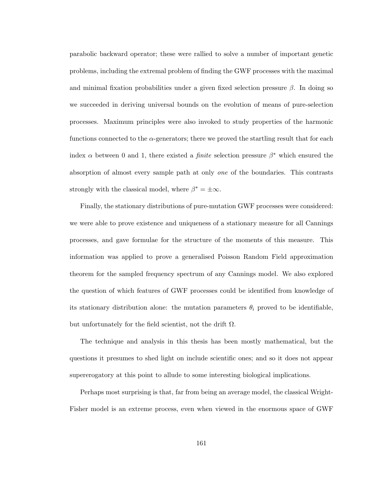parabolic backward operator; these were rallied to solve a number of important genetic problems, including the extremal problem of finding the GWF processes with the maximal and minimal fixation probabilities under a given fixed selection pressure  $\beta$ . In doing so we succeeded in deriving universal bounds on the evolution of means of pure-selection processes. Maximum principles were also invoked to study properties of the harmonic functions connected to the  $\alpha$ -generators; there we proved the startling result that for each index  $\alpha$  between 0 and 1, there existed a *finite* selection pressure  $\beta^*$  which ensured the absorption of almost every sample path at only one of the boundaries. This contrasts strongly with the classical model, where  $\beta^* = \pm \infty$ .

Finally, the stationary distributions of pure-mutation GWF processes were considered: we were able to prove existence and uniqueness of a stationary measure for all Cannings processes, and gave formulae for the structure of the moments of this measure. This information was applied to prove a generalised Poisson Random Field approximation theorem for the sampled frequency spectrum of any Cannings model. We also explored the question of which features of GWF processes could be identified from knowledge of its stationary distribution alone: the mutation parameters  $\theta_i$  proved to be identifiable, but unfortunately for the field scientist, not the drift  $\Omega$ .

The technique and analysis in this thesis has been mostly mathematical, but the questions it presumes to shed light on include scientific ones; and so it does not appear supererogatory at this point to allude to some interesting biological implications.

Perhaps most surprising is that, far from being an average model, the classical Wright-Fisher model is an extreme process, even when viewed in the enormous space of GWF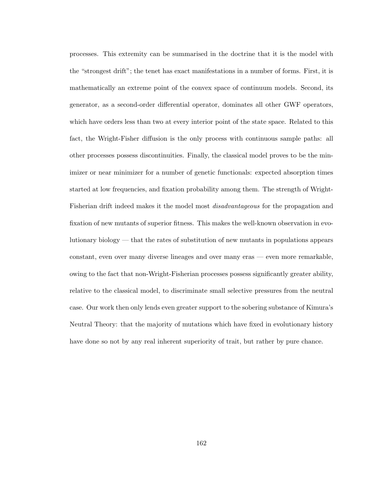processes. This extremity can be summarised in the doctrine that it is the model with the "strongest drift"; the tenet has exact manifestations in a number of forms. First, it is mathematically an extreme point of the convex space of continuum models. Second, its generator, as a second-order differential operator, dominates all other GWF operators, which have orders less than two at every interior point of the state space. Related to this fact, the Wright-Fisher diffusion is the only process with continuous sample paths: all other processes possess discontinuities. Finally, the classical model proves to be the minimizer or near minimizer for a number of genetic functionals: expected absorption times started at low frequencies, and fixation probability among them. The strength of Wright-Fisherian drift indeed makes it the model most *disadvantageous* for the propagation and fixation of new mutants of superior fitness. This makes the well-known observation in evolutionary biology — that the rates of substitution of new mutants in populations appears constant, even over many diverse lineages and over many eras — even more remarkable, owing to the fact that non-Wright-Fisherian processes possess significantly greater ability, relative to the classical model, to discriminate small selective pressures from the neutral case. Our work then only lends even greater support to the sobering substance of Kimura's Neutral Theory: that the majority of mutations which have fixed in evolutionary history have done so not by any real inherent superiority of trait, but rather by pure chance.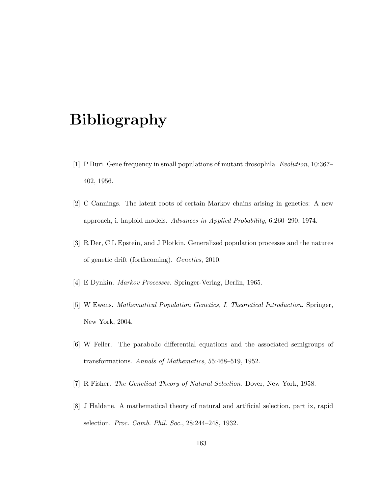# Bibliography

- [1] P Buri. Gene frequency in small populations of mutant drosophila. Evolution, 10:367– 402, 1956.
- [2] C Cannings. The latent roots of certain Markov chains arising in genetics: A new approach, i. haploid models. Advances in Applied Probability, 6:260–290, 1974.
- [3] R Der, C L Epstein, and J Plotkin. Generalized population processes and the natures of genetic drift (forthcoming). Genetics, 2010.
- [4] E Dynkin. Markov Processes. Springer-Verlag, Berlin, 1965.
- [5] W Ewens. Mathematical Population Genetics, I. Theoretical Introduction. Springer, New York, 2004.
- [6] W Feller. The parabolic differential equations and the associated semigroups of transformations. Annals of Mathematics, 55:468–519, 1952.
- [7] R Fisher. The Genetical Theory of Natural Selection. Dover, New York, 1958.
- [8] J Haldane. A mathematical theory of natural and artificial selection, part ix, rapid selection. Proc. Camb. Phil. Soc., 28:244–248, 1932.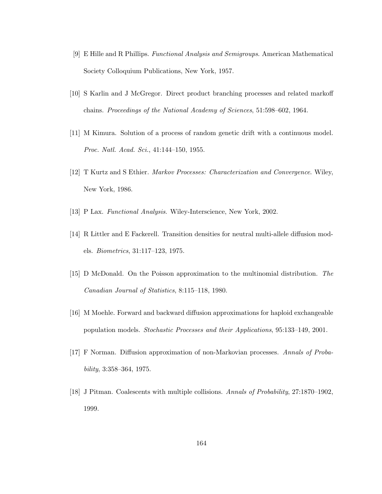- [9] E Hille and R Phillips. Functional Analysis and Semigroups. American Mathematical Society Colloquium Publications, New York, 1957.
- [10] S Karlin and J McGregor. Direct product branching processes and related markoff chains. Proceedings of the National Academy of Sciences, 51:598–602, 1964.
- [11] M Kimura. Solution of a process of random genetic drift with a continuous model. Proc. Natl. Acad. Sci., 41:144–150, 1955.
- [12] T Kurtz and S Ethier. Markov Processes: Characterization and Convergence. Wiley, New York, 1986.
- [13] P Lax. Functional Analysis. Wiley-Interscience, New York, 2002.
- [14] R Littler and E Fackerell. Transition densities for neutral multi-allele diffusion models. Biometrics, 31:117–123, 1975.
- [15] D McDonald. On the Poisson approximation to the multinomial distribution. The Canadian Journal of Statistics, 8:115–118, 1980.
- [16] M Moehle. Forward and backward diffusion approximations for haploid exchangeable population models. Stochastic Processes and their Applications, 95:133–149, 2001.
- [17] F Norman. Diffusion approximation of non-Markovian processes. Annals of Probability, 3:358–364, 1975.
- [18] J Pitman. Coalescents with multiple collisions. Annals of Probability, 27:1870–1902, 1999.